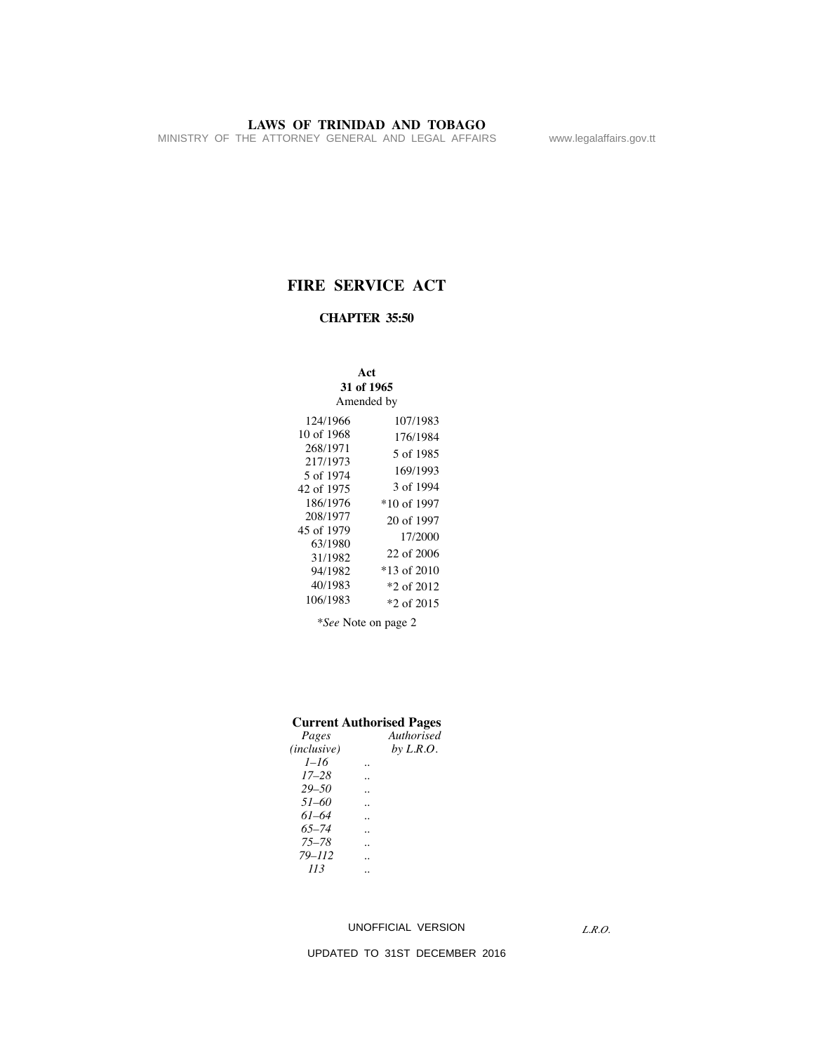MINISTRY OF THE ATTORNEY GENERAL AND LEGAL AFFAIRS www.legalaffairs.gov.tt

# **FIRE SERVICE ACT**

# **CHAPTER 35:50**

| Act<br>31 of 1965<br>Amended by                                                       |                                                                                    |  |  |  |  |  |  |  |
|---------------------------------------------------------------------------------------|------------------------------------------------------------------------------------|--|--|--|--|--|--|--|
| 124/1966<br>10 of 1968<br>268/1971<br>217/1973<br>5 of 1974<br>42 of 1975<br>186/1976 | 107/1983<br>176/1984<br>5 of 1985<br>169/1993<br>3 of 1994<br>*10 of 1997          |  |  |  |  |  |  |  |
| 208/1977<br>45 of 1979<br>63/1980<br>31/1982<br>94/1982<br>40/1983<br>106/1983        | 20 of 1997<br>17/2000<br>22 of 2006<br>*13 of 2010<br>$*2$ of 2012<br>$*2$ of 2015 |  |  |  |  |  |  |  |

*\*See* Note on page 2

## **Current Authorised Pages**

| Pages                | Authorised  |
|----------------------|-------------|
| ( <i>inclusive</i> ) | by $L.R.O.$ |
| $1 - 16$             |             |
| $17 - 28$            |             |
| $29 - 50$            |             |
| $51 - 60$            |             |
| $61 - 64$            |             |
| $65 - 74$            |             |
| $75 - 78$            |             |
| $79 - 112$           |             |
| 113                  |             |
|                      |             |

#### UNOFFICIAL VERSION

*L.R.O.*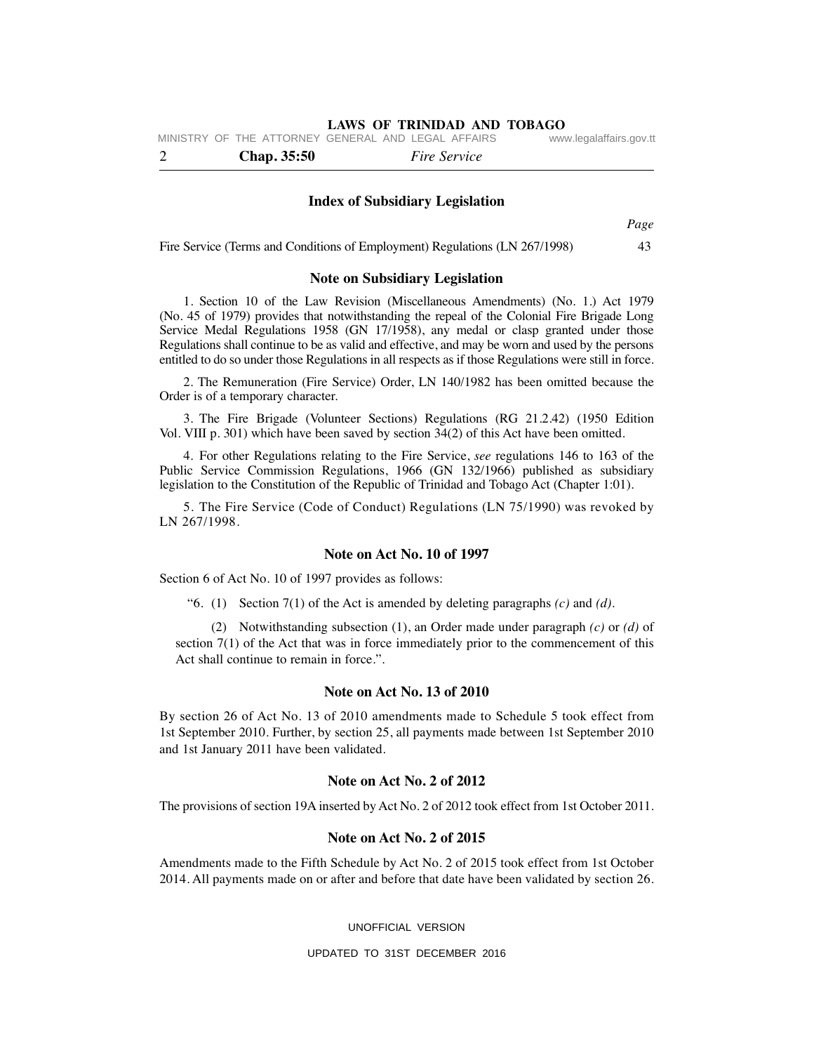|  | <b>Chap.</b> 35:50 |  | MINISTRY OF THE ATTORNEY GENERAL AND LEGAL AFFAIRS<br><i>Fire Service</i> | www.legalaffairs.gov.tt |
|--|--------------------|--|---------------------------------------------------------------------------|-------------------------|
|  |                    |  |                                                                           |                         |

#### **Index of Subsidiary Legislation**

*Page*

Fire Service (Terms and Conditions of Employment) Regulations (LN 267/1998) 43

#### **Note on Subsidiary Legislation**

 1. Section 10 of the Law Revision (Miscellaneous Amendments) (No. 1.) Act 1979 (No. 45 of 1979) provides that notwithstanding the repeal of the Colonial Fire Brigade Long Service Medal Regulations 1958 (GN 17/1958), any medal or clasp granted under those Regulations shall continue to be as valid and effective, and may be worn and used by the persons entitled to do so under those Regulations in all respects as if those Regulations were still in force.

 2. The Remuneration (Fire Service) Order, LN 140/1982 has been omitted because the Order is of a temporary character.

 3. The Fire Brigade (Volunteer Sections) Regulations (RG 21.2.42) (1950 Edition Vol. VIII p. 301) which have been saved by section 34(2) of this Act have been omitted.

 4. For other Regulations relating to the Fire Service, *see* regulations 146 to 163 of the Public Service Commission Regulations, 1966 (GN 132/1966) published as subsidiary legislation to the Constitution of the Republic of Trinidad and Tobago Act (Chapter 1:01).

 5. The Fire Service (Code of Conduct) Regulations (LN 75/1990) was revoked by LN 267/1998.

#### **Note on Act No. 10 of 1997**

Section 6 of Act No. 10 of 1997 provides as follows:

"6. (1) Section 7(1) of the Act is amended by deleting paragraphs *(c)* and *(d)*.

 (2) Notwithstanding subsection (1), an Order made under paragraph *(c)* or *(d)* of section 7(1) of the Act that was in force immediately prior to the commencement of this Act shall continue to remain in force.".

#### **Note on Act No. 13 of 2010**

By section 26 of Act No. 13 of 2010 amendments made to Schedule 5 took effect from 1st September 2010. Further, by section 25, all payments made between 1st September 2010 and 1st January 2011 have been validated.

#### **Note on Act No. 2 of 2012**

The provisions of section 19A inserted by Act No. 2 of 2012 took effect from 1st October 2011.

#### **Note on Act No. 2 of 2015**

Amendments made to the Fifth Schedule by Act No. 2 of 2015 took effect from 1st October 2014. All payments made on or after and before that date have been validated by section 26.

UNOFFICIAL VERSION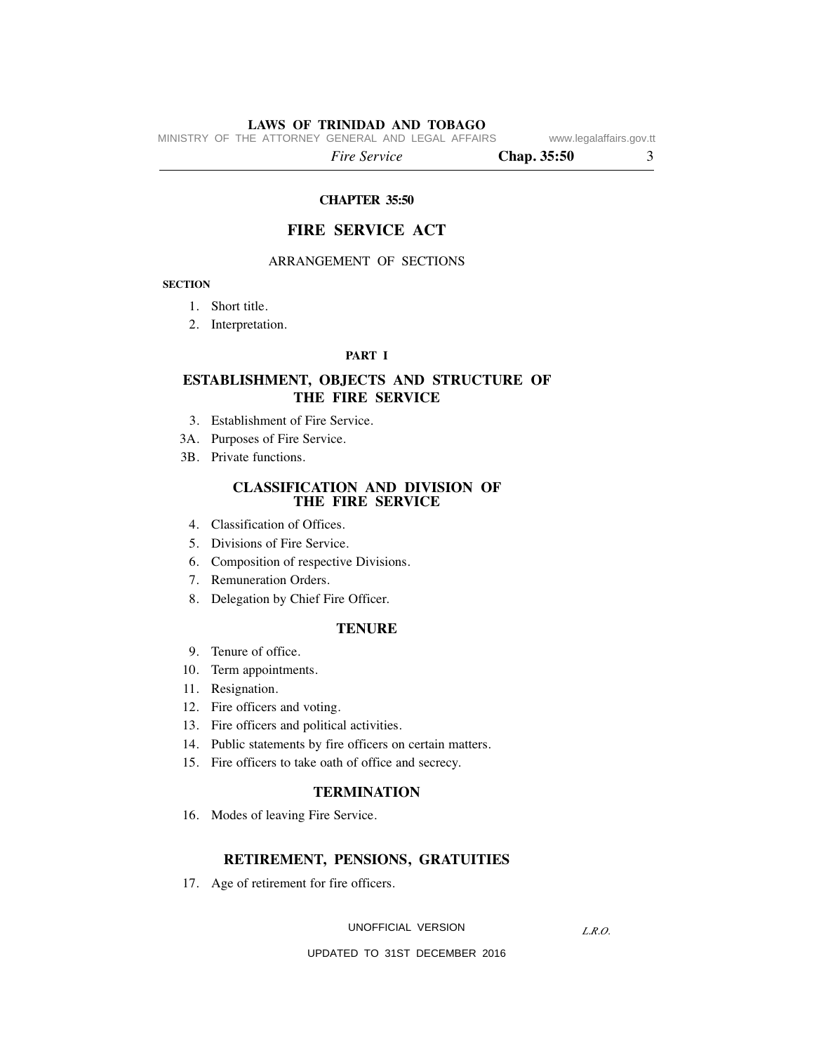MINISTRY OF THE ATTORNEY GENERAL AND LEGAL AFFAIRS www.legalaffairs.gov.tt

 *Fire Service* **Chap. 35:50** 3

#### **CHAPTER 35:50**

# **FIRE SERVICE ACT**

## ARRANGEMENT OF SECTIONS

#### **SECTION**

- 1. Short title.
- 2. Interpretation.

#### **PART I**

# **ESTABLISHMENT, OBJECTS AND STRUCTURE OF THE FIRE SERVICE**

- 3. Establishment of Fire Service.
- 3A. Purposes of Fire Service.
- 3B. Private functions.

#### **CLASSIFICATION AND DIVISION OF THE FIRE SERVICE**

- 4. Classification of Offices.
- 5. Divisions of Fire Service.
- 6. Composition of respective Divisions.
- 7. Remuneration Orders.
- 8. Delegation by Chief Fire Officer.

## **TENURE**

- 9. Tenure of office.
- 10. Term appointments.
- 11. Resignation.
- 12. Fire officers and voting.
- 13. Fire officers and political activities.
- 14. Public statements by fire officers on certain matters.
- 15. Fire officers to take oath of office and secrecy.

## **TERMINATION**

16. Modes of leaving Fire Service.

#### **RETIREMENT, PENSIONS, GRATUITIES**

17. Age of retirement for fire officers.

UNOFFICIAL VERSION

*L.R.O.*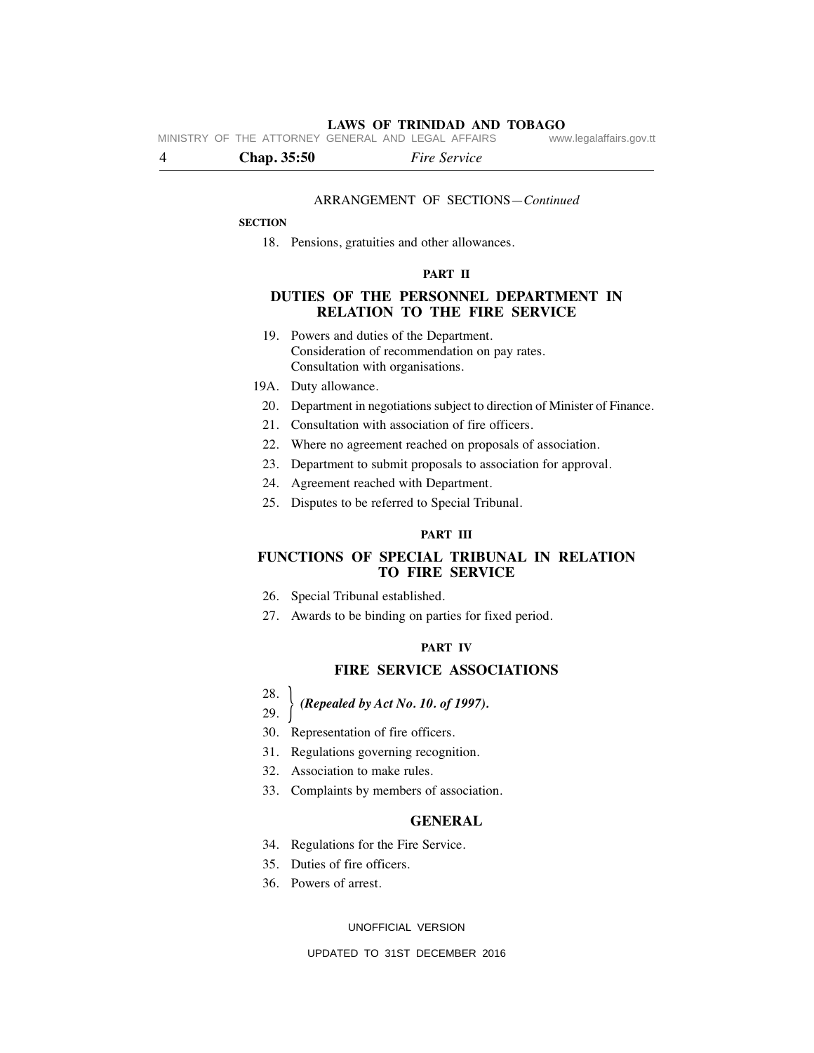**LAWS OF TRINIDAD AND TOBAGO** MINISTRY OF THE ATTORNEY GENERAL AND LEGAL AFFAIRS

4 **Chap. 35:50** *Fire Service*

#### ARRANGEMENT OF SECTIONS—*Continued*

#### **SECTION**

18. Pensions, gratuities and other allowances.

#### **PART II**

## **DUTIES OF THE PERSONNEL DEPARTMENT IN RELATION TO THE FIRE SERVICE**

- 19. Powers and duties of the Department. Consideration of recommendation on pay rates. Consultation with organisations.
- 19A. Duty allowance.
- 20. Department in negotiations subject to direction of Minister of Finance.
- 21. Consultation with association of fire officers.
- 22. Where no agreement reached on proposals of association.
- 23. Department to submit proposals to association for approval.
- 24. Agreement reached with Department.
- 25. Disputes to be referred to Special Tribunal.

#### **PART III**

# **FUNCTIONS OF SPECIAL TRIBUNAL IN RELATION TO FIRE SERVICE**

- 26. Special Tribunal established.
- 27. Awards to be binding on parties for fixed period.

#### **PART IV**

#### **FIRE SERVICE ASSOCIATIONS**

28.

#### 29. *(Repealed by Act No. 10. of 1997).* }

- 
- 30. Representation of fire officers.
- 31. Regulations governing recognition.
- 32. Association to make rules.
- 33. Complaints by members of association.

## **GENERAL**

- 34. Regulations for the Fire Service.
- 35. Duties of fire officers.
- 36. Powers of arrest.

#### UNOFFICIAL VERSION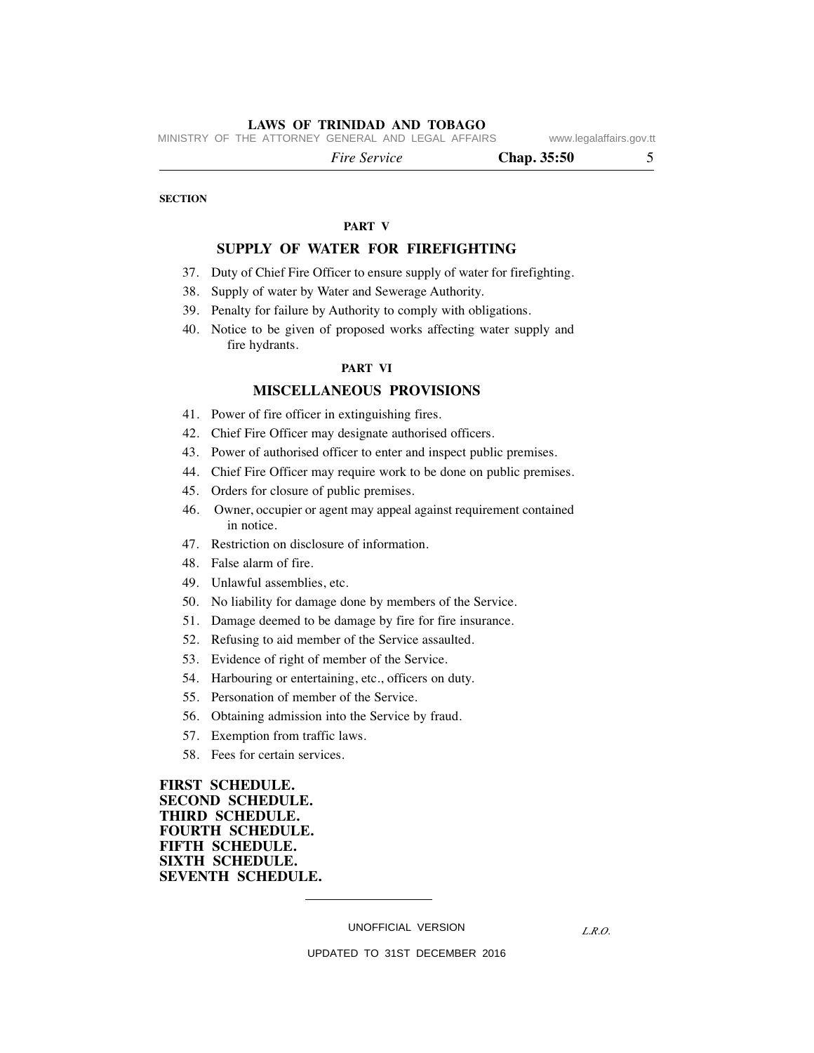MINISTRY OF THE ATTORNEY GENERAL AND LEGAL AFFAIRS www.legalaffairs.gov.tt

*Fire Service* **Chap. 35:50** 5

**SECTION**

# **PART V**

# **SUPPLY OF WATER FOR FIREFIGHTING**

- 37. Duty of Chief Fire Officer to ensure supply of water for firefighting.
- 38. Supply of water by Water and Sewerage Authority.
- 39. Penalty for failure by Authority to comply with obligations.
- 40. Notice to be given of proposed works affecting water supply and fire hydrants.

#### **PART VI**

#### **MISCELLANEOUS PROVISIONS**

- 41. Power of fire officer in extinguishing fires.
- 42. Chief Fire Officer may designate authorised officers.
- 43. Power of authorised officer to enter and inspect public premises.
- 44. Chief Fire Officer may require work to be done on public premises.
- 45. Orders for closure of public premises.
- 46. Owner, occupier or agent may appeal against requirement contained in notice.
- 47. Restriction on disclosure of information.
- 48. False alarm of fire.
- 49. Unlawful assemblies, etc.
- 50. No liability for damage done by members of the Service.
- 51. Damage deemed to be damage by fire for fire insurance.
- 52. Refusing to aid member of the Service assaulted.
- 53. Evidence of right of member of the Service.
- 54. Harbouring or entertaining, etc., officers on duty.
- 55. Personation of member of the Service.
- 56. Obtaining admission into the Service by fraud.
- 57. Exemption from traffic laws.
- 58. Fees for certain services.

**FIRST SCHEDULE. SECOND SCHEDULE. THIRD SCHEDULE. FOURTH SCHEDULE. FIFTH SCHEDULE. SIXTH SCHEDULE. SEVENTH SCHEDULE.**

UNOFFICIAL VERSION

*L.R.O.*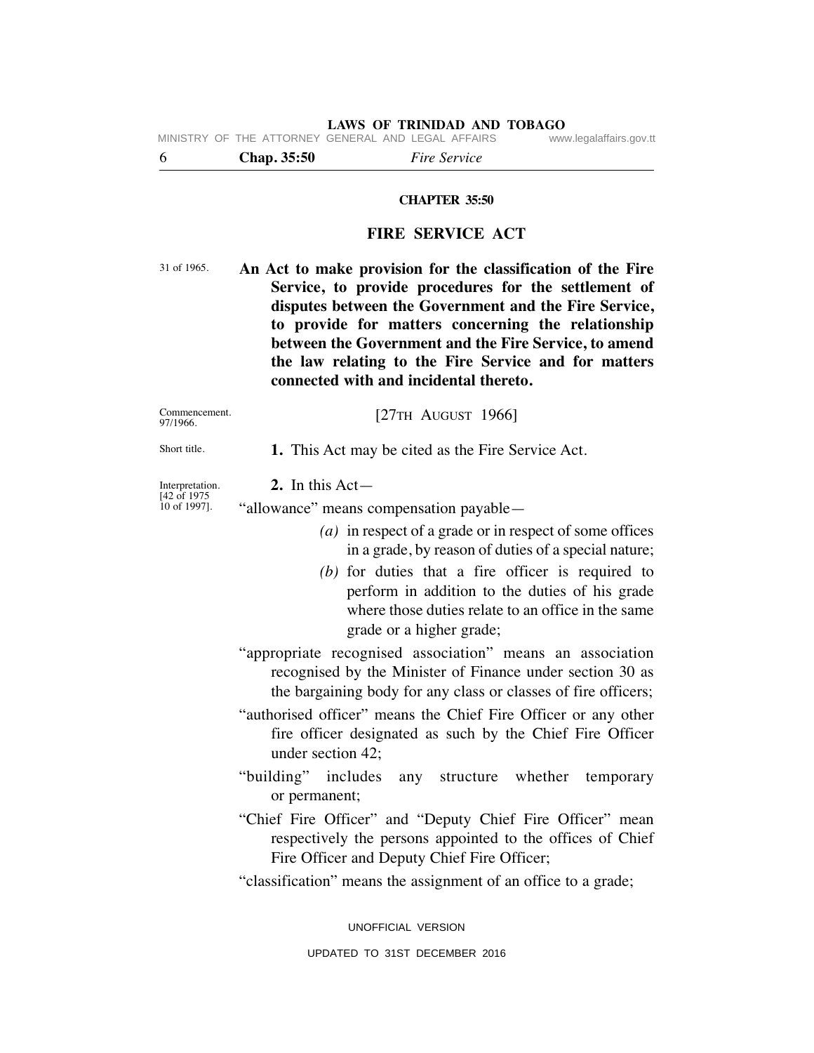**LAWS OF TRINIDAD AND TOBAGO** MINISTRY OF THE ATTORNEY GENERAL AND LEGAL AFFAIRS

6 **Chap. 35:50** *Fire Service*

#### **CHAPTER 35:50**

# **FIRE SERVICE ACT**

**An Act to make provision for the classification of the Fire Service, to provide procedures for the settlement of disputes between the Government and the Fire Service, to provide for matters concerning the relationship between the Government and the Fire Service, to amend the law relating to the Fire Service and for matters connected with and incidental thereto.** 31 of 1965.

| Commencement. |  |
|---------------|--|
| 97/1966.      |  |

 **1.** This Act may be cited as the Fire Service Act.

[27TH AUGUST 1966]

# **2.** In this Act—

"allowance" means compensation payable—

- *(a)* in respect of a grade or in respect of some offices in a grade, by reason of duties of a special nature;
- *(b)* for duties that a fire officer is required to perform in addition to the duties of his grade where those duties relate to an office in the same grade or a higher grade;
- "appropriate recognised association" means an association recognised by the Minister of Finance under section 30 as the bargaining body for any class or classes of fire officers;
- "authorised officer" means the Chief Fire Officer or any other fire officer designated as such by the Chief Fire Officer under section 42;
- "building" includes any structure whether temporary or permanent;
- "Chief Fire Officer" and "Deputy Chief Fire Officer" mean respectively the persons appointed to the offices of Chief Fire Officer and Deputy Chief Fire Officer;
- "classification" means the assignment of an office to a grade;

UNOFFICIAL VERSION

Short title.

Interpretation. [42 of 1975 10 of 1997].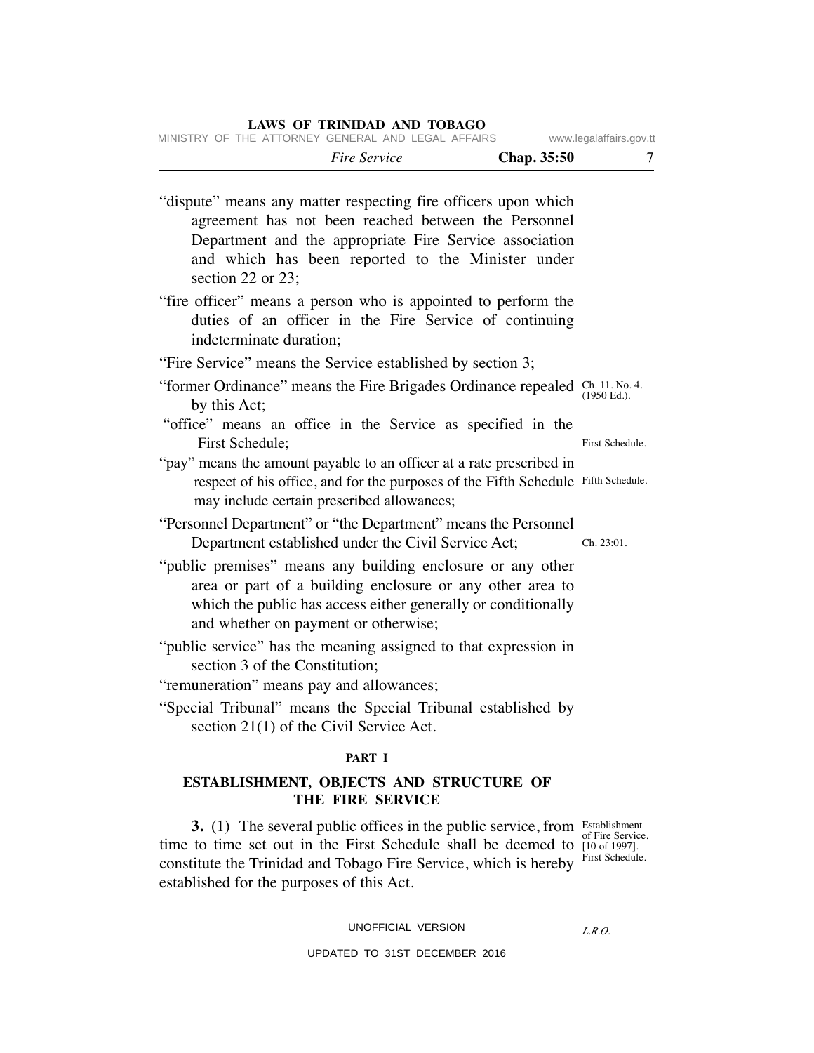| LAWS OF TRINIDAD AND TOBAGO<br>MINISTRY OF THE ATTORNEY GENERAL AND LEGAL AFFAIRS                                                                                                                                                                             | www.legalaffairs.gov.tt                                          |
|---------------------------------------------------------------------------------------------------------------------------------------------------------------------------------------------------------------------------------------------------------------|------------------------------------------------------------------|
| Fire Service<br>Chap. 35:50                                                                                                                                                                                                                                   |                                                                  |
| "dispute" means any matter respecting fire officers upon which<br>agreement has not been reached between the Personnel<br>Department and the appropriate Fire Service association<br>and which has been reported to the Minister under<br>section 22 or 23;   |                                                                  |
| "fire officer" means a person who is appointed to perform the<br>duties of an officer in the Fire Service of continuing<br>indeterminate duration;                                                                                                            |                                                                  |
| "Fire Service" means the Service established by section 3;                                                                                                                                                                                                    |                                                                  |
| "former Ordinance" means the Fire Brigades Ordinance repealed Ch. 11, No. 4.<br>by this Act;                                                                                                                                                                  | $(1950$ Ed.).                                                    |
| "office" means an office in the Service as specified in the<br>First Schedule;                                                                                                                                                                                | First Schedule.                                                  |
| "pay" means the amount payable to an officer at a rate prescribed in<br>respect of his office, and for the purposes of the Fifth Schedule Fifth Schedule.<br>may include certain prescribed allowances;                                                       |                                                                  |
| "Personnel Department" or "the Department" means the Personnel<br>Department established under the Civil Service Act;                                                                                                                                         | Ch. 23:01.                                                       |
| "public premises" means any building enclosure or any other<br>area or part of a building enclosure or any other area to<br>which the public has access either generally or conditionally<br>and whether on payment or otherwise;                             |                                                                  |
| "public service" has the meaning assigned to that expression in<br>section 3 of the Constitution;                                                                                                                                                             |                                                                  |
| "remuneration" means pay and allowances;<br>"Special Tribunal" means the Special Tribunal established by<br>section $21(1)$ of the Civil Service Act.                                                                                                         |                                                                  |
| PART I                                                                                                                                                                                                                                                        |                                                                  |
| ESTABLISHMENT, OBJECTS AND STRUCTURE OF<br>THE FIRE SERVICE                                                                                                                                                                                                   |                                                                  |
| 3. (1) The several public offices in the public service, from Establishment<br>time to time set out in the First Schedule shall be deemed to<br>constitute the Trinidad and Tobago Fire Service, which is hereby<br>established for the purposes of this Act. | of Fire Service.<br>$[10 \text{ of } 1997]$ .<br>First Schedule. |

UNOFFICIAL VERSION

*L.R.O.*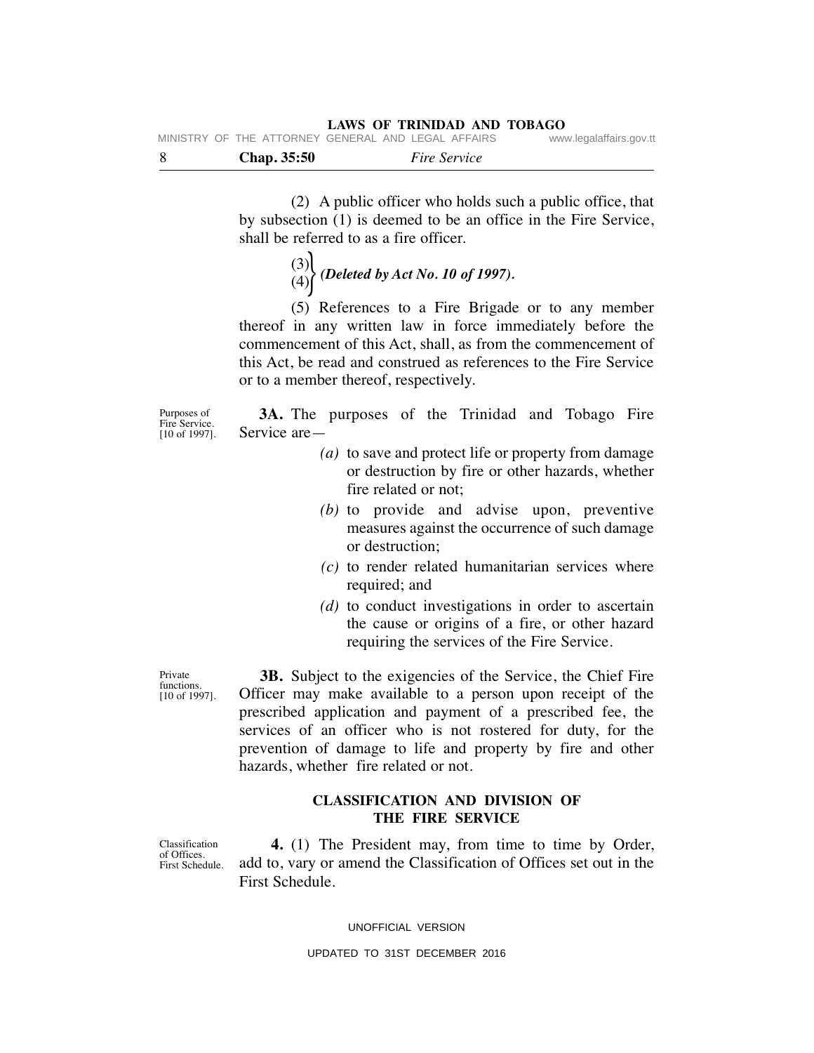| - 8 |  | <b>Chap.</b> 35:50 |                                                    | <i>Fire Service</i> |                         |
|-----|--|--------------------|----------------------------------------------------|---------------------|-------------------------|
|     |  |                    | MINISTRY OF THE ATTORNEY GENERAL AND LEGAL AFFAIRS |                     | www.legalaffairs.gov.tt |

 (2) A public officer who holds such a public office, that by subsection (1) is deemed to be an office in the Fire Service, shall be referred to as a fire officer.

 (3)  $\binom{8}{4}$  *(Deleted by Act No. 10 of 1997).* 

 (5) References to a Fire Brigade or to any member thereof in any written law in force immediately before the commencement of this Act, shall, as from the commencement of this Act, be read and construed as references to the Fire Service or to a member thereof, respectively.

Purposes of Fire Service. [10 of 1997].

 **3A.** The purposes of the Trinidad and Tobago Fire Service are—

- *(a)* to save and protect life or property from damage or destruction by fire or other hazards, whether fire related or not;
- *(b)* to provide and advise upon, preventive measures against the occurrence of such damage or destruction;
- *(c)* to render related humanitarian services where required; and
- *(d)* to conduct investigations in order to ascertain the cause or origins of a fire, or other hazard requiring the services of the Fire Service.

Private functions. [10 of 1997].

 **3B.** Subject to the exigencies of the Service, the Chief Fire Officer may make available to a person upon receipt of the prescribed application and payment of a prescribed fee, the services of an officer who is not rostered for duty, for the prevention of damage to life and property by fire and other hazards, whether fire related or not.

# **CLASSIFICATION AND DIVISION OF THE FIRE SERVICE**

 **4.** (1) The President may, from time to time by Order, add to, vary or amend the Classification of Offices set out in the First Schedule.

UNOFFICIAL VERSION

UPDATED TO 31ST DECEMBER 2016

Classification of Offices. First Schedule.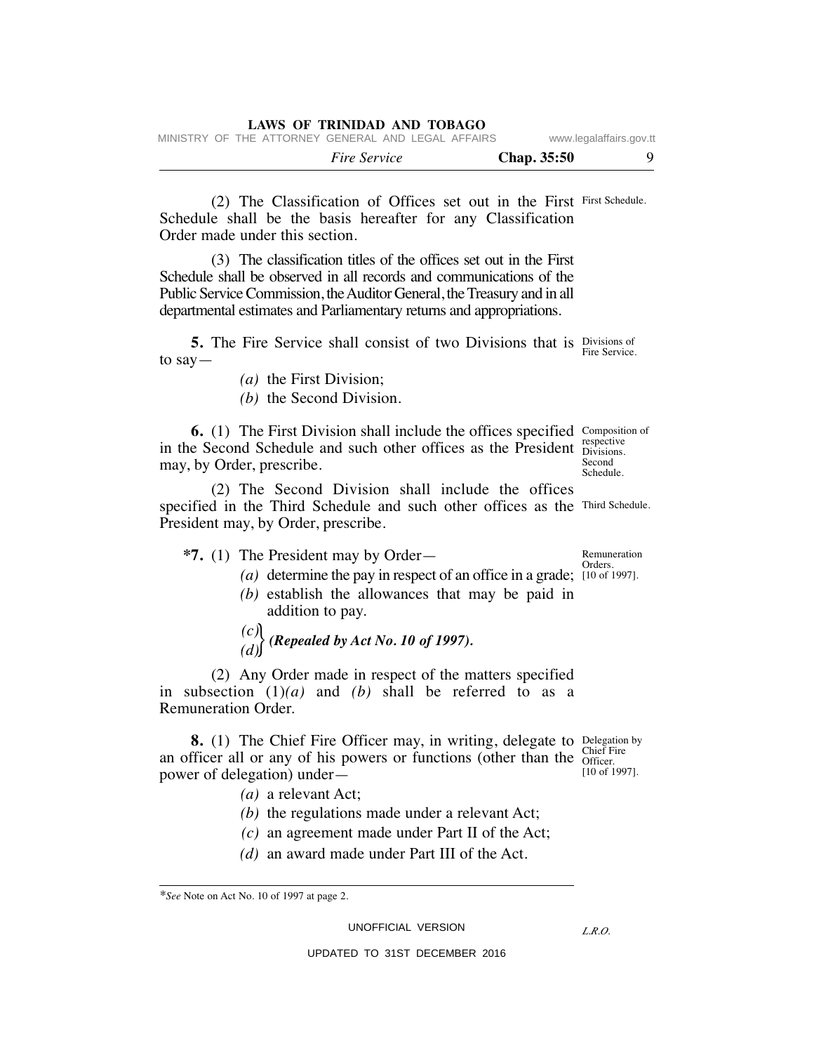|  |  | LAWS OF TRINIDAD AND TOBAGO                        |  |  |             |                         |  |
|--|--|----------------------------------------------------|--|--|-------------|-------------------------|--|
|  |  | MINISTRY OF THE ATTORNEY GENERAL AND LEGAL AFFAIRS |  |  |             | www.legalaffairs.gov.tt |  |
|  |  | <i>Fire Service</i>                                |  |  | Chap. 35:50 |                         |  |

 (2) The Classification of Offices set out in the First First Schedule. Schedule shall be the basis hereafter for any Classification Order made under this section.

 (3) The classification titles of the offices set out in the First Schedule shall be observed in all records and communications of the Public Service Commission, the Auditor General, the Treasury and in all departmental estimates and Parliamentary returns and appropriations.

**5.** The Fire Service shall consist of two Divisions that is Divisions of to say— Fire Service.

*(a)* the First Division;

*(b)* the Second Division.

**6.** (1) The First Division shall include the offices specified Composition of in the Second Schedule and such other offices as the President **Expective** may, by Order, prescribe. Divisions. Second Schedule.

 (2) The Second Division shall include the offices specified in the Third Schedule and such other offices as the Third Schedule. President may, by Order, prescribe.

- **\*7.** (1) The President may by Order—
- (a) determine the pay in respect of an office in a grade; [10 of 1997].
	- *(b)* establish the allowances that may be paid in addition to pay.

 *(c)*  $\binom{O}{d}$  (Repealed by Act No. 10 of 1997).

 (2) Any Order made in respect of the matters specified in subsection (1)*(a)* and *(b)* shall be referred to as a Remuneration Order.

**8.** (1) The Chief Fire Officer may, in writing, delegate to Delegation by an officer all or any of his powers or functions (other than the  $\frac{\text{Cinei F}}{\text{Officeer}}$ power of delegation) under— Chief Fire [10 of 1997].

- *(a)* a relevant Act;
- *(b)* the regulations made under a relevant Act;
- *(c)* an agreement made under Part II of the Act;
- *(d)* an award made under Part III of the Act.

UNOFFICIAL VERSION

*L.R.O.* 

UPDATED TO 31ST DECEMBER 2016

Remuneration Orders.

*<sup>\*</sup>See* Note on Act No. 10 of 1997 at page 2.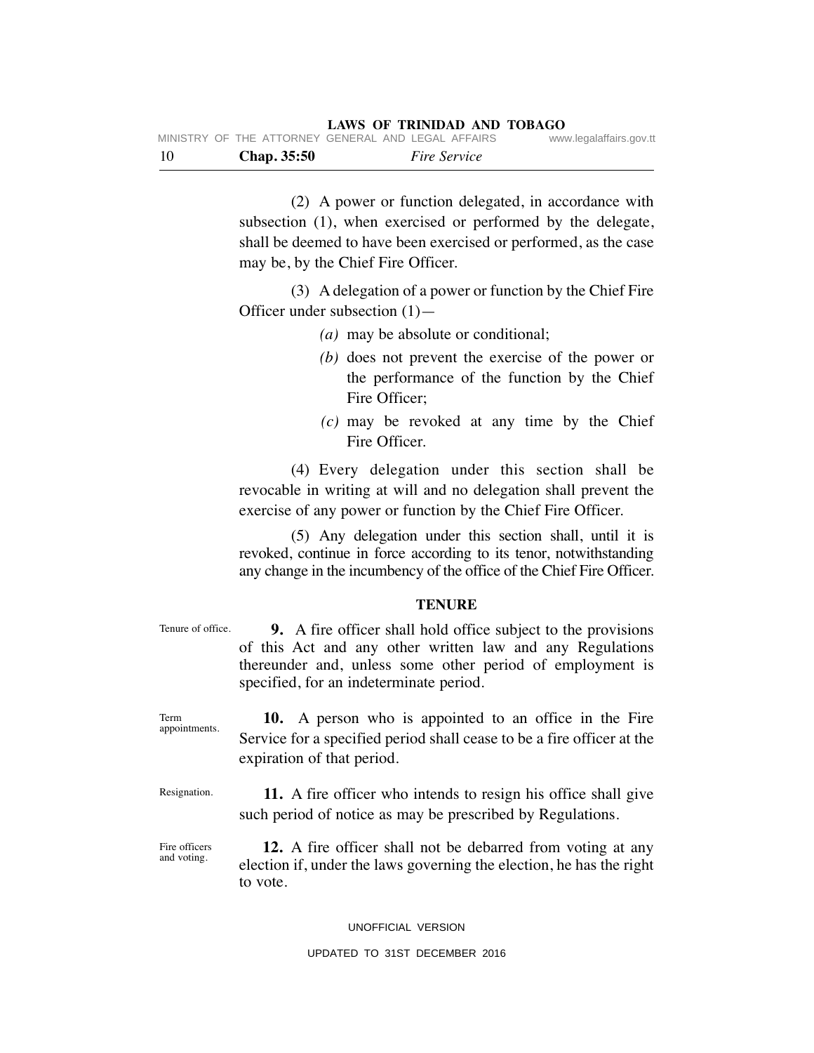| - 10 | Chap. 35:50                                        | <i>Fire Service</i> |                         |
|------|----------------------------------------------------|---------------------|-------------------------|
|      | MINISTRY OF THE ATTORNEY GENERAL AND LEGAL AFFAIRS |                     | www.legalaffairs.gov.tt |

 (2) A power or function delegated, in accordance with subsection (1), when exercised or performed by the delegate, shall be deemed to have been exercised or performed, as the case may be, by the Chief Fire Officer.

 (3) A delegation of a power or function by the Chief Fire Officer under subsection (1)—

- *(a)* may be absolute or conditional;
- *(b)* does not prevent the exercise of the power or the performance of the function by the Chief Fire Officer;
- *(c)* may be revoked at any time by the Chief Fire Officer.

 (4) Every delegation under this section shall be revocable in writing at will and no delegation shall prevent the exercise of any power or function by the Chief Fire Officer.

 (5) Any delegation under this section shall, until it is revoked, continue in force according to its tenor, notwithstanding any change in the incumbency of the office of the Chief Fire Officer.

#### **TENURE**

 **9.** A fire officer shall hold office subject to the provisions of this Act and any other written law and any Regulations thereunder and, unless some other period of employment is specified, for an indeterminate period.

 **10.** A person who is appointed to an office in the Fire Service for a specified period shall cease to be a fire officer at the expiration of that period. appointments.

 **11.** A fire officer who intends to resign his office shall give such period of notice as may be prescribed by Regulations. Resignation.

 **12.** A fire officer shall not be debarred from voting at any election if, under the laws governing the election, he has the right to vote. Fire officers and voting.

## UNOFFICIAL VERSION

### UPDATED TO 31ST DECEMBER 2016

Tenure of office.

Term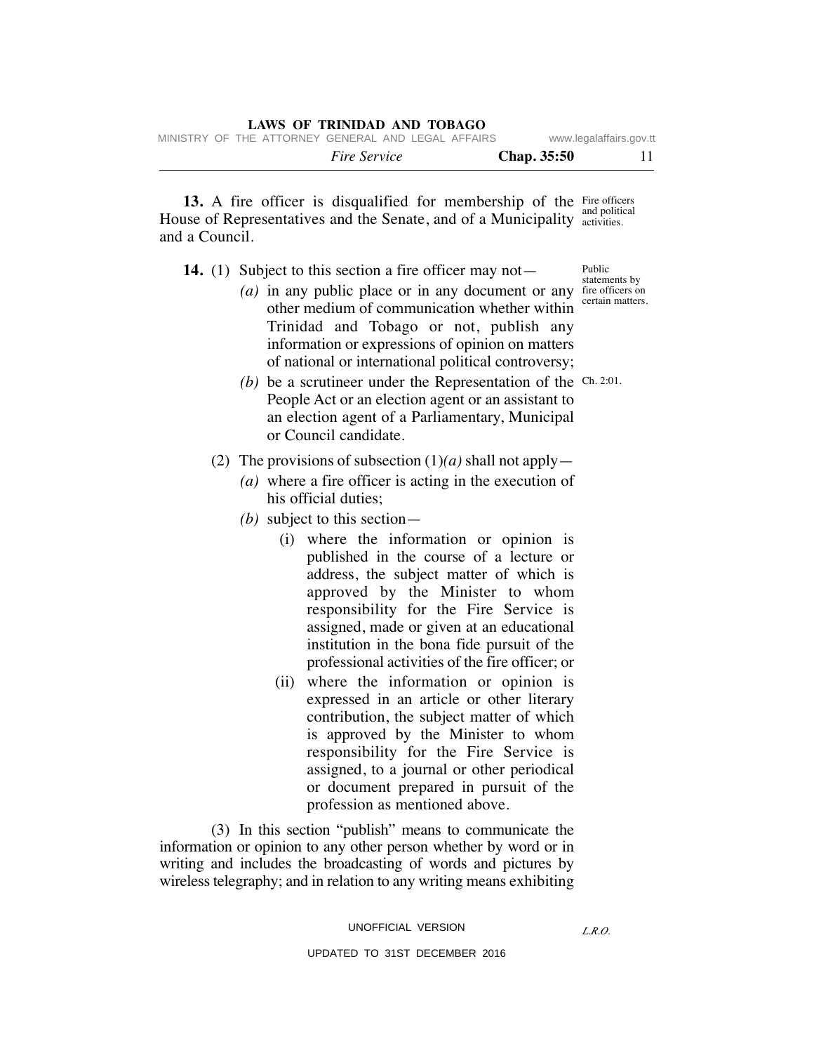|  |  | $\mathbf{u}$                                       |  |                    |                         |
|--|--|----------------------------------------------------|--|--------------------|-------------------------|
|  |  | MINISTRY OF THE ATTORNEY GENERAL AND LEGAL AFFAIRS |  |                    | www.legalaffairs.gov.tt |
|  |  | <i>Fire Service</i>                                |  | <b>Chap.</b> 35:50 | 11                      |

13. A fire officer is disqualified for membership of the Fire officers House of Representatives and the Senate, and of a Municipality activities. and a Council. and political

**LAWS OF TRINIDAD AND TOBAGO**

- **14.** (1) Subject to this section a fire officer may not—
- (*a*) in any public place or in any document or any fire officers on other medium of communication whether within Trinidad and Tobago or not, publish any information or expressions of opinion on matters of national or international political controversy;
- (b) be a scrutineer under the Representation of the Ch. 2:01. People Act or an election agent or an assistant to an election agent of a Parliamentary, Municipal or Council candidate.
	- (2) The provisions of subsection  $(1)(a)$  shall not apply—
		- *(a)* where a fire officer is acting in the execution of his official duties;
		- *(b)* subject to this section—
			- (i) where the information or opinion is published in the course of a lecture or address, the subject matter of which is approved by the Minister to whom responsibility for the Fire Service is assigned, made or given at an educational institution in the bona fide pursuit of the professional activities of the fire officer; or
			- (ii) where the information or opinion is expressed in an article or other literary contribution, the subject matter of which is approved by the Minister to whom responsibility for the Fire Service is assigned, to a journal or other periodical or document prepared in pursuit of the profession as mentioned above.

 (3) In this section "publish" means to communicate the information or opinion to any other person whether by word or in writing and includes the broadcasting of words and pictures by wireless telegraphy; and in relation to any writing means exhibiting

*L.R.O.* 

Public statements by

certain matters.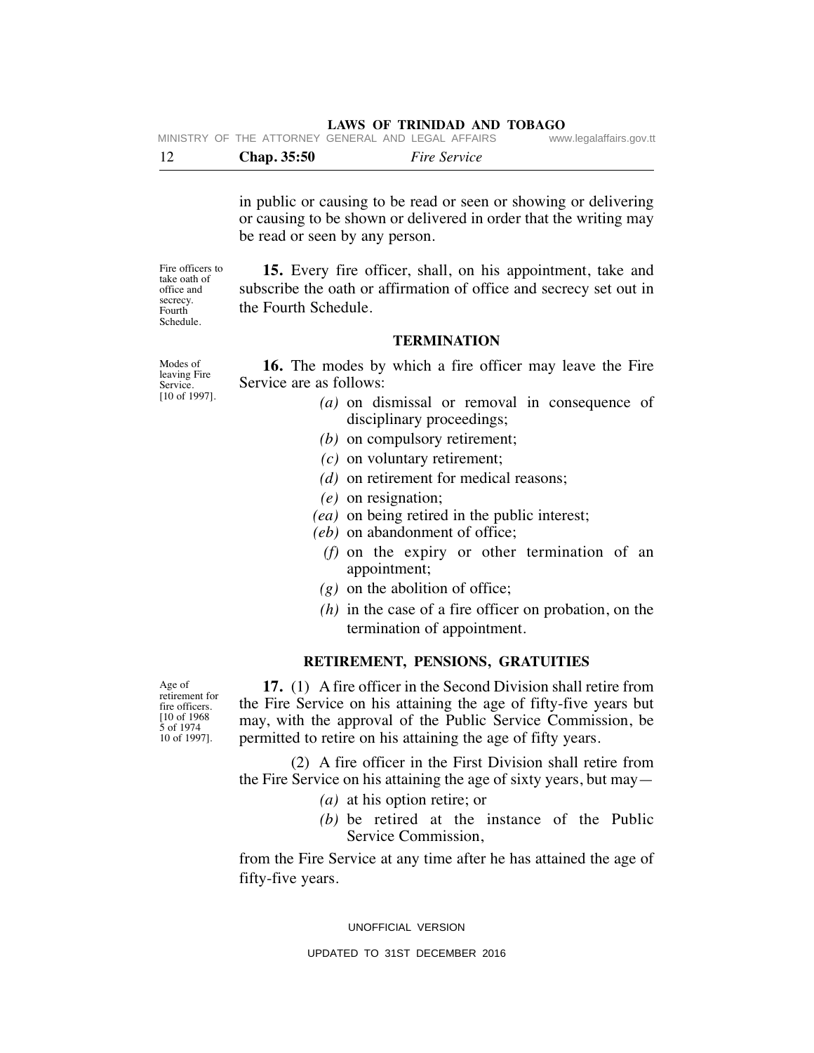|  |  | <b>Chap.</b> 35:50 | <i>Fire Service</i>                                |                         |
|--|--|--------------------|----------------------------------------------------|-------------------------|
|  |  |                    | MINISTRY OF THE ATTORNEY GENERAL AND LEGAL AFFAIRS | www.legalaffairs.gov.tt |

in public or causing to be read or seen or showing or delivering or causing to be shown or delivered in order that the writing may be read or seen by any person.

Fire officers to take oath of office and secrecy. Fourth Schedule.

 **15.** Every fire officer, shall, on his appointment, take and subscribe the oath or affirmation of office and secrecy set out in the Fourth Schedule.

#### **TERMINATION**

Modes of leaving Fire Service. [10 of 1997].

- **16.** The modes by which a fire officer may leave the Fire Service are as follows:
	- *(a)* on dismissal or removal in consequence of disciplinary proceedings;
	- *(b)* on compulsory retirement;
	- *(c)* on voluntary retirement;
	- *(d)* on retirement for medical reasons;
	- *(e)* on resignation;
	- *(ea)* on being retired in the public interest;
	- *(eb)* on abandonment of office;
		- *(f)* on the expiry or other termination of an appointment;
	- *(g)* on the abolition of office;
	- *(h)* in the case of a fire officer on probation, on the termination of appointment.

## **RETIREMENT, PENSIONS, GRATUITIES**

 **17.** (1) A fire officer in the Second Division shall retire from the Fire Service on his attaining the age of fifty-five years but may, with the approval of the Public Service Commission, be permitted to retire on his attaining the age of fifty years.

 (2) A fire officer in the First Division shall retire from the Fire Service on his attaining the age of sixty years, but may—

- *(a)* at his option retire; or
- *(b)* be retired at the instance of the Public Service Commission,

from the Fire Service at any time after he has attained the age of fifty-five years.

UNOFFICIAL VERSION

UPDATED TO 31ST DECEMBER 2016

Age of retirement for fire officers. [10 of 1968 5 of 1974 10 of 1997].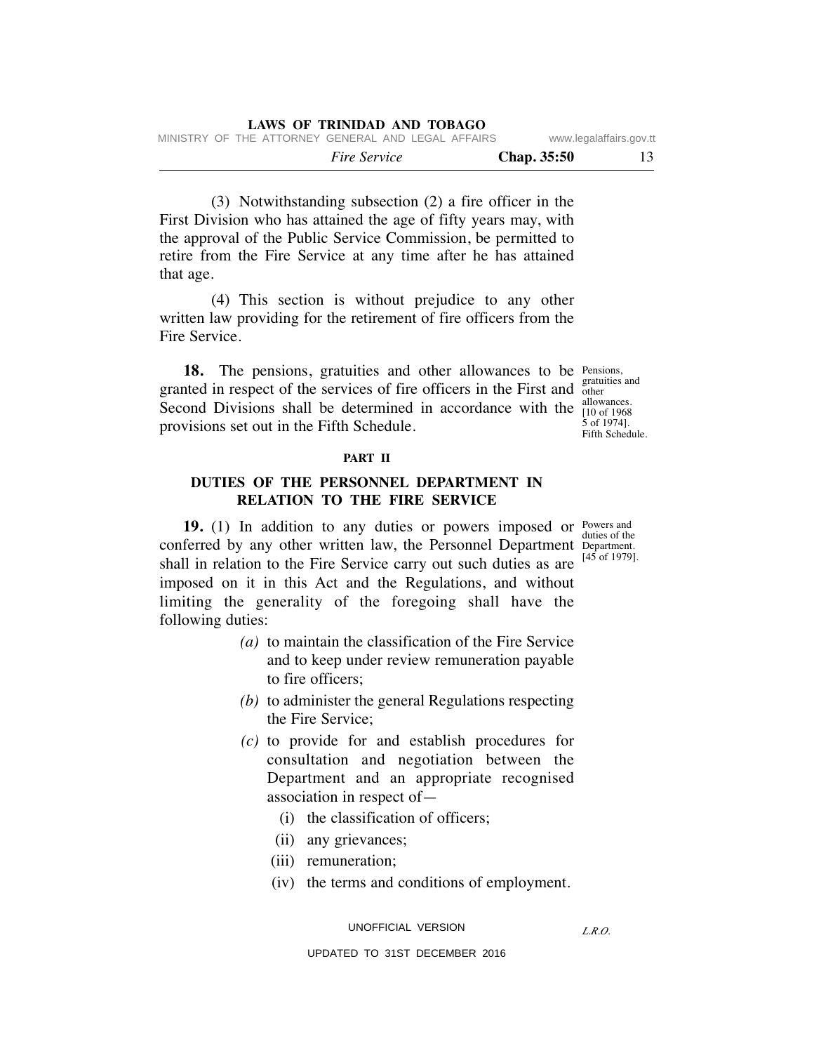| LAWS OF IRINIDAD AND TOBAGO                        |                         |
|----------------------------------------------------|-------------------------|
| MINISTRY OF THE ATTORNEY GENERAL AND LEGAL AFFAIRS | www.legalaffairs.gov.tt |

 *Fire Service* **Chap. 35:50** 13

 (3) Notwithstanding subsection (2) a fire officer in the First Division who has attained the age of fifty years may, with the approval of the Public Service Commission, be permitted to retire from the Fire Service at any time after he has attained that age.

**LAWS OF TRINIDAD AND TOBAGO**

 (4) This section is without prejudice to any other written law providing for the retirement of fire officers from the Fire Service.

18. The pensions, gratuities and other allowances to be Pensions, granted in respect of the services of fire officers in the First and state Second Divisions shall be determined in accordance with the  $\frac{\text{anowances}}{\text{[10 of 1968]}}$ provisions set out in the Fifth Schedule.

gratuities and allowances. 5 of 1974]. Fifth Schedule.

#### **PART II**

# **DUTIES OF THE PERSONNEL DEPARTMENT IN RELATION TO THE FIRE SERVICE**

**19.** (1) In addition to any duties or powers imposed or Powers and duties of the conferred by any other written law, the Personnel Department Department. [45 of 1979]. shall in relation to the Fire Service carry out such duties as are imposed on it in this Act and the Regulations, and without limiting the generality of the foregoing shall have the following duties:

- *(a)* to maintain the classification of the Fire Service and to keep under review remuneration payable to fire officers;
- *(b)* to administer the general Regulations respecting the Fire Service;
- *(c)* to provide for and establish procedures for consultation and negotiation between the Department and an appropriate recognised association in respect of—
	- (i) the classification of officers;
	- (ii) any grievances;
	- (iii) remuneration;
	- (iv) the terms and conditions of employment.

UNOFFICIAL VERSION

*L.R.O.*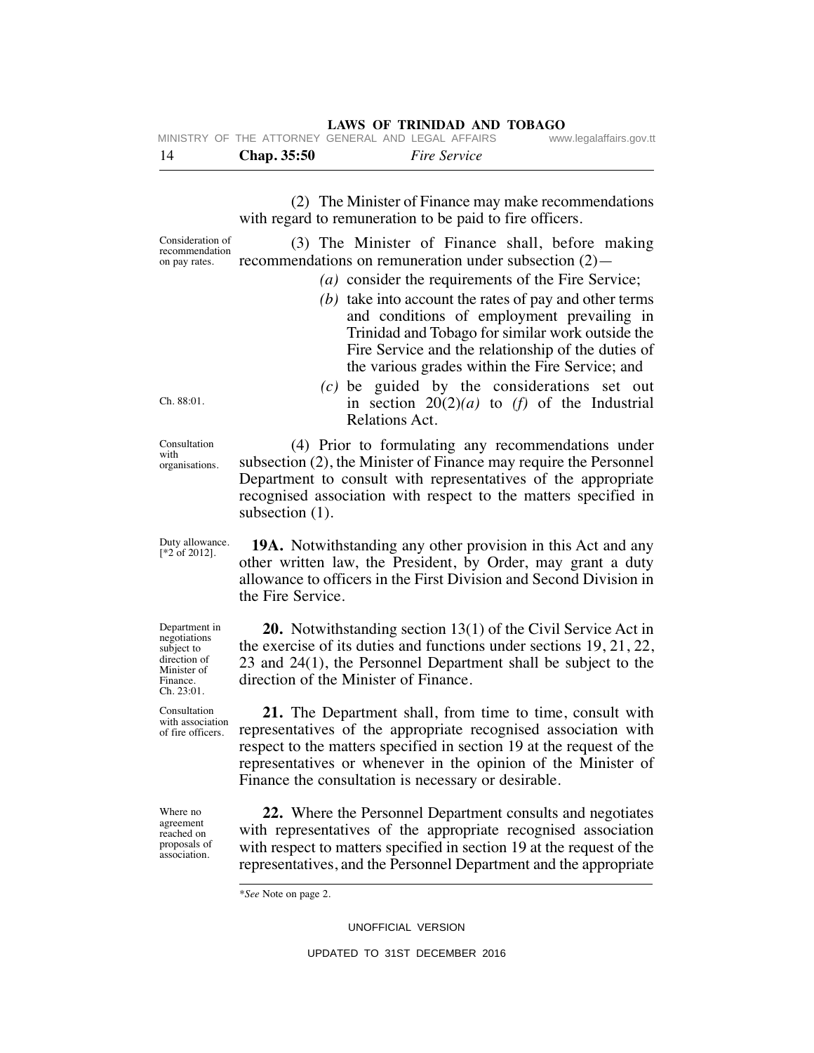|     | MINISTRY OF THE ATTORNEY GENERAL AND LEGAL AFFAIRS |                     | www.legalaffairs.gov.tt |
|-----|----------------------------------------------------|---------------------|-------------------------|
| -14 | Chap. 35:50                                        | <i>Fire Service</i> |                         |

 (2) The Minister of Finance may make recommendations with regard to remuneration to be paid to fire officers.

Consideration of recommendation on pay rates. (3) The Minister of Finance shall, before making recommendations on remuneration under subsection (2)—

- *(a)* consider the requirements of the Fire Service;
	- *(b)* take into account the rates of pay and other terms and conditions of employment prevailing in Trinidad and Tobago for similar work outside the Fire Service and the relationship of the duties of the various grades within the Fire Service; and

 *(c)* be guided by the considerations set out in section  $20(2)(a)$  to  $(f)$  of the Industrial Relations Act.

 (4) Prior to formulating any recommendations under subsection (2), the Minister of Finance may require the Personnel Department to consult with representatives of the appropriate recognised association with respect to the matters specified in subsection  $(1)$ .

 **19A.** Notwithstanding any other provision in this Act and any other written law, the President, by Order, may grant a duty allowance to officers in the First Division and Second Division in the Fire Service.

 **20.** Notwithstanding section 13(1) of the Civil Service Act in the exercise of its duties and functions under sections 19, 21, 22, 23 and 24(1), the Personnel Department shall be subject to the direction of the Minister of Finance.

 **21.** The Department shall, from time to time, consult with representatives of the appropriate recognised association with respect to the matters specified in section 19 at the request of the representatives or whenever in the opinion of the Minister of Finance the consultation is necessary or desirable.

 **22.** Where the Personnel Department consults and negotiates with representatives of the appropriate recognised association with respect to matters specified in section 19 at the request of the representatives, and the Personnel Department and the appropriate

\**See* Note on page 2.

UNOFFICIAL VERSION

Ch. 88:01.

Consultation with organisations.

Duty allowance. [\*2 of 2012].

Department in negotiations subject to direction of Minister of Finance. Ch. 23:01.

Consultation with association of fire officers.

Where no agreement reached on proposals of association.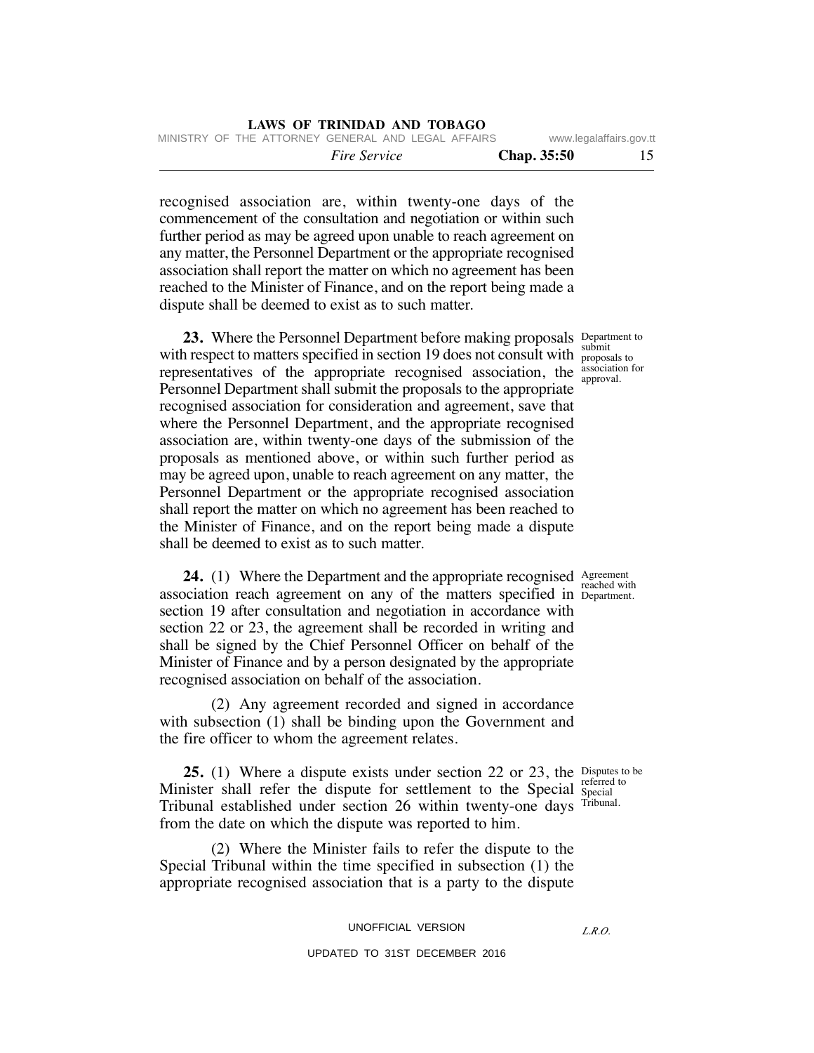|  | LAWS OF TRINIDAD AND TOBAGO |  |  |
|--|-----------------------------|--|--|
|  |                             |  |  |

 *Fire Service* **Chap. 35:50** 15 MINISTRY OF THE ATTORNEY GENERAL AND LEGAL AFFAIRS www.legalaffairs.gov.tt

recognised association are, within twenty-one days of the commencement of the consultation and negotiation or within such further period as may be agreed upon unable to reach agreement on any matter, the Personnel Department or the appropriate recognised association shall report the matter on which no agreement has been reached to the Minister of Finance, and on the report being made a dispute shall be deemed to exist as to such matter.

**23.** Where the Personnel Department before making proposals Department to with respect to matters specified in section 19 does not consult with  $\frac{1}{100}$  proposals to representatives of the appropriate recognised association, the  $\frac{\text{association for}}{\text{anor}}$ Personnel Department shall submit the proposals to the appropriate recognised association for consideration and agreement, save that where the Personnel Department, and the appropriate recognised association are, within twenty-one days of the submission of the proposals as mentioned above, or within such further period as may be agreed upon, unable to reach agreement on any matter, the Personnel Department or the appropriate recognised association shall report the matter on which no agreement has been reached to the Minister of Finance, and on the report being made a dispute shall be deemed to exist as to such matter.

**24.** (1) Where the Department and the appropriate recognised Agreement association reach agreement on any of the matters specified in Department. section 19 after consultation and negotiation in accordance with section 22 or 23, the agreement shall be recorded in writing and shall be signed by the Chief Personnel Officer on behalf of the Minister of Finance and by a person designated by the appropriate recognised association on behalf of the association.

 (2) Any agreement recorded and signed in accordance with subsection (1) shall be binding upon the Government and the fire officer to whom the agreement relates.

**25.** (1) Where a dispute exists under section 22 or 23, the Disputes to be Minister shall refer the dispute for settlement to the Special Special Tribunal established under section 26 within twenty-one days Tribunal. from the date on which the dispute was reported to him.

 (2) Where the Minister fails to refer the dispute to the Special Tribunal within the time specified in subsection (1) the appropriate recognised association that is a party to the dispute

#### UNOFFICIAL VERSION

### UPDATED TO 31ST DECEMBER 2016

submit approval.

reached with

referred to

*L.R.O.*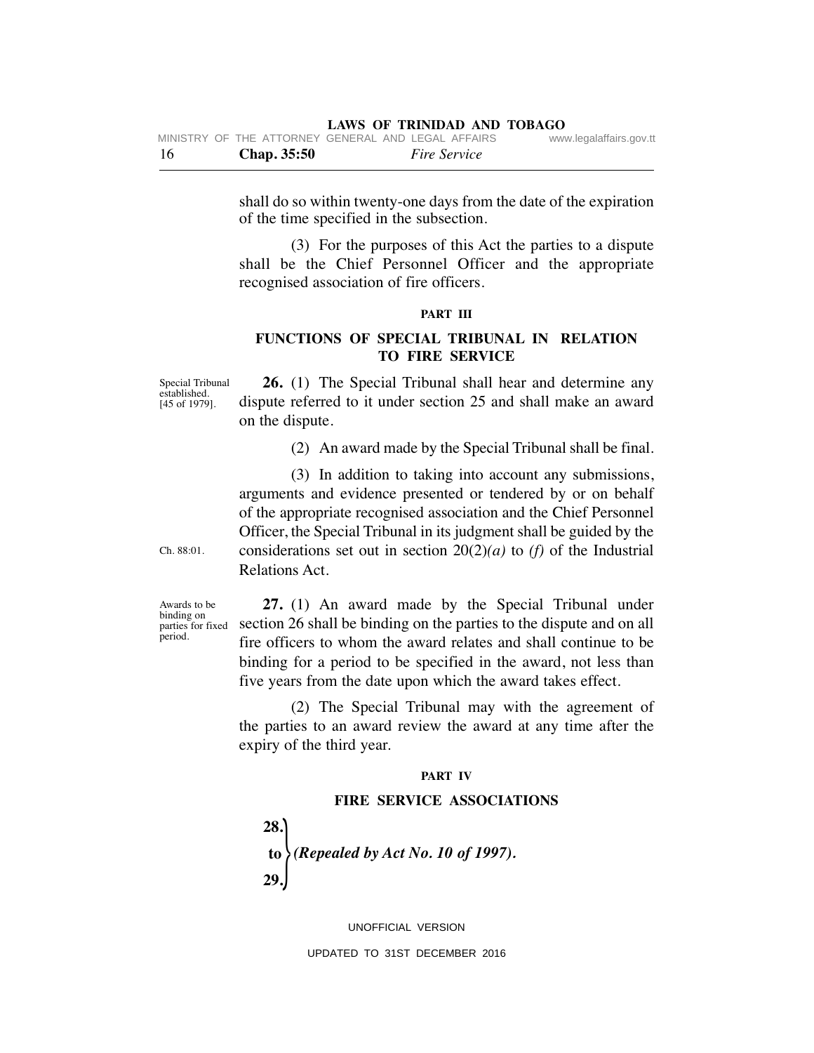| -16 | Chap. 35:50                                        | <i>Fire Service</i> |                         |
|-----|----------------------------------------------------|---------------------|-------------------------|
|     | MINISTRY OF THE ATTORNEY GENERAL AND LEGAL AFFAIRS |                     | www.legalaffairs.gov.tt |

shall do so within twenty-one days from the date of the expiration of the time specified in the subsection.

 (3) For the purposes of this Act the parties to a dispute shall be the Chief Personnel Officer and the appropriate recognised association of fire officers.

## **PART III**

# **FUNCTIONS OF SPECIAL TRIBUNAL IN RELATION TO FIRE SERVICE**

Special Tribunal established. [45 of 1979].

 **26.** (1) The Special Tribunal shall hear and determine any dispute referred to it under section 25 and shall make an award on the dispute.

(2) An award made by the Special Tribunal shall be final.

 (3) In addition to taking into account any submissions, arguments and evidence presented or tendered by or on behalf of the appropriate recognised association and the Chief Personnel Officer, the Special Tribunal in its judgment shall be guided by the considerations set out in section  $20(2)(a)$  to *(f)* of the Industrial Relations Act.

Ch. 88:01.

Awards to be binding on parties for fixed period.

 **27.** (1) An award made by the Special Tribunal under section 26 shall be binding on the parties to the dispute and on all fire officers to whom the award relates and shall continue to be binding for a period to be specified in the award, not less than five years from the date upon which the award takes effect.

 (2) The Special Tribunal may with the agreement of the parties to an award review the award at any time after the expiry of the third year.

#### **PART IV**

## **FIRE SERVICE ASSOCIATIONS**

 **28.** to *(Repealed by Act No. 10 of 1997).*<br>20  **29.**

UNOFFICIAL VERSION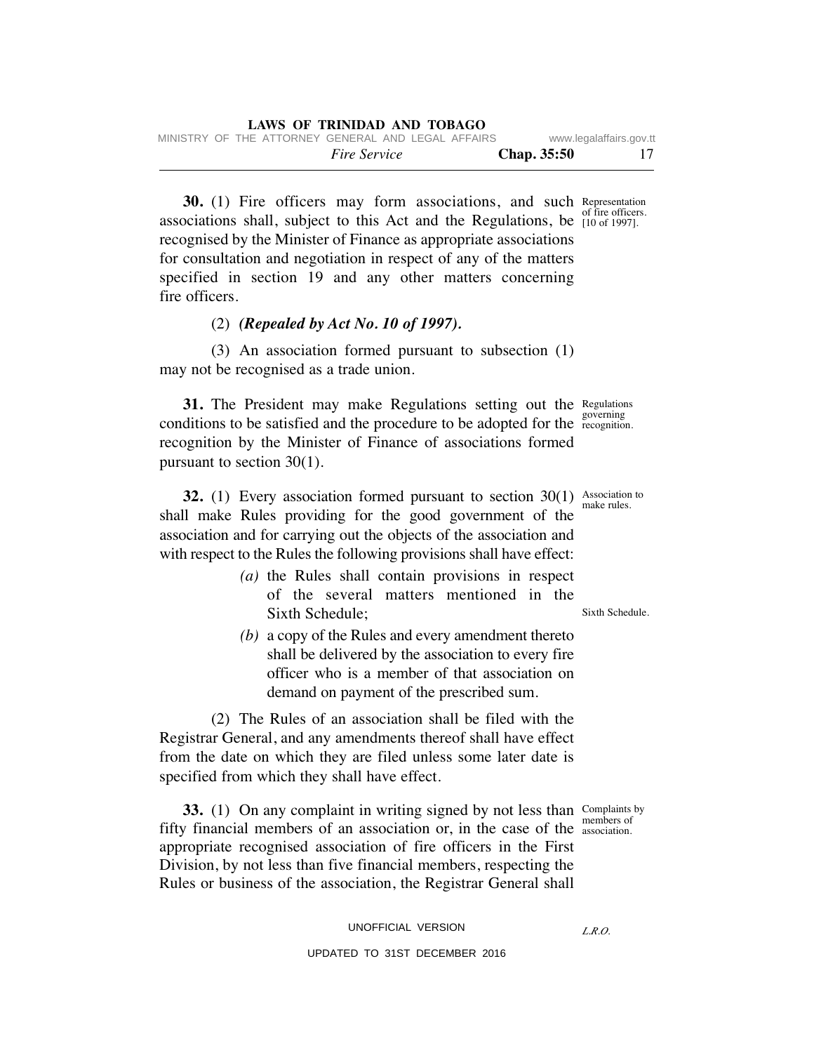*Fire Service* **Chap. 35:50** 17 MINISTRY OF THE ATTORNEY GENERAL AND LEGAL AFFAIRS www.legalaffairs.gov.tt

**30.** (1) Fire officers may form associations, and such Representation of fire officers. associations shall, subject to this Act and the Regulations, be  $\frac{61 \text{ m}}{10 \text{ of } 1997!}$ . recognised by the Minister of Finance as appropriate associations for consultation and negotiation in respect of any of the matters specified in section 19 and any other matters concerning fire officers.

# (2) *(Repealed by Act No. 10 of 1997).*

 (3) An association formed pursuant to subsection (1) may not be recognised as a trade union.

**31.** The President may make Regulations setting out the Regulations conditions to be satisfied and the procedure to be adopted for the recognition. recognition by the Minister of Finance of associations formed pursuant to section 30(1).

**32.** (1) Every association formed pursuant to section  $30(1)$  Association to shall make Rules providing for the good government of the association and for carrying out the objects of the association and with respect to the Rules the following provisions shall have effect:

- *(a)* the Rules shall contain provisions in respect of the several matters mentioned in the Sixth Schedule;
- *(b)* a copy of the Rules and every amendment thereto shall be delivered by the association to every fire officer who is a member of that association on demand on payment of the prescribed sum.

 (2) The Rules of an association shall be filed with the Registrar General, and any amendments thereof shall have effect from the date on which they are filed unless some later date is specified from which they shall have effect.

**33.** (1) On any complaint in writing signed by not less than Complaints by fifty financial members of an association or, in the case of the association. appropriate recognised association of fire officers in the First Division, by not less than five financial members, respecting the Rules or business of the association, the Registrar General shall

members of

*L.R.O.* 

governing

make rules.

Sixth Schedule.

UNOFFICIAL VERSION UPDATED TO 31ST DECEMBER 2016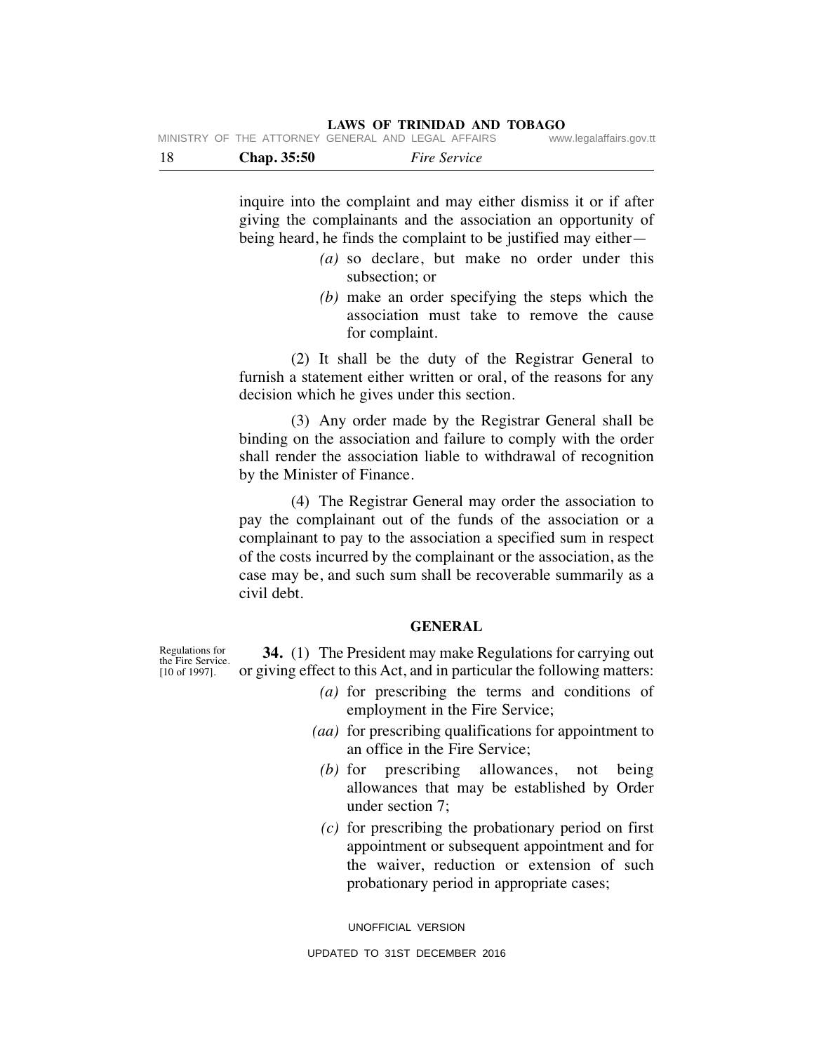| - 18 |  | <b>Chap.</b> 35:50 |                                                    | <i>Fire Service</i> |                         |
|------|--|--------------------|----------------------------------------------------|---------------------|-------------------------|
|      |  |                    | MINISTRY OF THE ATTORNEY GENERAL AND LEGAL AFFAIRS |                     | www.legalaffairs.gov.tt |

inquire into the complaint and may either dismiss it or if after giving the complainants and the association an opportunity of being heard, he finds the complaint to be justified may either—

- *(a)* so declare, but make no order under this subsection; or
- *(b)* make an order specifying the steps which the association must take to remove the cause for complaint.

 (2) It shall be the duty of the Registrar General to furnish a statement either written or oral, of the reasons for any decision which he gives under this section.

 (3) Any order made by the Registrar General shall be binding on the association and failure to comply with the order shall render the association liable to withdrawal of recognition by the Minister of Finance.

 (4) The Registrar General may order the association to pay the complainant out of the funds of the association or a complainant to pay to the association a specified sum in respect of the costs incurred by the complainant or the association, as the case may be, and such sum shall be recoverable summarily as a civil debt.

## **GENERAL**

 **34.** (1) The President may make Regulations for carrying out or giving effect to this Act, and in particular the following matters: [10 of 1997].

- *(a)* for prescribing the terms and conditions of employment in the Fire Service;
- *(aa)* for prescribing qualifications for appointment to an office in the Fire Service;
- *(b)* for prescribing allowances, not being allowances that may be established by Order under section 7;
- *(c)* for prescribing the probationary period on first appointment or subsequent appointment and for the waiver, reduction or extension of such probationary period in appropriate cases;

UNOFFICIAL VERSION

Regulations for the Fire Service.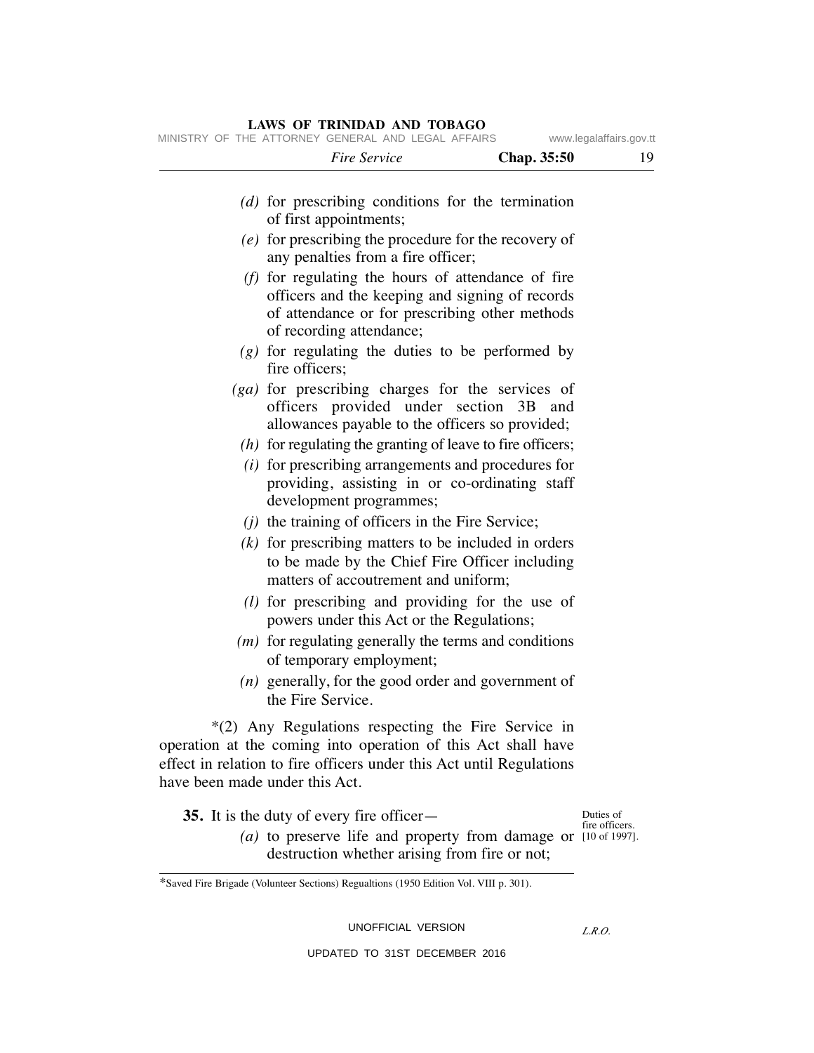# *Fire Service* **Chap. 35:50** 19 *(d)* for prescribing conditions for the termination of first appointments; *(e)* for prescribing the procedure for the recovery of any penalties from a fire officer; *(f)* for regulating the hours of attendance of fire officers and the keeping and signing of records of attendance or for prescribing other methods of recording attendance; *(g)* for regulating the duties to be performed by fire officers; *(ga)* for prescribing charges for the services of officers provided under section 3B and allowances payable to the officers so provided; *(h)* for regulating the granting of leave to fire officers; *(i)* for prescribing arrangements and procedures for providing, assisting in or co-ordinating staff development programmes; *(j)* the training of officers in the Fire Service; *(k)* for prescribing matters to be included in orders to be made by the Chief Fire Officer including matters of accoutrement and uniform; *(l)* for prescribing and providing for the use of powers under this Act or the Regulations; *(m)* for regulating generally the terms and conditions of temporary employment; *(n)* generally, for the good order and government of the Fire Service. \*(2) Any Regulations respecting the Fire Service in operation at the coming into operation of this Act shall have effect in relation to fire officers under this Act until Regulations have been made under this Act. **35.** It is the duty of every fire officer— (a) to preserve life and property from damage or [10 of 1997]. destruction whether arising from fire or not; Duties of fire officers. MINISTRY OF THE ATTORNEY GENERAL AND LEGAL AFFAIRS www.legalaffairs.gov.tt

# **LAWS OF TRINIDAD AND TOBAGO**

\*Saved Fire Brigade (Volunteer Sections) Regualtions (1950 Edition Vol. VIII p. 301).

UNOFFICIAL VERSION

*L.R.O.*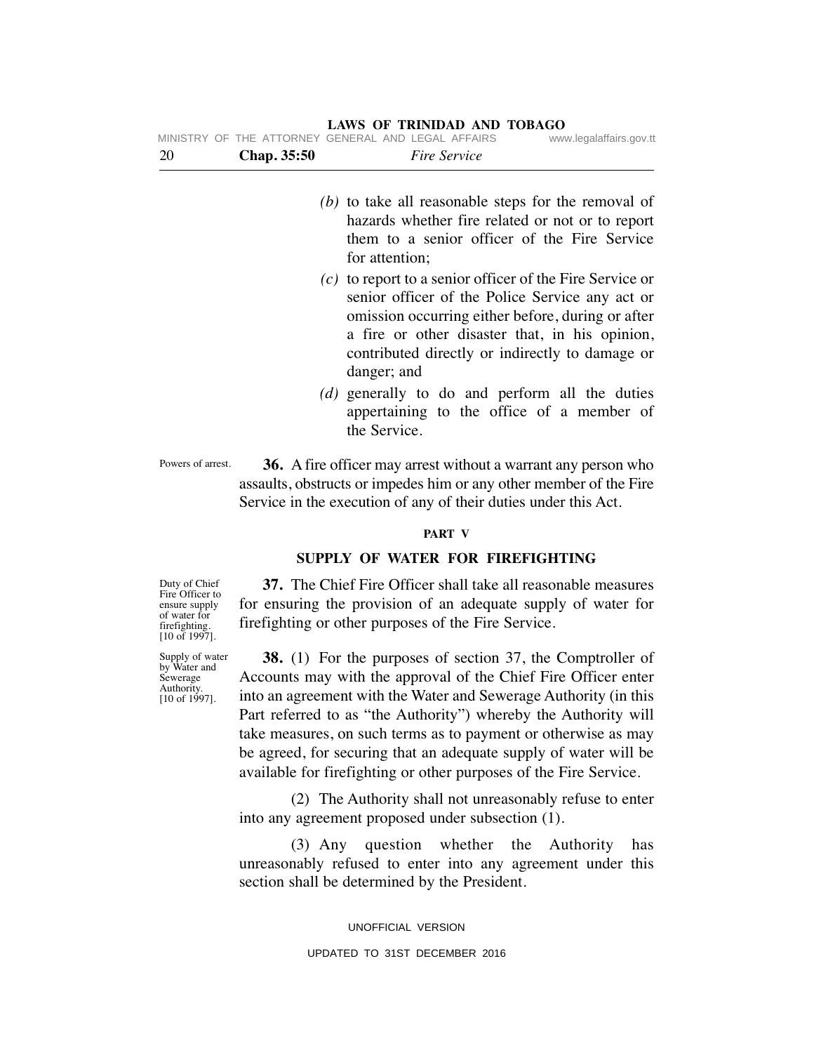| 20 | Chap. 35:50 | Fire Service                                                                                                                                                                                                                                                                           |
|----|-------------|----------------------------------------------------------------------------------------------------------------------------------------------------------------------------------------------------------------------------------------------------------------------------------------|
|    |             | $(b)$ to take all reasonable steps for the removal of<br>hazards whether fire related or not or to report<br>them to a senior officer of the Fire Service<br>for attention;                                                                                                            |
|    |             | $(c)$ to report to a senior officer of the Fire Service or<br>senior officer of the Police Service any act or<br>omission occurring either before, during or after<br>a fire or other disaster that, in his opinion,<br>contributed directly or indirectly to damage or<br>danger; and |
|    |             | (d) generally to do and perform all the duties<br>appertaining to the office of a member of<br>the Service.                                                                                                                                                                            |

 **36.** A fire officer may arrest without a warrant any person who assaults, obstructs or impedes him or any other member of the Fire Service in the execution of any of their duties under this Act. Powers of arrest.

## **PART V**

## **SUPPLY OF WATER FOR FIREFIGHTING**

 **37.** The Chief Fire Officer shall take all reasonable measures for ensuring the provision of an adequate supply of water for firefighting or other purposes of the Fire Service.

 **38.** (1) For the purposes of section 37, the Comptroller of Accounts may with the approval of the Chief Fire Officer enter into an agreement with the Water and Sewerage Authority (in this Part referred to as "the Authority") whereby the Authority will take measures, on such terms as to payment or otherwise as may be agreed, for securing that an adequate supply of water will be available for firefighting or other purposes of the Fire Service.

 (2) The Authority shall not unreasonably refuse to enter into any agreement proposed under subsection (1).

 (3) Any question whether the Authority has unreasonably refused to enter into any agreement under this section shall be determined by the President.

> UNOFFICIAL VERSION UPDATED TO 31ST DECEMBER 2016

Duty of Chief Fire Officer to ensure supply of water for firefighting. [10 of 1997].

Supply of water by Water and Sewerage Authority. [10 of 1997].

**LAWS OF TRINIDAD AND TOBAGO** MINISTRY OF THE ATTORNEY GENERAL AND LEGAL AFFAIRS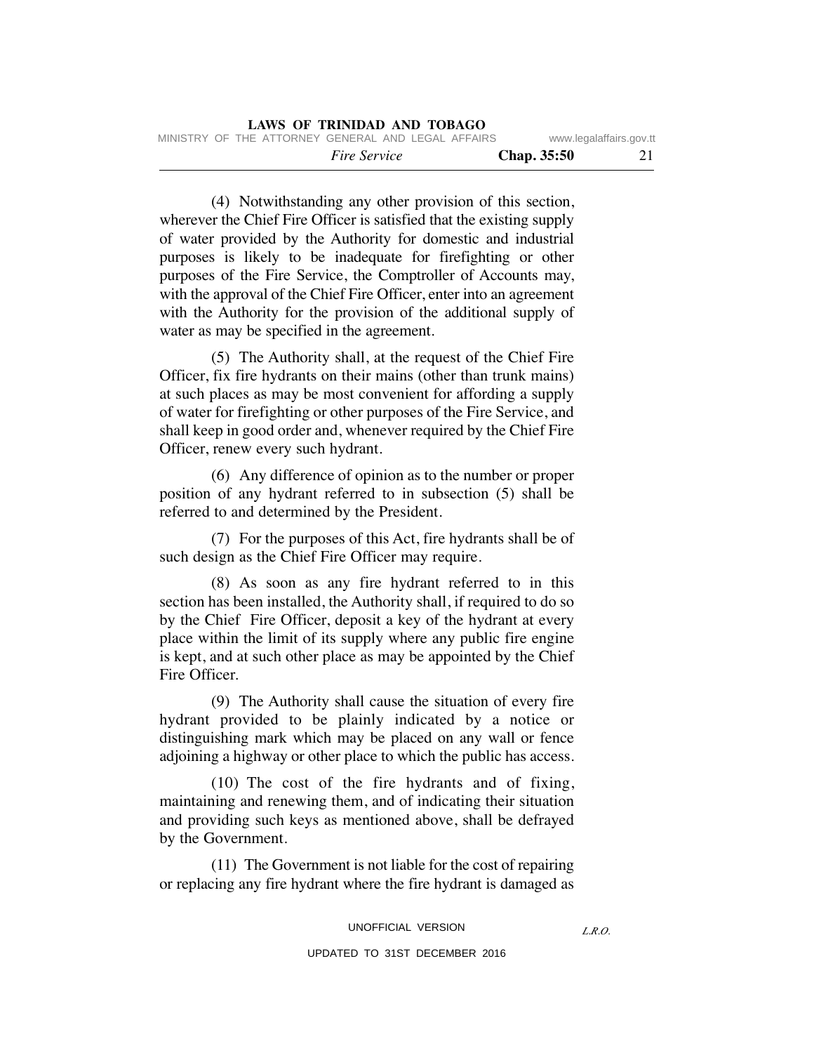(4) Notwithstanding any other provision of this section, wherever the Chief Fire Officer is satisfied that the existing supply of water provided by the Authority for domestic and industrial purposes is likely to be inadequate for firefighting or other purposes of the Fire Service, the Comptroller of Accounts may, with the approval of the Chief Fire Officer, enter into an agreement with the Authority for the provision of the additional supply of water as may be specified in the agreement.

 (5) The Authority shall, at the request of the Chief Fire Officer, fix fire hydrants on their mains (other than trunk mains) at such places as may be most convenient for affording a supply of water for firefighting or other purposes of the Fire Service, and shall keep in good order and, whenever required by the Chief Fire Officer, renew every such hydrant.

 (6) Any difference of opinion as to the number or proper position of any hydrant referred to in subsection (5) shall be referred to and determined by the President.

 (7) For the purposes of this Act, fire hydrants shall be of such design as the Chief Fire Officer may require.

 (8) As soon as any fire hydrant referred to in this section has been installed, the Authority shall, if required to do so by the Chief Fire Officer, deposit a key of the hydrant at every place within the limit of its supply where any public fire engine is kept, and at such other place as may be appointed by the Chief Fire Officer.

 (9) The Authority shall cause the situation of every fire hydrant provided to be plainly indicated by a notice or distinguishing mark which may be placed on any wall or fence adjoining a highway or other place to which the public has access.

 (10) The cost of the fire hydrants and of fixing, maintaining and renewing them, and of indicating their situation and providing such keys as mentioned above, shall be defrayed by the Government.

 (11) The Government is not liable for the cost of repairing or replacing any fire hydrant where the fire hydrant is damaged as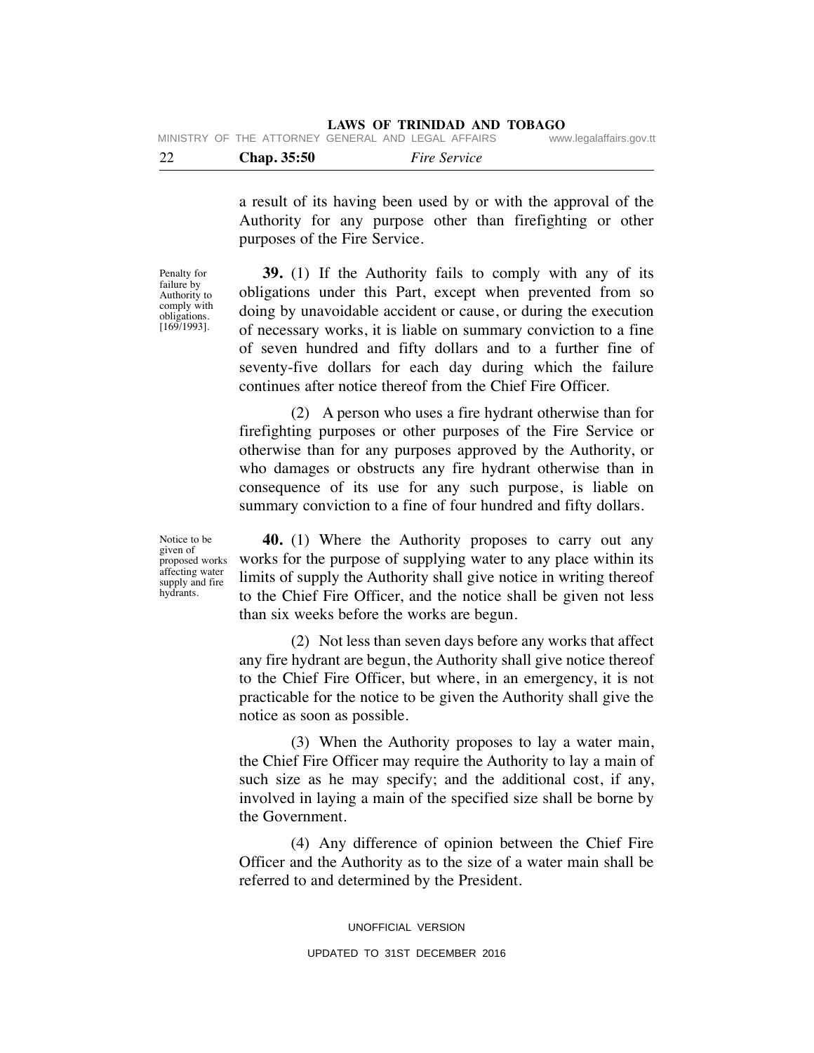| 22 |  | <b>Chap.</b> 35:50 |                                                    | <i>Fire Service</i> |                         |
|----|--|--------------------|----------------------------------------------------|---------------------|-------------------------|
|    |  |                    | MINISTRY OF THE ATTORNEY GENERAL AND LEGAL AFFAIRS |                     | www.legalaffairs.gov.tt |

a result of its having been used by or with the approval of the Authority for any purpose other than firefighting or other purposes of the Fire Service.

Penalty for failure by Authority to comply with obligations. [169/1993].

 **39.** (1) If the Authority fails to comply with any of its obligations under this Part, except when prevented from so doing by unavoidable accident or cause, or during the execution of necessary works, it is liable on summary conviction to a fine of seven hundred and fifty dollars and to a further fine of seventy-five dollars for each day during which the failure continues after notice thereof from the Chief Fire Officer.

 (2) A person who uses a fire hydrant otherwise than for firefighting purposes or other purposes of the Fire Service or otherwise than for any purposes approved by the Authority, or who damages or obstructs any fire hydrant otherwise than in consequence of its use for any such purpose, is liable on summary conviction to a fine of four hundred and fifty dollars.

Notice to be given of proposed works affecting water supply and fire hydrants.

 **40.** (1) Where the Authority proposes to carry out any works for the purpose of supplying water to any place within its limits of supply the Authority shall give notice in writing thereof to the Chief Fire Officer, and the notice shall be given not less than six weeks before the works are begun.

 (2) Not less than seven days before any works that affect any fire hydrant are begun, the Authority shall give notice thereof to the Chief Fire Officer, but where, in an emergency, it is not practicable for the notice to be given the Authority shall give the notice as soon as possible.

 (3) When the Authority proposes to lay a water main, the Chief Fire Officer may require the Authority to lay a main of such size as he may specify; and the additional cost, if any, involved in laying a main of the specified size shall be borne by the Government.

 (4) Any difference of opinion between the Chief Fire Officer and the Authority as to the size of a water main shall be referred to and determined by the President.

> UNOFFICIAL VERSION UPDATED TO 31ST DECEMBER 2016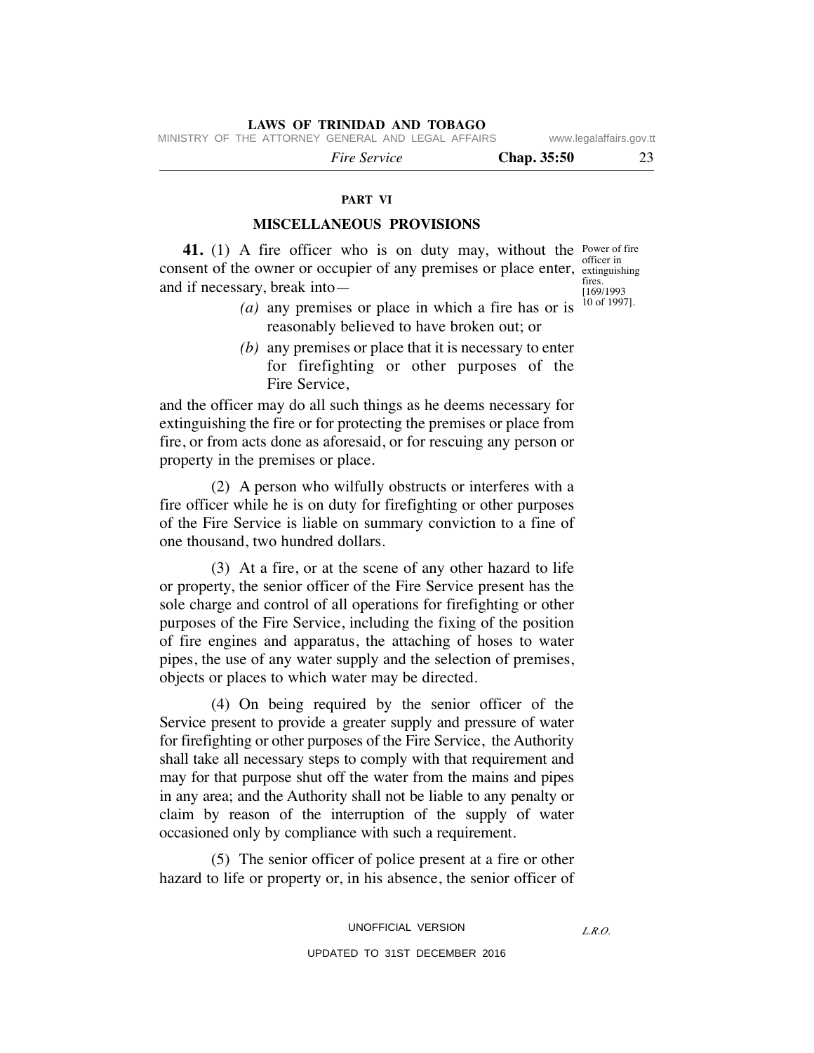MINISTRY OF THE ATTORNEY GENERAL AND LEGAL AFFAIRS www.legalaffairs.gov.tt

 *Fire Service* **Chap. 35:50** 23

#### **PART VI**

## **MISCELLANEOUS PROVISIONS**

**41.** (1) A fire officer who is on duty may, without the Power of fire consent of the owner or occupier of any premises or place enter, extinguis and if necessary, break into fires.

extinguishing  $\frac{1169}{1993}$ 10 of 1997].

- *(a)* any premises or place in which a fire has or is reasonably believed to have broken out; or
- *(b)* any premises or place that it is necessary to enter for firefighting or other purposes of the Fire Service,

and the officer may do all such things as he deems necessary for extinguishing the fire or for protecting the premises or place from fire, or from acts done as aforesaid, or for rescuing any person or property in the premises or place.

 (2) A person who wilfully obstructs or interferes with a fire officer while he is on duty for firefighting or other purposes of the Fire Service is liable on summary conviction to a fine of one thousand, two hundred dollars.

 (3) At a fire, or at the scene of any other hazard to life or property, the senior officer of the Fire Service present has the sole charge and control of all operations for firefighting or other purposes of the Fire Service, including the fixing of the position of fire engines and apparatus, the attaching of hoses to water pipes, the use of any water supply and the selection of premises, objects or places to which water may be directed.

 (4) On being required by the senior officer of the Service present to provide a greater supply and pressure of water for firefighting or other purposes of the Fire Service, the Authority shall take all necessary steps to comply with that requirement and may for that purpose shut off the water from the mains and pipes in any area; and the Authority shall not be liable to any penalty or claim by reason of the interruption of the supply of water occasioned only by compliance with such a requirement.

 (5) The senior officer of police present at a fire or other hazard to life or property or, in his absence, the senior officer of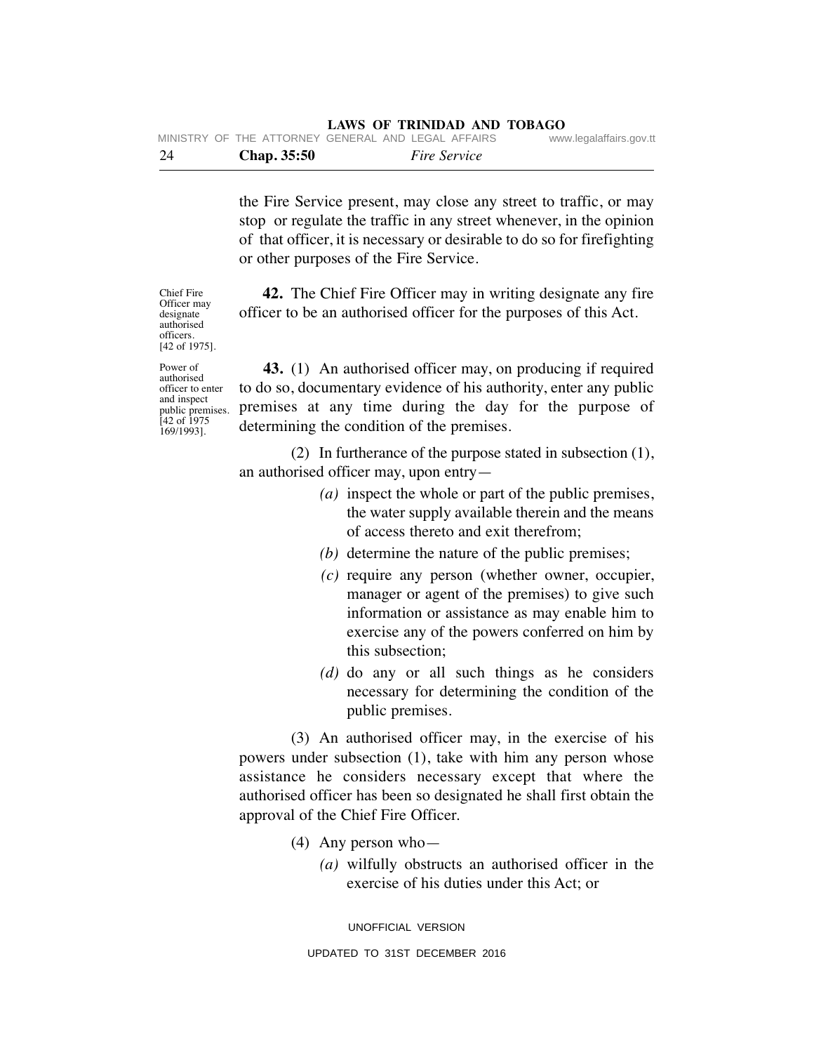| -24 | <b>Chap.</b> 35:50 |                                                    | <i>Fire Service</i> |                         |
|-----|--------------------|----------------------------------------------------|---------------------|-------------------------|
|     |                    | MINISTRY OF THE ATTORNEY GENERAL AND LEGAL AFFAIRS |                     | www.legalaffairs.gov.tt |

the Fire Service present, may close any street to traffic, or may stop or regulate the traffic in any street whenever, in the opinion of that officer, it is necessary or desirable to do so for firefighting or other purposes of the Fire Service.

 **42.** The Chief Fire Officer may in writing designate any fire officer to be an authorised officer for the purposes of this Act.

Power of authorised officer to enter and inspect public premises. [42 of 1975 169/1993].

Chief Fire Officer may designate authorised officers. [42 of 1975].

> **43.** (1) An authorised officer may, on producing if required to do so, documentary evidence of his authority, enter any public premises at any time during the day for the purpose of determining the condition of the premises.

> (2) In furtherance of the purpose stated in subsection (1), an authorised officer may, upon entry—

- *(a)* inspect the whole or part of the public premises, the water supply available therein and the means of access thereto and exit therefrom;
- *(b)* determine the nature of the public premises;
- *(c)* require any person (whether owner, occupier, manager or agent of the premises) to give such information or assistance as may enable him to exercise any of the powers conferred on him by this subsection;
- *(d)* do any or all such things as he considers necessary for determining the condition of the public premises.

 (3) An authorised officer may, in the exercise of his powers under subsection (1), take with him any person whose assistance he considers necessary except that where the authorised officer has been so designated he shall first obtain the approval of the Chief Fire Officer.

- (4) Any person who—
	- *(a)* wilfully obstructs an authorised officer in the exercise of his duties under this Act; or

UNOFFICIAL VERSION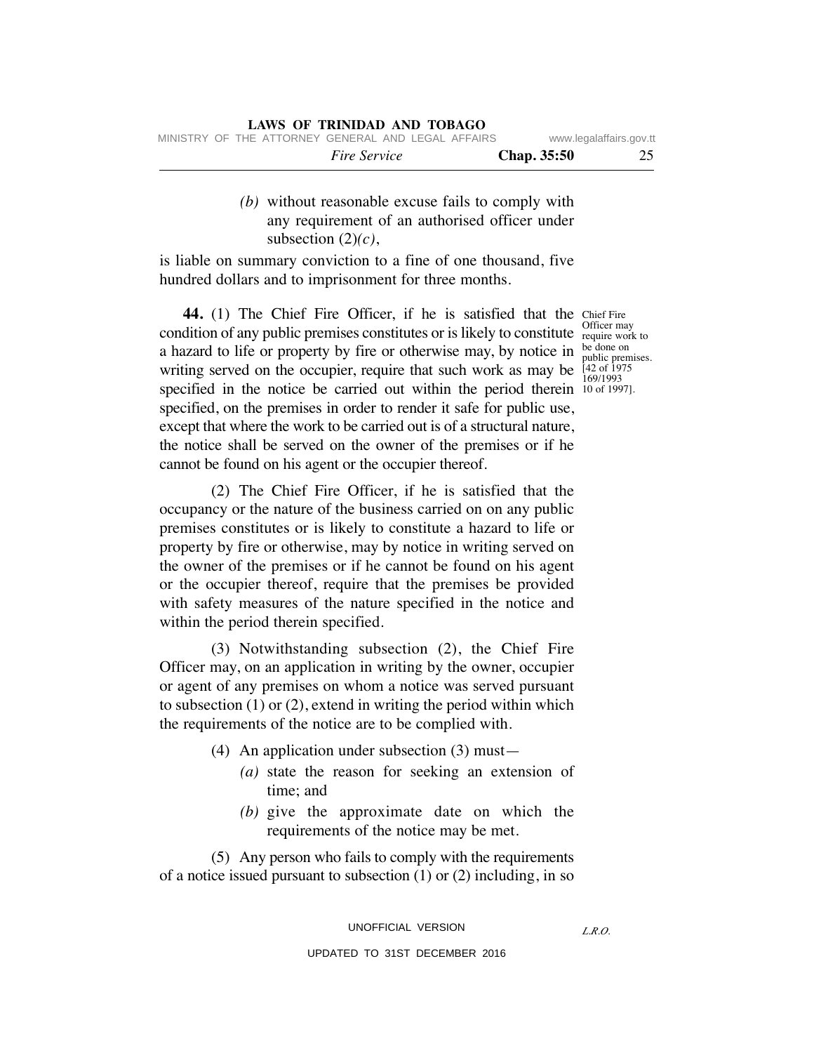|                     |             | www.nogalanano.gov.u |
|---------------------|-------------|----------------------|
| <i>Fire Service</i> | Chap. 35:50 |                      |

 *(b)* without reasonable excuse fails to comply with any requirement of an authorised officer under subsection (2)*(c)*,

is liable on summary conviction to a fine of one thousand, five hundred dollars and to imprisonment for three months.

**44.** (1) The Chief Fire Officer, if he is satisfied that the Chief Fire condition of any public premises constitutes or is likely to constitute of require world a hazard to life or property by fire or otherwise may, by notice in  $\frac{\text{be done on}}{\text{public here}}$ writing served on the occupier, require that such work as may be  $\frac{[42 \text{ of } 1975]}{160/1002}$ specified in the notice be carried out within the period therein 10 of 1997. specified, on the premises in order to render it safe for public use, except that where the work to be carried out is of a structural nature, the notice shall be served on the owner of the premises or if he cannot be found on his agent or the occupier thereof.

 (2) The Chief Fire Officer, if he is satisfied that the occupancy or the nature of the business carried on on any public premises constitutes or is likely to constitute a hazard to life or property by fire or otherwise, may by notice in writing served on the owner of the premises or if he cannot be found on his agent or the occupier thereof, require that the premises be provided with safety measures of the nature specified in the notice and within the period therein specified.

 (3) Notwithstanding subsection (2), the Chief Fire Officer may, on an application in writing by the owner, occupier or agent of any premises on whom a notice was served pursuant to subsection (1) or (2), extend in writing the period within which the requirements of the notice are to be complied with.

- (4) An application under subsection (3) must—
	- *(a)* state the reason for seeking an extension of time; and
	- *(b)* give the approximate date on which the requirements of the notice may be met.

 (5) Any person who fails to comply with the requirements of a notice issued pursuant to subsection (1) or (2) including, in so

> UNOFFICIAL VERSION UPDATED TO 31ST DECEMBER 2016

require work to public premises. 169/1993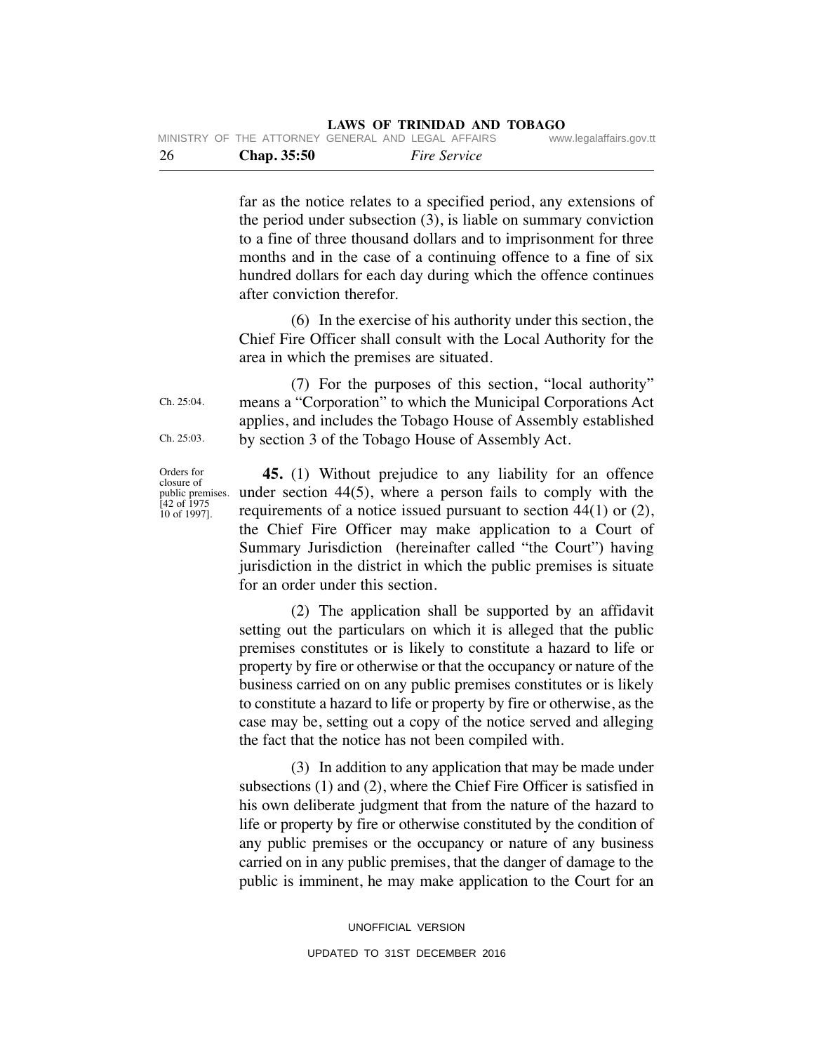| - 26 |  | <b>Chap.</b> 35:50 |                                                    | <i>Fire Service</i> |                         |
|------|--|--------------------|----------------------------------------------------|---------------------|-------------------------|
|      |  |                    | MINISTRY OF THE ATTORNEY GENERAL AND LEGAL AFFAIRS |                     | www.legalaffairs.gov.tt |

far as the notice relates to a specified period, any extensions of the period under subsection (3), is liable on summary conviction to a fine of three thousand dollars and to imprisonment for three months and in the case of a continuing offence to a fine of six hundred dollars for each day during which the offence continues after conviction therefor.

 (6) In the exercise of his authority under this section, the Chief Fire Officer shall consult with the Local Authority for the area in which the premises are situated.

 (7) For the purposes of this section, "local authority" means a "Corporation" to which the Municipal Corporations Act applies, and includes the Tobago House of Assembly established by section 3 of the Tobago House of Assembly Act.

Orders for closure of public premises. [42 of 1975 10 of 1997].

Ch. 25:04.

Ch. 25:03.

 **45.** (1) Without prejudice to any liability for an offence under section 44(5), where a person fails to comply with the requirements of a notice issued pursuant to section 44(1) or (2), the Chief Fire Officer may make application to a Court of Summary Jurisdiction (hereinafter called "the Court") having jurisdiction in the district in which the public premises is situate for an order under this section.

 (2) The application shall be supported by an affidavit setting out the particulars on which it is alleged that the public premises constitutes or is likely to constitute a hazard to life or property by fire or otherwise or that the occupancy or nature of the business carried on on any public premises constitutes or is likely to constitute a hazard to life or property by fire or otherwise, as the case may be, setting out a copy of the notice served and alleging the fact that the notice has not been compiled with.

 (3) In addition to any application that may be made under subsections (1) and (2), where the Chief Fire Officer is satisfied in his own deliberate judgment that from the nature of the hazard to life or property by fire or otherwise constituted by the condition of any public premises or the occupancy or nature of any business carried on in any public premises, that the danger of damage to the public is imminent, he may make application to the Court for an

> UNOFFICIAL VERSION UPDATED TO 31ST DECEMBER 2016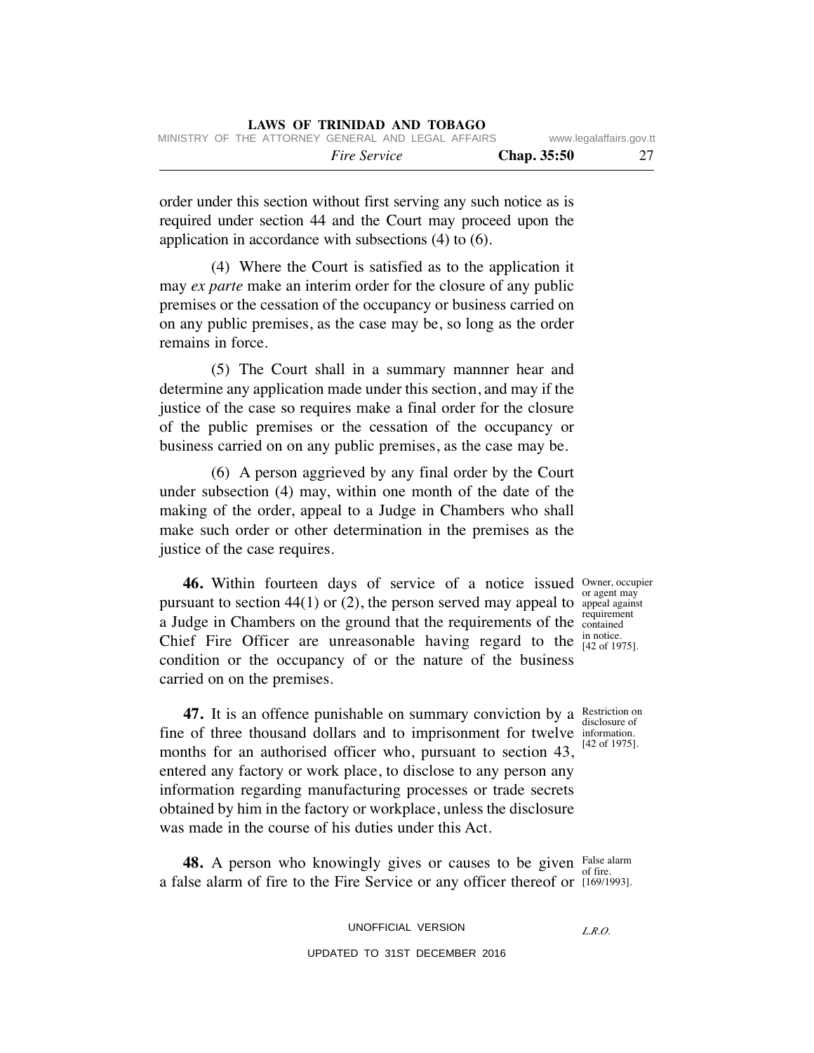| MINISTRY OF THE ATTORNEY GENERAL AND LEGAL AFFAIRS |                     |                    | www.legalaffairs.gov.tt |
|----------------------------------------------------|---------------------|--------------------|-------------------------|
|                                                    | <i>Fire Service</i> | <b>Chap.</b> 35:50 | 27                      |

order under this section without first serving any such notice as is required under section 44 and the Court may proceed upon the application in accordance with subsections (4) to (6).

 (4) Where the Court is satisfied as to the application it may *ex parte* make an interim order for the closure of any public premises or the cessation of the occupancy or business carried on on any public premises, as the case may be, so long as the order remains in force.

 (5) The Court shall in a summary mannner hear and determine any application made under this section, and may if the justice of the case so requires make a final order for the closure of the public premises or the cessation of the occupancy or business carried on on any public premises, as the case may be.

 (6) A person aggrieved by any final order by the Court under subsection (4) may, within one month of the date of the making of the order, appeal to a Judge in Chambers who shall make such order or other determination in the premises as the justice of the case requires.

**46.** Within fourteen days of service of a notice issued owner, occupier pursuant to section  $44(1)$  or  $(2)$ , the person served may appeal to appeal against a Judge in Chambers on the ground that the requirements of the requirement Chief Fire Officer are unreasonable having regard to the  $_{[42\text{ of }19]}^{in \text{ notice}}$ condition or the occupancy of or the nature of the business carried on on the premises.

or agent may contained [42 of 1975].

disclosure of [42 of 1975].

**47.** It is an offence punishable on summary conviction by a Restriction on fine of three thousand dollars and to imprisonment for twelve information. months for an authorised officer who, pursuant to section 43, entered any factory or work place, to disclose to any person any information regarding manufacturing processes or trade secrets obtained by him in the factory or workplace, unless the disclosure was made in the course of his duties under this Act.

**48.** A person who knowingly gives or causes to be given False alarm a false alarm of fire to the Fire Service or any officer thereof or [169/1993].

*L.R.O.*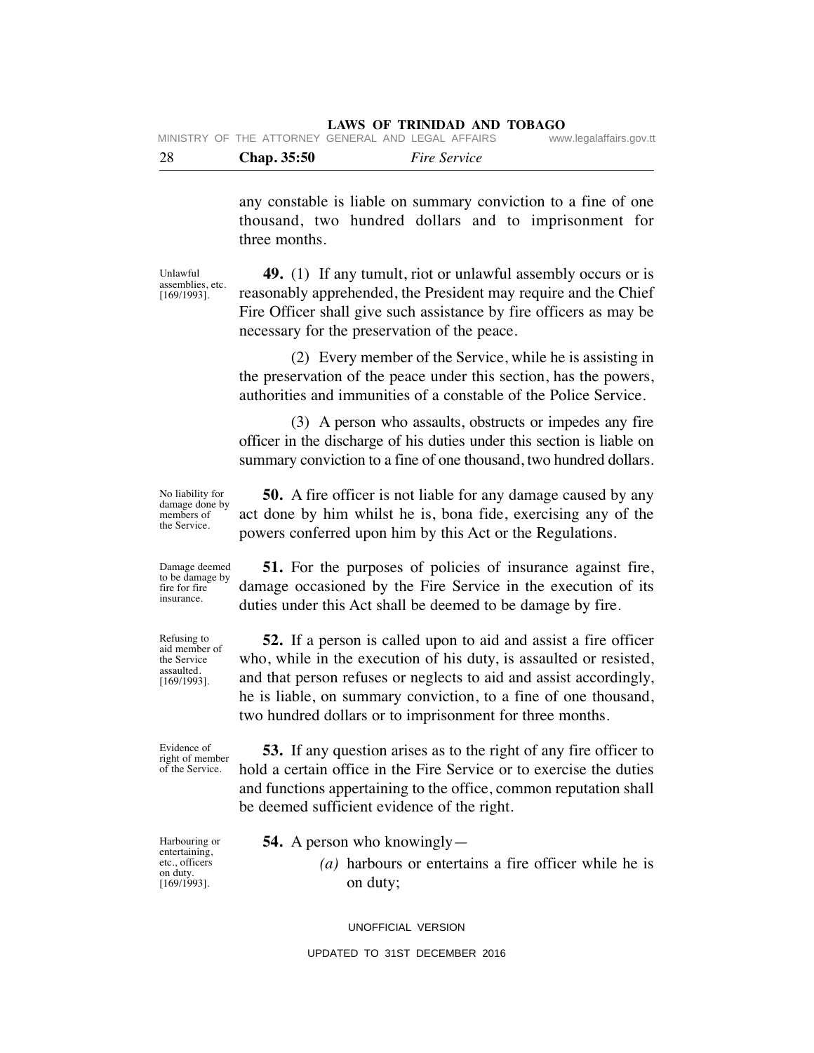| -28 | Chap. 35:50                                        | <i>Fire Service</i> |                         |
|-----|----------------------------------------------------|---------------------|-------------------------|
|     | MINISTRY OF THE ATTORNEY GENERAL AND LEGAL AFFAIRS |                     | www.legalaffairs.gov.tt |

any constable is liable on summary conviction to a fine of one thousand, two hundred dollars and to imprisonment for three months.

Unlawful assemblies, etc. [169/1993].

 **49.** (1) If any tumult, riot or unlawful assembly occurs or is reasonably apprehended, the President may require and the Chief Fire Officer shall give such assistance by fire officers as may be necessary for the preservation of the peace.

 (2) Every member of the Service, while he is assisting in the preservation of the peace under this section, has the powers, authorities and immunities of a constable of the Police Service.

 (3) A person who assaults, obstructs or impedes any fire officer in the discharge of his duties under this section is liable on summary conviction to a fine of one thousand, two hundred dollars.

No liability for damage done by members of the Service.

 **50.** A fire officer is not liable for any damage caused by any act done by him whilst he is, bona fide, exercising any of the powers conferred upon him by this Act or the Regulations.

 **51.** For the purposes of policies of insurance against fire, damage occasioned by the Fire Service in the execution of its duties under this Act shall be deemed to be damage by fire.

 **52.** If a person is called upon to aid and assist a fire officer who, while in the execution of his duty, is assaulted or resisted, and that person refuses or neglects to aid and assist accordingly, he is liable, on summary conviction, to a fine of one thousand, two hundred dollars or to imprisonment for three months.

of the Service.

 **53.** If any question arises as to the right of any fire officer to hold a certain office in the Fire Service or to exercise the duties and functions appertaining to the office, common reputation shall be deemed sufficient evidence of the right.

Harbouring or entertaining, etc., officers on duty. [169/1993].

- **54.** A person who knowingly—
	- *(a)* harbours or entertains a fire officer while he is on duty;

UNOFFICIAL VERSION

UPDATED TO 31ST DECEMBER 2016

Damage deemed to be damage by fire for fire insurance.

Refusing to aid member of the Service assaulted. [169/1993].

Evidence of right of member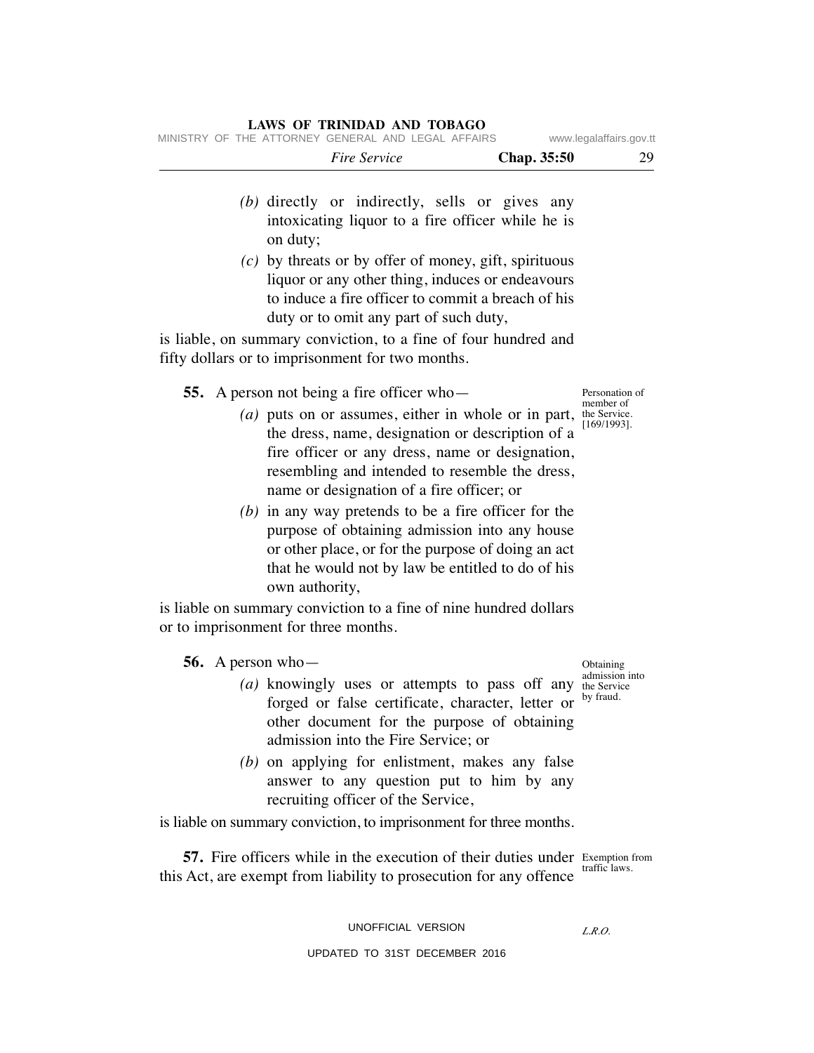| MINISTRY OF THE ATTORNEY GENERAL AND LEGAL AFFAIRS                                                                                                                                                                                                                                                                                                                                                                           | www.legalaffairs.gov.tt                    |
|------------------------------------------------------------------------------------------------------------------------------------------------------------------------------------------------------------------------------------------------------------------------------------------------------------------------------------------------------------------------------------------------------------------------------|--------------------------------------------|
| <b>Fire Service</b><br>Chap. 35:50                                                                                                                                                                                                                                                                                                                                                                                           | 29                                         |
| (b) directly or indirectly, sells or gives any<br>intoxicating liquor to a fire officer while he is<br>on duty;                                                                                                                                                                                                                                                                                                              |                                            |
| $(c)$ by threats or by offer of money, gift, spirituous<br>liquor or any other thing, induces or endeavours<br>to induce a fire officer to commit a breach of his<br>duty or to omit any part of such duty,                                                                                                                                                                                                                  |                                            |
| is liable, on summary conviction, to a fine of four hundred and<br>fifty dollars or to imprisonment for two months.                                                                                                                                                                                                                                                                                                          |                                            |
| <b>55.</b> A person not being a fire officer who-                                                                                                                                                                                                                                                                                                                                                                            | Personation of<br>member of                |
| $(a)$ puts on or assumes, either in whole or in part,<br>the dress, name, designation or description of a<br>fire officer or any dress, name or designation,<br>resembling and intended to resemble the dress,<br>name or designation of a fire officer; or<br>$(b)$ in any way pretends to be a fire officer for the<br>purpose of obtaining admission into any house<br>or other place, or for the purpose of doing an act | the Service.<br>[169/1993].                |
| that he would not by law be entitled to do of his<br>own authority,                                                                                                                                                                                                                                                                                                                                                          |                                            |
| is liable on summary conviction to a fine of nine hundred dollars<br>or to imprisonment for three months.                                                                                                                                                                                                                                                                                                                    |                                            |
| 56. A person who-                                                                                                                                                                                                                                                                                                                                                                                                            | Obtaining                                  |
| (a) knowingly uses or attempts to pass off any<br>forged or false certificate, character, letter or<br>other document for the purpose of obtaining<br>admission into the Fire Service; or                                                                                                                                                                                                                                    | admission into<br>the Service<br>by fraud. |
| $(b)$ on applying for enlistment, makes any false<br>answer to any question put to him by any<br>recruiting officer of the Service,                                                                                                                                                                                                                                                                                          |                                            |
| is liable on summary conviction, to imprisonment for three months.                                                                                                                                                                                                                                                                                                                                                           |                                            |
| <b>57.</b> Fire officers while in the execution of their duties under Exemption from<br>this Act, are exempt from liability to prosecution for any offence                                                                                                                                                                                                                                                                   | traffic laws.                              |

UNOFFICIAL VERSION UPDATED TO 31ST DECEMBER 2016

*L.R.O.*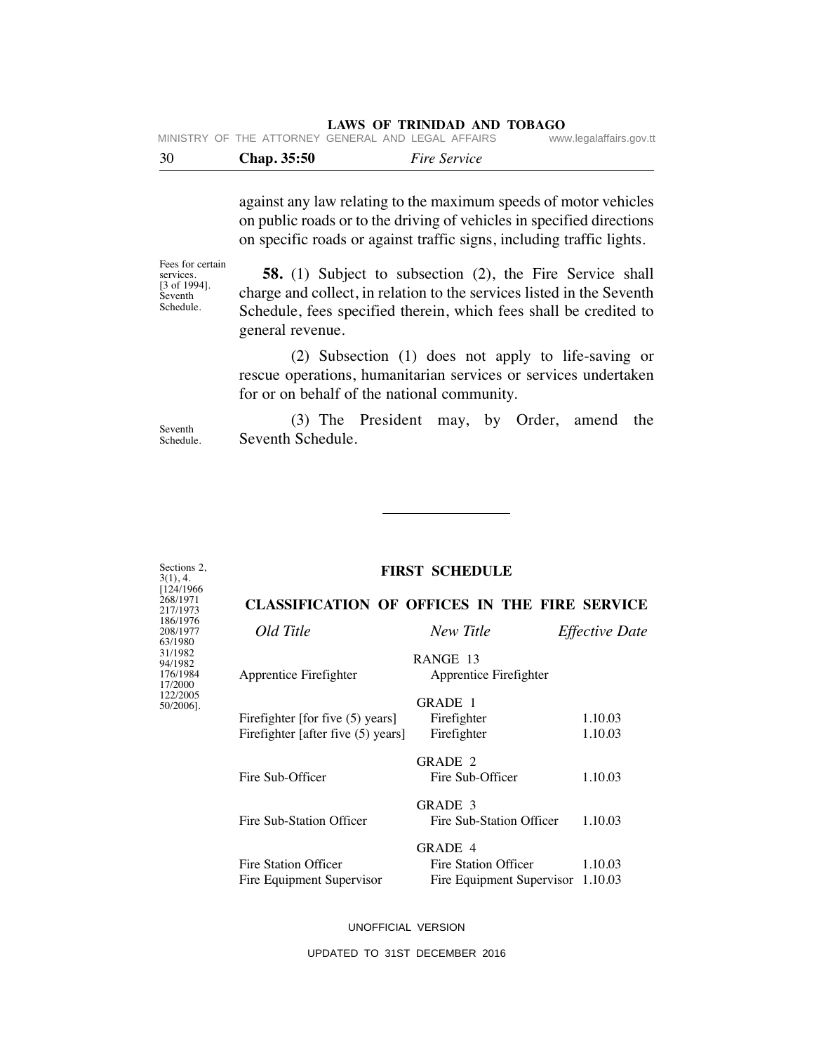| 30 | <b>Chap.</b> 35:50                                 | <i>Fire Service</i> |                         |
|----|----------------------------------------------------|---------------------|-------------------------|
|    | MINISTRY OF THE ATTORNEY GENERAL AND LEGAL AFFAIRS |                     | www.legalaffairs.gov.tt |

against any law relating to the maximum speeds of motor vehicles on public roads or to the driving of vehicles in specified directions on specific roads or against traffic signs, including traffic lights.

Fees for certain services.  $[3 \text{ of } 1994]$ . Seventh Schedule.

 **58.** (1) Subject to subsection (2), the Fire Service shall charge and collect, in relation to the services listed in the Seventh Schedule, fees specified therein, which fees shall be credited to general revenue.

 (2) Subsection (1) does not apply to life-saving or rescue operations, humanitarian services or services undertaken for or on behalf of the national community.

Seventh Schedule.

Sections 2, 3(1), 4. [124/1966 268/1971 217/1973 186/1976 208/1977 63/1980 31/1982 94/1982 176/1984 17/2000 122/2005 50/2006].

 (3) The President may, by Order, amend the Seventh Schedule.

## **FIRST SCHEDULE**

# **CLASSIFICATION OF OFFICES IN THE FIRE SERVICE**

| Old Title                          | New Title                          | <b>Effective Date</b> |
|------------------------------------|------------------------------------|-----------------------|
| Apprentice Firefighter             | RANGE 13<br>Apprentice Firefighter |                       |
|                                    | GRADE 1                            |                       |
| Firefighter [for five (5) years]   | Firefighter                        | 1.10.03               |
| Firefighter [after five (5) years] | Firefighter                        | 1.10.03               |
|                                    | GRADE 2                            |                       |
| Fire Sub-Officer                   | Fire Sub-Officer                   | 1.10.03               |
|                                    | GRADE 3                            |                       |
| Fire Sub-Station Officer           | Fire Sub-Station Officer           | 1.10.03               |
|                                    | GRADE 4                            |                       |
| Fire Station Officer               | Fire Station Officer               | 1.10.03               |
| Fire Equipment Supervisor          | Fire Equipment Supervisor          | 1.10.03               |
|                                    |                                    |                       |

UNOFFICIAL VERSION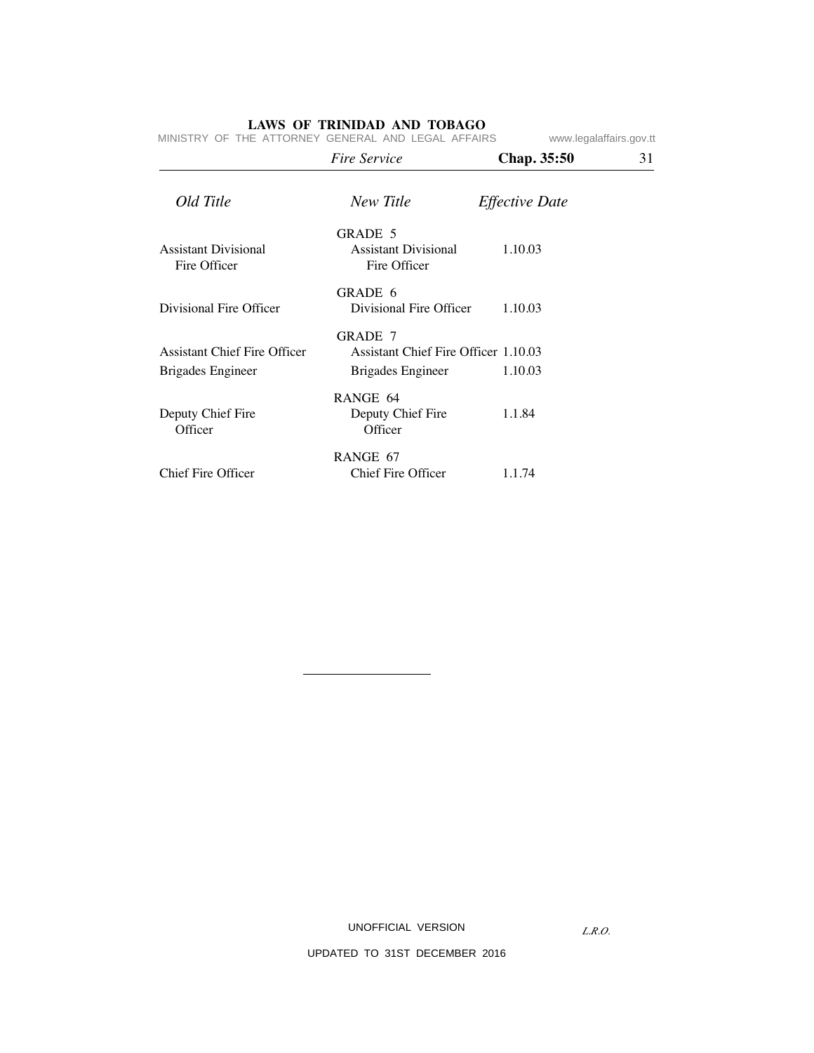|                                                          | Fire Service                                                                | <b>Chap.</b> 35:50    | 31 |
|----------------------------------------------------------|-----------------------------------------------------------------------------|-----------------------|----|
| Old Title                                                | New Title                                                                   | <b>Effective Date</b> |    |
| <b>Assistant Divisional</b><br>Fire Officer              | GRADE 5<br>Assistant Divisional<br>Fire Officer                             | 1.10.03               |    |
| Divisional Fire Officer                                  | GRADE 6<br>Divisional Fire Officer                                          | 1.10.03               |    |
| <b>Assistant Chief Fire Officer</b><br>Brigades Engineer | <b>GRADE 7</b><br>Assistant Chief Fire Officer 1.10.03<br>Brigades Engineer | 1.10.03               |    |
| Deputy Chief Fire<br>Officer                             | RANGE 64<br>Deputy Chief Fire<br>Officer                                    | 1.1.84                |    |
| <b>Chief Fire Officer</b>                                | RANGE 67<br>Chief Fire Officer                                              | 1.1.74                |    |

MINISTRY OF THE ATTORNEY GENERAL AND LEGAL AFFAIRS www.legalaffairs.gov.tt

UNOFFICIAL VERSION

*L.R.O.*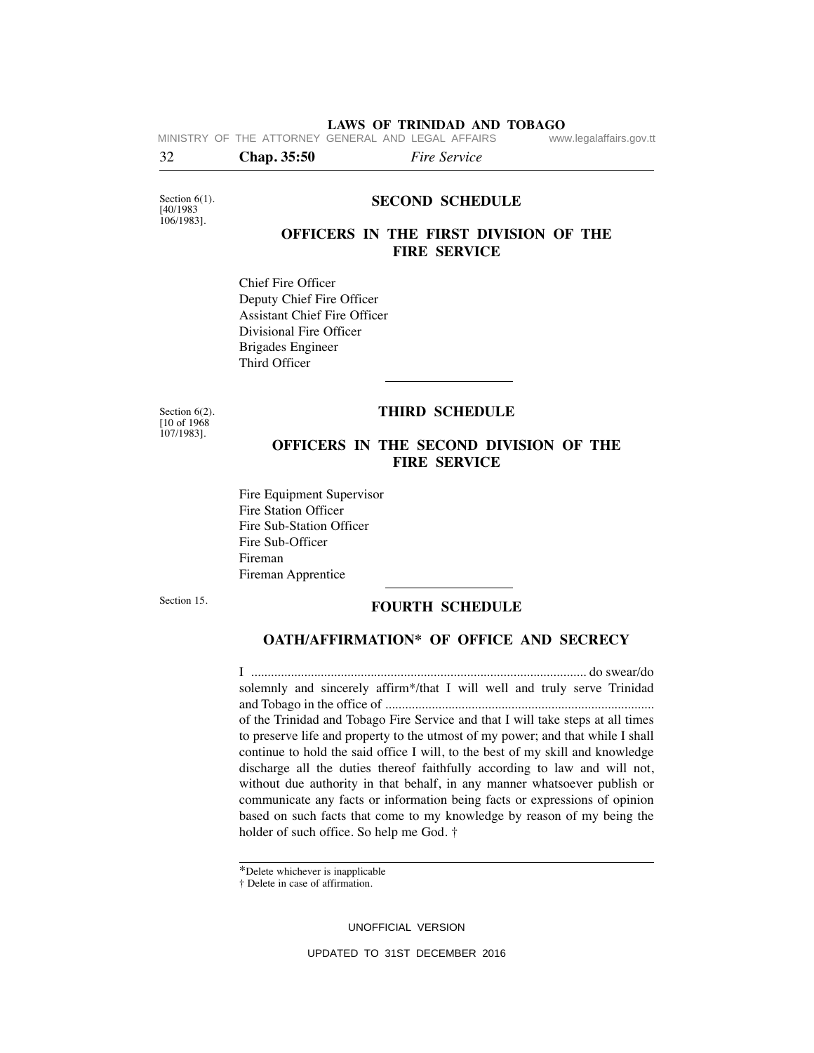**LAWS OF TRINIDAD AND TOBAGO** MINISTRY OF THE ATTORNEY GENERAL AND LEGAL AFFAIRS

32 **Chap. 35:50** *Fire Service*

Section  $6(1)$ . [40/1983 106/1983].

#### **SECOND SCHEDULE**

# **OFFICERS IN THE FIRST DIVISION OF THE FIRE SERVICE**

Chief Fire Officer Deputy Chief Fire Officer Assistant Chief Fire Officer Divisional Fire Officer Brigades Engineer Third Officer

Section 6(2). [10 of 1968 107/1983].

#### **THIRD SCHEDULE**

# **OFFICERS IN THE SECOND DIVISION OF THE FIRE SERVICE**

Fire Equipment Supervisor Fire Station Officer Fire Sub-Station Officer Fire Sub-Officer Fireman Fireman Apprentice

Section 15.

#### **FOURTH SCHEDULE**

## **OATH/AFFIRMATION\* OF OFFICE AND SECRECY**

I ..................................................................................................... do swear/do solemnly and sincerely affirm\*/that I will well and truly serve Trinidad and Tobago in the office of ................................................................................. of the Trinidad and Tobago Fire Service and that I will take steps at all times to preserve life and property to the utmost of my power; and that while I shall continue to hold the said office I will, to the best of my skill and knowledge discharge all the duties thereof faithfully according to law and will not, without due authority in that behalf, in any manner whatsoever publish or communicate any facts or information being facts or expressions of opinion based on such facts that come to my knowledge by reason of my being the holder of such office. So help me God. †

UNOFFICIAL VERSION

<sup>\*</sup>Delete whichever is inapplicable

<sup>†</sup> Delete in case of affirmation.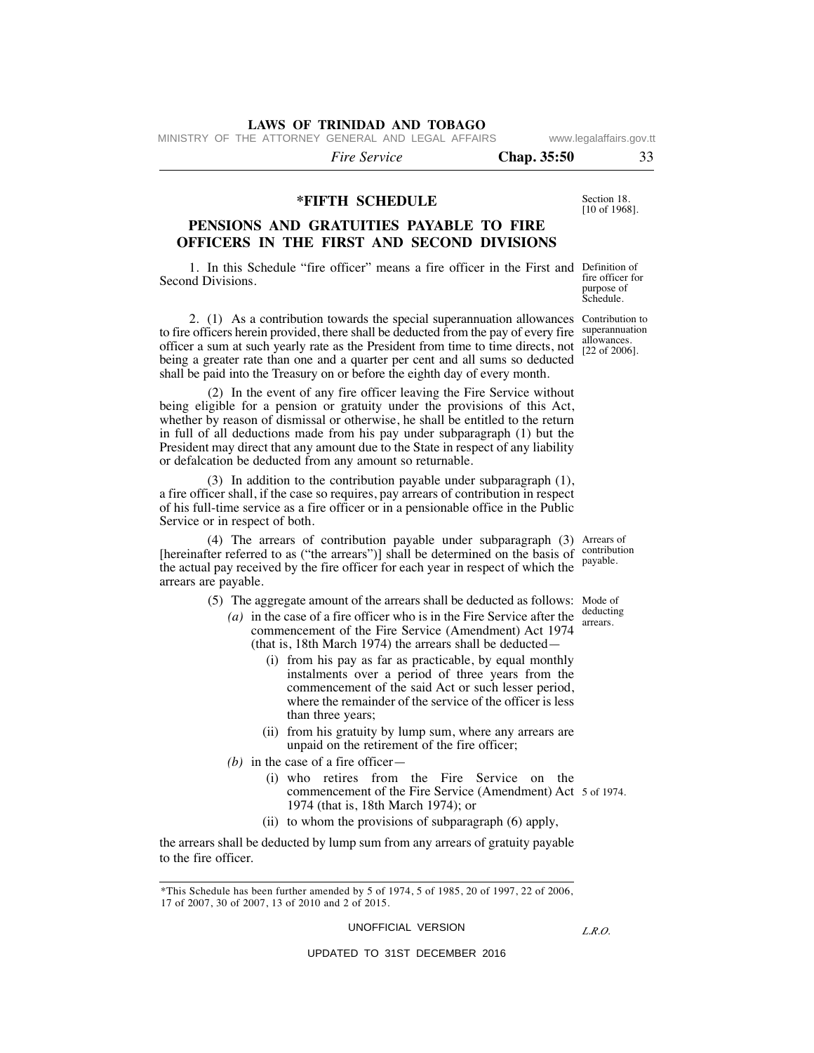MINISTRY OF THE ATTORNEY GENERAL AND LEGAL AFFAIRS www.legalaffairs.gov.tt

 *Fire Service* **Chap. 35:50** 33

Section 18. [10 of 1968].

### **\*FIFTH SCHEDULE**

# **PENSIONS AND GRATUITIES PAYABLE TO FIRE OFFICERS IN THE FIRST AND SECOND DIVISIONS**

1. In this Schedule "fire officer" means a fire officer in the First and Definition of fire officer for Second Divisions.

2. (1) As a contribution towards the special superannuation allowances Contribution to to fire officers herein provided, there shall be deducted from the pay of every fire superannuation [22 of 2006]. officer a sum at such yearly rate as the President from time to time directs, not being a greater rate than one and a quarter per cent and all sums so deducted shall be paid into the Treasury on or before the eighth day of every month.

 (2) In the event of any fire officer leaving the Fire Service without being eligible for a pension or gratuity under the provisions of this Act, whether by reason of dismissal or otherwise, he shall be entitled to the return in full of all deductions made from his pay under subparagraph (1) but the President may direct that any amount due to the State in respect of any liability or defalcation be deducted from any amount so returnable.

 (3) In addition to the contribution payable under subparagraph (1), a fire officer shall, if the case so requires, pay arrears of contribution in respect of his full-time service as a fire officer or in a pensionable office in the Public Service or in respect of both.

(4) The arrears of contribution payable under subparagraph (3) Arrears of [hereinafter referred to as ("the arrears")] shall be determined on the basis of contribution the actual pay received by the fire officer for each year in respect of which the arrears are payable.

(5) The aggregate amount of the arrears shall be deducted as follows: Mode of

- *(a)* in the case of a fire officer who is in the Fire Service after the commencement of the Fire Service (Amendment) Act 1974 (that is, 18th March 1974) the arrears shall be deducted—
	- (i) from his pay as far as practicable, by equal monthly instalments over a period of three years from the commencement of the said Act or such lesser period, where the remainder of the service of the officer is less than three years;
	- (ii) from his gratuity by lump sum, where any arrears are unpaid on the retirement of the fire officer;
- *(b)* in the case of a fire officer
	- commencement of the Fire Service (Amendment) Act 5 of 1974. (i) who retires from the Fire Service on the 1974 (that is, 18th March 1974); or
	- (ii) to whom the provisions of subparagraph (6) apply,

the arrears shall be deducted by lump sum from any arrears of gratuity payable to the fire officer.

UNOFFICIAL VERSION

*L.R.O.* 

purpose of Schedule.

allowances.

payable.

deducting arrears.

<sup>\*</sup>This Schedule has been further amended by 5 of 1974, 5 of 1985, 20 of 1997, 22 of 2006, 17 of 2007, 30 of 2007, 13 of 2010 and 2 of 2015.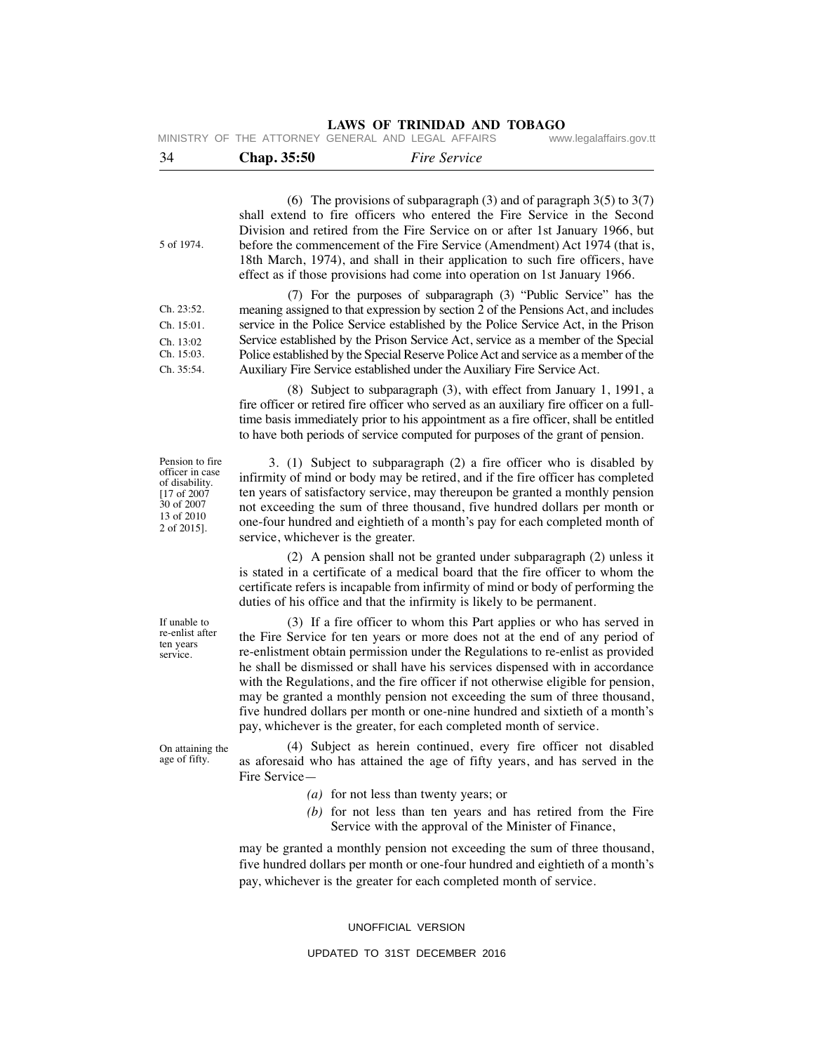**LAWS OF TRINIDAD AND TOBAGO**<br>GENERAL AND LEGAL AFFAIRS www.legalaffairs.gov.tt MINISTRY OF THE ATTORNEY GENERAL AND LEGAL AFFAIRS

| 34                                                                                                               | Chap. 35:50                                                                                                                                                                                                                                                                                                                                                                                                                                                                       | <b>Fire Service</b>                                                                                                                                                                                                                                                                                                                                                                                                                                                                                                                                                                                                                             |
|------------------------------------------------------------------------------------------------------------------|-----------------------------------------------------------------------------------------------------------------------------------------------------------------------------------------------------------------------------------------------------------------------------------------------------------------------------------------------------------------------------------------------------------------------------------------------------------------------------------|-------------------------------------------------------------------------------------------------------------------------------------------------------------------------------------------------------------------------------------------------------------------------------------------------------------------------------------------------------------------------------------------------------------------------------------------------------------------------------------------------------------------------------------------------------------------------------------------------------------------------------------------------|
| 5 of 1974.                                                                                                       | (6) The provisions of subparagraph (3) and of paragraph $3(5)$ to $3(7)$<br>shall extend to fire officers who entered the Fire Service in the Second<br>Division and retired from the Fire Service on or after 1st January 1966, but<br>before the commencement of the Fire Service (Amendment) Act 1974 (that is,<br>18th March, 1974), and shall in their application to such fire officers, have<br>effect as if those provisions had come into operation on 1st January 1966. |                                                                                                                                                                                                                                                                                                                                                                                                                                                                                                                                                                                                                                                 |
| Ch. 23:52.<br>Ch. 15:01.<br>Ch. 13:02<br>Ch. 15:03.<br>Ch. 35:54.                                                |                                                                                                                                                                                                                                                                                                                                                                                                                                                                                   | (7) For the purposes of subparagraph (3) "Public Service" has the<br>meaning assigned to that expression by section 2 of the Pensions Act, and includes<br>service in the Police Service established by the Police Service Act, in the Prison<br>Service established by the Prison Service Act, service as a member of the Special<br>Police established by the Special Reserve Police Act and service as a member of the<br>Auxiliary Fire Service established under the Auxiliary Fire Service Act.                                                                                                                                           |
|                                                                                                                  |                                                                                                                                                                                                                                                                                                                                                                                                                                                                                   | (8) Subject to subparagraph (3), with effect from January 1, 1991, a<br>fire officer or retired fire officer who served as an auxiliary fire officer on a full-<br>time basis immediately prior to his appointment as a fire officer, shall be entitled<br>to have both periods of service computed for purposes of the grant of pension.                                                                                                                                                                                                                                                                                                       |
| Pension to fire<br>officer in case<br>of disability.<br>$[17$ of 2007<br>30 of 2007<br>13 of 2010<br>2 of 2015]. | service, whichever is the greater.                                                                                                                                                                                                                                                                                                                                                                                                                                                | 3. (1) Subject to subparagraph (2) a fire officer who is disabled by<br>infirmity of mind or body may be retired, and if the fire officer has completed<br>ten years of satisfactory service, may thereupon be granted a monthly pension<br>not exceeding the sum of three thousand, five hundred dollars per month or<br>one-four hundred and eightieth of a month's pay for each completed month of                                                                                                                                                                                                                                           |
|                                                                                                                  |                                                                                                                                                                                                                                                                                                                                                                                                                                                                                   | (2) A pension shall not be granted under subparagraph (2) unless it<br>is stated in a certificate of a medical board that the fire officer to whom the<br>certificate refers is incapable from infirmity of mind or body of performing the<br>duties of his office and that the infirmity is likely to be permanent.                                                                                                                                                                                                                                                                                                                            |
| If unable to<br>re-enlist after<br>ten years<br>service.                                                         |                                                                                                                                                                                                                                                                                                                                                                                                                                                                                   | (3) If a fire officer to whom this Part applies or who has served in<br>the Fire Service for ten years or more does not at the end of any period of<br>re-enlistment obtain permission under the Regulations to re-enlist as provided<br>he shall be dismissed or shall have his services dispensed with in accordance<br>with the Regulations, and the fire officer if not otherwise eligible for pension,<br>may be granted a monthly pension not exceeding the sum of three thousand,<br>five hundred dollars per month or one-nine hundred and sixtieth of a month's<br>pay, whichever is the greater, for each completed month of service. |
| On attaining the<br>age of fifty.                                                                                | Fire Service-                                                                                                                                                                                                                                                                                                                                                                                                                                                                     | (4) Subject as herein continued, every fire officer not disabled<br>as aforesaid who has attained the age of fifty years, and has served in the                                                                                                                                                                                                                                                                                                                                                                                                                                                                                                 |

- *(a)* for not less than twenty years; or
- *(b)* for not less than ten years and has retired from the Fire Service with the approval of the Minister of Finance,

may be granted a monthly pension not exceeding the sum of three thousand, five hundred dollars per month or one-four hundred and eightieth of a month's pay, whichever is the greater for each completed month of service.

UNOFFICIAL VERSION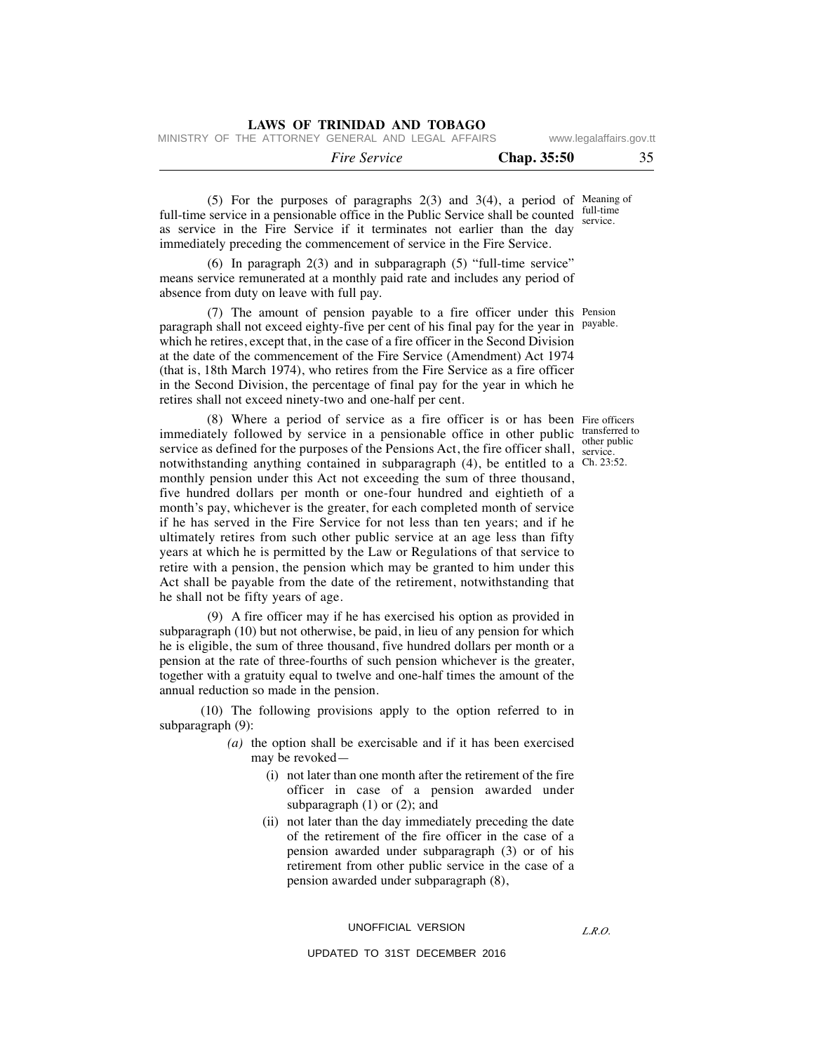MINISTRY OF THE ATTORNEY GENERAL AND LEGAL AFFAIRS www.legalaffairs.gov.tt

| <i>Fire Service</i> | Chap. 35:50 |  |
|---------------------|-------------|--|
|                     |             |  |

 $(5)$  For the purposes of paragraphs  $2(3)$  and  $3(4)$ , a period of Meaning of full-time service in a pensionable office in the Public Service shall be counted full-time service. as service in the Fire Service if it terminates not earlier than the day immediately preceding the commencement of service in the Fire Service.

 (6) In paragraph 2(3) and in subparagraph (5) "full-time service" means service remunerated at a monthly paid rate and includes any period of absence from duty on leave with full pay.

(7) The amount of pension payable to a fire officer under this Pension paragraph shall not exceed eighty-five per cent of his final pay for the year in <sup>payable.</sup> which he retires, except that, in the case of a fire officer in the Second Division at the date of the commencement of the Fire Service (Amendment) Act 1974 (that is, 18th March 1974), who retires from the Fire Service as a fire officer in the Second Division, the percentage of final pay for the year in which he retires shall not exceed ninety-two and one-half per cent.

(8) Where a period of service as a fire officer is or has been Fire officers immediately followed by service in a pensionable office in other public transferred t service as defined for the purposes of the Pensions Act, the fire officer shall,  $\frac{1}{\text{service}}$ . notwithstanding anything contained in subparagraph (4), be entitled to a Ch. 23:52. monthly pension under this Act not exceeding the sum of three thousand, five hundred dollars per month or one-four hundred and eightieth of a month's pay, whichever is the greater, for each completed month of service if he has served in the Fire Service for not less than ten years; and if he ultimately retires from such other public service at an age less than fifty years at which he is permitted by the Law or Regulations of that service to retire with a pension, the pension which may be granted to him under this Act shall be payable from the date of the retirement, notwithstanding that he shall not be fifty years of age.

 (9) A fire officer may if he has exercised his option as provided in subparagraph (10) but not otherwise, be paid, in lieu of any pension for which he is eligible, the sum of three thousand, five hundred dollars per month or a pension at the rate of three-fourths of such pension whichever is the greater, together with a gratuity equal to twelve and one-half times the amount of the annual reduction so made in the pension.

 (10) The following provisions apply to the option referred to in subparagraph (9):

- *(a)* the option shall be exercisable and if it has been exercised may be revoked—
	- (i) not later than one month after the retirement of the fire officer in case of a pension awarded under subparagraph  $(1)$  or  $(2)$ ; and
	- (ii) not later than the day immediately preceding the date of the retirement of the fire officer in the case of a pension awarded under subparagraph (3) or of his retirement from other public service in the case of a pension awarded under subparagraph (8),

#### UNOFFICIAL VERSION

#### UPDATED TO 31ST DECEMBER 2016

*L.R.O.* 

transferred to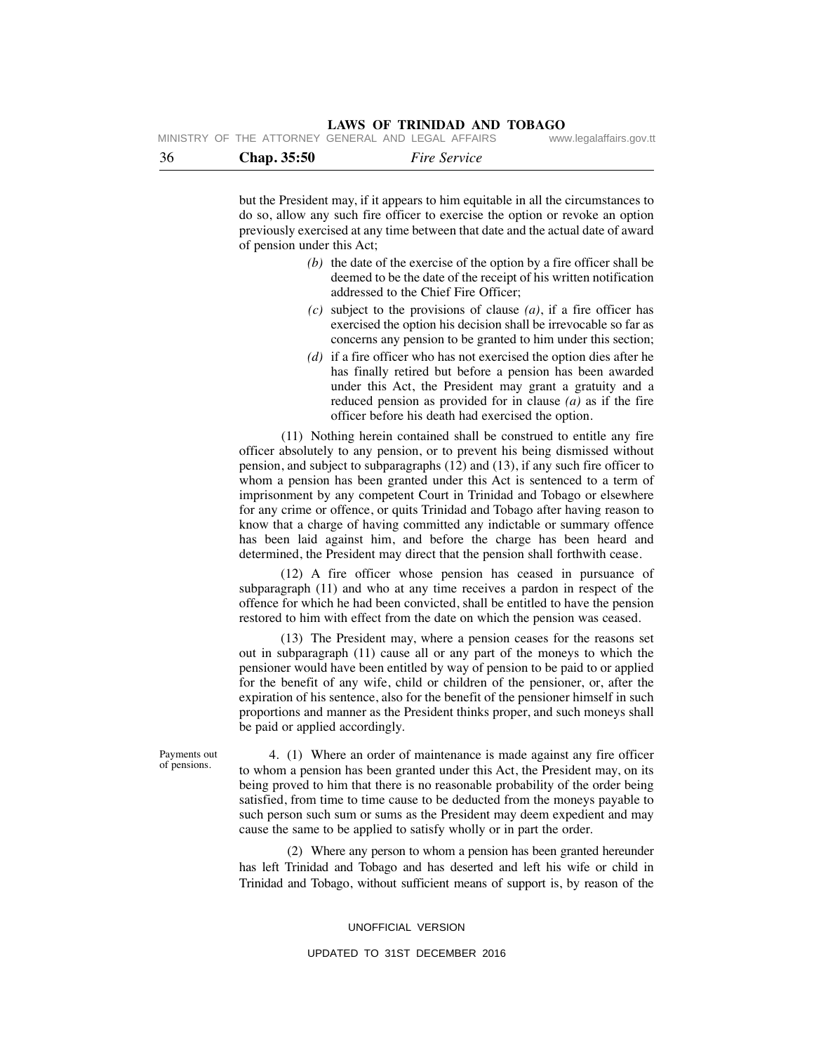|    |             |                     | $\ldots \ldots \ldots \ldots \ldots \ldots \ldots$ |
|----|-------------|---------------------|----------------------------------------------------|
| 36 | Chap. 35:50 | <i>Fire Service</i> |                                                    |

but the President may, if it appears to him equitable in all the circumstances to do so, allow any such fire officer to exercise the option or revoke an option previously exercised at any time between that date and the actual date of award of pension under this Act;

- *(b)* the date of the exercise of the option by a fire officer shall be deemed to be the date of the receipt of his written notification addressed to the Chief Fire Officer;
- *(c)* subject to the provisions of clause *(a)*, if a fire officer has exercised the option his decision shall be irrevocable so far as concerns any pension to be granted to him under this section;
- *(d)* if a fire officer who has not exercised the option dies after he has finally retired but before a pension has been awarded under this Act, the President may grant a gratuity and a reduced pension as provided for in clause *(a)* as if the fire officer before his death had exercised the option.

 (11) Nothing herein contained shall be construed to entitle any fire officer absolutely to any pension, or to prevent his being dismissed without pension, and subject to subparagraphs (12) and (13), if any such fire officer to whom a pension has been granted under this Act is sentenced to a term of imprisonment by any competent Court in Trinidad and Tobago or elsewhere for any crime or offence, or quits Trinidad and Tobago after having reason to know that a charge of having committed any indictable or summary offence has been laid against him, and before the charge has been heard and determined, the President may direct that the pension shall forthwith cease.

 (12) A fire officer whose pension has ceased in pursuance of subparagraph (11) and who at any time receives a pardon in respect of the offence for which he had been convicted, shall be entitled to have the pension restored to him with effect from the date on which the pension was ceased.

 (13) The President may, where a pension ceases for the reasons set out in subparagraph (11) cause all or any part of the moneys to which the pensioner would have been entitled by way of pension to be paid to or applied for the benefit of any wife, child or children of the pensioner, or, after the expiration of his sentence, also for the benefit of the pensioner himself in such proportions and manner as the President thinks proper, and such moneys shall be paid or applied accordingly.

Payments out of pensions.

 4. (1) Where an order of maintenance is made against any fire officer to whom a pension has been granted under this Act, the President may, on its being proved to him that there is no reasonable probability of the order being satisfied, from time to time cause to be deducted from the moneys payable to such person such sum or sums as the President may deem expedient and may cause the same to be applied to satisfy wholly or in part the order.

 (2) Where any person to whom a pension has been granted hereunder has left Trinidad and Tobago and has deserted and left his wife or child in Trinidad and Tobago, without sufficient means of support is, by reason of the

UNOFFICIAL VERSION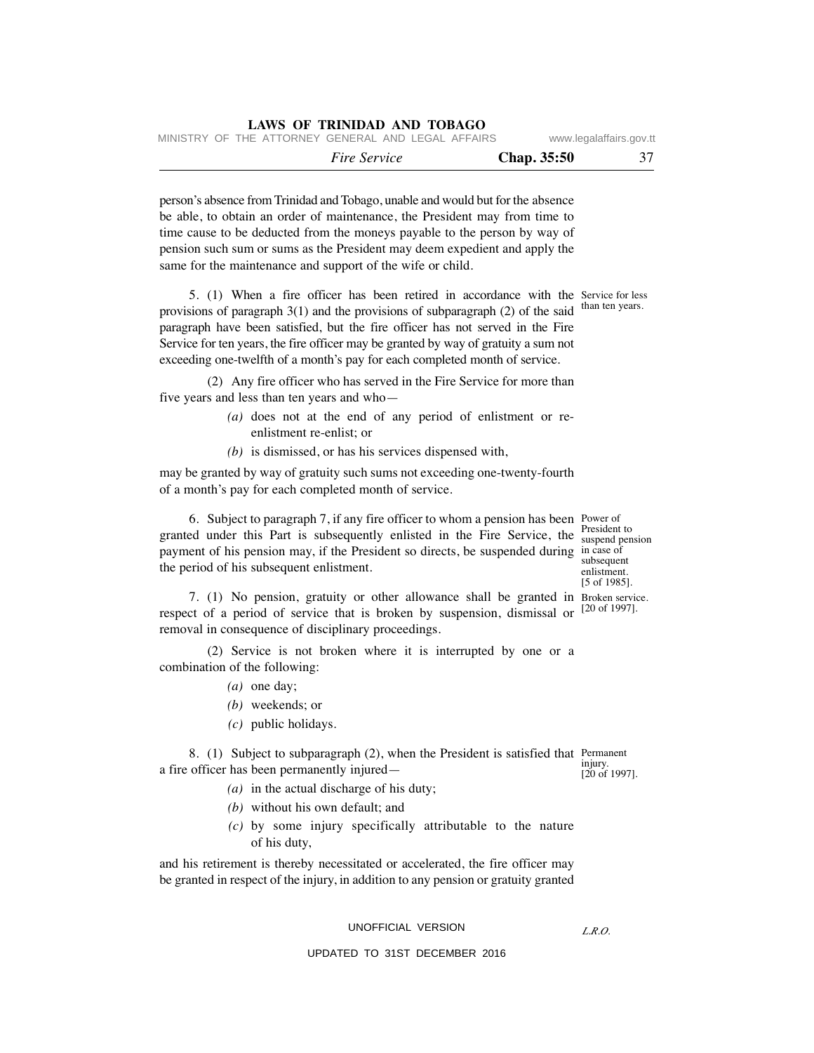|                                                    |  | <i>Fire Service</i> |  |  | Chap. 35:50 | 37                      |
|----------------------------------------------------|--|---------------------|--|--|-------------|-------------------------|
| MINISTRY OF THE ATTORNEY GENERAL AND LEGAL AFFAIRS |  |                     |  |  |             | www.legalaffairs.gov.tt |

person's absence from Trinidad and Tobago, unable and would but for the absence be able, to obtain an order of maintenance, the President may from time to time cause to be deducted from the moneys payable to the person by way of pension such sum or sums as the President may deem expedient and apply the same for the maintenance and support of the wife or child.

**LAWS OF TRINIDAD AND TOBAGO**

 5. (1) When a fire officer has been retired in accordance with the Service for less provisions of paragraph 3(1) and the provisions of subparagraph (2) of the said than ten years. paragraph have been satisfied, but the fire officer has not served in the Fire Service for ten years, the fire officer may be granted by way of gratuity a sum not exceeding one-twelfth of a month's pay for each completed month of service.

 (2) Any fire officer who has served in the Fire Service for more than five years and less than ten years and who—

- *(a)* does not at the end of any period of enlistment or reenlistment re-enlist; or
- *(b)* is dismissed, or has his services dispensed with,

may be granted by way of gratuity such sums not exceeding one-twenty-fourth of a month's pay for each completed month of service.

 6. Subject to paragraph 7, if any fire officer to whom a pension has been Power of granted under this Part is subsequently enlisted in the Fire Service, the **President to** payment of his pension may, if the President so directs, be suspended during in case of the period of his subsequent enlistment.

 7. (1) No pension, gratuity or other allowance shall be granted in Broken service. respect of a period of service that is broken by suspension, dismissal or removal in consequence of disciplinary proceedings.

 (2) Service is not broken where it is interrupted by one or a combination of the following:

- *(a)* one day;
- *(b)* weekends; or
- *(c)* public holidays.

 8. (1) Subject to subparagraph (2), when the President is satisfied that Permanent a fire officer has been permanently injured injury. [20 of 1997].

- *(a)* in the actual discharge of his duty;
- *(b)* without his own default; and
- *(c)* by some injury specifically attributable to the nature of his duty,

and his retirement is thereby necessitated or accelerated, the fire officer may be granted in respect of the injury, in addition to any pension or gratuity granted

# UNOFFICIAL VERSION

UPDATED TO 31ST DECEMBER 2016

suspend pension subsequent enlistment. [5 of 1985].

[20 of 1997].

*L.R.O.*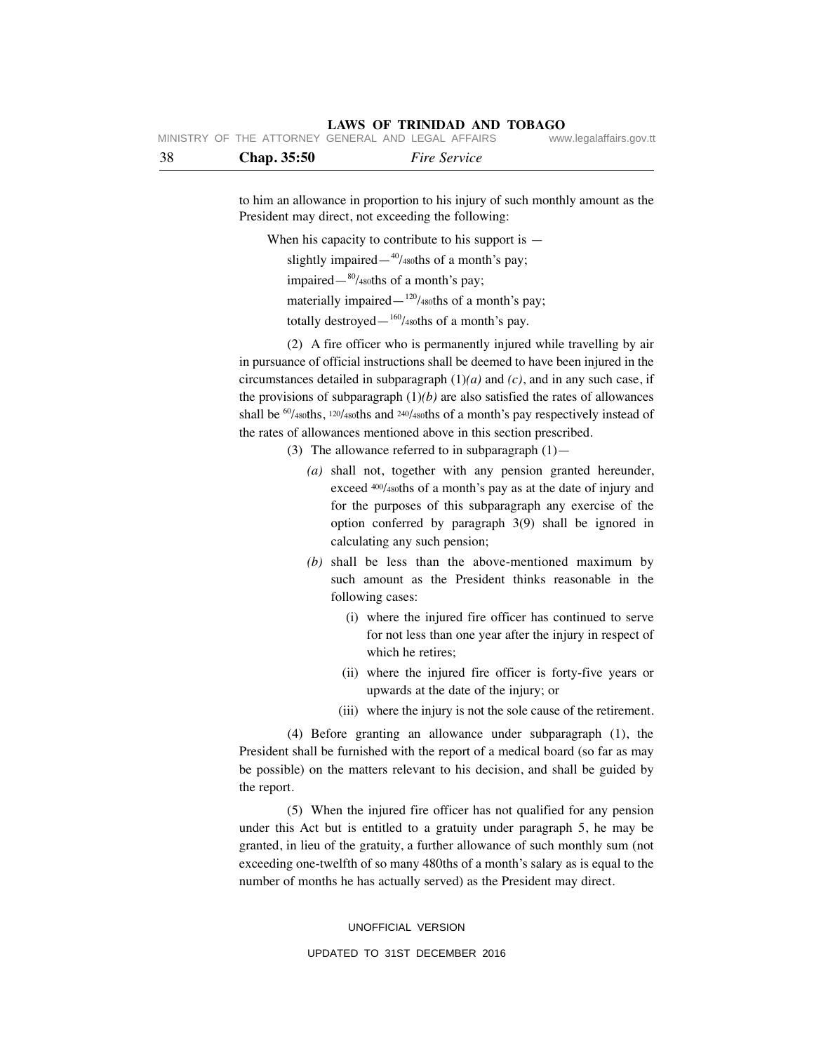| 38 | Chap. 35:50 | <i>Fire Service</i>                               |                         |
|----|-------------|---------------------------------------------------|-------------------------|
|    |             | WINDIRT OF THE ATTURNET GENERAL AND LEGAL AFFAIRS | www.legalalialis.gov.tt |

MINISTRY OF THE ATTORNEY

to him an allowance in proportion to his injury of such monthly amount as the President may direct, not exceeding the following:

When his capacity to contribute to his support is  $-$ 

slightly impaired— $40/480$ ths of a month's pay;

impaired— $\frac{80}{480}$ ths of a month's pay;

materially impaired— $120/480$ ths of a month's pay;

totally destroyed— $160/480$ ths of a month's pay.

 (2) A fire officer who is permanently injured while travelling by air in pursuance of official instructions shall be deemed to have been injured in the circumstances detailed in subparagraph (1)*(a)* and *(c)*, and in any such case, if the provisions of subparagraph  $(1)(b)$  are also satisfied the rates of allowances shall be  $^{60}/$ 480ths,  $^{120}/$ 480ths and  $^{240}/$ 480ths of a month's pay respectively instead of the rates of allowances mentioned above in this section prescribed.

- (3) The allowance referred to in subparagraph  $(1)$  -
	- *(a)* shall not, together with any pension granted hereunder, exceed 400/480ths of a month's pay as at the date of injury and for the purposes of this subparagraph any exercise of the option conferred by paragraph 3(9) shall be ignored in calculating any such pension;
	- *(b)* shall be less than the above-mentioned maximum by such amount as the President thinks reasonable in the following cases:
		- (i) where the injured fire officer has continued to serve for not less than one year after the injury in respect of which he retires;
		- (ii) where the injured fire officer is forty-five years or upwards at the date of the injury; or
		- (iii) where the injury is not the sole cause of the retirement.

 (4) Before granting an allowance under subparagraph (1), the President shall be furnished with the report of a medical board (so far as may be possible) on the matters relevant to his decision, and shall be guided by the report.

 (5) When the injured fire officer has not qualified for any pension under this Act but is entitled to a gratuity under paragraph 5, he may be granted, in lieu of the gratuity, a further allowance of such monthly sum (not exceeding one-twelfth of so many 480ths of a month's salary as is equal to the number of months he has actually served) as the President may direct.

#### UNOFFICIAL VERSION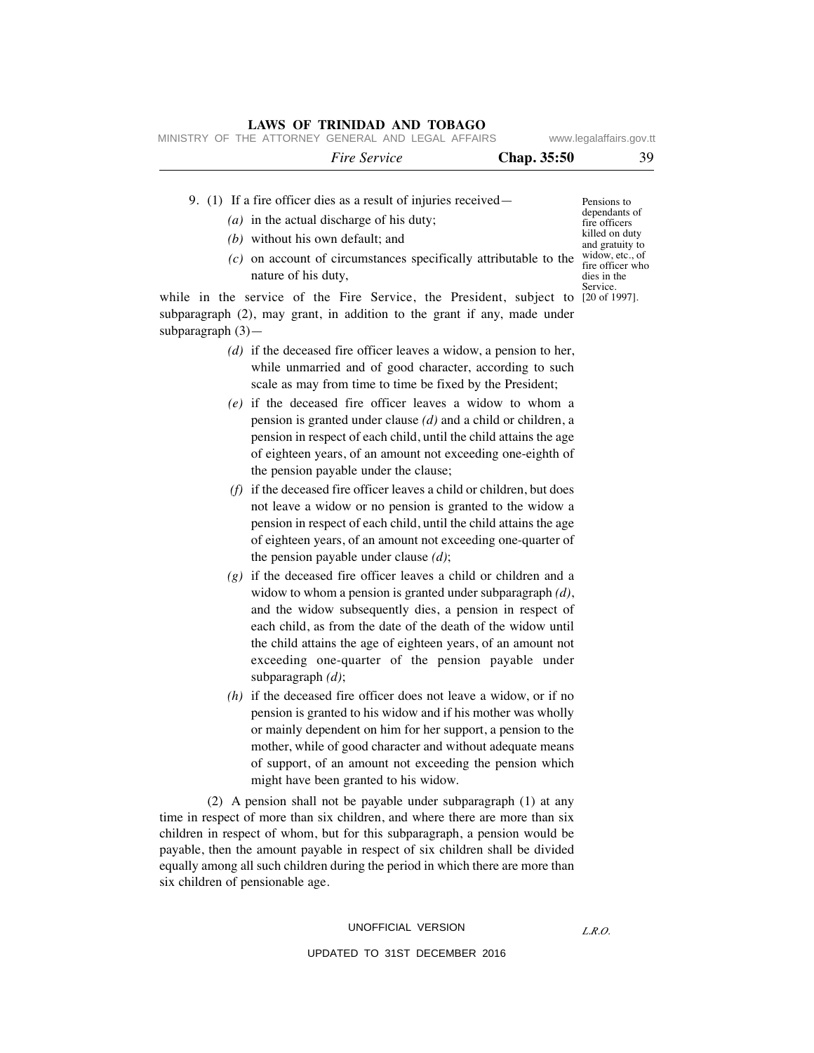MINISTRY OF THE ATTORNEY GENERAL AND LEGAL AFFAIRS www.legalaffairs.gov.tt

| <i>Fire Service</i> | <b>Chap.</b> 35:50 | 39 |
|---------------------|--------------------|----|
|---------------------|--------------------|----|

### 9. (1) If a fire officer dies as a result of injuries received—

- *(a)* in the actual discharge of his duty;
- *(b)* without his own default; and
- (c) on account of circumstances specifically attributable to the  $\frac{\text{widow, etc., of}}{\text{frac of} \text{for whe}}$ fire officer who dies in the Service. nature of his duty,

while in the service of the Fire Service, the President, subject to [20 of 1997]. subparagraph (2), may grant, in addition to the grant if any, made under subparagraph (3)—

- *(d)* if the deceased fire officer leaves a widow, a pension to her, while unmarried and of good character, according to such scale as may from time to time be fixed by the President;
- *(e)* if the deceased fire officer leaves a widow to whom a pension is granted under clause *(d)* and a child or children, a pension in respect of each child, until the child attains the age of eighteen years, of an amount not exceeding one-eighth of the pension payable under the clause;
- *(f)* if the deceased fire officer leaves a child or children, but does not leave a widow or no pension is granted to the widow a pension in respect of each child, until the child attains the age of eighteen years, of an amount not exceeding one-quarter of the pension payable under clause *(d)*;
- *(g)* if the deceased fire officer leaves a child or children and a widow to whom a pension is granted under subparagraph *(d)*, and the widow subsequently dies, a pension in respect of each child, as from the date of the death of the widow until the child attains the age of eighteen years, of an amount not exceeding one-quarter of the pension payable under subparagraph *(d)*;
- *(h)* if the deceased fire officer does not leave a widow, or if no pension is granted to his widow and if his mother was wholly or mainly dependent on him for her support, a pension to the mother, while of good character and without adequate means of support, of an amount not exceeding the pension which might have been granted to his widow.

 (2) A pension shall not be payable under subparagraph (1) at any time in respect of more than six children, and where there are more than six children in respect of whom, but for this subparagraph, a pension would be payable, then the amount payable in respect of six children shall be divided equally among all such children during the period in which there are more than six children of pensionable age.

#### UNOFFICIAL VERSION

Pensions to dependants of fire officers killed on duty and gratuity to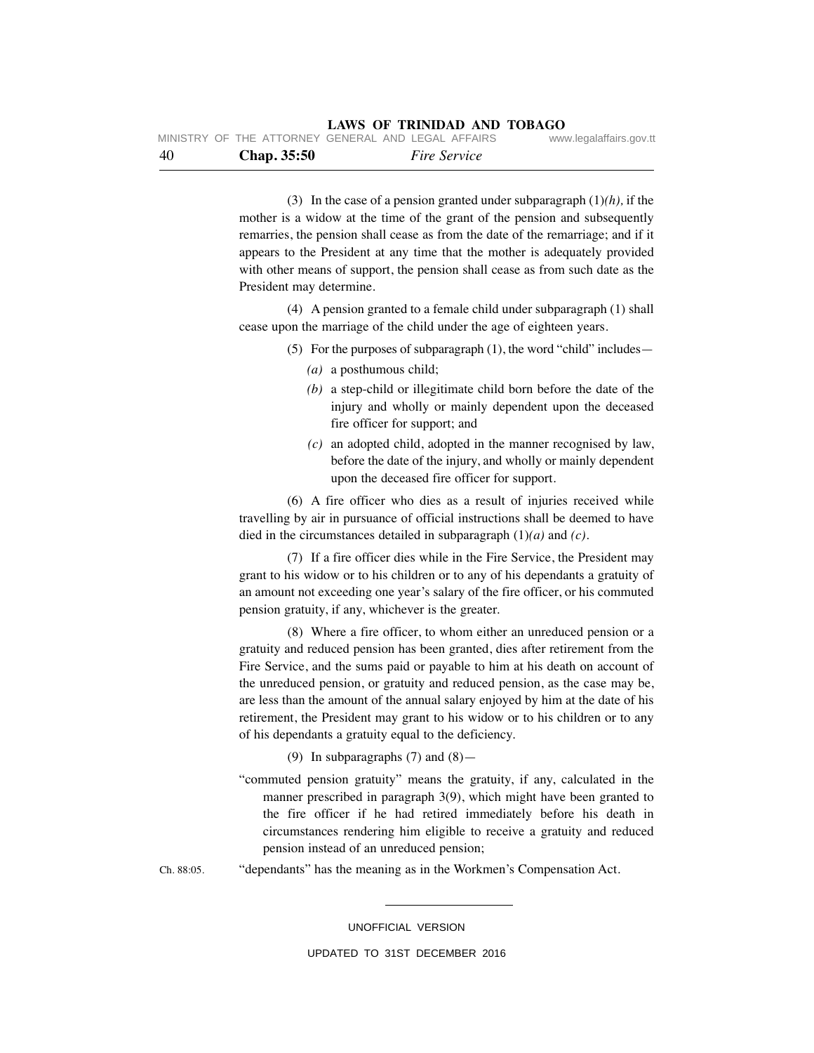| -40 | <b>Chap.</b> 35:50 | <i>Fire Service</i>                                |                         |
|-----|--------------------|----------------------------------------------------|-------------------------|
|     |                    | MINISTRY OF THE ATTORNEY GENERAL AND LEGAL AFFAIRS | www.legalaffairs.gov.tt |

 (3) In the case of a pension granted under subparagraph (1)*(h),* if the mother is a widow at the time of the grant of the pension and subsequently remarries, the pension shall cease as from the date of the remarriage; and if it appears to the President at any time that the mother is adequately provided with other means of support, the pension shall cease as from such date as the President may determine.

 (4) A pension granted to a female child under subparagraph (1) shall cease upon the marriage of the child under the age of eighteen years.

- (5) For the purposes of subparagraph (1), the word "child" includes—
	- *(a)* a posthumous child;
	- *(b)* a step-child or illegitimate child born before the date of the injury and wholly or mainly dependent upon the deceased fire officer for support; and
	- *(c)* an adopted child, adopted in the manner recognised by law, before the date of the injury, and wholly or mainly dependent upon the deceased fire officer for support.

 (6) A fire officer who dies as a result of injuries received while travelling by air in pursuance of official instructions shall be deemed to have died in the circumstances detailed in subparagraph (1)*(a)* and *(c)*.

 (7) If a fire officer dies while in the Fire Service, the President may grant to his widow or to his children or to any of his dependants a gratuity of an amount not exceeding one year's salary of the fire officer, or his commuted pension gratuity, if any, whichever is the greater.

 (8) Where a fire officer, to whom either an unreduced pension or a gratuity and reduced pension has been granted, dies after retirement from the Fire Service, and the sums paid or payable to him at his death on account of the unreduced pension, or gratuity and reduced pension, as the case may be, are less than the amount of the annual salary enjoyed by him at the date of his retirement, the President may grant to his widow or to his children or to any of his dependants a gratuity equal to the deficiency.

(9) In subparagraphs  $(7)$  and  $(8)$ —

"commuted pension gratuity" means the gratuity, if any, calculated in the manner prescribed in paragraph 3(9), which might have been granted to the fire officer if he had retired immediately before his death in circumstances rendering him eligible to receive a gratuity and reduced pension instead of an unreduced pension;

Ch. 88:05. "dependants" has the meaning as in the Workmen's Compensation Act.

UNOFFICIAL VERSION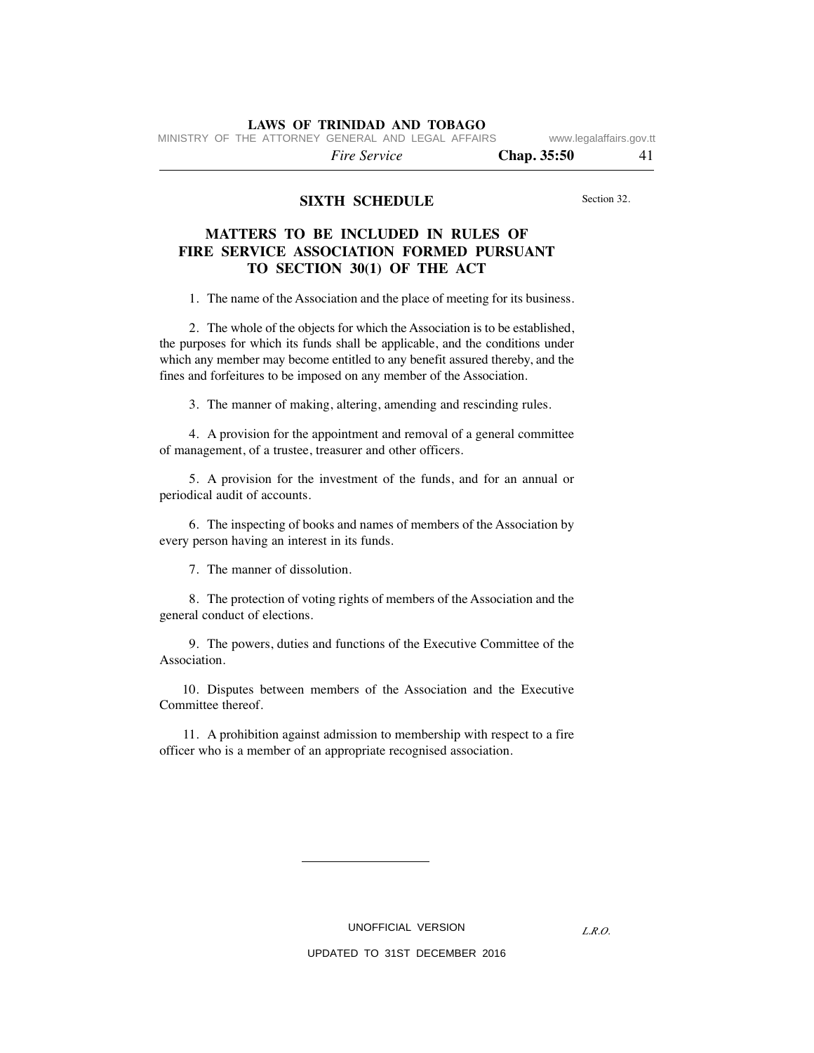MINISTRY OF THE ATTORNEY GENERAL AND LEGAL AFFAIRS www.legalaffairs.gov.tt

 *Fire Service* **Chap. 35:50** 41

# **SIXTH SCHEDULE**

Section 32.

# **MATTERS TO BE INCLUDED IN RULES OF FIRE SERVICE ASSOCIATION FORMED PURSUANT TO SECTION 30(1) OF THE ACT**

1. The name of the Association and the place of meeting for its business.

 2. The whole of the objects for which the Association is to be established, the purposes for which its funds shall be applicable, and the conditions under which any member may become entitled to any benefit assured thereby, and the fines and forfeitures to be imposed on any member of the Association.

3. The manner of making, altering, amending and rescinding rules.

 4. A provision for the appointment and removal of a general committee of management, of a trustee, treasurer and other officers.

 5. A provision for the investment of the funds, and for an annual or periodical audit of accounts.

 6. The inspecting of books and names of members of the Association by every person having an interest in its funds.

7. The manner of dissolution.

 8. The protection of voting rights of members of the Association and the general conduct of elections.

 9. The powers, duties and functions of the Executive Committee of the Association.

 10. Disputes between members of the Association and the Executive Committee thereof.

 11. A prohibition against admission to membership with respect to a fire officer who is a member of an appropriate recognised association.

UNOFFICIAL VERSION

*L.R.O.*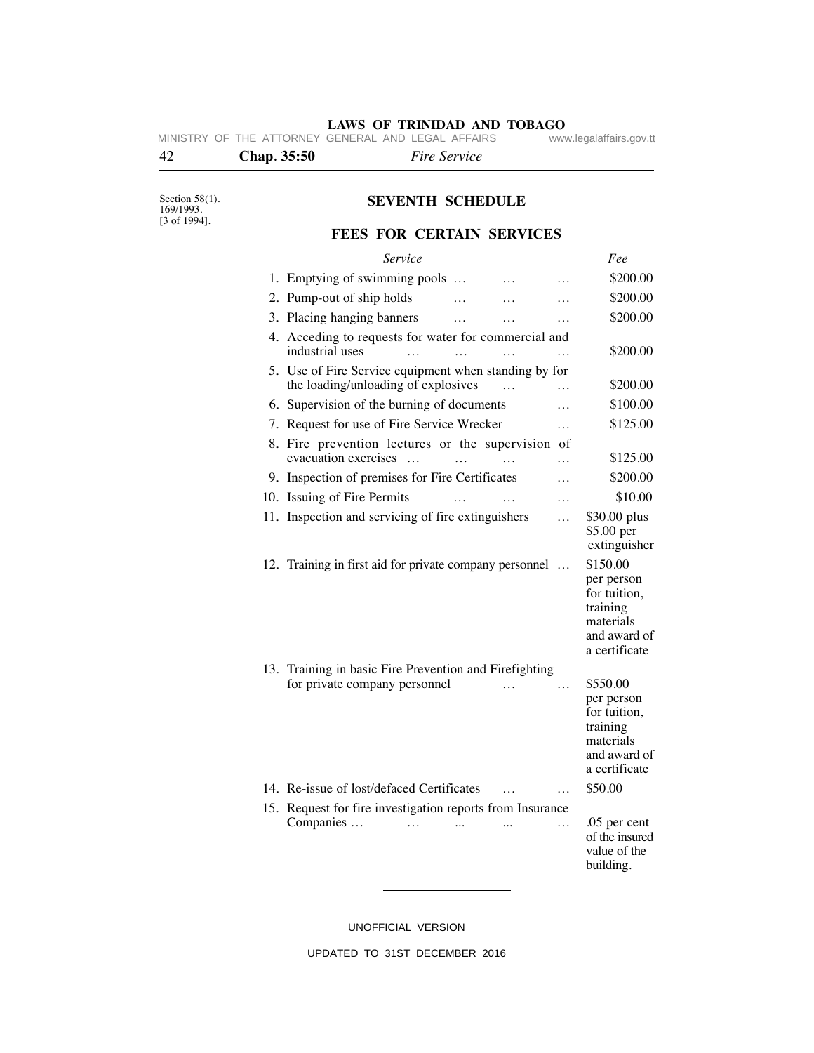**LAWS OF TRINIDAD AND TOBAGO**<br>GENERAL AND LEGAL AFFAIRS www.legalaffairs.gov.tt MINISTRY OF THE ATTORNEY GENERAL AND LEGAL AFFAIRS

# 42 **Chap. 35:50** *Fire Service*

Section 58(1). 169/1993. [3 of 1994].

# **SEVENTH SCHEDULE**

# **FEES FOR CERTAIN SERVICES**

| Service                                                                                      |          |           |          | Fee                                                                                              |
|----------------------------------------------------------------------------------------------|----------|-----------|----------|--------------------------------------------------------------------------------------------------|
| 1. Emptying of swimming pools                                                                |          |           | .        | \$200.00                                                                                         |
| 2. Pump-out of ship holds                                                                    |          |           |          | \$200.00                                                                                         |
| 3. Placing hanging banners                                                                   | .        | .         | .        | \$200.00                                                                                         |
| 4. Acceding to requests for water for commercial and<br>industrial uses<br>$\ddotsc$         | $\cdots$ | $\cdots$  | .        | \$200.00                                                                                         |
| 5. Use of Fire Service equipment when standing by for<br>the loading/unloading of explosives |          | $\ddotsc$ | .        | \$200.00                                                                                         |
| 6. Supervision of the burning of documents                                                   |          |           | .        | \$100.00                                                                                         |
| 7. Request for use of Fire Service Wrecker                                                   |          |           | $\cdots$ | \$125.00                                                                                         |
| 8. Fire prevention lectures or the supervision of<br>evacuation exercises<br>$\sim$          |          |           | .        | \$125.00                                                                                         |
| 9. Inspection of premises for Fire Certificates                                              |          |           | .        | \$200.00                                                                                         |
| 10. Issuing of Fire Permits                                                                  |          |           | .        | \$10.00                                                                                          |
| 11. Inspection and servicing of fire extinguishers                                           |          |           | .        | \$30.00 plus<br>\$5.00 per<br>extinguisher                                                       |
| 12. Training in first aid for private company personnel                                      |          |           |          | \$150.00<br>per person<br>for tuition,<br>training<br>materials<br>and award of<br>a certificate |
| 13. Training in basic Fire Prevention and Firefighting<br>for private company personnel      |          | $\cdots$  | .        | \$550.00<br>per person<br>for tuition,<br>training<br>materials<br>and award of<br>a certificate |
| 14. Re-issue of lost/defaced Certificates                                                    |          |           | $\cdots$ | \$50.00                                                                                          |
| 15. Request for fire investigation reports from Insurance<br>Companies<br>$\cdots$           | $\cdots$ |           | .        | .05 per cent<br>of the insured<br>value of the<br>building.                                      |

UNOFFICIAL VERSION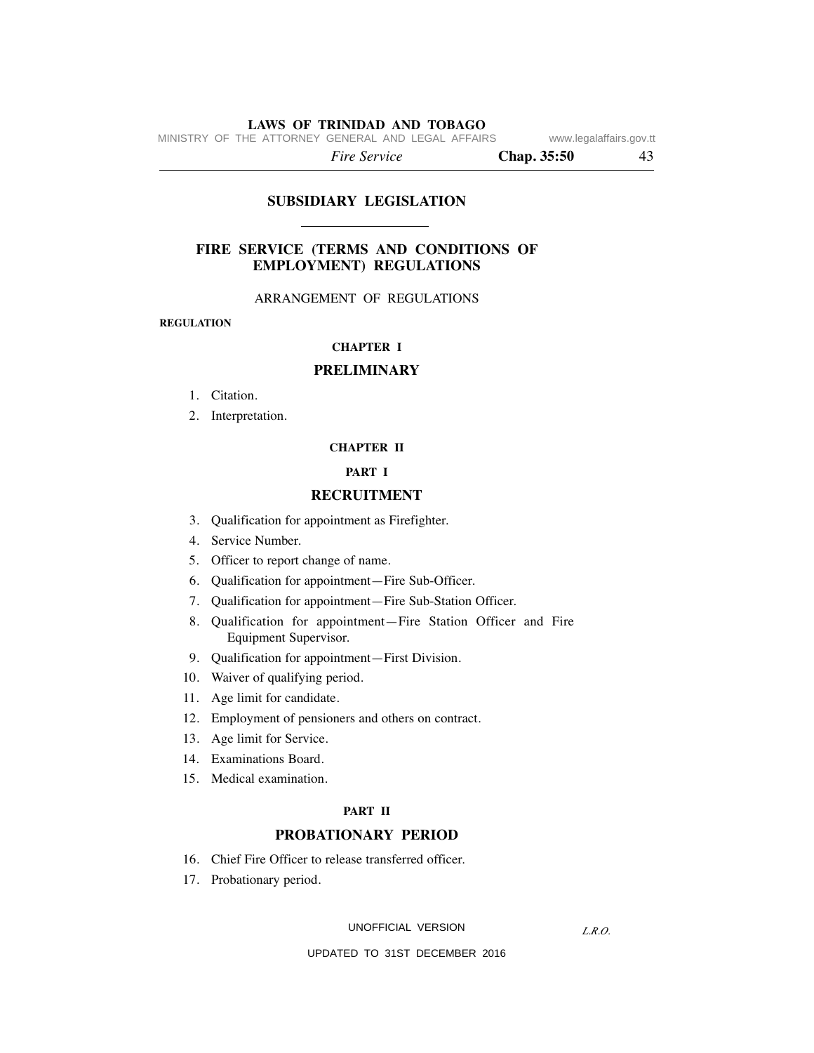MINISTRY OF THE ATTORNEY GENERAL AND LEGAL AFFAIRS www.legalaffairs.gov.tt

 *Fire Service* **Chap. 35:50** 43

# **SUBSIDIARY LEGISLATION**

# **FIRE SERVICE (TERMS AND CONDITIONS OF EMPLOYMENT) REGULATIONS**

## ARRANGEMENT OF REGULATIONS

**REGULATION**

### **CHAPTER I**

# **PRELIMINARY**

- 1. Citation.
- 2. Interpretation.

# **CHAPTER II**

## **PART I**

### **RECRUITMENT**

- 3. Qualification for appointment as Firefighter.
- 4. Service Number.
- 5. Officer to report change of name.
- 6. Qualification for appointment—Fire Sub-Officer.
- 7. Qualification for appointment—Fire Sub-Station Officer.
- 8. Qualification for appointment—Fire Station Officer and Fire Equipment Supervisor.
- 9. Qualification for appointment—First Division.
- 10. Waiver of qualifying period.
- 11. Age limit for candidate.
- 12. Employment of pensioners and others on contract.
- 13. Age limit for Service.
- 14. Examinations Board.
- 15. Medical examination.

# **PART II**

# **PROBATIONARY PERIOD**

- 16. Chief Fire Officer to release transferred officer.
- 17. Probationary period.

UNOFFICIAL VERSION

*L.R.O.*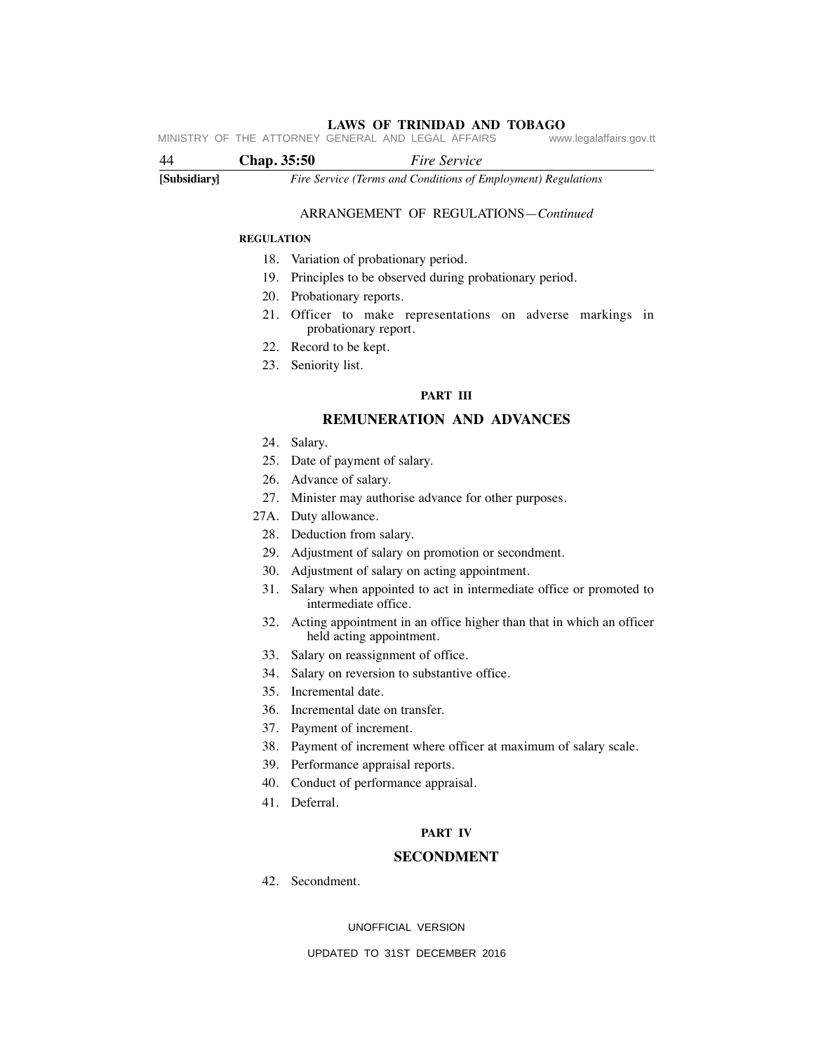**LAWS OF TRINIDAD AND TOBAGO** MINISTRY OF THE ATTORNEY GENERAL AND LEGAL AFFAIRS

# **[Subsidiary]** *Fire Service (Terms and Conditions of Employment) Regulations* 44 **Chap. 35:50** *Fire Service*

## ARRANGEMENT OF REGULATIONS—*Continued*

#### **REGULATION**

- 18. Variation of probationary period.
- 19. Principles to be observed during probationary period.
- 20. Probationary reports.
- 21. Officer to make representations on adverse markings in probationary report.
- 22. Record to be kept.
- 23. Seniority list.

# **PART III**

# **REMUNERATION AND ADVANCES**

- 24. Salary.
- 25. Date of payment of salary.
- 26. Advance of salary.
- 27. Minister may authorise advance for other purposes.
- 27A. Duty allowance.
	- 28. Deduction from salary.
	- 29. Adjustment of salary on promotion or secondment.
	- 30. Adjustment of salary on acting appointment.
	- 31. Salary when appointed to act in intermediate office or promoted to intermediate office.
	- 32. Acting appointment in an office higher than that in which an officer held acting appointment.
	- 33. Salary on reassignment of office.
	- 34. Salary on reversion to substantive office.
	- 35. Incremental date.
	- 36. Incremental date on transfer.
	- 37. Payment of increment.
	- 38. Payment of increment where officer at maximum of salary scale.
	- 39. Performance appraisal reports.
	- 40. Conduct of performance appraisal.
	- 41. Deferral.

# **PART IV**

### **SECONDMENT**

42. Secondment.

UNOFFICIAL VERSION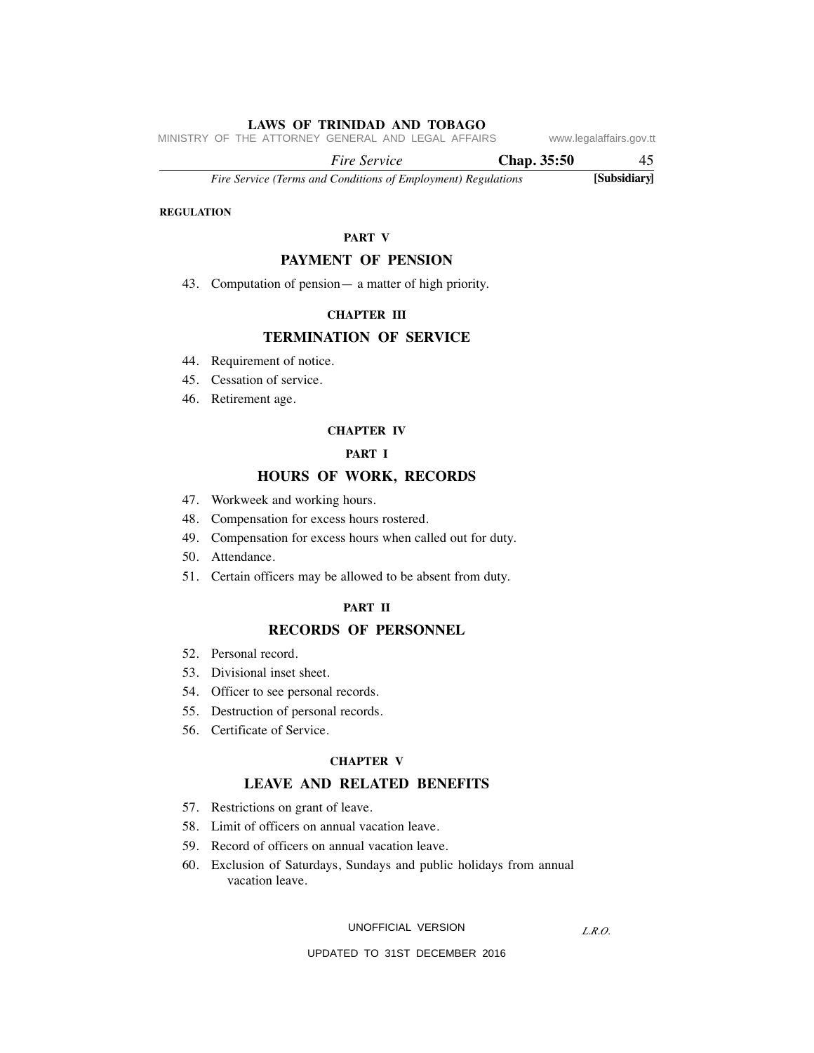MINISTRY OF THE ATTORNEY GENERAL AND LEGAL AFFAIRS www.legalaffairs.gov.tt

 *Fire Service* **Chap. 35:50** 45

*Fire Service (Terms and Conditions of Employment) Regulations* **[Subsidiary]**

# **REGULATION**

# **PART V**

## **PAYMENT OF PENSION**

43. Computation of pension— a matter of high priority.

# **CHAPTER III**

# **TERMINATION OF SERVICE**

- 44. Requirement of notice.
- 45. Cessation of service.
- 46. Retirement age.

#### **CHAPTER IV**

# **PART I**

# **HOURS OF WORK, RECORDS**

- 47. Workweek and working hours.
- 48. Compensation for excess hours rostered.
- 49. Compensation for excess hours when called out for duty.
- 50. Attendance.
- 51. Certain officers may be allowed to be absent from duty.

# **PART II**

# **RECORDS OF PERSONNEL**

- 52. Personal record.
- 53. Divisional inset sheet.
- 54. Officer to see personal records.
- 55. Destruction of personal records.
- 56. Certificate of Service.

#### **CHAPTER V**

# **LEAVE AND RELATED BENEFITS**

- 57. Restrictions on grant of leave.
- 58. Limit of officers on annual vacation leave.
- 59. Record of officers on annual vacation leave.
- 60. Exclusion of Saturdays, Sundays and public holidays from annual vacation leave.

#### UNOFFICIAL VERSION

*L.R.O.*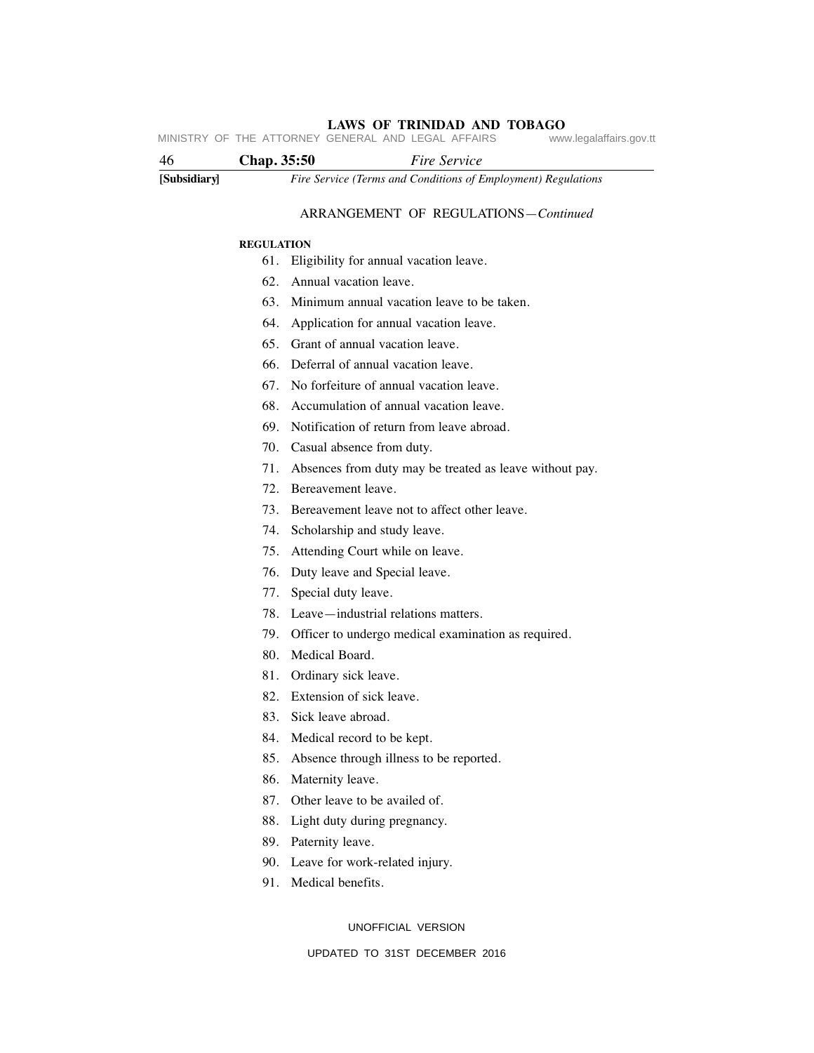**LAWS OF TRINIDAD AND TOBAGO** MINISTRY OF THE ATTORNEY GENERAL AND LEGAL AFFAIRS

| -46          | Chap. 35:50 | <i>Fire Service</i>                                           |
|--------------|-------------|---------------------------------------------------------------|
| [Subsidiary] |             | Fire Service (Terms and Conditions of Employment) Regulations |

## ARRANGEMENT OF REGULATIONS—*Continued*

#### **REGULATION**

- 61. Eligibility for annual vacation leave.
- 62. Annual vacation leave.
- 63. Minimum annual vacation leave to be taken.
- 64. Application for annual vacation leave.
- 65. Grant of annual vacation leave.
- 66. Deferral of annual vacation leave.
- 67. No forfeiture of annual vacation leave.
- 68. Accumulation of annual vacation leave.
- 69. Notification of return from leave abroad.
- 70. Casual absence from duty.
- 71. Absences from duty may be treated as leave without pay.
- 72. Bereavement leave.
- 73. Bereavement leave not to affect other leave.
- 74. Scholarship and study leave.
- 75. Attending Court while on leave.
- 76. Duty leave and Special leave.
- 77. Special duty leave.
- 78. Leave—industrial relations matters.
- 79. Officer to undergo medical examination as required.
- 80. Medical Board.
- 81. Ordinary sick leave.
- 82. Extension of sick leave.
- 83. Sick leave abroad.
- 84. Medical record to be kept.
- 85. Absence through illness to be reported.
- 86. Maternity leave.
- 87. Other leave to be availed of.
- 88. Light duty during pregnancy.
- 89. Paternity leave.
- 90. Leave for work-related injury.
- 91. Medical benefits.

UNOFFICIAL VERSION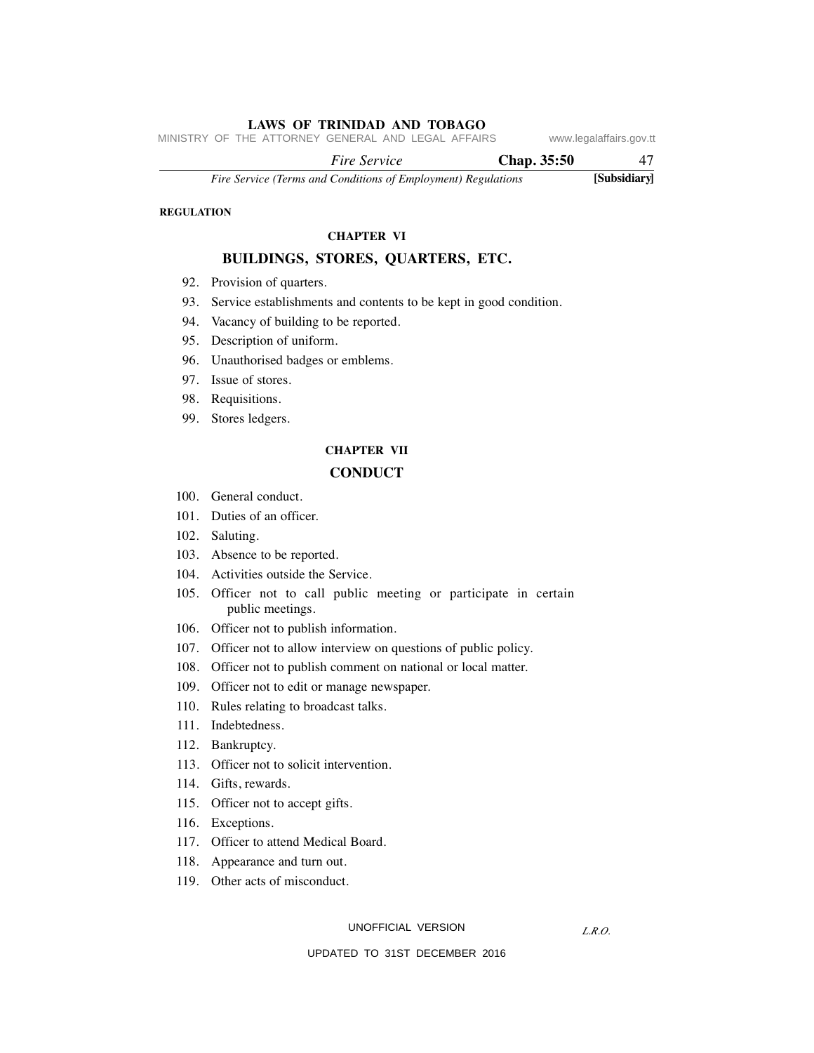MINISTRY OF THE ATTORNEY GENERAL AND LEGAL AFFAIRS www.legalaffairs.gov.tt

 *Fire Service* **Chap. 35:50** 47

*Fire Service (Terms and Conditions of Employment) Regulations* **[Subsidiary]**

# **REGULATION**

# **CHAPTER VI**

# **BUILDINGS, STORES, QUARTERS, ETC.**

- 92. Provision of quarters.
- 93. Service establishments and contents to be kept in good condition.
- 94. Vacancy of building to be reported.
- 95. Description of uniform.
- 96. Unauthorised badges or emblems.
- 97. Issue of stores.
- 98. Requisitions.
- 99. Stores ledgers.

# **CHAPTER VII CONDUCT**

- 100. General conduct.
- 101. Duties of an officer.
- 102. Saluting.
- 103. Absence to be reported.
- 104. Activities outside the Service.
- 105. Officer not to call public meeting or participate in certain public meetings.
- 106. Officer not to publish information.
- 107. Officer not to allow interview on questions of public policy.
- 108. Officer not to publish comment on national or local matter.
- 109. Officer not to edit or manage newspaper.
- 110. Rules relating to broadcast talks.
- 111. Indebtedness.
- 112. Bankruptcy.
- 113. Officer not to solicit intervention.
- 114. Gifts, rewards.
- 115. Officer not to accept gifts.
- 116. Exceptions.
- 117. Officer to attend Medical Board.
- 118. Appearance and turn out.
- 119. Other acts of misconduct.

UNOFFICIAL VERSION

*L.R.O.*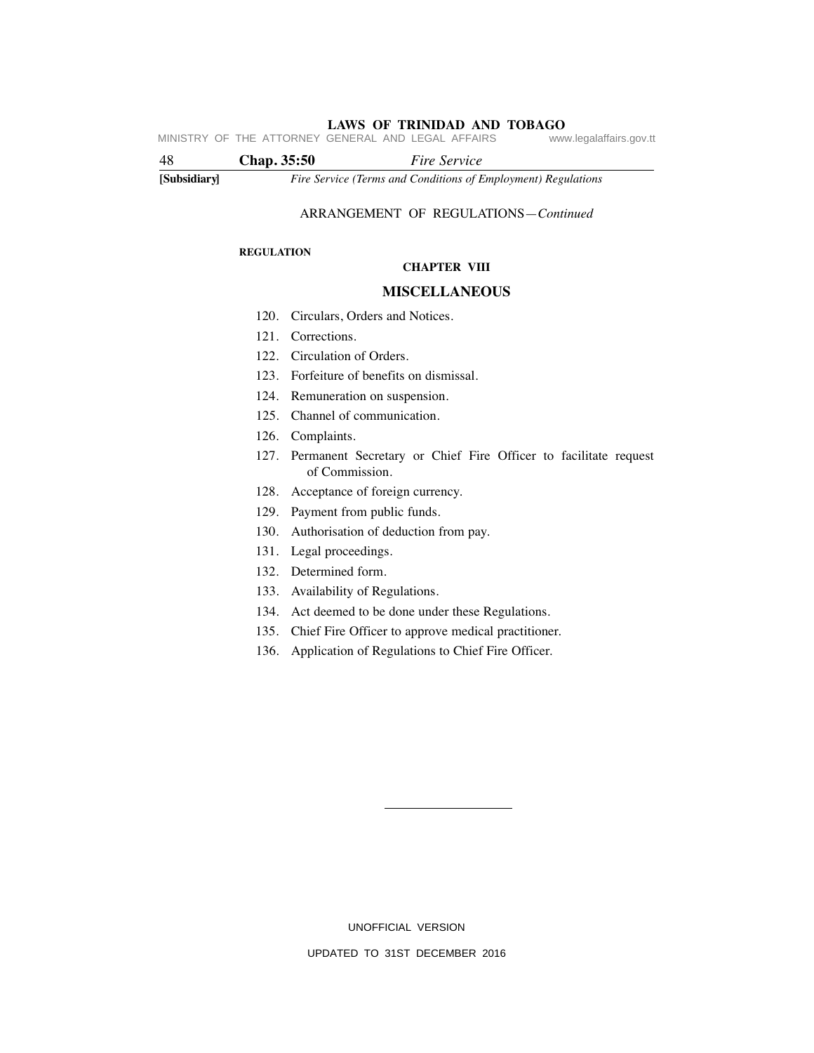**LAWS OF TRINIDAD AND TOBAGO** MINISTRY OF THE ATTORNEY GENERAL AND LEGAL AFFAIRS

**[Subsidiary]** *Fire Service (Terms and Conditions of Employment) Regulations* 48 **Chap. 35:50** *Fire Service*

# ARRANGEMENT OF REGULATIONS—*Continued*

#### **REGULATION**

### **CHAPTER VIII**

# **MISCELLANEOUS**

- 120. Circulars, Orders and Notices.
- 121. Corrections.
- 122. Circulation of Orders.
- 123. Forfeiture of benefits on dismissal.
- 124. Remuneration on suspension.
- 125. Channel of communication.
- 126. Complaints.
- 127. Permanent Secretary or Chief Fire Officer to facilitate request of Commission.
- 128. Acceptance of foreign currency.
- 129. Payment from public funds.
- 130. Authorisation of deduction from pay.
- 131. Legal proceedings.
- 132. Determined form.
- 133. Availability of Regulations.
- 134. Act deemed to be done under these Regulations.
- 135. Chief Fire Officer to approve medical practitioner.
- 136. Application of Regulations to Chief Fire Officer.

UNOFFICIAL VERSION UPDATED TO 31ST DECEMBER 2016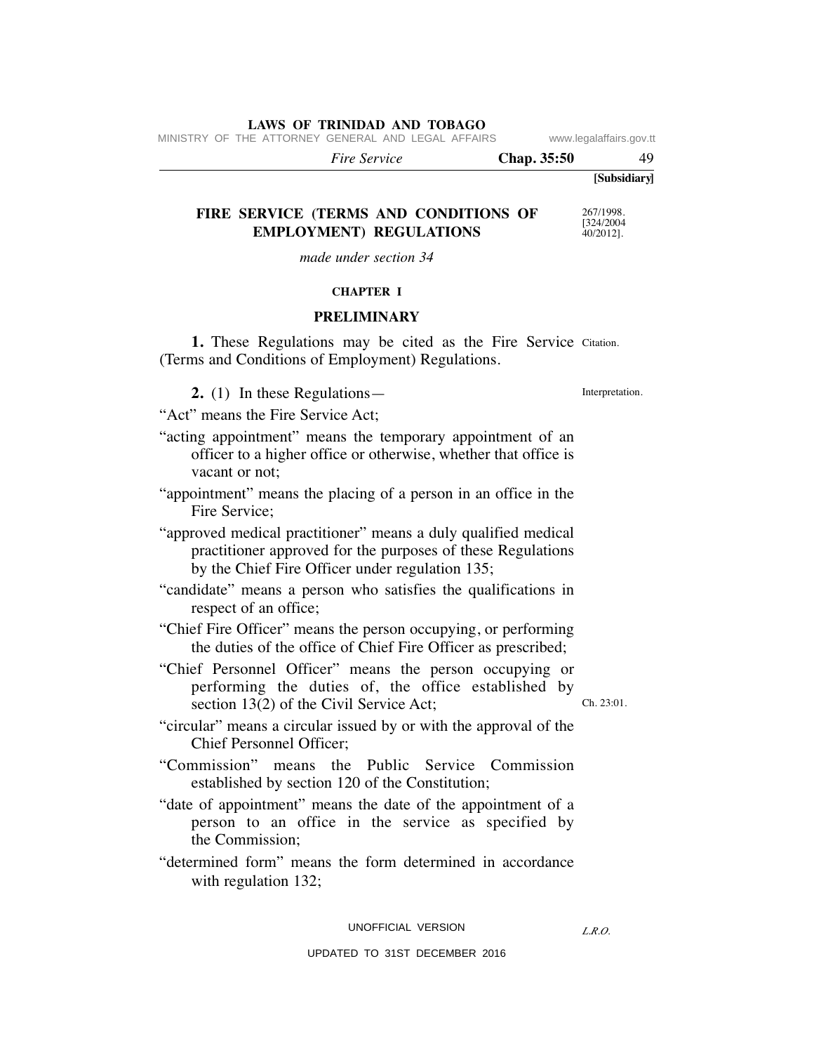MINISTRY OF THE ATTORNEY GENERAL AND LEGAL AFFAIRS www.legalaffairs.gov.tt

 *Fire Service* **Chap. 35:50** 49

# **FIRE SERVICE (TERMS AND CONDITIONS OF EMPLOYMENT) REGULATIONS**

*made under section 34*

# **CHAPTER I**

## **PRELIMINARY**

1. These Regulations may be cited as the Fire Service Citation. (Terms and Conditions of Employment) Regulations.

**2.** (1) In these Regulations—

Interpretation.

"Act" means the Fire Service Act;

- "acting appointment" means the temporary appointment of an officer to a higher office or otherwise, whether that office is vacant or not;
- "appointment" means the placing of a person in an office in the Fire Service;
- "approved medical practitioner" means a duly qualified medical practitioner approved for the purposes of these Regulations by the Chief Fire Officer under regulation 135;
- "candidate" means a person who satisfies the qualifications in respect of an office;
- "Chief Fire Officer" means the person occupying, or performing the duties of the office of Chief Fire Officer as prescribed;
- "Chief Personnel Officer" means the person occupying or performing the duties of, the office established by section 13(2) of the Civil Service Act;
	- Ch. 23:01.
- "circular" means a circular issued by or with the approval of the Chief Personnel Officer;
- "Commission" means the Public Service Commission established by section 120 of the Constitution;
- "date of appointment" means the date of the appointment of a person to an office in the service as specified by the Commission;
- "determined form" means the form determined in accordance with regulation 132;

#### UNOFFICIAL VERSION

*L.R.O.* 

**[Subsidiary]**

267/1998. [324/2004]  $40/2012$ ].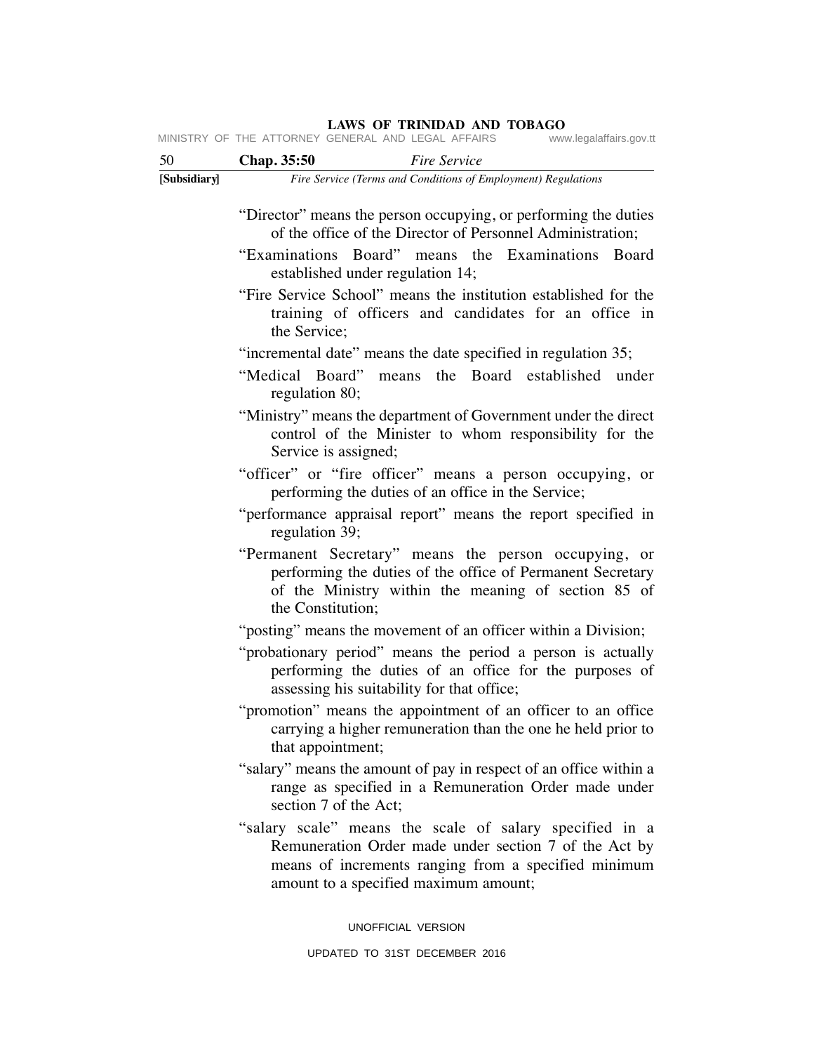MINISTRY OF THE ATTORNEY GENERAL AND LEGAL AFFAIRS www.legalaffairs.gov.tt

| 50           | Chap. 35:50<br><b>Fire Service</b>                                                                                                                                                                                |
|--------------|-------------------------------------------------------------------------------------------------------------------------------------------------------------------------------------------------------------------|
| [Subsidiary] | Fire Service (Terms and Conditions of Employment) Regulations                                                                                                                                                     |
|              | "Director" means the person occupying, or performing the duties<br>of the office of the Director of Personnel Administration;                                                                                     |
|              | "Examinations Board" means the Examinations Board<br>established under regulation 14;                                                                                                                             |
|              | "Fire Service School" means the institution established for the<br>training of officers and candidates for an office in<br>the Service;                                                                           |
|              | "incremental date" means the date specified in regulation 35;                                                                                                                                                     |
|              | "Medical Board"<br>means the Board established under<br>regulation 80;                                                                                                                                            |
|              | "Ministry" means the department of Government under the direct<br>control of the Minister to whom responsibility for the<br>Service is assigned;                                                                  |
|              | "officer" or "fire officer" means a person occupying, or<br>performing the duties of an office in the Service;                                                                                                    |
|              | "performance appraisal report" means the report specified in<br>regulation 39;                                                                                                                                    |
|              | "Permanent Secretary" means the person occupying, or<br>performing the duties of the office of Permanent Secretary<br>of the Ministry within the meaning of section 85 of<br>the Constitution;                    |
|              | "posting" means the movement of an officer within a Division;                                                                                                                                                     |
|              | "probationary period" means the period a person is actually<br>performing the duties of an office for the purposes of<br>assessing his suitability for that office;                                               |
|              | "promotion" means the appointment of an officer to an office<br>carrying a higher remuneration than the one he held prior to<br>that appointment;                                                                 |
|              | "salary" means the amount of pay in respect of an office within a<br>range as specified in a Remuneration Order made under<br>section 7 of the Act;                                                               |
|              | "salary scale" means the scale of salary specified in a<br>Remuneration Order made under section 7 of the Act by<br>means of increments ranging from a specified minimum<br>amount to a specified maximum amount; |
|              | UNOFFICIAL VERSION                                                                                                                                                                                                |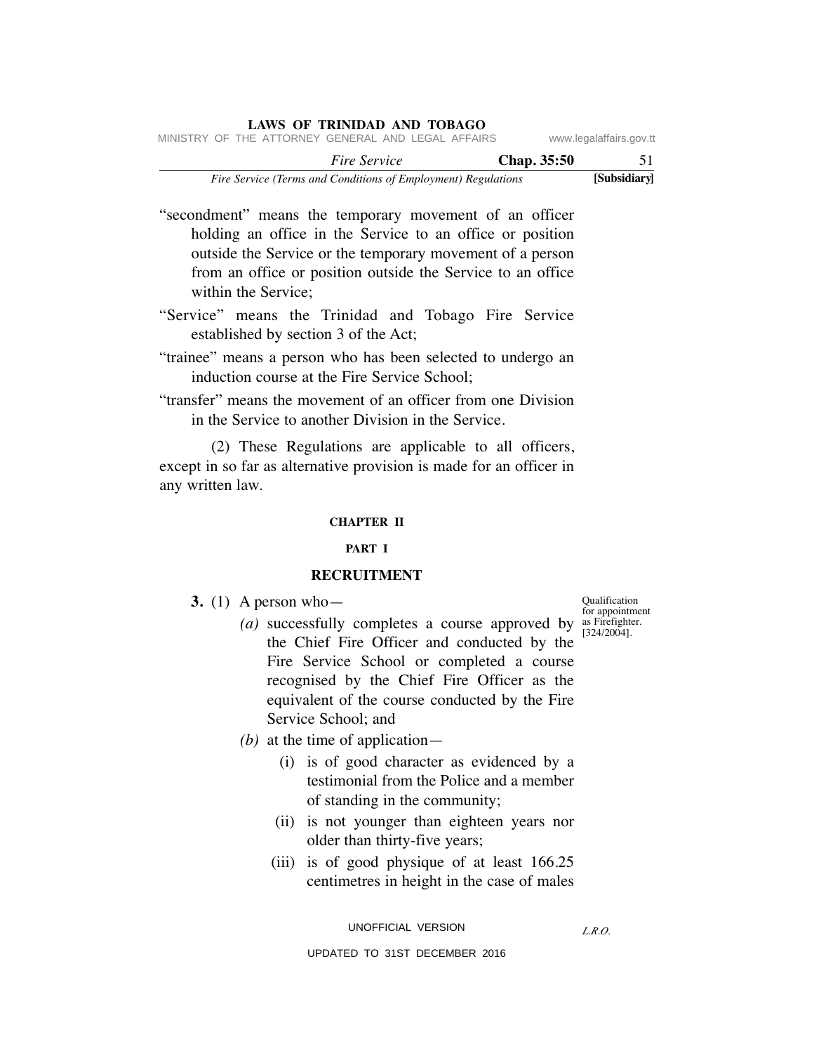|                                                    |  | <b>LAWS OF TRINIDAD AND TOBAGO</b>                            |                     |  |  |             |                         |
|----------------------------------------------------|--|---------------------------------------------------------------|---------------------|--|--|-------------|-------------------------|
| MINISTRY OF THE ATTORNEY GENERAL AND LEGAL AFFAIRS |  |                                                               |                     |  |  |             | www.legalaffairs.gov.tt |
|                                                    |  |                                                               | <i>Fire Service</i> |  |  | Chap. 35:50 | 51                      |
|                                                    |  | Fire Service (Terms and Conditions of Employment) Regulations |                     |  |  |             | [Subsidiary]            |

"secondment" means the temporary movement of an officer holding an office in the Service to an office or position outside the Service or the temporary movement of a person from an office or position outside the Service to an office within the Service;

- "Service" means the Trinidad and Tobago Fire Service established by section 3 of the Act;
- "trainee" means a person who has been selected to undergo an induction course at the Fire Service School;
- "transfer" means the movement of an officer from one Division in the Service to another Division in the Service.

 (2) These Regulations are applicable to all officers, except in so far as alternative provision is made for an officer in any written law.

### **CHAPTER II**

# **PART I**

# **RECRUITMENT**

- **3.** (1) A person who—
- $(a)$  successfully completes a course approved by  $\frac{\text{for appointment}}{\text{as Pirefigure}}$  (a) the Chief Fire Officer and conducted by the Fire Service School or completed a course recognised by the Chief Fire Officer as the equivalent of the course conducted by the Fire Service School; and
	- *(b)* at the time of application—
		- (i) is of good character as evidenced by a testimonial from the Police and a member of standing in the community;
		- (ii) is not younger than eighteen years nor older than thirty-five years;
		- (iii) is of good physique of at least 166.25 centimetres in height in the case of males

UNOFFICIAL VERSION

*L.R.O.* 

UPDATED TO 31ST DECEMBER 2016

Qualification as Firefighter. [324/2004].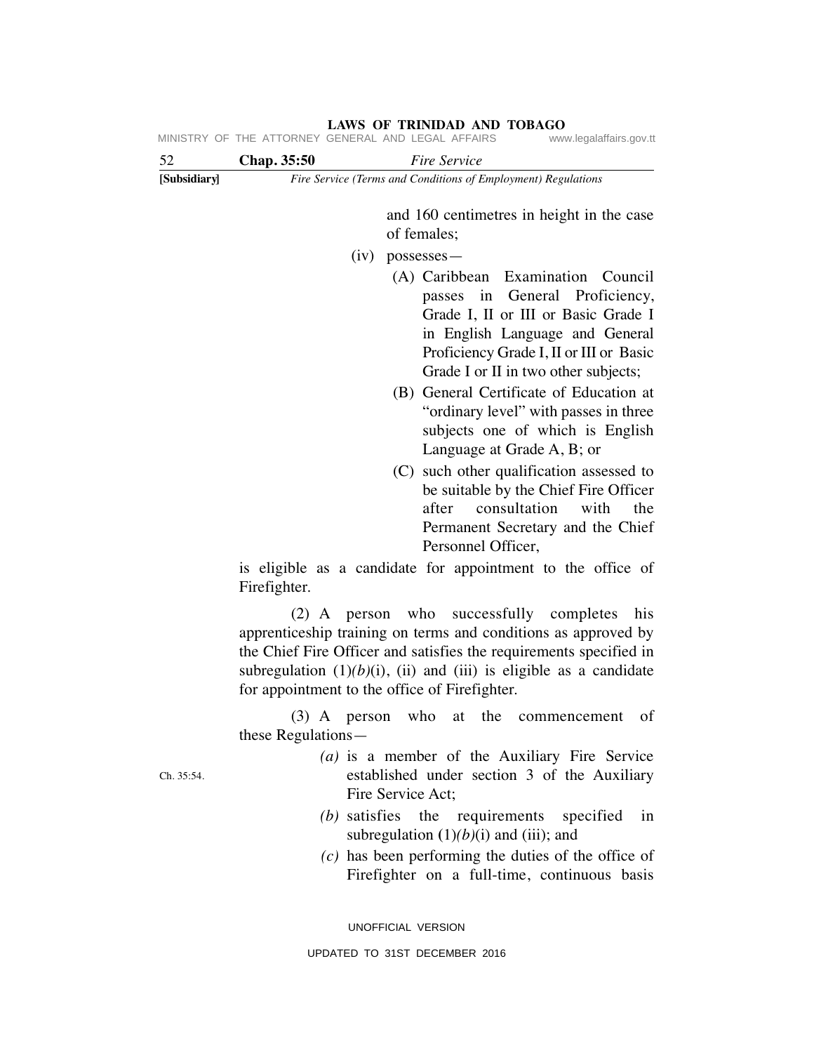| 52           | Chap. 35:50<br>Fire Service                                                                                                                                                                                                                                                                                      |
|--------------|------------------------------------------------------------------------------------------------------------------------------------------------------------------------------------------------------------------------------------------------------------------------------------------------------------------|
| [Subsidiary] | Fire Service (Terms and Conditions of Employment) Regulations                                                                                                                                                                                                                                                    |
|              | and 160 centimetres in height in the case<br>of females;                                                                                                                                                                                                                                                         |
|              | $(iv)$ possesses —                                                                                                                                                                                                                                                                                               |
|              | (A) Caribbean Examination Council<br>passes in General Proficiency,<br>Grade I, II or III or Basic Grade I<br>in English Language and General<br>Proficiency Grade I, II or III or Basic<br>Grade I or II in two other subjects;                                                                                 |
|              | (B) General Certificate of Education at<br>"ordinary level" with passes in three<br>subjects one of which is English<br>Language at Grade A, B; or                                                                                                                                                               |
|              | (C) such other qualification assessed to<br>be suitable by the Chief Fire Officer<br>consultation<br>after<br>with<br>the<br>Permanent Secretary and the Chief<br>Personnel Officer,                                                                                                                             |
|              | is eligible as a candidate for appointment to the office of<br>Firefighter.                                                                                                                                                                                                                                      |
|              | (2) A person who successfully completes<br>his<br>apprenticeship training on terms and conditions as approved by<br>the Chief Fire Officer and satisfies the requirements specified in<br>subregulation $(1)(b)(i)$ , (ii) and (iii) is eligible as a candidate<br>for appointment to the office of Firefighter. |
|              | $(3)$ A person who<br>at the<br>οf<br>commencement<br>these Regulations—                                                                                                                                                                                                                                         |
| Ch. 35:54.   | (a) is a member of the Auxiliary Fire Service<br>established under section 3 of the Auxiliary<br>Fire Service Act;                                                                                                                                                                                               |
|              | (b) satisfies the requirements specified<br>1n<br>subregulation $(1)(b)(i)$ and (iii); and                                                                                                                                                                                                                       |
|              | $(c)$ has been performing the duties of the office of<br>Firefighter on a full-time, continuous basis                                                                                                                                                                                                            |

**LAWS OF TRINIDAD AND TOBAGO** MINISTRY OF THE ATTORNEY GENERAL AND LEGAL AFFAIRS www.legalaffairs.gov.tt

UNOFFICIAL VERSION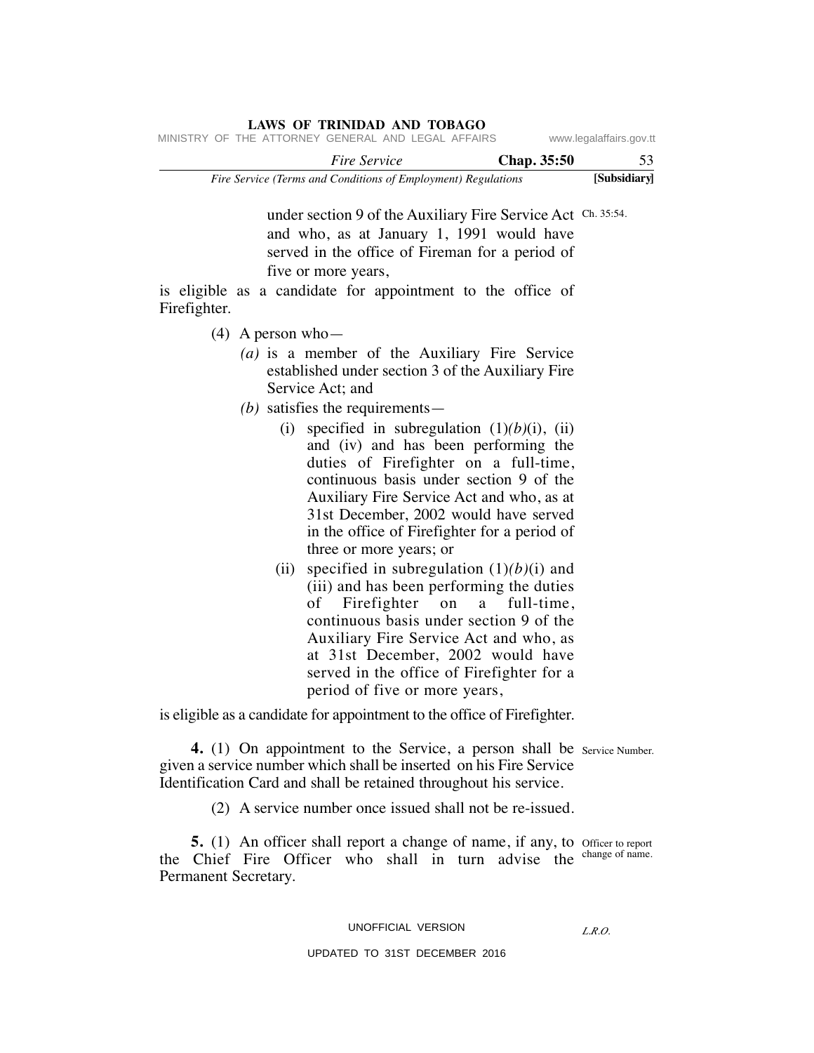|                         |                    |  |                     | LAWS OF ININIDAD AND TODAGO                                   |  |  |
|-------------------------|--------------------|--|---------------------|---------------------------------------------------------------|--|--|
| www.legalaffairs.gov.tt |                    |  |                     | MINISTRY OF THE ATTORNEY GENERAL AND LEGAL AFFAIRS            |  |  |
| 53                      | <b>Chap.</b> 35:50 |  | <i>Fire Service</i> |                                                               |  |  |
| [Subsidiary]            |                    |  |                     | Fire Service (Terms and Conditions of Employment) Regulations |  |  |

under section 9 of the Auxiliary Fire Service Act Ch. 35:54. and who, as at January 1, 1991 would have served in the office of Fireman for a period of five or more years,

is eligible as a candidate for appointment to the office of Firefighter.

**LAWS OF TRINIDAD AND TOBAGO**

- (4) A person who—
	- *(a)* is a member of the Auxiliary Fire Service established under section 3 of the Auxiliary Fire Service Act; and
	- *(b)* satisfies the requirements—
		- (i) specified in subregulation  $(1)(b)(i)$ , (ii) and (iv) and has been performing the duties of Firefighter on a full-time, continuous basis under section 9 of the Auxiliary Fire Service Act and who, as at 31st December, 2002 would have served in the office of Firefighter for a period of three or more years; or
		- (ii) specified in subregulation (1)*(b)*(i) and (iii) and has been performing the duties of Firefighter on a full-time, continuous basis under section 9 of the Auxiliary Fire Service Act and who, as at 31st December, 2002 would have served in the office of Firefighter for a period of five or more years,

is eligible as a candidate for appointment to the office of Firefighter.

**4.** (1) On appointment to the Service, a person shall be service Number. given a service number which shall be inserted on his Fire Service Identification Card and shall be retained throughout his service.

(2) A service number once issued shall not be re-issued.

**5.** (1) An officer shall report a change of name, if any, to officer to report the Chief Fire Officer who shall in turn advise the change of name. Permanent Secretary.

# UNOFFICIAL VERSION

### UPDATED TO 31ST DECEMBER 2016

*L.R.O.*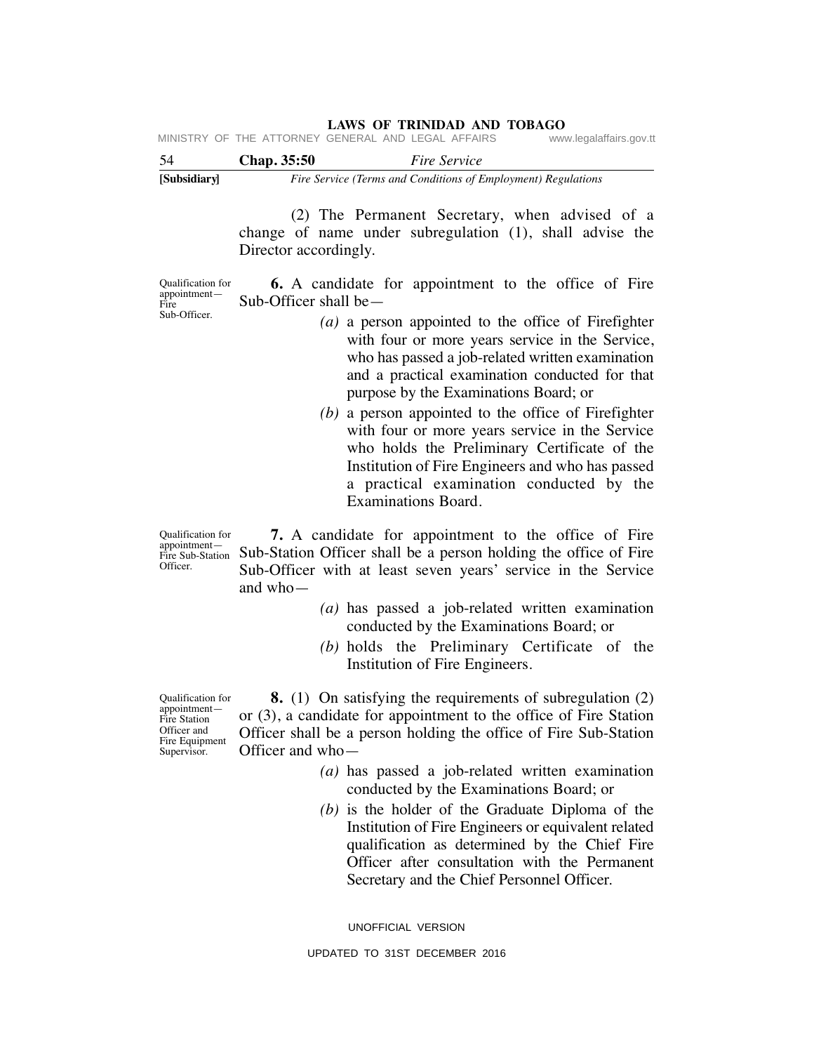| [Subsidiary] |                    | Fire Service (Terms and Conditions of Employment) Regulations                 |
|--------------|--------------------|-------------------------------------------------------------------------------|
| -54          | <b>Chap.</b> 35:50 | <i>Fire Service</i>                                                           |
|              |                    | MINISTRY OF THE ATTORNEY GENERAL AND LEGAL AFFAIRS<br>www.legalaffairs.gov.tt |

 (2) The Permanent Secretary, when advised of a change of name under subregulation (1), shall advise the Director accordingly.

Qualification for appointment— Fire Sub-Officer.

 **6.** A candidate for appointment to the office of Fire Sub-Officer shall be—

- *(a)* a person appointed to the office of Firefighter with four or more years service in the Service, who has passed a job-related written examination and a practical examination conducted for that purpose by the Examinations Board; or
- *(b)* a person appointed to the office of Firefighter with four or more years service in the Service who holds the Preliminary Certificate of the Institution of Fire Engineers and who has passed a practical examination conducted by the Examinations Board.

Qualification for appointment— Officer.

Fire Sub-Station Sub-Station Officer shall be a person holding the office of Fire  **7.** A candidate for appointment to the office of Fire Sub-Officer with at least seven years' service in the Service and who—

- *(a)* has passed a job-related written examination conducted by the Examinations Board; or
- *(b)* holds the Preliminary Certificate of the Institution of Fire Engineers.

Qualification for appointment— Fire Station Officer and Fire Equipment Supervisor.

 **8.** (1) On satisfying the requirements of subregulation (2) or (3), a candidate for appointment to the office of Fire Station Officer shall be a person holding the office of Fire Sub-Station Officer and who—

- *(a)* has passed a job-related written examination conducted by the Examinations Board; or
- *(b)* is the holder of the Graduate Diploma of the Institution of Fire Engineers or equivalent related qualification as determined by the Chief Fire Officer after consultation with the Permanent Secretary and the Chief Personnel Officer.

UNOFFICIAL VERSION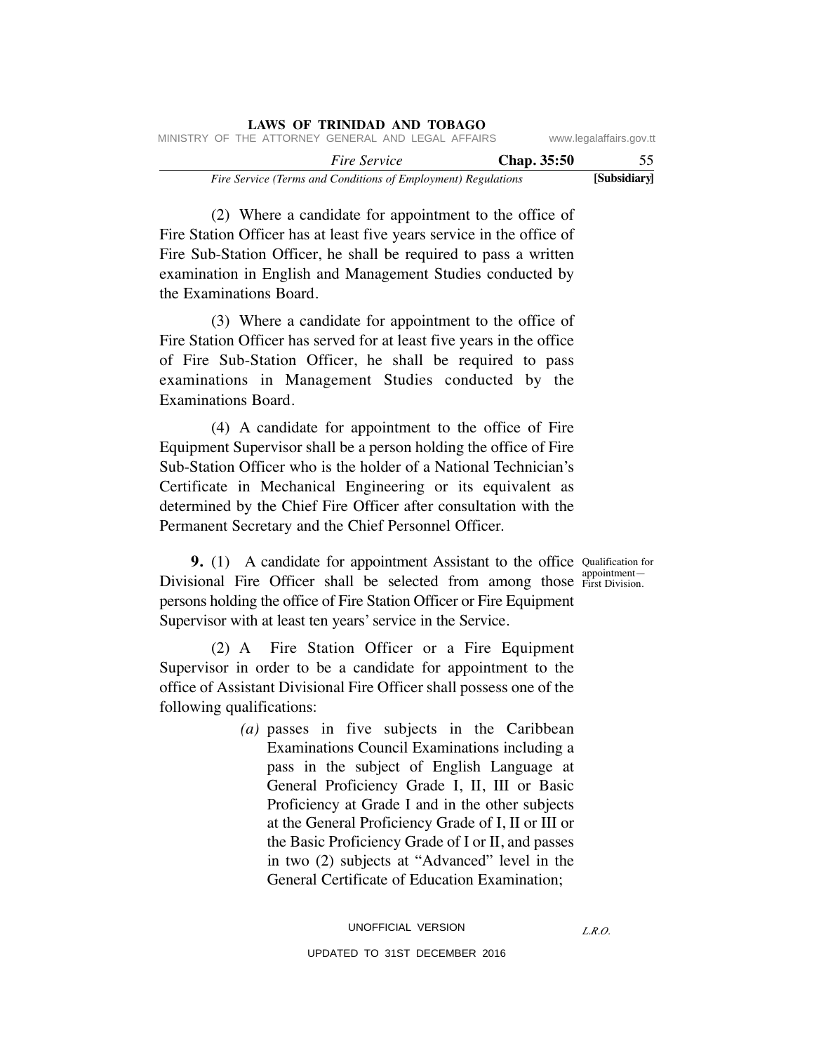|                         |             |                                                               | LAWS OF TRINIDAD AND TOBAGO |  |  |
|-------------------------|-------------|---------------------------------------------------------------|-----------------------------|--|--|
| www.legalaffairs.gov.tt |             | MINISTRY OF THE ATTORNEY GENERAL AND LEGAL AFFAIRS            |                             |  |  |
| 55                      | Chap. 35:50 |                                                               | <i>Fire Service</i>         |  |  |
| [Subsidiary]            |             | Fire Service (Terms and Conditions of Employment) Regulations |                             |  |  |

 (2) Where a candidate for appointment to the office of Fire Station Officer has at least five years service in the office of Fire Sub-Station Officer, he shall be required to pass a written examination in English and Management Studies conducted by the Examinations Board.

**LAWS OF TRINIDAD AND TOBAGO**

 (3) Where a candidate for appointment to the office of Fire Station Officer has served for at least five years in the office of Fire Sub-Station Officer, he shall be required to pass examinations in Management Studies conducted by the Examinations Board.

 (4) A candidate for appointment to the office of Fire Equipment Supervisor shall be a person holding the office of Fire Sub-Station Officer who is the holder of a National Technician's Certificate in Mechanical Engineering or its equivalent as determined by the Chief Fire Officer after consultation with the Permanent Secretary and the Chief Personnel Officer.

First Division.

**9.** (1) A candidate for appointment Assistant to the office Qualification for Divisional Fire Officer shall be selected from among those **appointment** persons holding the office of Fire Station Officer or Fire Equipment Supervisor with at least ten years' service in the Service.

 (2) A Fire Station Officer or a Fire Equipment Supervisor in order to be a candidate for appointment to the office of Assistant Divisional Fire Officer shall possess one of the following qualifications:

> *(a)* passes in five subjects in the Caribbean Examinations Council Examinations including a pass in the subject of English Language at General Proficiency Grade I, II, III or Basic Proficiency at Grade I and in the other subjects at the General Proficiency Grade of I, II or III or the Basic Proficiency Grade of I or II, and passes in two (2) subjects at "Advanced" level in the General Certificate of Education Examination;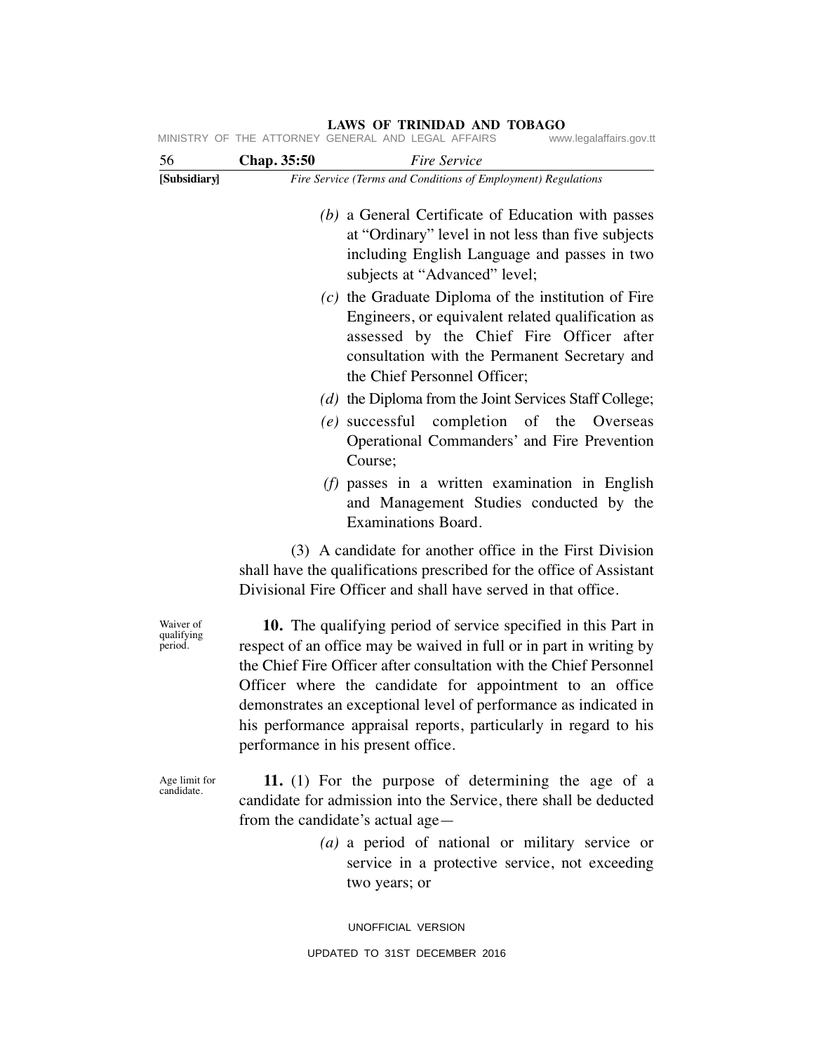| [Subsidiary]<br>Waiver of   | Fire Service (Terms and Conditions of Employment) Regulations<br>(b) a General Certificate of Education with passes<br>at "Ordinary" level in not less than five subjects<br>including English Language and passes in two<br>subjects at "Advanced" level;<br>$(c)$ the Graduate Diploma of the institution of Fire<br>Engineers, or equivalent related qualification as<br>assessed by the Chief Fire Officer after<br>consultation with the Permanent Secretary and<br>the Chief Personnel Officer;<br>(d) the Diploma from the Joint Services Staff College;<br>(e) successful completion of the Overseas<br>Operational Commanders' and Fire Prevention<br>Course: |
|-----------------------------|------------------------------------------------------------------------------------------------------------------------------------------------------------------------------------------------------------------------------------------------------------------------------------------------------------------------------------------------------------------------------------------------------------------------------------------------------------------------------------------------------------------------------------------------------------------------------------------------------------------------------------------------------------------------|
|                             |                                                                                                                                                                                                                                                                                                                                                                                                                                                                                                                                                                                                                                                                        |
|                             |                                                                                                                                                                                                                                                                                                                                                                                                                                                                                                                                                                                                                                                                        |
|                             |                                                                                                                                                                                                                                                                                                                                                                                                                                                                                                                                                                                                                                                                        |
|                             |                                                                                                                                                                                                                                                                                                                                                                                                                                                                                                                                                                                                                                                                        |
|                             | $(f)$ passes in a written examination in English<br>and Management Studies conducted by the<br>Examinations Board.                                                                                                                                                                                                                                                                                                                                                                                                                                                                                                                                                     |
|                             | (3) A candidate for another office in the First Division<br>shall have the qualifications prescribed for the office of Assistant<br>Divisional Fire Officer and shall have served in that office.                                                                                                                                                                                                                                                                                                                                                                                                                                                                      |
| qualifying<br>period.       | 10. The qualifying period of service specified in this Part in<br>respect of an office may be waived in full or in part in writing by<br>the Chief Fire Officer after consultation with the Chief Personnel<br>Officer where the candidate for appointment to an office<br>demonstrates an exceptional level of performance as indicated in<br>his performance appraisal reports, particularly in regard to his<br>performance in his present office.                                                                                                                                                                                                                  |
| Age limit for<br>candidate. | 11. (1) For the purpose of determining the age of a<br>candidate for admission into the Service, there shall be deducted<br>from the candidate's actual age—                                                                                                                                                                                                                                                                                                                                                                                                                                                                                                           |

service in a protective service, not exceeding two years; or

UNOFFICIAL VERSION UPDATED TO 31ST DECEMBER 2016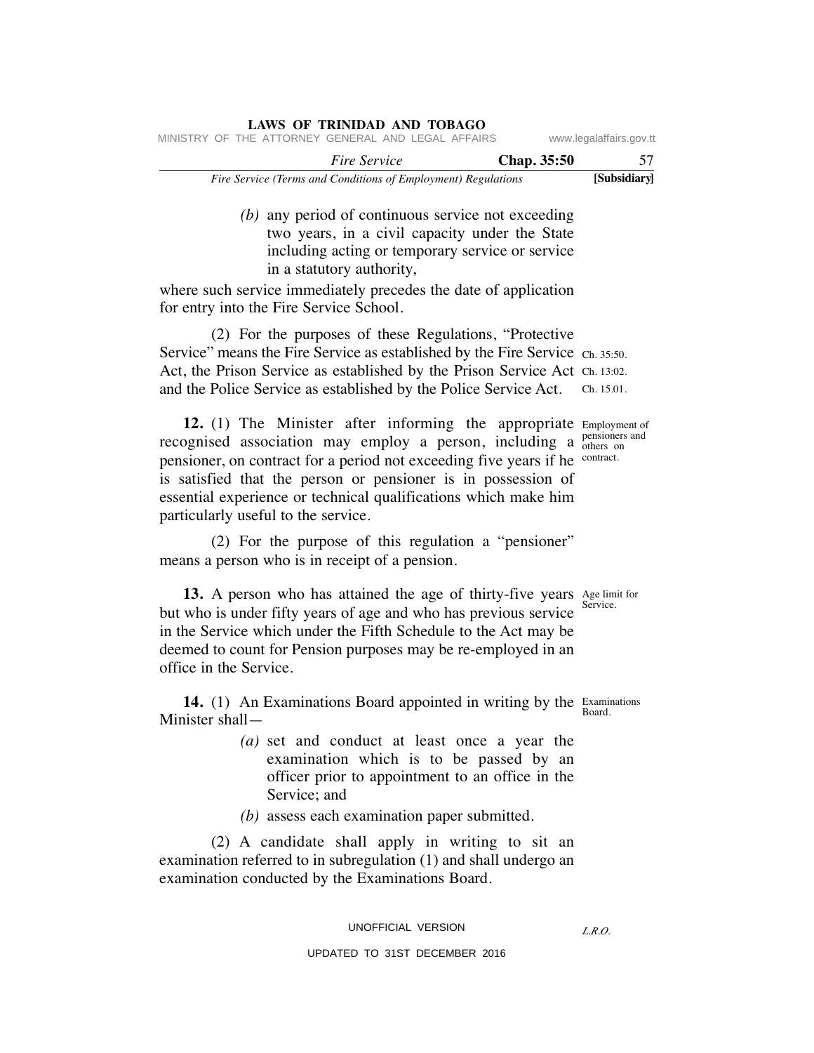|                         |                    |  |                     | LAND OF ININDING AND TODING                                   |  |  |
|-------------------------|--------------------|--|---------------------|---------------------------------------------------------------|--|--|
| www.legalaffairs.gov.tt |                    |  |                     | MINISTRY OF THE ATTORNEY GENERAL AND LEGAL AFFAIRS            |  |  |
| 57                      | <b>Chap.</b> 35:50 |  | <i>Fire Service</i> |                                                               |  |  |
| [Subsidiary]            |                    |  |                     | Fire Service (Terms and Conditions of Employment) Regulations |  |  |

 *(b)* any period of continuous service not exceeding two years, in a civil capacity under the State including acting or temporary service or service in a statutory authority,

where such service immediately precedes the date of application for entry into the Fire Service School.

**LAWS OF TRINIDAD AND TOBAGO**

 (2) For the purposes of these Regulations, "Protective Service" means the Fire Service as established by the Fire Service Ch. 35:50. Act, the Prison Service as established by the Prison Service Act Ch. 13:02. and the Police Service as established by the Police Service Act. Ch. 15.01.

12. (1) The Minister after informing the appropriate Employment of recognised association may employ a person, including a pensioners and pensioner, on contract for a period not exceeding five years if he is satisfied that the person or pensioner is in possession of essential experience or technical qualifications which make him particularly useful to the service.

 (2) For the purpose of this regulation a "pensioner" means a person who is in receipt of a pension.

**13.** A person who has attained the age of thirty-five years Age limit for but who is under fifty years of age and who has previous service in the Service which under the Fifth Schedule to the Act may be deemed to count for Pension purposes may be re-employed in an office in the Service.

14. (1) An Examinations Board appointed in writing by the Examinations Minister shall—

> *(a)* set and conduct at least once a year the examination which is to be passed by an officer prior to appointment to an office in the Service; and

*(b)* assess each examination paper submitted.

 (2) A candidate shall apply in writing to sit an examination referred to in subregulation (1) and shall undergo an examination conducted by the Examinations Board.

# UNOFFICIAL VERSION

# UPDATED TO 31ST DECEMBER 2016

others on contract.

Service.

Board.

*L.R.O.*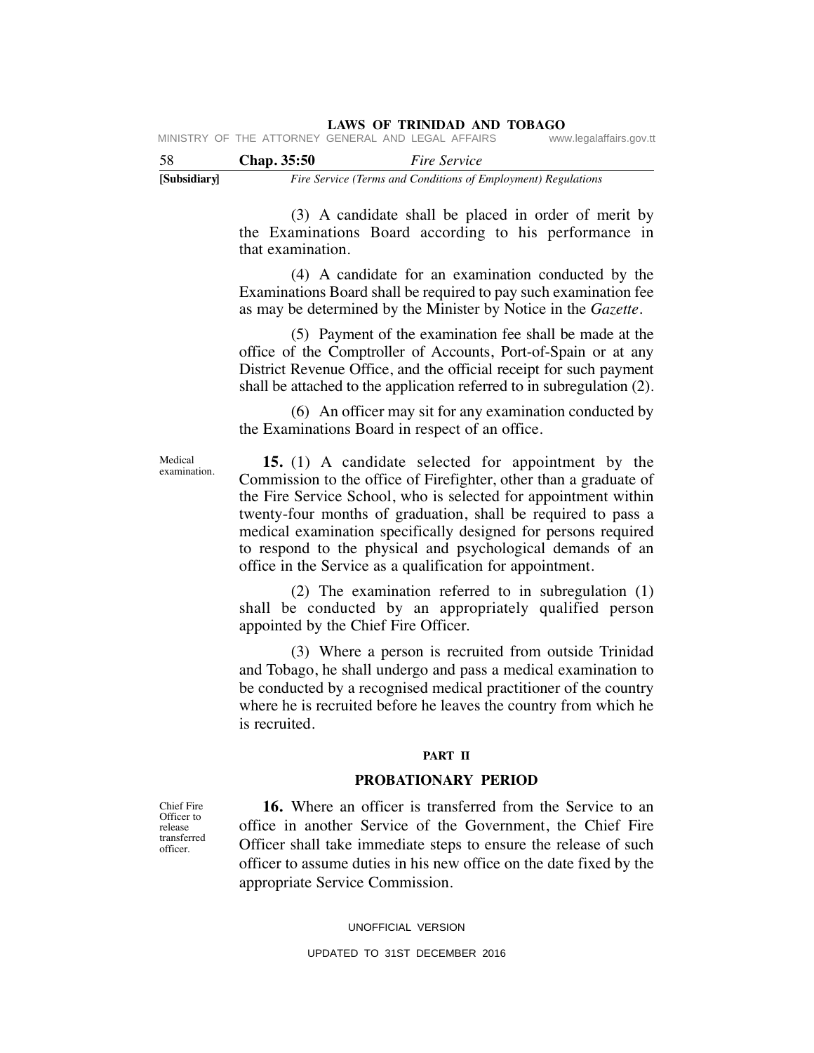#### **LAWS OF TRINIDAD AND TOBAGO** MINISTRY OF THE ATTORNEY

| -58 | <b>Chap.</b> 35:50                                 | <i>Fire Service</i> |                         |
|-----|----------------------------------------------------|---------------------|-------------------------|
|     | WINDINI UF THE ATTUNNET GENENAL AND LEGAL AFFAING. |                     | www.ieyalallalls.yuv.ll |

**[Subsidiary]** *Fire Service (Terms and Conditions of Employment) Regulations*

 (3) A candidate shall be placed in order of merit by the Examinations Board according to his performance in that examination.

 (4) A candidate for an examination conducted by the Examinations Board shall be required to pay such examination fee as may be determined by the Minister by Notice in the *Gazette*.

 (5) Payment of the examination fee shall be made at the office of the Comptroller of Accounts, Port-of-Spain or at any District Revenue Office, and the official receipt for such payment shall be attached to the application referred to in subregulation (2).

 (6) An officer may sit for any examination conducted by the Examinations Board in respect of an office.

 **15.** (1) A candidate selected for appointment by the Commission to the office of Firefighter, other than a graduate of the Fire Service School, who is selected for appointment within twenty-four months of graduation, shall be required to pass a medical examination specifically designed for persons required to respond to the physical and psychological demands of an office in the Service as a qualification for appointment.

 (2) The examination referred to in subregulation (1) shall be conducted by an appropriately qualified person appointed by the Chief Fire Officer.

 (3) Where a person is recruited from outside Trinidad and Tobago, he shall undergo and pass a medical examination to be conducted by a recognised medical practitioner of the country where he is recruited before he leaves the country from which he is recruited.

### **PART II**

# **PROBATIONARY PERIOD**

 **16.** Where an officer is transferred from the Service to an office in another Service of the Government, the Chief Fire Officer shall take immediate steps to ensure the release of such officer to assume duties in his new office on the date fixed by the appropriate Service Commission.

UNOFFICIAL VERSION

Chief Fire Officer to release transferred officer.

Medical examination.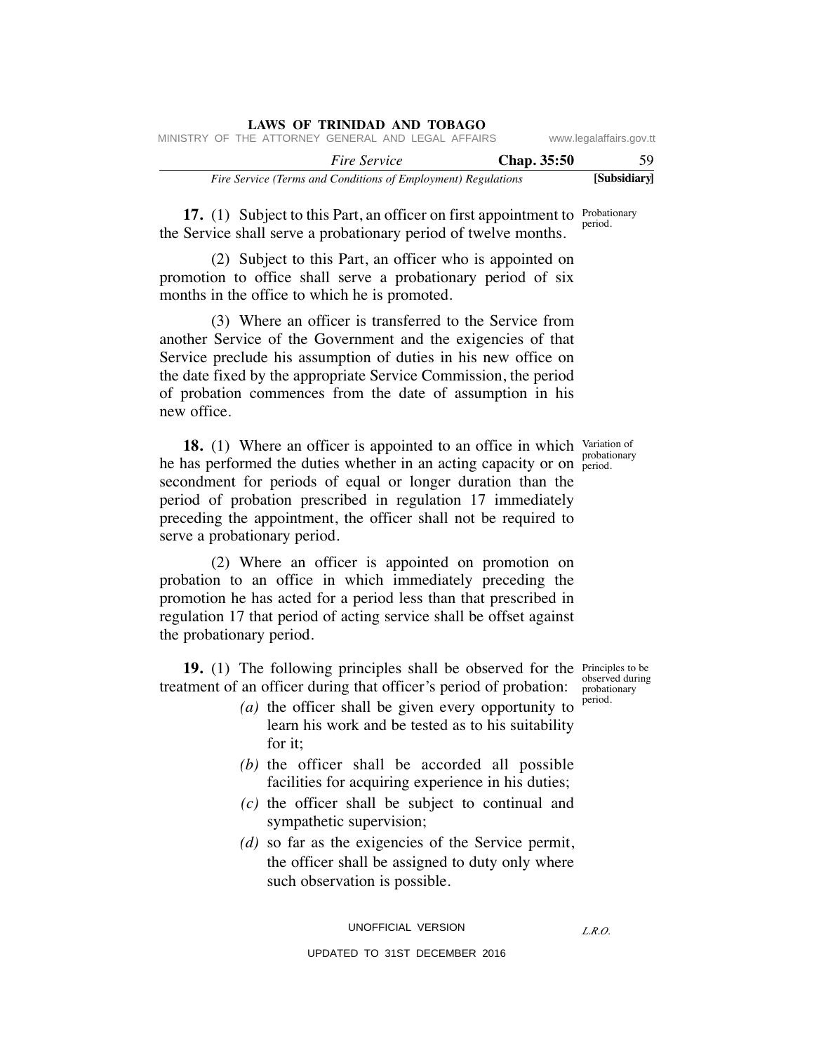|                         |             |                                                               | LAWS OF IKINIDAD AND TODAGO |  |  |  |
|-------------------------|-------------|---------------------------------------------------------------|-----------------------------|--|--|--|
| www.legalaffairs.gov.tt |             | MINISTRY OF THE ATTORNEY GENERAL AND LEGAL AFFAIRS            |                             |  |  |  |
| 59                      | Chap. 35:50 |                                                               | <i>Fire Service</i>         |  |  |  |
| [Subsidiary]            |             | Fire Service (Terms and Conditions of Employment) Regulations |                             |  |  |  |

**17.** (1) Subject to this Part, an officer on first appointment to Probationary the Service shall serve a probationary period of twelve months. period.

 (2) Subject to this Part, an officer who is appointed on promotion to office shall serve a probationary period of six months in the office to which he is promoted.

**LAWS OF TRINIDAD AND TOBAGO**

 (3) Where an officer is transferred to the Service from another Service of the Government and the exigencies of that Service preclude his assumption of duties in his new office on the date fixed by the appropriate Service Commission, the period of probation commences from the date of assumption in his new office.

**18.** (1) Where an officer is appointed to an office in which Variation of he has performed the duties whether in an acting capacity or on period. secondment for periods of equal or longer duration than the period of probation prescribed in regulation 17 immediately preceding the appointment, the officer shall not be required to serve a probationary period. period.

 (2) Where an officer is appointed on promotion on probation to an office in which immediately preceding the promotion he has acted for a period less than that prescribed in regulation 17 that period of acting service shall be offset against the probationary period.

**19.** (1) The following principles shall be observed for the Principles to be treatment of an officer during that officer's period of probation:

- *(a)* the officer shall be given every opportunity to learn his work and be tested as to his suitability for it;
- *(b)* the officer shall be accorded all possible facilities for acquiring experience in his duties;
- *(c)* the officer shall be subject to continual and sympathetic supervision;
- *(d)* so far as the exigencies of the Service permit, the officer shall be assigned to duty only where such observation is possible.

UNOFFICIAL VERSION

*L.R.O.* 

observed during probationary period.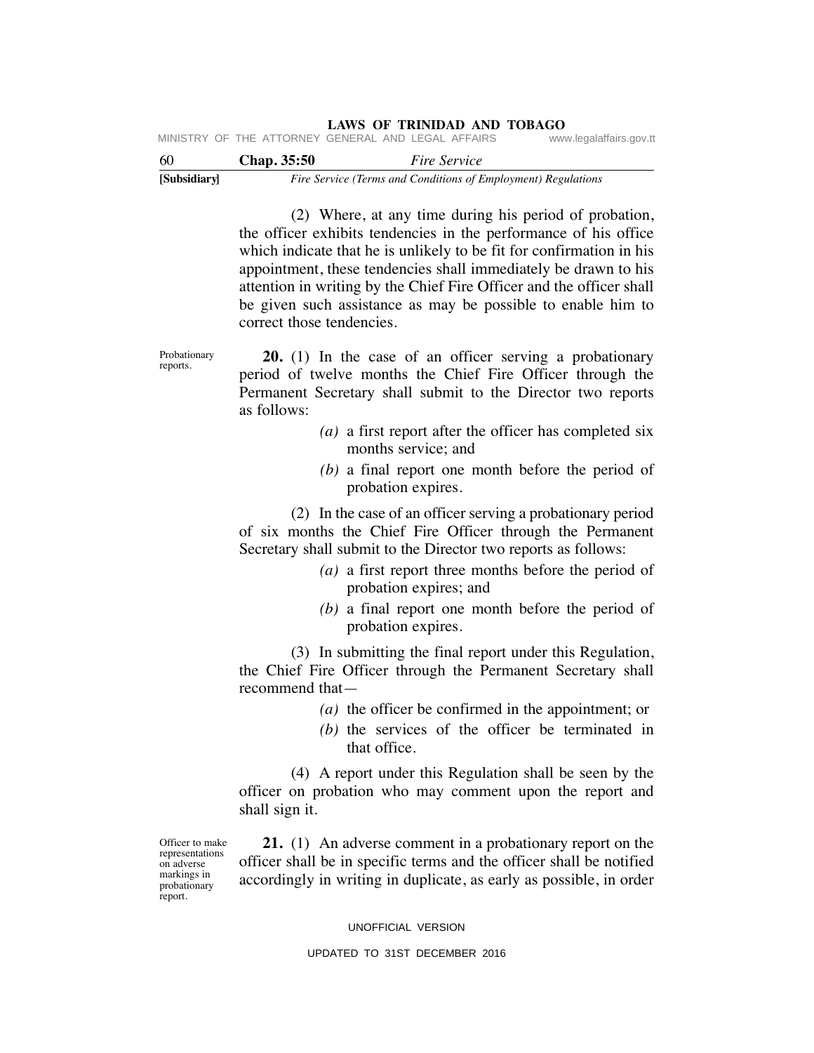| [Subsidiary] |                    | Fire Service (Terms and Conditions of Employment) Regulations |                         |
|--------------|--------------------|---------------------------------------------------------------|-------------------------|
| 60           | <b>Chap.</b> 35:50 | <i>Fire Service</i>                                           |                         |
|              |                    | MINISTRY OF THE ATTORNEY GENERAL AND LEGAL AFFAIRS            | www.legalaffairs.gov.tt |

 (2) Where, at any time during his period of probation, the officer exhibits tendencies in the performance of his office which indicate that he is unlikely to be fit for confirmation in his appointment, these tendencies shall immediately be drawn to his attention in writing by the Chief Fire Officer and the officer shall be given such assistance as may be possible to enable him to correct those tendencies.

Probationary reports.

 **20.** (1) In the case of an officer serving a probationary period of twelve months the Chief Fire Officer through the Permanent Secretary shall submit to the Director two reports as follows:

- *(a)* a first report after the officer has completed six months service; and
- *(b)* a final report one month before the period of probation expires.

 (2) In the case of an officer serving a probationary period of six months the Chief Fire Officer through the Permanent Secretary shall submit to the Director two reports as follows:

- *(a)* a first report three months before the period of probation expires; and
- *(b)* a final report one month before the period of probation expires.

 (3) In submitting the final report under this Regulation, the Chief Fire Officer through the Permanent Secretary shall recommend that—

- *(a)* the officer be confirmed in the appointment; or
- *(b)* the services of the officer be terminated in that office.

 (4) A report under this Regulation shall be seen by the officer on probation who may comment upon the report and shall sign it.

Officer to make representations on adverse markings in probationary report.

 **21.** (1) An adverse comment in a probationary report on the officer shall be in specific terms and the officer shall be notified accordingly in writing in duplicate, as early as possible, in order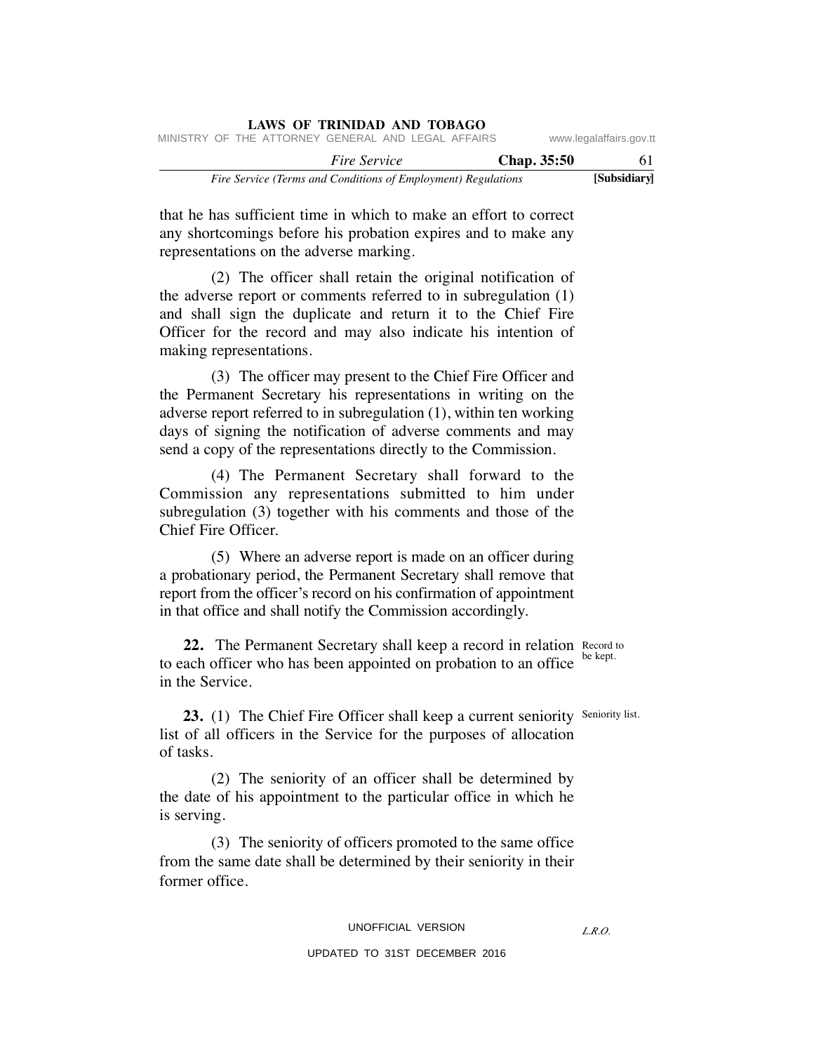|  |  | <b>LAWS OF TRINIDAD AND TOBAGO</b>                            |  |  |             |                         |
|--|--|---------------------------------------------------------------|--|--|-------------|-------------------------|
|  |  | MINISTRY OF THE ATTORNEY GENERAL AND LEGAL AFFAIRS            |  |  |             | www.legalaffairs.gov.tt |
|  |  | <i>Fire Service</i>                                           |  |  | Chap. 35:50 | 61.                     |
|  |  | Fire Service (Terms and Conditions of Employment) Regulations |  |  |             | [Subsidiary]            |

that he has sufficient time in which to make an effort to correct any shortcomings before his probation expires and to make any representations on the adverse marking.

 (2) The officer shall retain the original notification of the adverse report or comments referred to in subregulation (1) and shall sign the duplicate and return it to the Chief Fire Officer for the record and may also indicate his intention of making representations.

 (3) The officer may present to the Chief Fire Officer and the Permanent Secretary his representations in writing on the adverse report referred to in subregulation (1), within ten working days of signing the notification of adverse comments and may send a copy of the representations directly to the Commission.

 (4) The Permanent Secretary shall forward to the Commission any representations submitted to him under subregulation (3) together with his comments and those of the Chief Fire Officer.

 (5) Where an adverse report is made on an officer during a probationary period, the Permanent Secretary shall remove that report from the officer's record on his confirmation of appointment in that office and shall notify the Commission accordingly.

**22.** The Permanent Secretary shall keep a record in relation Record to to each officer who has been appointed on probation to an office in the Service.

**23.** (1) The Chief Fire Officer shall keep a current seniority Seniority list. list of all officers in the Service for the purposes of allocation of tasks.

 (2) The seniority of an officer shall be determined by the date of his appointment to the particular office in which he is serving.

 (3) The seniority of officers promoted to the same office from the same date shall be determined by their seniority in their former office.

be kept.

*L.R.O.*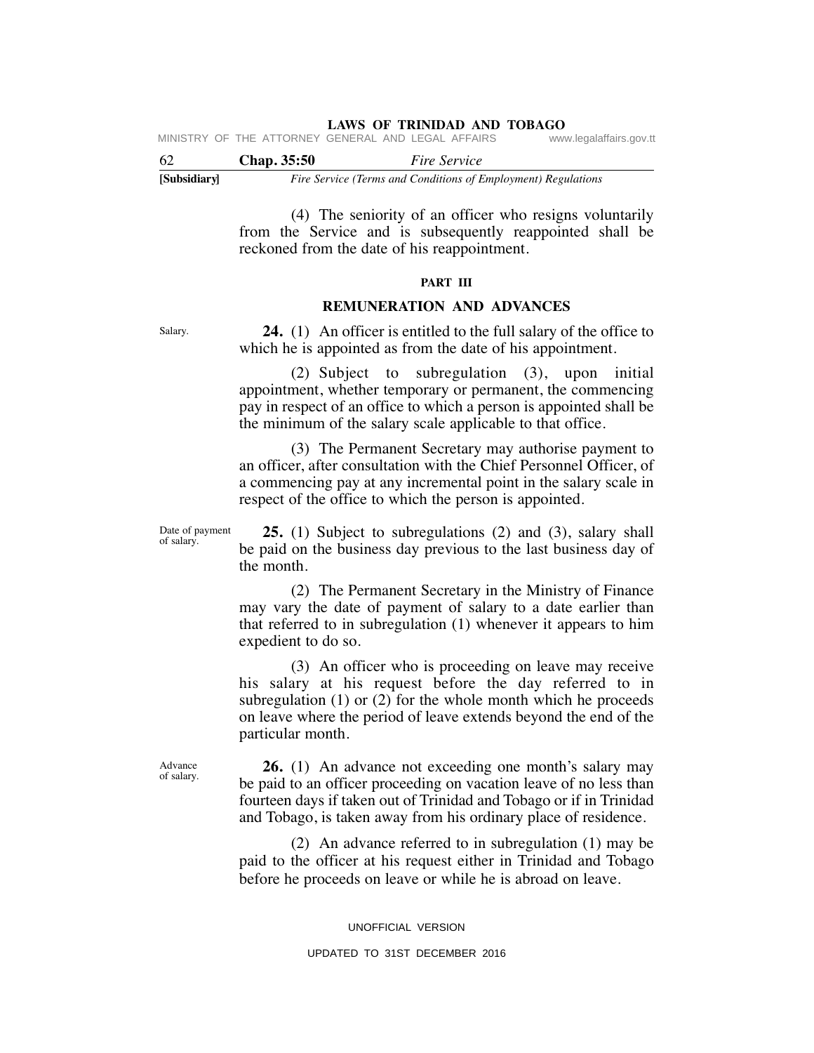| MINISTRY OF THE ATTORNEY GENERAL AND LEGAL AFFAIRS |  | www.legalaffairs.gov.tt |
|----------------------------------------------------|--|-------------------------|
|----------------------------------------------------|--|-------------------------|

| -62          | Chap. 35:50 | <i>Fire Service</i>                                           |
|--------------|-------------|---------------------------------------------------------------|
| [Subsidiary] |             | Fire Service (Terms and Conditions of Employment) Regulations |

 (4) The seniority of an officer who resigns voluntarily from the Service and is subsequently reappointed shall be reckoned from the date of his reappointment.

## **PART III**

# **REMUNERATION AND ADVANCES**

Salary.

 **24.** (1) An officer is entitled to the full salary of the office to which he is appointed as from the date of his appointment.

 (2) Subject to subregulation (3), upon initial appointment, whether temporary or permanent, the commencing pay in respect of an office to which a person is appointed shall be the minimum of the salary scale applicable to that office.

 (3) The Permanent Secretary may authorise payment to an officer, after consultation with the Chief Personnel Officer, of a commencing pay at any incremental point in the salary scale in respect of the office to which the person is appointed.

Date of payment of salary.

 **25.** (1) Subject to subregulations (2) and (3), salary shall be paid on the business day previous to the last business day of the month.

 (2) The Permanent Secretary in the Ministry of Finance may vary the date of payment of salary to a date earlier than that referred to in subregulation (1) whenever it appears to him expedient to do so.

 (3) An officer who is proceeding on leave may receive his salary at his request before the day referred to in subregulation (1) or (2) for the whole month which he proceeds on leave where the period of leave extends beyond the end of the particular month.

Advance of salary.

 **26.** (1) An advance not exceeding one month's salary may be paid to an officer proceeding on vacation leave of no less than fourteen days if taken out of Trinidad and Tobago or if in Trinidad and Tobago, is taken away from his ordinary place of residence.

 (2) An advance referred to in subregulation (1) may be paid to the officer at his request either in Trinidad and Tobago before he proceeds on leave or while he is abroad on leave.

UNOFFICIAL VERSION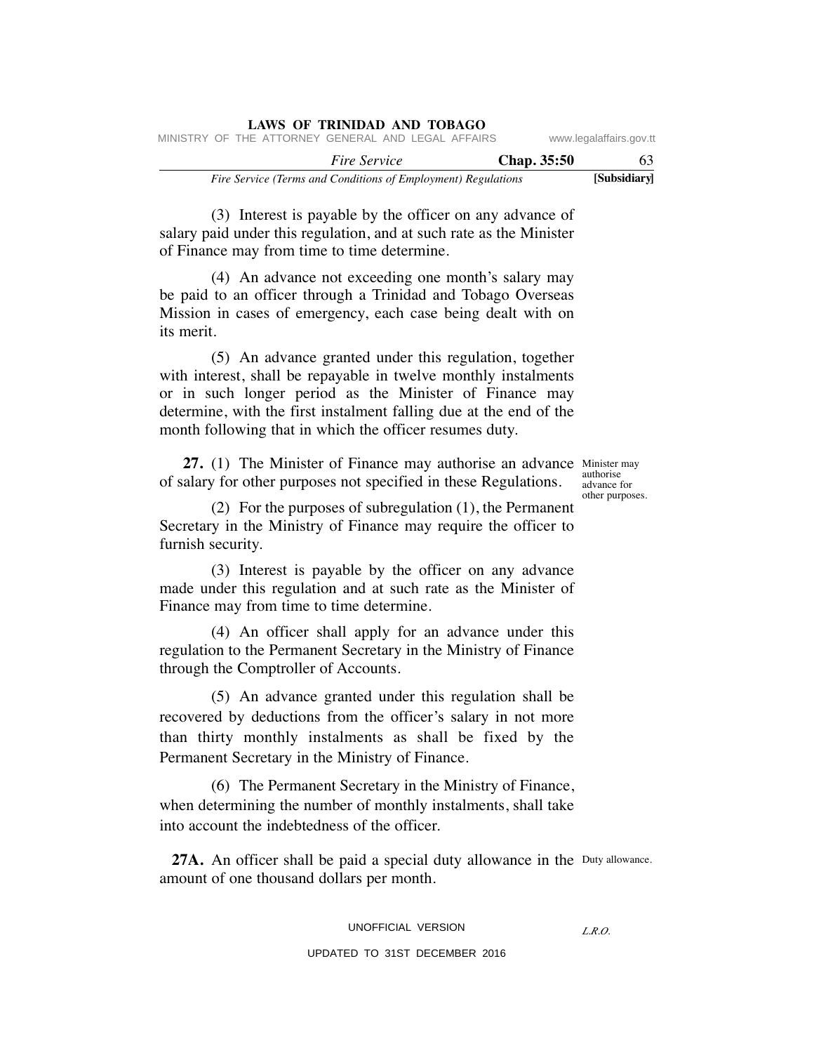|                         |                    |  |                     | LAWS OF INIMIDAD AND TODAGO                                   |  |  |
|-------------------------|--------------------|--|---------------------|---------------------------------------------------------------|--|--|
| www.legalaffairs.gov.tt |                    |  |                     | MINISTRY OF THE ATTORNEY GENERAL AND LEGAL AFFAIRS            |  |  |
| 63                      | <b>Chap.</b> 35:50 |  | <i>Fire Service</i> |                                                               |  |  |
| [Subsidiary]            |                    |  |                     | Fire Service (Terms and Conditions of Employment) Regulations |  |  |

 (3) Interest is payable by the officer on any advance of salary paid under this regulation, and at such rate as the Minister of Finance may from time to time determine.

**LAWS OF TRINIDAD AND TOBAGO**

 (4) An advance not exceeding one month's salary may be paid to an officer through a Trinidad and Tobago Overseas Mission in cases of emergency, each case being dealt with on its merit.

 (5) An advance granted under this regulation, together with interest, shall be repayable in twelve monthly instalments or in such longer period as the Minister of Finance may determine, with the first instalment falling due at the end of the month following that in which the officer resumes duty.

**27.** (1) The Minister of Finance may authorise an advance Minister may of salary for other purposes not specified in these Regulations.

authorise advance for other purposes.

 (2) For the purposes of subregulation (1), the Permanent Secretary in the Ministry of Finance may require the officer to furnish security.

 (3) Interest is payable by the officer on any advance made under this regulation and at such rate as the Minister of Finance may from time to time determine.

 (4) An officer shall apply for an advance under this regulation to the Permanent Secretary in the Ministry of Finance through the Comptroller of Accounts.

 (5) An advance granted under this regulation shall be recovered by deductions from the officer's salary in not more than thirty monthly instalments as shall be fixed by the Permanent Secretary in the Ministry of Finance.

 (6) The Permanent Secretary in the Ministry of Finance, when determining the number of monthly instalments, shall take into account the indebtedness of the officer.

27A. An officer shall be paid a special duty allowance in the Duty allowance. amount of one thousand dollars per month.

# UNOFFICIAL VERSION

*L.R.O.*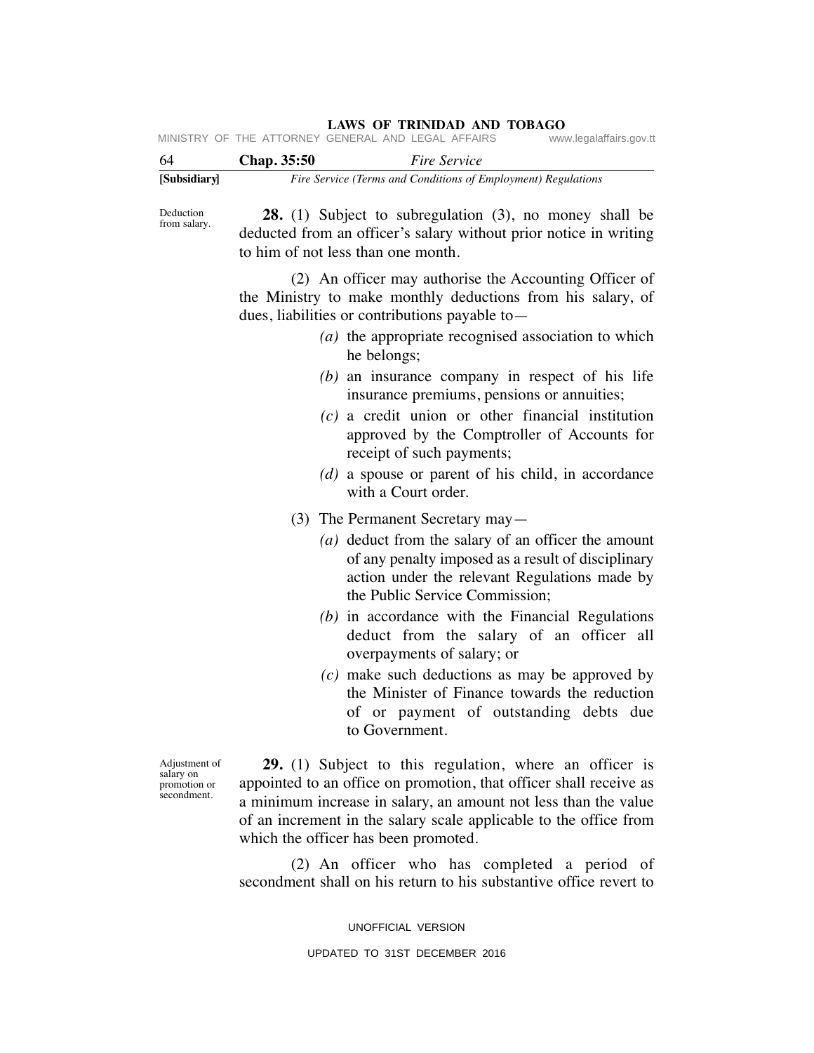| 61 | Chon 25.50                                         | $\Gamma$ ing $\Gamma$ omniae |                         |
|----|----------------------------------------------------|------------------------------|-------------------------|
|    | MINISTRY OF THE ATTORNEY GENERAL AND LEGAL AFFAIRS |                              | www.legalaffairs.gov.tt |

| -64          | Chap. 35:50 | <i>Fire Service</i>                                           |
|--------------|-------------|---------------------------------------------------------------|
| [Subsidiarv] |             | Fire Service (Terms and Conditions of Employment) Regulations |

Deduction from salary.

 **28.** (1) Subject to subregulation (3), no money shall be deducted from an officer's salary without prior notice in writing to him of not less than one month.

 (2) An officer may authorise the Accounting Officer of the Ministry to make monthly deductions from his salary, of dues, liabilities or contributions payable to—

- *(a)* the appropriate recognised association to which he belongs;
- *(b)* an insurance company in respect of his life insurance premiums, pensions or annuities;
- *(c)* a credit union or other financial institution approved by the Comptroller of Accounts for receipt of such payments;
- *(d)* a spouse or parent of his child, in accordance with a Court order.
- (3) The Permanent Secretary may—
	- *(a)* deduct from the salary of an officer the amount of any penalty imposed as a result of disciplinary action under the relevant Regulations made by the Public Service Commission;
	- *(b)* in accordance with the Financial Regulations deduct from the salary of an officer all overpayments of salary; or
	- *(c)* make such deductions as may be approved by the Minister of Finance towards the reduction of or payment of outstanding debts due to Government.

Adjustment of salary on promotion or secondment.

 **29.** (1) Subject to this regulation, where an officer is appointed to an office on promotion, that officer shall receive as a minimum increase in salary, an amount not less than the value of an increment in the salary scale applicable to the office from which the officer has been promoted.

 (2) An officer who has completed a period of secondment shall on his return to his substantive office revert to

UNOFFICIAL VERSION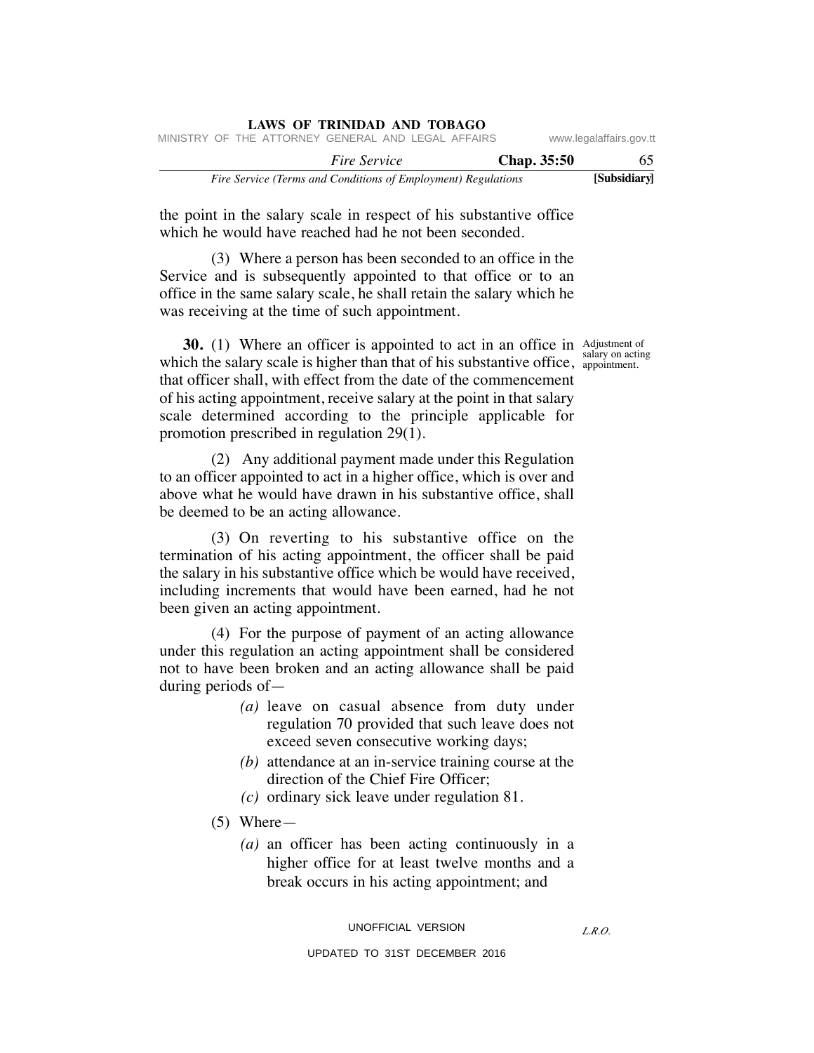|  |  | <b>LAWS OF TRINIDAD AND TOBAGO</b>                            |  |  |             |                         |
|--|--|---------------------------------------------------------------|--|--|-------------|-------------------------|
|  |  | MINISTRY OF THE ATTORNEY GENERAL AND LEGAL AFFAIRS            |  |  |             | www.legalaffairs.gov.tt |
|  |  | <i>Fire Service</i>                                           |  |  | Chap. 35:50 | 65                      |
|  |  | Fire Service (Terms and Conditions of Employment) Regulations |  |  |             | [Subsidiary]            |

the point in the salary scale in respect of his substantive office which he would have reached had he not been seconded.

 (3) Where a person has been seconded to an office in the Service and is subsequently appointed to that office or to an office in the same salary scale, he shall retain the salary which he was receiving at the time of such appointment.

**30.** (1) Where an officer is appointed to act in an office in Adjustment of which the salary scale is higher than that of his substantive office, appointment. that officer shall, with effect from the date of the commencement of his acting appointment, receive salary at the point in that salary scale determined according to the principle applicable for promotion prescribed in regulation 29(1).

 (2) Any additional payment made under this Regulation to an officer appointed to act in a higher office, which is over and above what he would have drawn in his substantive office, shall be deemed to be an acting allowance.

 (3) On reverting to his substantive office on the termination of his acting appointment, the officer shall be paid the salary in his substantive office which be would have received, including increments that would have been earned, had he not been given an acting appointment.

 (4) For the purpose of payment of an acting allowance under this regulation an acting appointment shall be considered not to have been broken and an acting allowance shall be paid during periods of—

- *(a)* leave on casual absence from duty under regulation 70 provided that such leave does not exceed seven consecutive working days;
- *(b)* attendance at an in-service training course at the direction of the Chief Fire Officer;
- *(c)* ordinary sick leave under regulation 81.
- (5) Where—
	- *(a)* an officer has been acting continuously in a higher office for at least twelve months and a break occurs in his acting appointment; and

*L.R.O.* 

salary on acting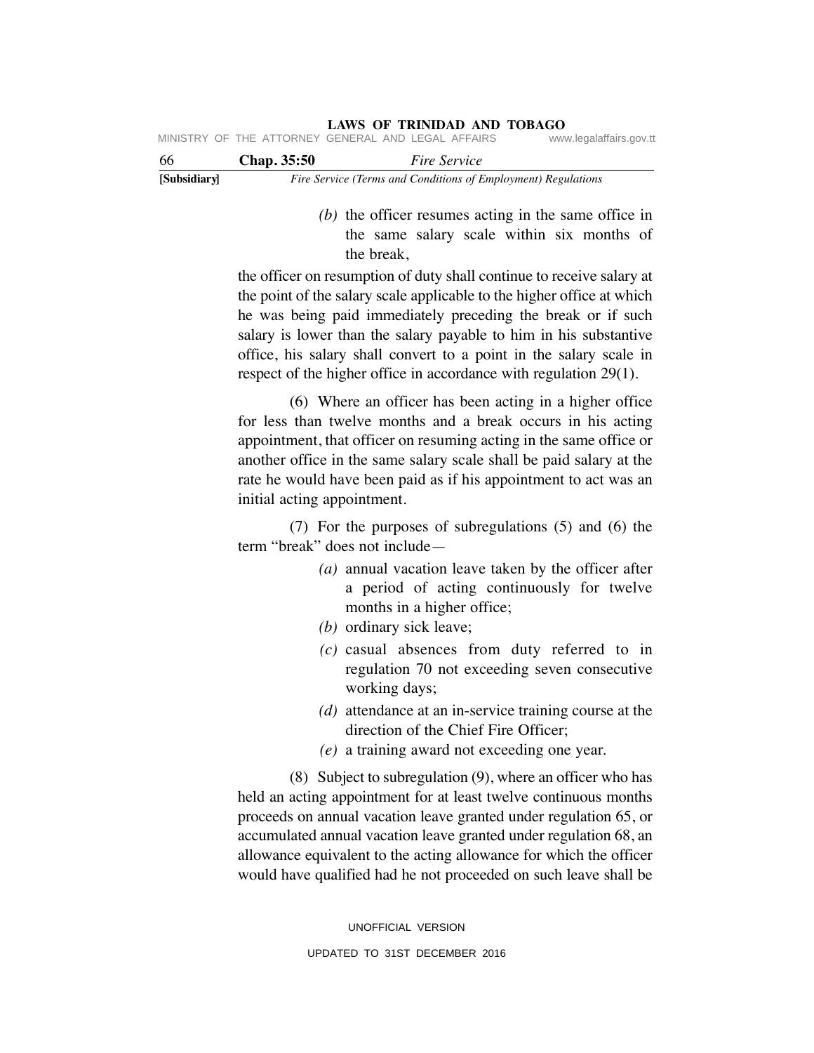| 66 | <b>Chap.</b> 35:50 | <i>Fire Service</i>                                                             |                         |
|----|--------------------|---------------------------------------------------------------------------------|-------------------------|
|    |                    | LAWS OF INHTER AND TODAUT<br>MINISTRY OF THE ATTORNEY GENERAL AND LEGAL AFFAIRS | www.legalaffairs.gov.tt |

| vv.          | $C$ <i>ap. 33.30</i> | rue service                                                   |
|--------------|----------------------|---------------------------------------------------------------|
| [Subsidiary] |                      | Fire Service (Terms and Conditions of Employment) Regulations |

 *(b)* the officer resumes acting in the same office in the same salary scale within six months of the break,

the officer on resumption of duty shall continue to receive salary at the point of the salary scale applicable to the higher office at which he was being paid immediately preceding the break or if such salary is lower than the salary payable to him in his substantive office, his salary shall convert to a point in the salary scale in respect of the higher office in accordance with regulation 29(1).

**LAWS OF TRINIDAD AND TOBAGO**

 (6) Where an officer has been acting in a higher office for less than twelve months and a break occurs in his acting appointment, that officer on resuming acting in the same office or another office in the same salary scale shall be paid salary at the rate he would have been paid as if his appointment to act was an initial acting appointment.

 (7) For the purposes of subregulations (5) and (6) the term "break" does not include—

- *(a)* annual vacation leave taken by the officer after a period of acting continuously for twelve months in a higher office;
- *(b)* ordinary sick leave;
- *(c)* casual absences from duty referred to in regulation 70 not exceeding seven consecutive working days;
- *(d)* attendance at an in-service training course at the direction of the Chief Fire Officer;
- *(e)* a training award not exceeding one year.

 (8) Subject to subregulation (9), where an officer who has held an acting appointment for at least twelve continuous months proceeds on annual vacation leave granted under regulation 65, or accumulated annual vacation leave granted under regulation 68, an allowance equivalent to the acting allowance for which the officer would have qualified had he not proceeded on such leave shall be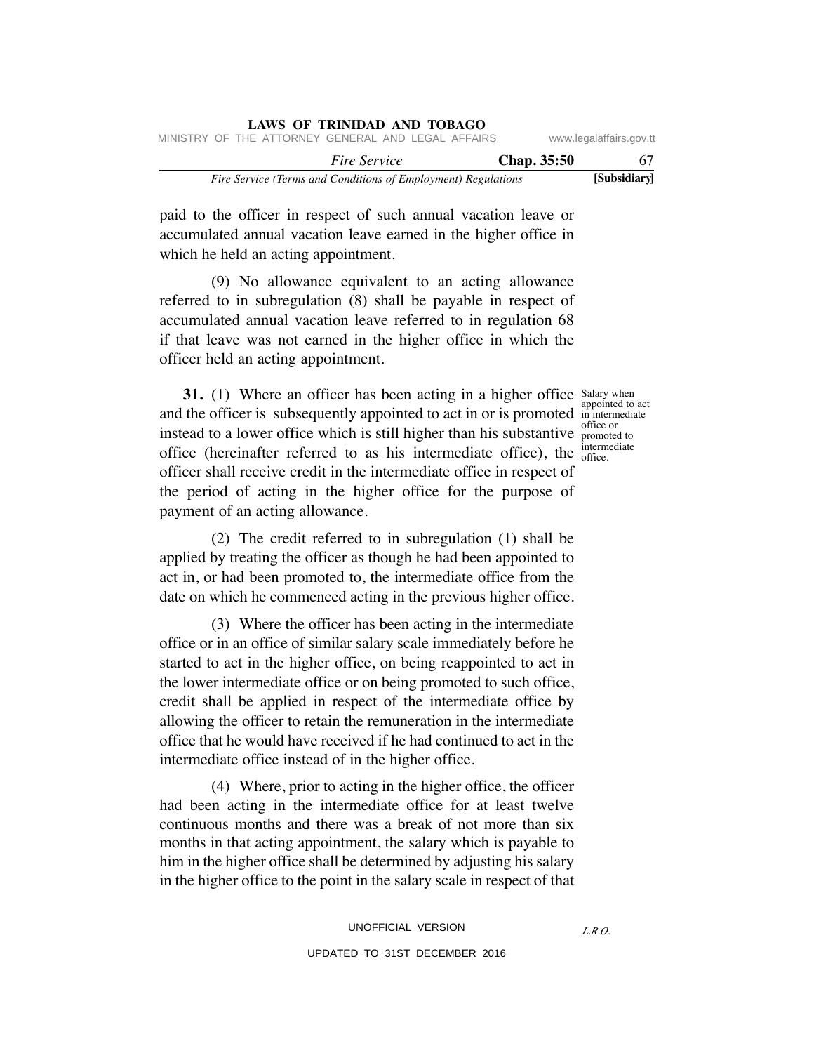|                         |             |                                                               | LAWS OF TRINIDAD AND TOBAGO |  |  |
|-------------------------|-------------|---------------------------------------------------------------|-----------------------------|--|--|
| www.legalaffairs.gov.tt |             | MINISTRY OF THE ATTORNEY GENERAL AND LEGAL AFFAIRS            |                             |  |  |
| 67                      | Chap. 35:50 |                                                               | <i>Fire Service</i>         |  |  |
| [Subsidiary]            |             | Fire Service (Terms and Conditions of Employment) Regulations |                             |  |  |

paid to the officer in respect of such annual vacation leave or accumulated annual vacation leave earned in the higher office in which he held an acting appointment.

**LAWS OF TRINIDAD AND TOBAGO**

 (9) No allowance equivalent to an acting allowance referred to in subregulation (8) shall be payable in respect of accumulated annual vacation leave referred to in regulation 68 if that leave was not earned in the higher office in which the officer held an acting appointment.

**31.** (1) Where an officer has been acting in a higher office Salary when and the officer is subsequently appointed to act in or is promoted  $\frac{1}{2}$  in intermediate instead to a lower office which is still higher than his substantive promoted to office (hereinafter referred to as his intermediate office), the  $_{\rm{office.}}^{^{\rm{merm}}}$ officer shall receive credit in the intermediate office in respect of the period of acting in the higher office for the purpose of payment of an acting allowance.

appointed to act office or intermediate

(2) The credit referred to in subregulation (1) shall be applied by treating the officer as though he had been appointed to act in, or had been promoted to, the intermediate office from the date on which he commenced acting in the previous higher office.

 (3) Where the officer has been acting in the intermediate office or in an office of similar salary scale immediately before he started to act in the higher office, on being reappointed to act in the lower intermediate office or on being promoted to such office, credit shall be applied in respect of the intermediate office by allowing the officer to retain the remuneration in the intermediate office that he would have received if he had continued to act in the intermediate office instead of in the higher office.

 (4) Where, prior to acting in the higher office, the officer had been acting in the intermediate office for at least twelve continuous months and there was a break of not more than six months in that acting appointment, the salary which is payable to him in the higher office shall be determined by adjusting his salary in the higher office to the point in the salary scale in respect of that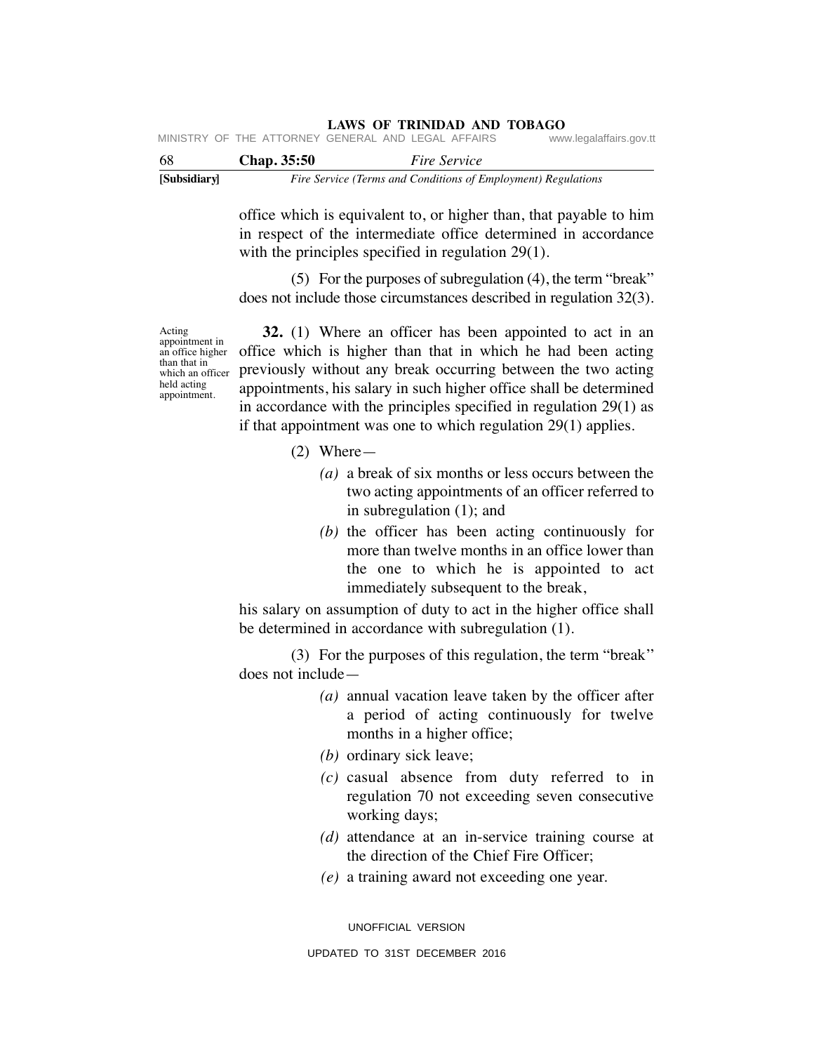|              |                    | MINISTRY OF THE ATTORNEY GENERAL AND LEGAL AFFAIRS            | www.legalaffairs.gov.tt |
|--------------|--------------------|---------------------------------------------------------------|-------------------------|
| -68          | <b>Chap.</b> 35:50 | <i>Fire Service</i>                                           |                         |
| [Subsidiary] |                    | Fire Service (Terms and Conditions of Employment) Regulations |                         |

office which is equivalent to, or higher than, that payable to him in respect of the intermediate office determined in accordance with the principles specified in regulation 29(1).

 (5) For the purposes of subregulation (4), the term "break" does not include those circumstances described in regulation 32(3).

Acting appointment in an office higher than that in which an officer held acting appointment.

 **32.** (1) Where an officer has been appointed to act in an office which is higher than that in which he had been acting previously without any break occurring between the two acting appointments, his salary in such higher office shall be determined in accordance with the principles specified in regulation 29(1) as if that appointment was one to which regulation 29(1) applies.

- (2) Where—
	- *(a)* a break of six months or less occurs between the two acting appointments of an officer referred to in subregulation (1); and
	- *(b)* the officer has been acting continuously for more than twelve months in an office lower than the one to which he is appointed to act immediately subsequent to the break,

his salary on assumption of duty to act in the higher office shall be determined in accordance with subregulation (1).

 (3) For the purposes of this regulation, the term "break'' does not include—

- *(a)* annual vacation leave taken by the officer after a period of acting continuously for twelve months in a higher office;
- *(b)* ordinary sick leave;
- *(c)* casual absence from duty referred to in regulation 70 not exceeding seven consecutive working days;
- *(d)* attendance at an in-service training course at the direction of the Chief Fire Officer;
- *(e)* a training award not exceeding one year.

UNOFFICIAL VERSION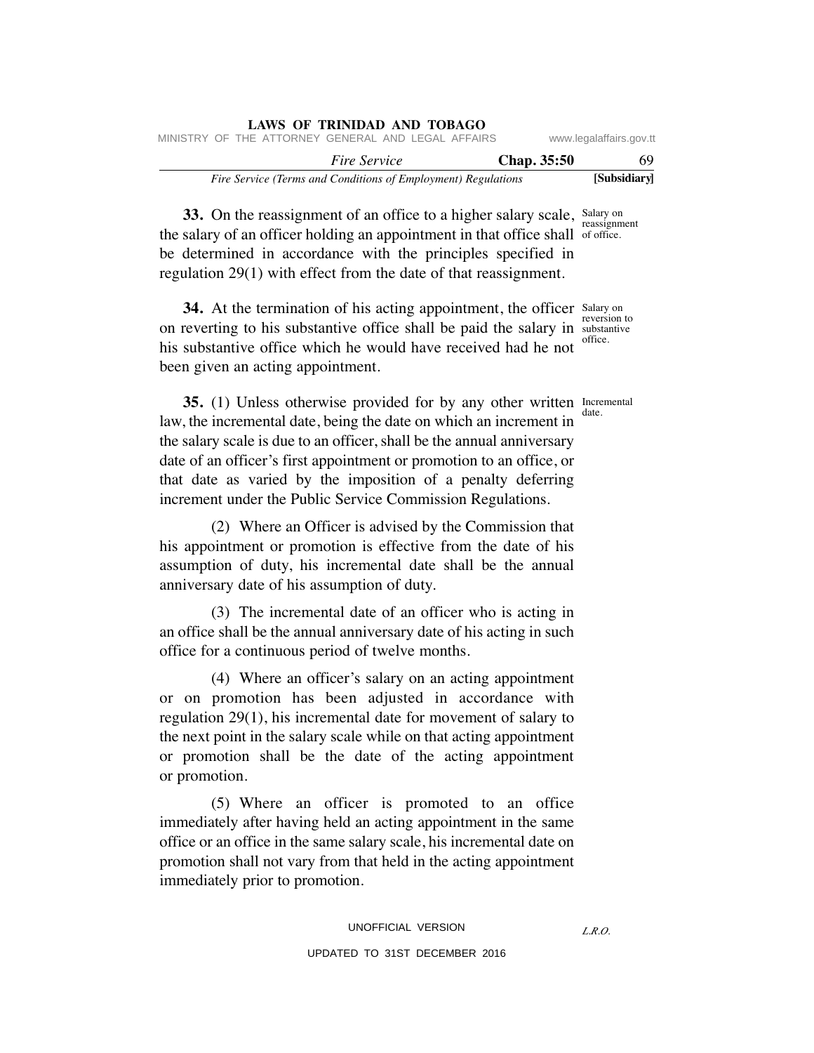| LAWS OF TRINIDAD AND TOBAGO                                   |             |                         |
|---------------------------------------------------------------|-------------|-------------------------|
| MINISTRY OF THE ATTORNEY GENERAL AND LEGAL AFFAIRS            |             | www.legalaffairs.gov.tt |
| <i>Fire Service</i>                                           | Chap. 35:50 | 69                      |
| Fire Service (Terms and Conditions of Employment) Regulations |             | [Subsidiary]            |

**33.** On the reassignment of an office to a higher salary scale, Salary on the salary of an officer holding an appointment in that office shall of office. be determined in accordance with the principles specified in regulation 29(1) with effect from the date of that reassignment. reassignment

**34.** At the termination of his acting appointment, the officer Salary on on reverting to his substantive office shall be paid the salary in substantive his substantive office which he would have received had he not been given an acting appointment. office.

reversion to

date.

**35.** (1) Unless otherwise provided for by any other written Incremental law, the incremental date, being the date on which an increment in the salary scale is due to an officer, shall be the annual anniversary date of an officer's first appointment or promotion to an office, or that date as varied by the imposition of a penalty deferring increment under the Public Service Commission Regulations.

 (2) Where an Officer is advised by the Commission that his appointment or promotion is effective from the date of his assumption of duty, his incremental date shall be the annual anniversary date of his assumption of duty.

 (3) The incremental date of an officer who is acting in an office shall be the annual anniversary date of his acting in such office for a continuous period of twelve months.

 (4) Where an officer's salary on an acting appointment or on promotion has been adjusted in accordance with regulation 29(1), his incremental date for movement of salary to the next point in the salary scale while on that acting appointment or promotion shall be the date of the acting appointment or promotion.

 (5) Where an officer is promoted to an office immediately after having held an acting appointment in the same office or an office in the same salary scale, his incremental date on promotion shall not vary from that held in the acting appointment immediately prior to promotion.

*L.R.O.*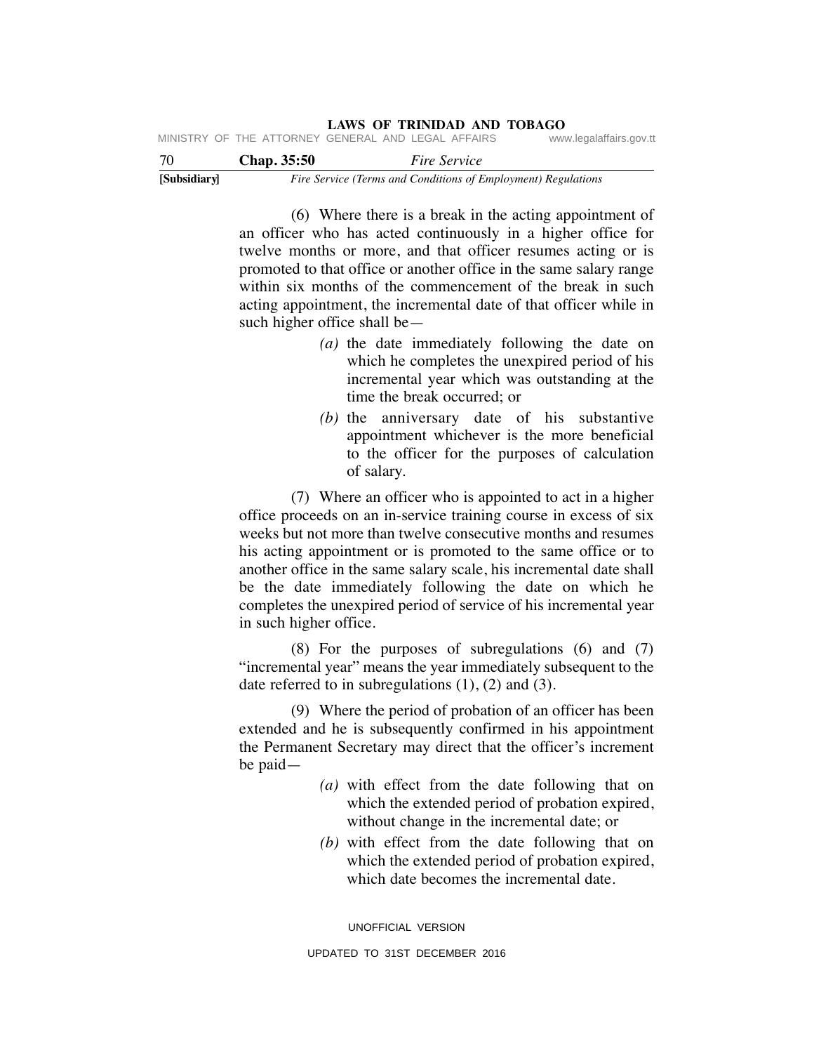| 70 | <b>Chap.</b> 35:50                                 | <i>Fire Service</i> |                         |
|----|----------------------------------------------------|---------------------|-------------------------|
|    | MINISTRY OF THE ATTORNEY GENERAL AND LEGAL AFFAIRS |                     | www.legalaffairs.gov.tt |

**[Subsidiary]** *Fire Service (Terms and Conditions of Employment) Regulations*

 (6) Where there is a break in the acting appointment of an officer who has acted continuously in a higher office for twelve months or more, and that officer resumes acting or is promoted to that office or another office in the same salary range within six months of the commencement of the break in such acting appointment, the incremental date of that officer while in such higher office shall be—

- *(a)* the date immediately following the date on which he completes the unexpired period of his incremental year which was outstanding at the time the break occurred; or
- *(b)* the anniversary date of his substantive appointment whichever is the more beneficial to the officer for the purposes of calculation of salary.

 (7) Where an officer who is appointed to act in a higher office proceeds on an in-service training course in excess of six weeks but not more than twelve consecutive months and resumes his acting appointment or is promoted to the same office or to another office in the same salary scale, his incremental date shall be the date immediately following the date on which he completes the unexpired period of service of his incremental year in such higher office.

 (8) For the purposes of subregulations (6) and (7) "incremental year" means the year immediately subsequent to the date referred to in subregulations  $(1)$ ,  $(2)$  and  $(3)$ .

 (9) Where the period of probation of an officer has been extended and he is subsequently confirmed in his appointment the Permanent Secretary may direct that the officer's increment be paid—

- *(a)* with effect from the date following that on which the extended period of probation expired, without change in the incremental date; or
- *(b)* with effect from the date following that on which the extended period of probation expired, which date becomes the incremental date.

UNOFFICIAL VERSION UPDATED TO 31ST DECEMBER 2016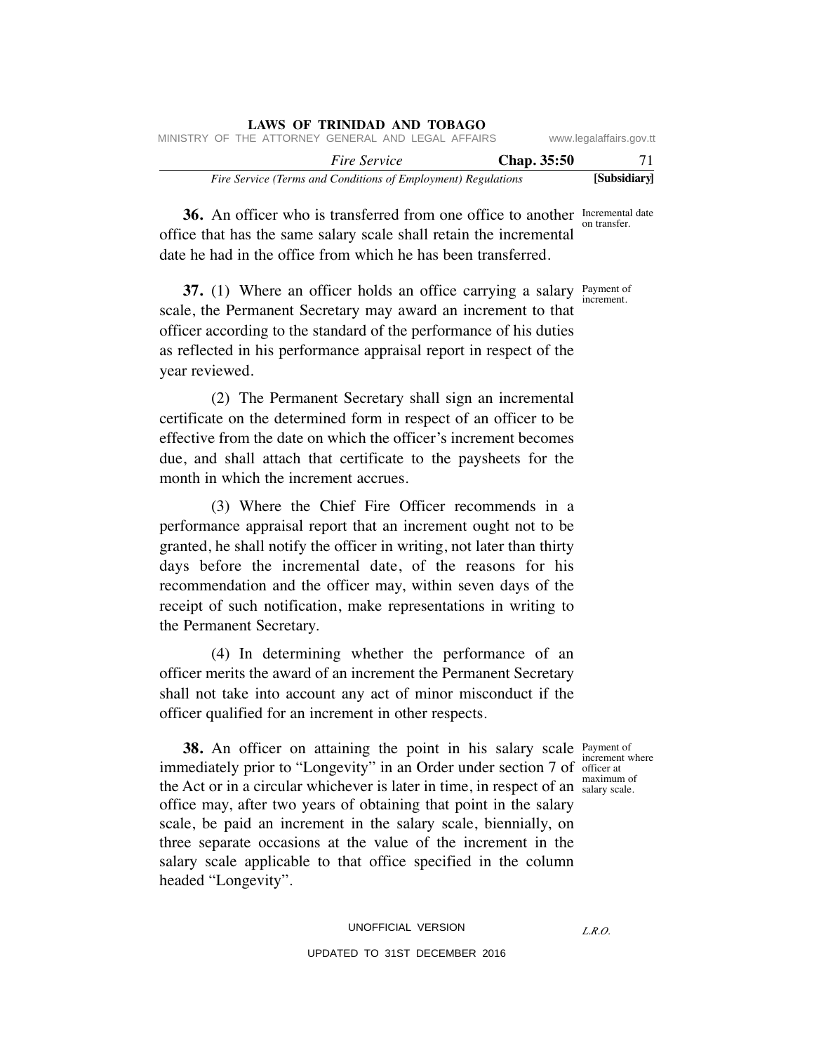|                                                               | LAWS OF IKINIDAD AND TOBAGO |                    |                         |
|---------------------------------------------------------------|-----------------------------|--------------------|-------------------------|
| MINISTRY OF THE ATTORNEY GENERAL AND LEGAL AFFAIRS            |                             |                    | www.legalaffairs.gov.tt |
|                                                               | <i>Fire Service</i>         | <b>Chap.</b> 35:50 | 71                      |
| Fire Service (Terms and Conditions of Employment) Regulations |                             |                    | [Subsidiary]            |

**36.** An officer who is transferred from one office to another Incremental date office that has the same salary scale shall retain the incremental date he had in the office from which he has been transferred. on transfer.

**37.** (1) Where an officer holds an office carrying a salary Payment of scale, the Permanent Secretary may award an increment to that officer according to the standard of the performance of his duties as reflected in his performance appraisal report in respect of the year reviewed. increment.

 (2) The Permanent Secretary shall sign an incremental certificate on the determined form in respect of an officer to be effective from the date on which the officer's increment becomes due, and shall attach that certificate to the paysheets for the month in which the increment accrues.

 (3) Where the Chief Fire Officer recommends in a performance appraisal report that an increment ought not to be granted, he shall notify the officer in writing, not later than thirty days before the incremental date, of the reasons for his recommendation and the officer may, within seven days of the receipt of such notification, make representations in writing to the Permanent Secretary.

 (4) In determining whether the performance of an officer merits the award of an increment the Permanent Secretary shall not take into account any act of minor misconduct if the officer qualified for an increment in other respects.

> increment where salary scale.

**38.** An officer on attaining the point in his salary scale Payment of immediately prior to "Longevity" in an Order under section 7 of officer at the Act or in a circular whichever is later in time, in respect of an  $\frac{\text{maximum of}}{\text{salary scale}}$ office may, after two years of obtaining that point in the salary scale, be paid an increment in the salary scale, biennially, on three separate occasions at the value of the increment in the salary scale applicable to that office specified in the column headed "Longevity".

# UNOFFICIAL VERSION UPDATED TO 31ST DECEMBER 2016

*L.R.O.*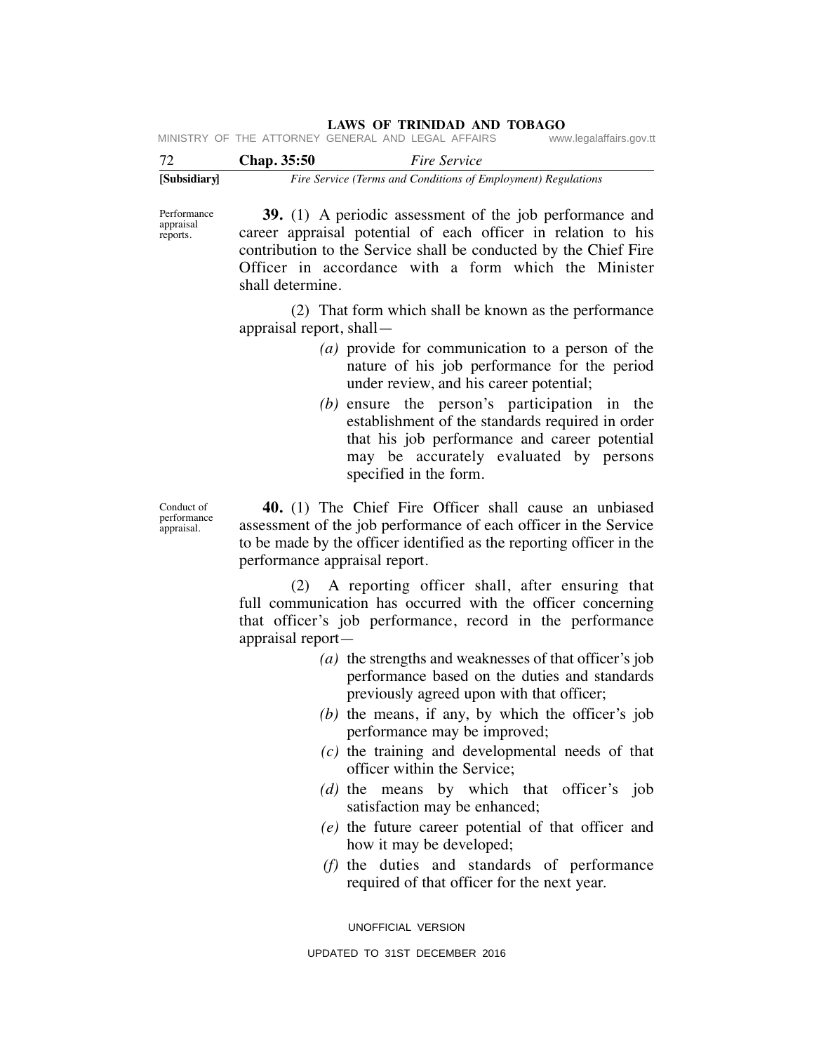| 72           | <b>Chap.</b> 35:50 | <i>Fire Service</i>                                           |  |
|--------------|--------------------|---------------------------------------------------------------|--|
| [Subsidiary] |                    | Fire Service (Terms and Conditions of Employment) Regulations |  |

 **39.** (1) A periodic assessment of the job performance and career appraisal potential of each officer in relation to his contribution to the Service shall be conducted by the Chief Fire Officer in accordance with a form which the Minister shall determine. Performance

> (2) That form which shall be known as the performance appraisal report, shall—

- *(a)* provide for communication to a person of the nature of his job performance for the period under review, and his career potential;
- *(b)* ensure the person's participation in the establishment of the standards required in order that his job performance and career potential may be accurately evaluated by persons specified in the form.

Conduct of performance appraisal.

appraisal reports.

> **40.** (1) The Chief Fire Officer shall cause an unbiased assessment of the job performance of each officer in the Service to be made by the officer identified as the reporting officer in the performance appraisal report.

> (2) A reporting officer shall, after ensuring that full communication has occurred with the officer concerning that officer's job performance, record in the performance appraisal report—

- *(a)* the strengths and weaknesses of that officer's job performance based on the duties and standards previously agreed upon with that officer;
- *(b)* the means, if any, by which the officer's job performance may be improved;
- *(c)* the training and developmental needs of that officer within the Service;
- *(d)* the means by which that officer's job satisfaction may be enhanced;
- *(e)* the future career potential of that officer and how it may be developed;
- *(f)* the duties and standards of performance required of that officer for the next year.

UNOFFICIAL VERSION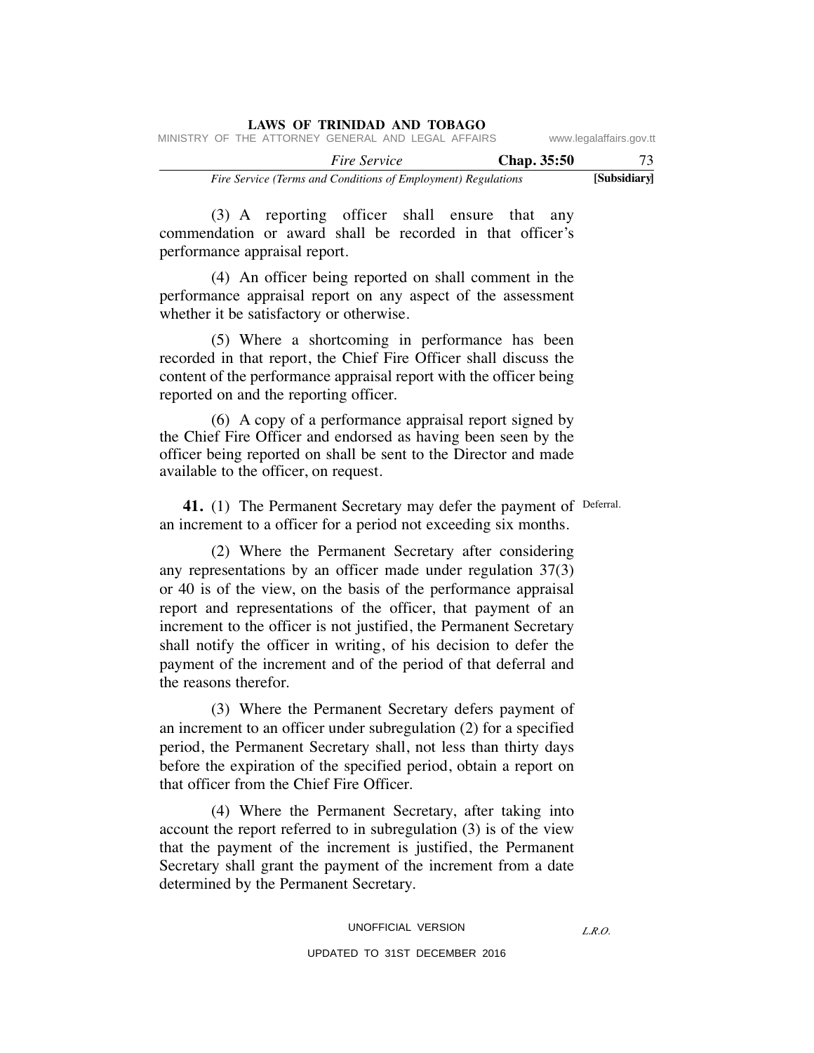|  |  | <b>LAWS OF TRINIDAD AND TOBAGO</b>                            |  |  |             |                         |     |
|--|--|---------------------------------------------------------------|--|--|-------------|-------------------------|-----|
|  |  | MINISTRY OF THE ATTORNEY GENERAL AND LEGAL AFFAIRS            |  |  |             | www.legalaffairs.gov.tt |     |
|  |  | <i>Fire Service</i>                                           |  |  | Chap. 35:50 |                         | 73. |
|  |  | Fire Service (Terms and Conditions of Employment) Regulations |  |  |             | [Subsidiary]            |     |

 (3) A reporting officer shall ensure that any commendation or award shall be recorded in that officer's performance appraisal report.

 (4) An officer being reported on shall comment in the performance appraisal report on any aspect of the assessment whether it be satisfactory or otherwise.

 (5) Where a shortcoming in performance has been recorded in that report, the Chief Fire Officer shall discuss the content of the performance appraisal report with the officer being reported on and the reporting officer.

 (6) A copy of a performance appraisal report signed by the Chief Fire Officer and endorsed as having been seen by the officer being reported on shall be sent to the Director and made available to the officer, on request.

41. (1) The Permanent Secretary may defer the payment of Deferral. an increment to a officer for a period not exceeding six months.

 (2) Where the Permanent Secretary after considering any representations by an officer made under regulation 37(3) or 40 is of the view, on the basis of the performance appraisal report and representations of the officer, that payment of an increment to the officer is not justified, the Permanent Secretary shall notify the officer in writing, of his decision to defer the payment of the increment and of the period of that deferral and the reasons therefor.

 (3) Where the Permanent Secretary defers payment of an increment to an officer under subregulation (2) for a specified period, the Permanent Secretary shall, not less than thirty days before the expiration of the specified period, obtain a report on that officer from the Chief Fire Officer.

 (4) Where the Permanent Secretary, after taking into account the report referred to in subregulation (3) is of the view that the payment of the increment is justified, the Permanent Secretary shall grant the payment of the increment from a date determined by the Permanent Secretary.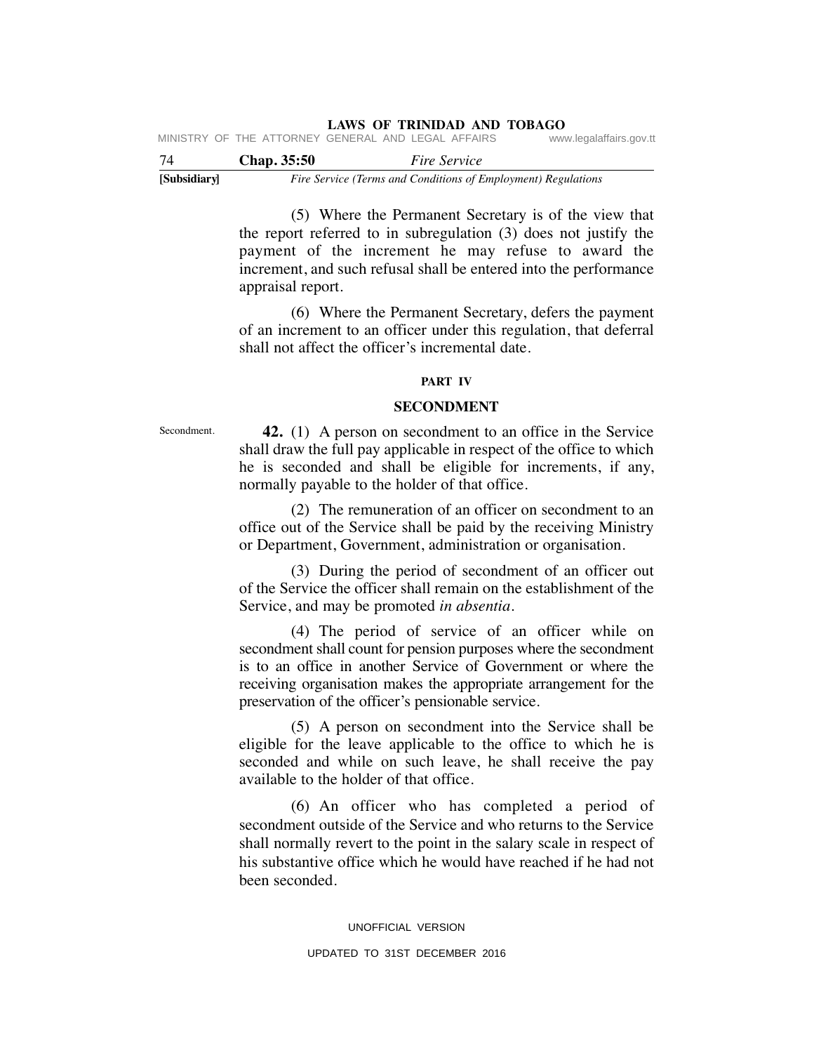| 74 | <b>Chap.</b> 35:50                                 |  | <i>Fire Service</i> |  |                         |  |
|----|----------------------------------------------------|--|---------------------|--|-------------------------|--|
|    | MINISTRY OF THE ATTORNEY GENERAL AND LEGAL AFFAIRS |  |                     |  | www.legalaffairs.gov.tt |  |

**[Subsidiary]** *Fire Service (Terms and Conditions of Employment) Regulations*

 (5) Where the Permanent Secretary is of the view that the report referred to in subregulation (3) does not justify the payment of the increment he may refuse to award the increment, and such refusal shall be entered into the performance appraisal report.

 (6) Where the Permanent Secretary, defers the payment of an increment to an officer under this regulation, that deferral shall not affect the officer's incremental date.

# **PART IV**

### **SECONDMENT**

Secondment.

 **42.** (1) A person on secondment to an office in the Service shall draw the full pay applicable in respect of the office to which he is seconded and shall be eligible for increments, if any, normally payable to the holder of that office.

 (2) The remuneration of an officer on secondment to an office out of the Service shall be paid by the receiving Ministry or Department, Government, administration or organisation.

 (3) During the period of secondment of an officer out of the Service the officer shall remain on the establishment of the Service, and may be promoted *in absentia*.

 (4) The period of service of an officer while on secondment shall count for pension purposes where the secondment is to an office in another Service of Government or where the receiving organisation makes the appropriate arrangement for the preservation of the officer's pensionable service.

 (5) A person on secondment into the Service shall be eligible for the leave applicable to the office to which he is seconded and while on such leave, he shall receive the pay available to the holder of that office.

 (6) An officer who has completed a period of secondment outside of the Service and who returns to the Service shall normally revert to the point in the salary scale in respect of his substantive office which he would have reached if he had not been seconded.

> UNOFFICIAL VERSION UPDATED TO 31ST DECEMBER 2016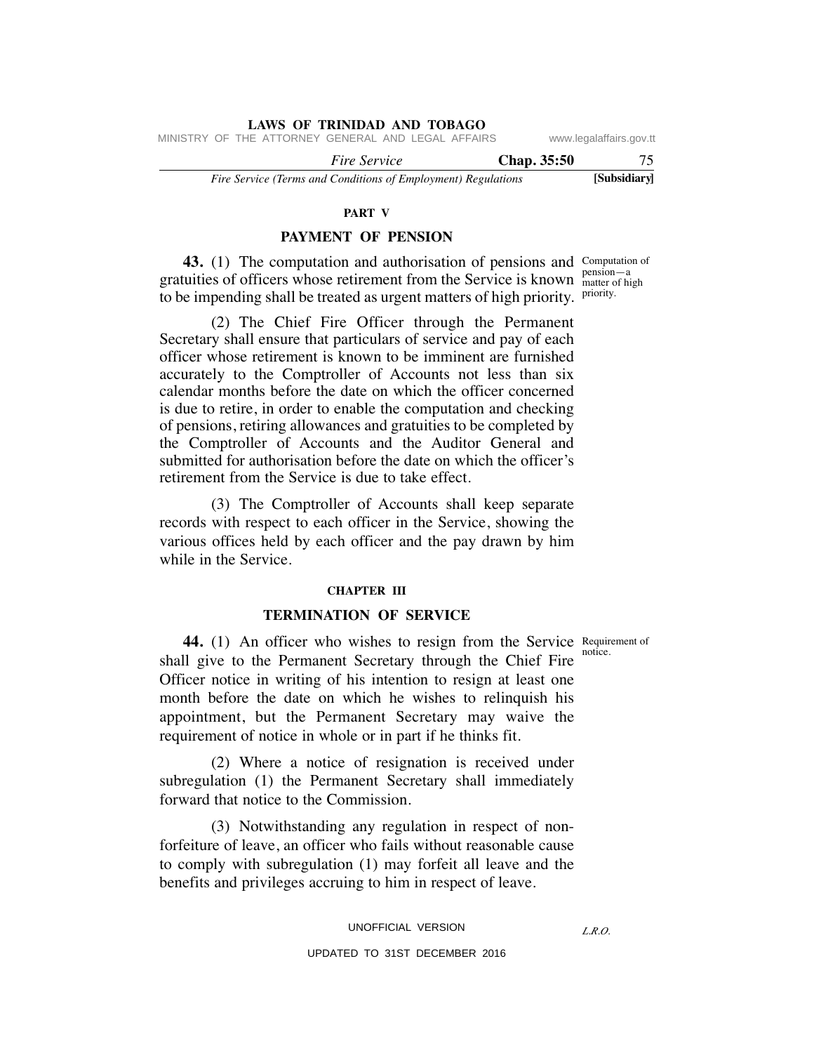MINISTRY OF THE ATTORNEY GENERAL AND LEGAL AFFAIRS www.legalaffairs.gov.tt

 *Fire Service* **Chap. 35:50** 75

*Fire Service (Terms and Conditions of Employment) Regulations* **[Subsidiary]**

### **PART V**

# **PAYMENT OF PENSION**

**43.** (1) The computation and authorisation of pensions and Computation of gratuities of officers whose retirement from the Service is known  $\frac{\text{pension}-a}{\text{matter of hi}}$ to be impending shall be treated as urgent matters of high priority. Priority.

 (2) The Chief Fire Officer through the Permanent Secretary shall ensure that particulars of service and pay of each officer whose retirement is known to be imminent are furnished accurately to the Comptroller of Accounts not less than six calendar months before the date on which the officer concerned is due to retire, in order to enable the computation and checking of pensions, retiring allowances and gratuities to be completed by the Comptroller of Accounts and the Auditor General and submitted for authorisation before the date on which the officer's retirement from the Service is due to take effect.

 (3) The Comptroller of Accounts shall keep separate records with respect to each officer in the Service, showing the various offices held by each officer and the pay drawn by him while in the Service.

# **CHAPTER III**

# **TERMINATION OF SERVICE**

notice.

*L.R.O.* 

44. (1) An officer who wishes to resign from the Service Requirement of shall give to the Permanent Secretary through the Chief Fire Officer notice in writing of his intention to resign at least one month before the date on which he wishes to relinquish his appointment, but the Permanent Secretary may waive the requirement of notice in whole or in part if he thinks fit.

 (2) Where a notice of resignation is received under subregulation (1) the Permanent Secretary shall immediately forward that notice to the Commission.

 (3) Notwithstanding any regulation in respect of nonforfeiture of leave, an officer who fails without reasonable cause to comply with subregulation (1) may forfeit all leave and the benefits and privileges accruing to him in respect of leave.

matter of high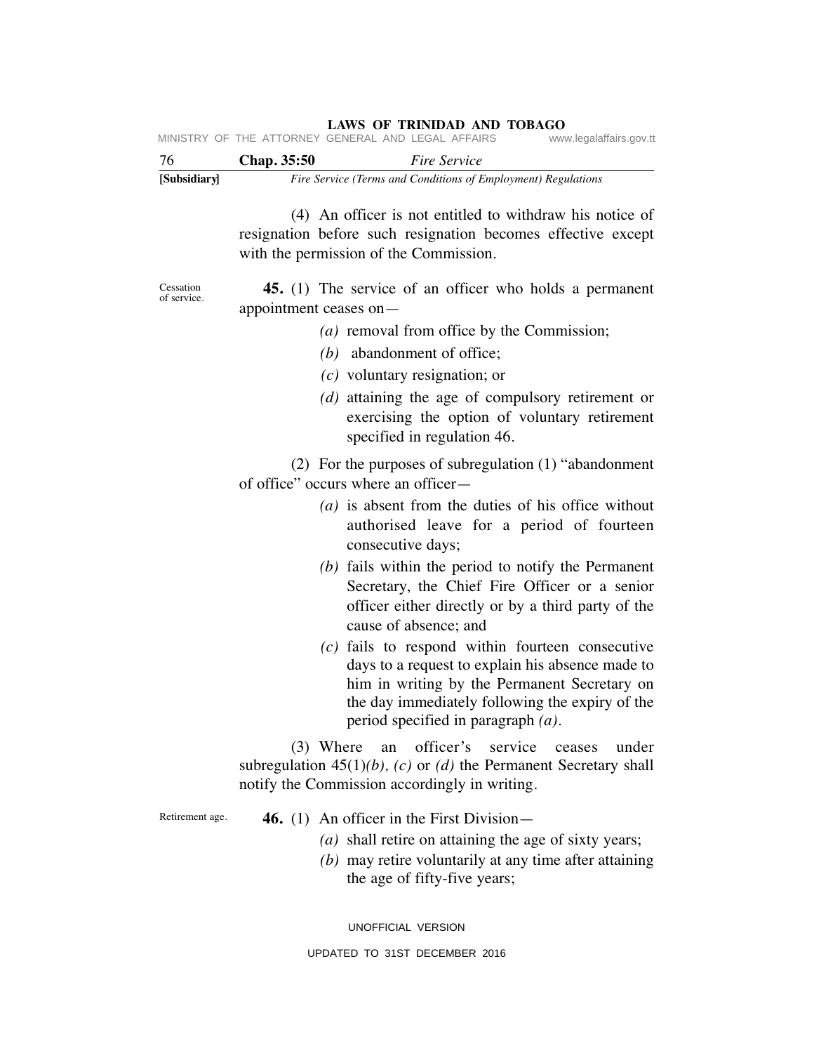| [Subsidiary] |                    | Fire Service (Terms and Conditions of Employment) Regulations |                         |
|--------------|--------------------|---------------------------------------------------------------|-------------------------|
| 76           | <b>Chap.</b> 35:50 | <i>Fire Service</i>                                           |                         |
|              |                    | MINISTRY OF THE ATTORNEY GENERAL AND LEGAL AFFAIRS            | www.legalaffairs.gov.tt |

 (4) An officer is not entitled to withdraw his notice of resignation before such resignation becomes effective except with the permission of the Commission.

**Cessation** of service.

 **45.** (1) The service of an officer who holds a permanent appointment ceases on—

- *(a)* removal from office by the Commission;
- *(b)* abandonment of office;
- *(c)* voluntary resignation; or
- *(d)* attaining the age of compulsory retirement or exercising the option of voluntary retirement specified in regulation 46.

 (2) For the purposes of subregulation (1) "abandonment of office" occurs where an officer—

- *(a)* is absent from the duties of his office without authorised leave for a period of fourteen consecutive days;
- *(b)* fails within the period to notify the Permanent Secretary, the Chief Fire Officer or a senior officer either directly or by a third party of the cause of absence; and
- *(c)* fails to respond within fourteen consecutive days to a request to explain his absence made to him in writing by the Permanent Secretary on the day immediately following the expiry of the period specified in paragraph *(a)*.

 (3) Where an officer's service ceases under subregulation 45(1)*(b), (c)* or *(d)* the Permanent Secretary shall notify the Commission accordingly in writing.

Retirement age.

- **46.** (1) An officer in the First Division—
	- *(a)* shall retire on attaining the age of sixty years;
	- *(b)* may retire voluntarily at any time after attaining the age of fifty-five years;

UNOFFICIAL VERSION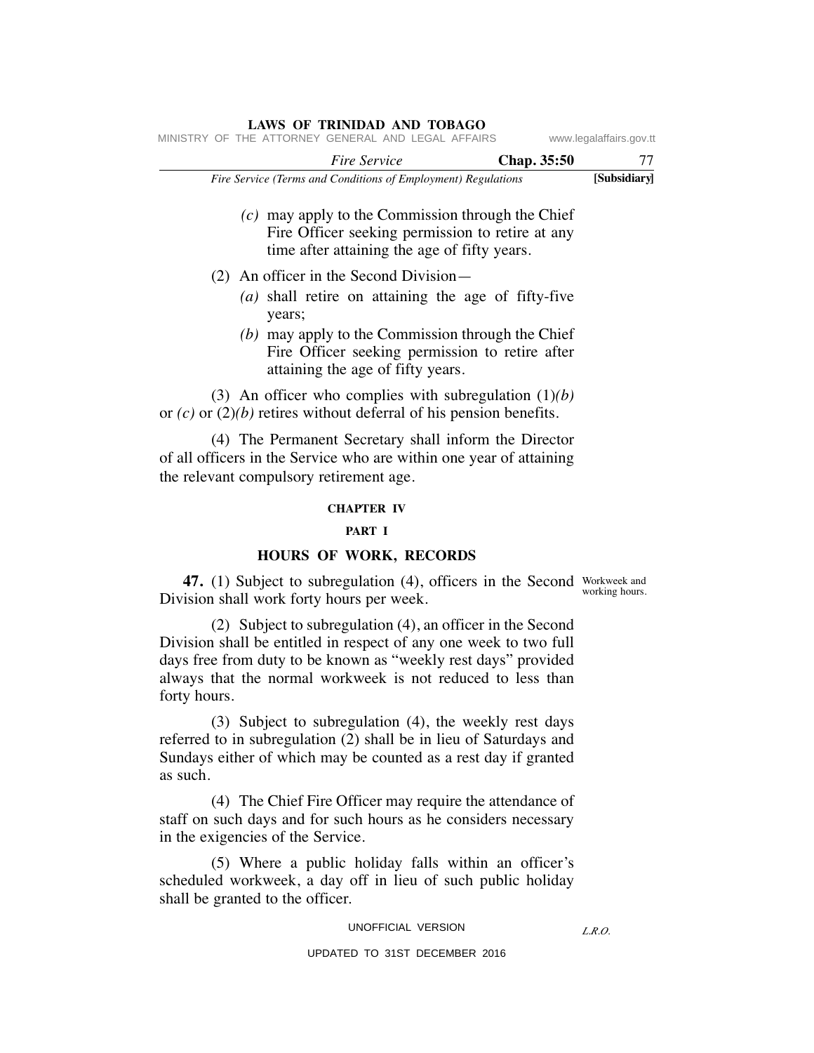|                                                                                                                                                                         | <b>Fire Service</b> | Chap. 35:50                                                                                                                                             | 77           |
|-------------------------------------------------------------------------------------------------------------------------------------------------------------------------|---------------------|---------------------------------------------------------------------------------------------------------------------------------------------------------|--------------|
| Fire Service (Terms and Conditions of Employment) Regulations                                                                                                           |                     |                                                                                                                                                         | [Subsidiary] |
|                                                                                                                                                                         |                     | $(c)$ may apply to the Commission through the Chief<br>Fire Officer seeking permission to retire at any<br>time after attaining the age of fifty years. |              |
| $(2)$ An officer in the Second Division—                                                                                                                                |                     |                                                                                                                                                         |              |
| years;                                                                                                                                                                  |                     | $(a)$ shall retire on attaining the age of fifty-five                                                                                                   |              |
| attaining the age of fifty years.                                                                                                                                       |                     | $(b)$ may apply to the Commission through the Chief<br>Fire Officer seeking permission to retire after                                                  |              |
| (3) An officer who complies with subregulation $(1)(b)$<br>or $(c)$ or $(2)(b)$ retires without deferral of his pension benefits.                                       |                     |                                                                                                                                                         |              |
| (4) The Permanent Secretary shall inform the Director<br>of all officers in the Service who are within one year of attaining<br>the relevant compulsory retirement age. |                     |                                                                                                                                                         |              |
|                                                                                                                                                                         | <b>CHAPTER IV</b>   |                                                                                                                                                         |              |
|                                                                                                                                                                         | PART I              |                                                                                                                                                         |              |

MINISTRY OF THE ATTORNEY GENERAL AND LEGAL AFFAIRS www.legalaffairs.gov.tt

# **HOURS OF WORK, RECORDS**

**47.** (1) Subject to subregulation (4), officers in the Second Workweek and Division shall work forty hours per week. working hours.

 (2) Subject to subregulation (4), an officer in the Second Division shall be entitled in respect of any one week to two full days free from duty to be known as "weekly rest days" provided always that the normal workweek is not reduced to less than forty hours.

 (3) Subject to subregulation (4), the weekly rest days referred to in subregulation (2) shall be in lieu of Saturdays and Sundays either of which may be counted as a rest day if granted as such.

 (4) The Chief Fire Officer may require the attendance of staff on such days and for such hours as he considers necessary in the exigencies of the Service.

 (5) Where a public holiday falls within an officer's scheduled workweek, a day off in lieu of such public holiday shall be granted to the officer.

### UNOFFICIAL VERSION

### *L.R.O.*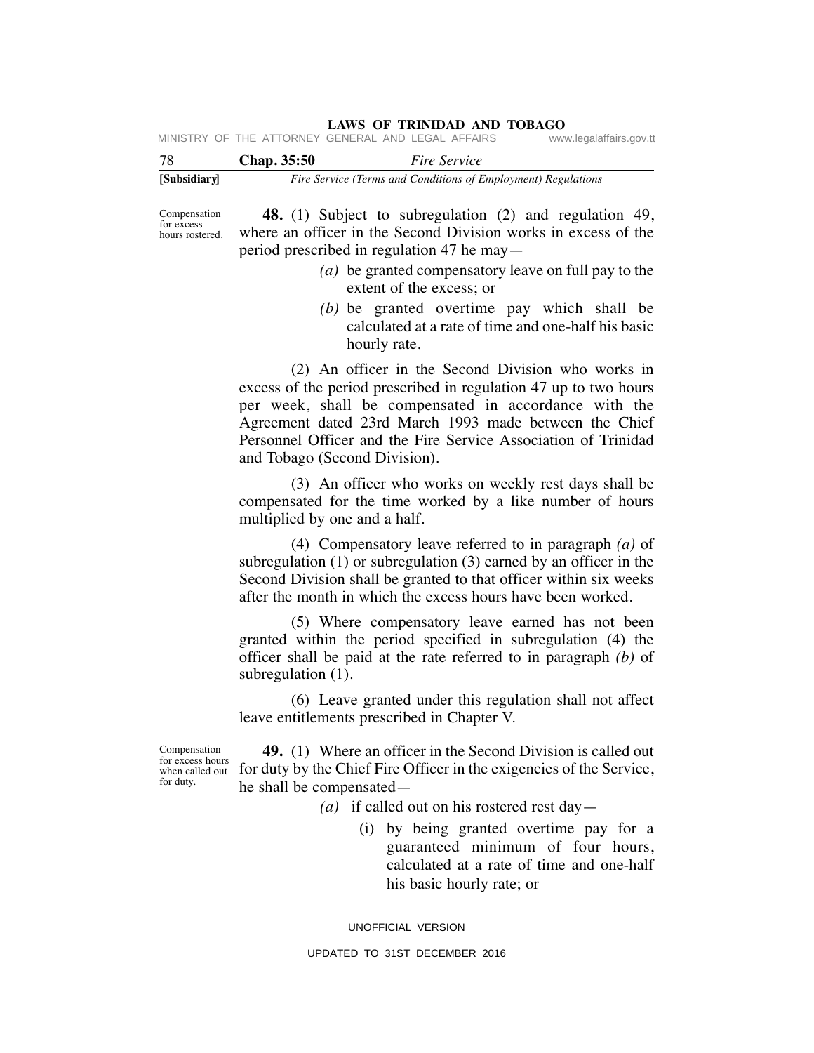**LAWS OF TRINIDAD AND TOBAGO**<br>GENERAL AND LEGAL AFFAIRS www.legalaffairs.gov.tt MINISTRY OF THE ATTORNEY GENERAL AND LEGAL AFFAIRS

| -78          | Chap. 35:50 | <i>Fire Service</i>                                           |
|--------------|-------------|---------------------------------------------------------------|
| [Subsidiary] |             | Fire Service (Terms and Conditions of Employment) Regulations |

Compensation for excess hours rostered.

 **48.** (1) Subject to subregulation (2) and regulation 49, where an officer in the Second Division works in excess of the period prescribed in regulation 47 he may—

- *(a)* be granted compensatory leave on full pay to the extent of the excess; or
- *(b)* be granted overtime pay which shall be calculated at a rate of time and one-half his basic hourly rate.

 (2) An officer in the Second Division who works in excess of the period prescribed in regulation 47 up to two hours per week, shall be compensated in accordance with the Agreement dated 23rd March 1993 made between the Chief Personnel Officer and the Fire Service Association of Trinidad and Tobago (Second Division).

 (3) An officer who works on weekly rest days shall be compensated for the time worked by a like number of hours multiplied by one and a half.

 (4) Compensatory leave referred to in paragraph *(a)* of subregulation (1) or subregulation (3) earned by an officer in the Second Division shall be granted to that officer within six weeks after the month in which the excess hours have been worked.

 (5) Where compensatory leave earned has not been granted within the period specified in subregulation (4) the officer shall be paid at the rate referred to in paragraph *(b)* of subregulation  $(1)$ .

 (6) Leave granted under this regulation shall not affect leave entitlements prescribed in Chapter V.

Compensation for excess hours for duty.

 **49.** (1) Where an officer in the Second Division is called out when called out for duty by the Chief Fire Officer in the exigencies of the Service, he shall be compensated—

- *(a)* if called out on his rostered rest day—
	- (i) by being granted overtime pay for a guaranteed minimum of four hours, calculated at a rate of time and one-half his basic hourly rate; or

UNOFFICIAL VERSION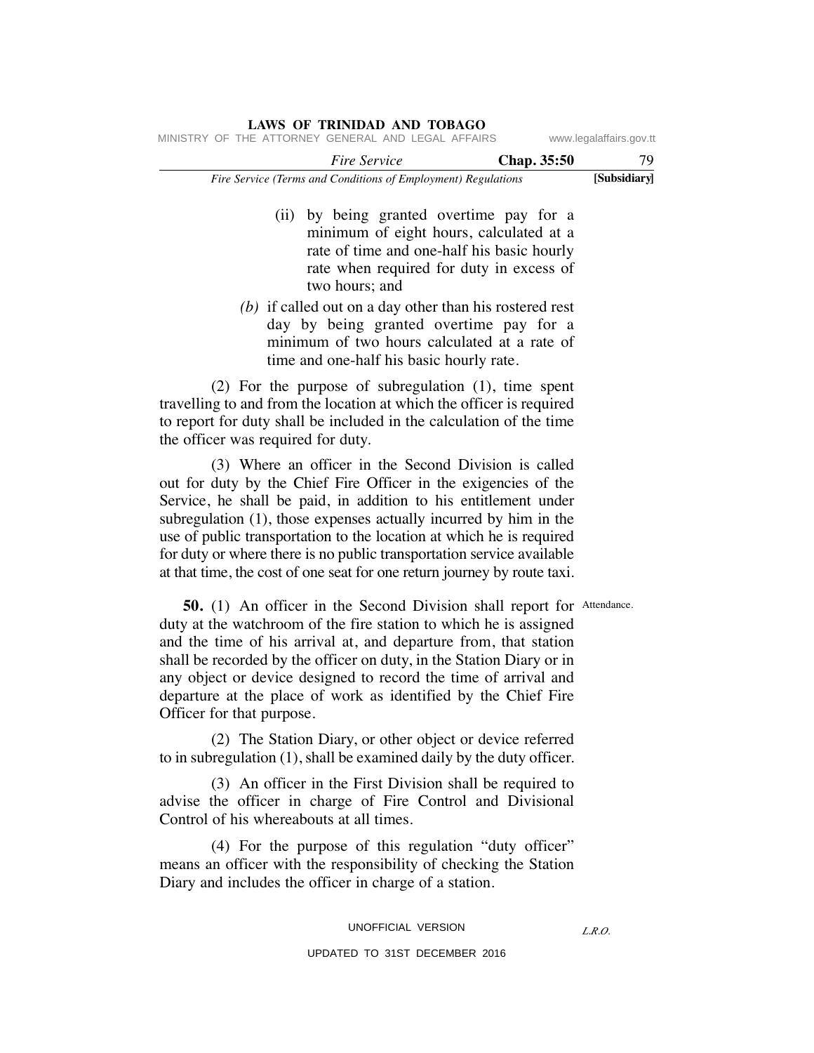|  |  | LAWS OF TRINIDAD AND TOBAGO                                   |  |             |                         |
|--|--|---------------------------------------------------------------|--|-------------|-------------------------|
|  |  | MINISTRY OF THE ATTORNEY GENERAL AND LEGAL AFFAIRS            |  |             | www.legalaffairs.gov.tt |
|  |  | <i>Fire Service</i>                                           |  | Chap. 35:50 | 79                      |
|  |  | Fire Service (Terms and Conditions of Employment) Regulations |  |             | [Subsidiary]            |

- (ii) by being granted overtime pay for a minimum of eight hours, calculated at a rate of time and one-half his basic hourly rate when required for duty in excess of two hours; and
- *(b)* if called out on a day other than his rostered rest day by being granted overtime pay for a minimum of two hours calculated at a rate of time and one-half his basic hourly rate.

 (2) For the purpose of subregulation (1), time spent travelling to and from the location at which the officer is required to report for duty shall be included in the calculation of the time the officer was required for duty.

 (3) Where an officer in the Second Division is called out for duty by the Chief Fire Officer in the exigencies of the Service, he shall be paid, in addition to his entitlement under subregulation (1), those expenses actually incurred by him in the use of public transportation to the location at which he is required for duty or where there is no public transportation service available at that time, the cost of one seat for one return journey by route taxi.

**50.** (1) An officer in the Second Division shall report for Attendance. duty at the watchroom of the fire station to which he is assigned and the time of his arrival at, and departure from, that station shall be recorded by the officer on duty, in the Station Diary or in any object or device designed to record the time of arrival and departure at the place of work as identified by the Chief Fire Officer for that purpose.

 (2) The Station Diary, or other object or device referred to in subregulation (1), shall be examined daily by the duty officer.

 (3) An officer in the First Division shall be required to advise the officer in charge of Fire Control and Divisional Control of his whereabouts at all times.

 (4) For the purpose of this regulation "duty officer" means an officer with the responsibility of checking the Station Diary and includes the officer in charge of a station.

# UNOFFICIAL VERSION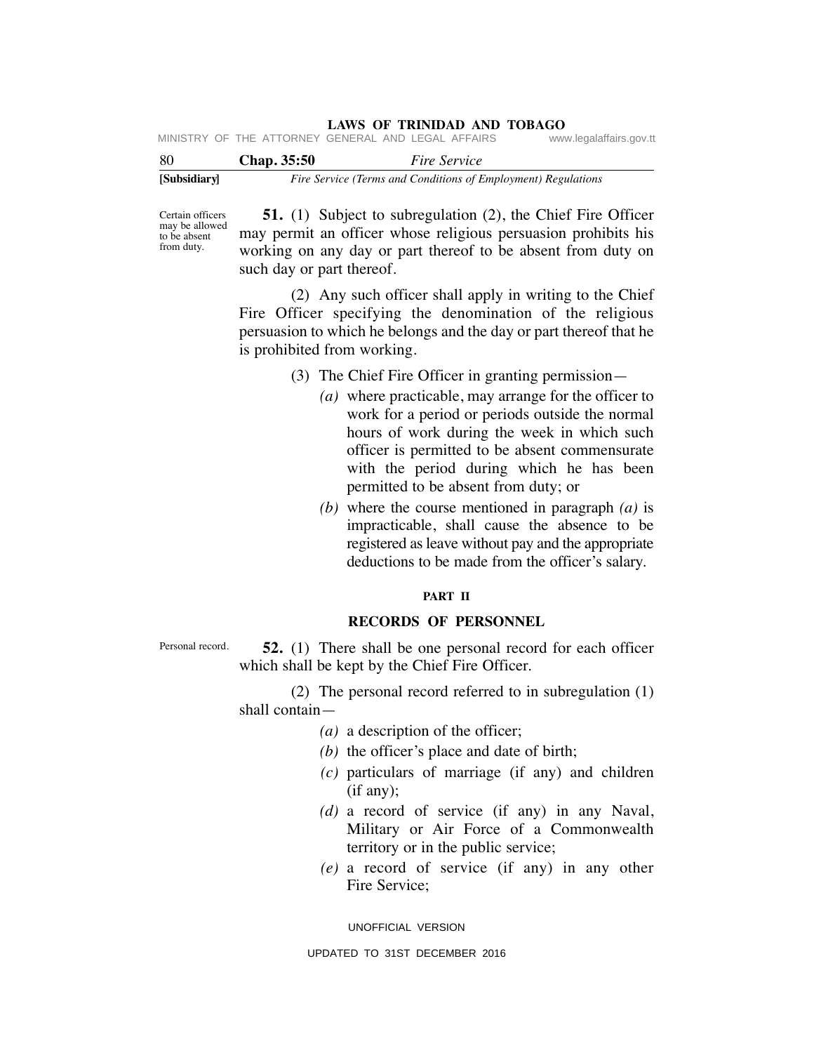| [Subsidiary] |                    | Fire Service (Terms and Conditions of Employment) Regulations |                         |
|--------------|--------------------|---------------------------------------------------------------|-------------------------|
| -80          | <b>Chap.</b> 35:50 | <i>Fire Service</i>                                           |                         |
|              |                    | MINISTRY OF THE ATTORNEY GENERAL AND LEGAL AFFAIRS            | www.legalaffairs.gov.tt |

Certain officers may be allowed to be absent from duty.

 **51.** (1) Subject to subregulation (2), the Chief Fire Officer may permit an officer whose religious persuasion prohibits his working on any day or part thereof to be absent from duty on such day or part thereof.

 (2) Any such officer shall apply in writing to the Chief Fire Officer specifying the denomination of the religious persuasion to which he belongs and the day or part thereof that he is prohibited from working.

- (3) The Chief Fire Officer in granting permission—
	- *(a)* where practicable, may arrange for the officer to work for a period or periods outside the normal hours of work during the week in which such officer is permitted to be absent commensurate with the period during which he has been permitted to be absent from duty; or
	- *(b)* where the course mentioned in paragraph *(a)* is impracticable, shall cause the absence to be registered as leave without pay and the appropriate deductions to be made from the officer's salary.

### **PART II**

# **RECORDS OF PERSONNEL**

 **52.** (1) There shall be one personal record for each officer which shall be kept by the Chief Fire Officer. Personal record.

> (2) The personal record referred to in subregulation (1) shall contain—

- *(a)* a description of the officer;
- *(b)* the officer's place and date of birth;
- *(c)* particulars of marriage (if any) and children (if any);
- *(d)* a record of service (if any) in any Naval, Military or Air Force of a Commonwealth territory or in the public service;
- *(e)* a record of service (if any) in any other Fire Service;

UNOFFICIAL VERSION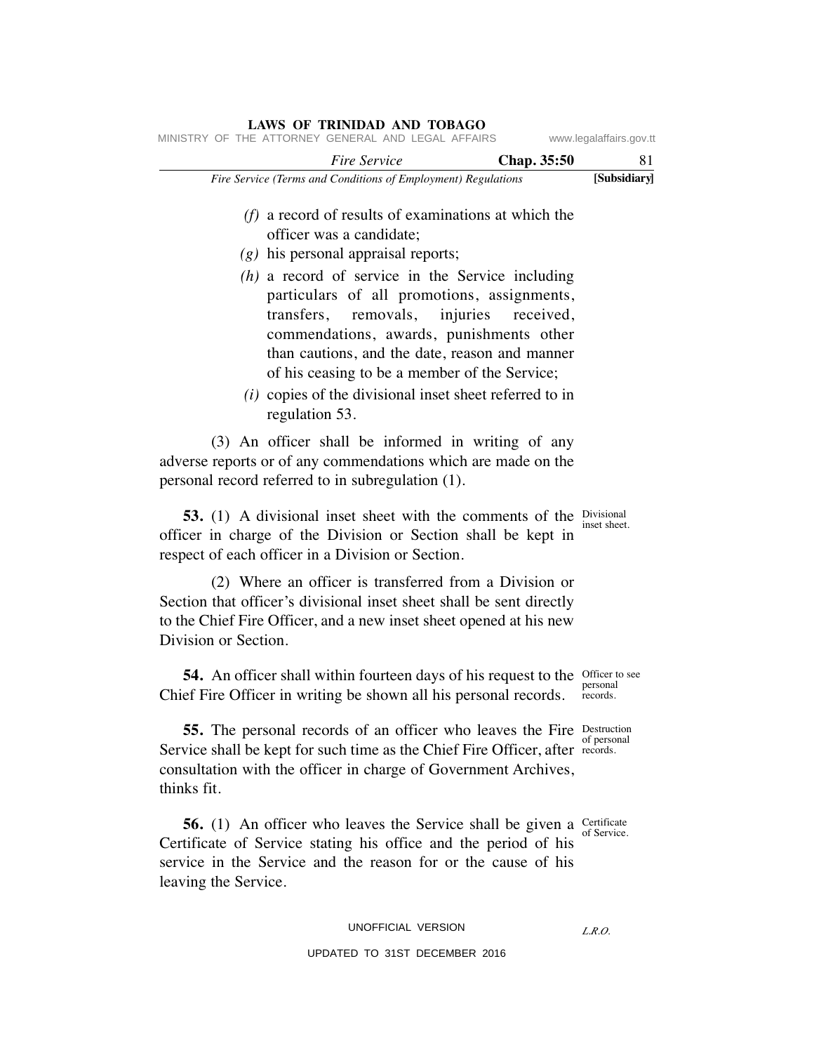|                      | MINISTRY OF THE ATTORNEY GENERAL AND LEGAL AFFAIRS                                                                                                                                                                                                                                                         |             | www.legalaffairs.gov.tt |
|----------------------|------------------------------------------------------------------------------------------------------------------------------------------------------------------------------------------------------------------------------------------------------------------------------------------------------------|-------------|-------------------------|
|                      | <b>Fire Service</b>                                                                                                                                                                                                                                                                                        | Chap. 35:50 | 81                      |
|                      | Fire Service (Terms and Conditions of Employment) Regulations                                                                                                                                                                                                                                              |             | [Subsidiary]            |
|                      | $(f)$ a record of results of examinations at which the<br>officer was a candidate;<br>$(g)$ his personal appraisal reports;<br>$(h)$ a record of service in the Service including                                                                                                                          |             |                         |
|                      | particulars of all promotions, assignments,<br>transfers, removals, injuries<br>commendations, awards, punishments other<br>than cautions, and the date, reason and manner<br>of his ceasing to be a member of the Service;<br>$(i)$ copies of the divisional inset sheet referred to in<br>regulation 53. | received,   |                         |
|                      | (3) An officer shall be informed in writing of any<br>adverse reports or of any commendations which are made on the<br>personal record referred to in subregulation (1).                                                                                                                                   |             |                         |
|                      | <b>53.</b> (1) A divisional inset sheet with the comments of the Divisional<br>officer in charge of the Division or Section shall be kept in<br>respect of each officer in a Division or Section.                                                                                                          |             | inset sheet.            |
| Division or Section. | (2) Where an officer is transferred from a Division or<br>Section that officer's divisional inset sheet shall be sent directly<br>to the Chief Fire Officer, and a new inset sheet opened at his new                                                                                                       |             |                         |
|                      | 54. An officer shall within fourteen days of his request to the Officer to see<br>Chief Fire Officer in writing be shown all his personal records.                                                                                                                                                         |             | personal<br>records.    |

 **55.** The personal records of an officer who leaves the Fire Service shall be kept for such time as the Chief Fire Officer, after consultation with the officer in charge of Government Archives, thinks fit. Destruction records.

**56.** (1) An officer who leaves the Service shall be given a Certificate Certificate of Service stating his office and the period of his service in the Service and the reason for or the cause of his leaving the Service.

UNOFFICIAL VERSION

UPDATED TO 31ST DECEMBER 2016

of personal

of Service.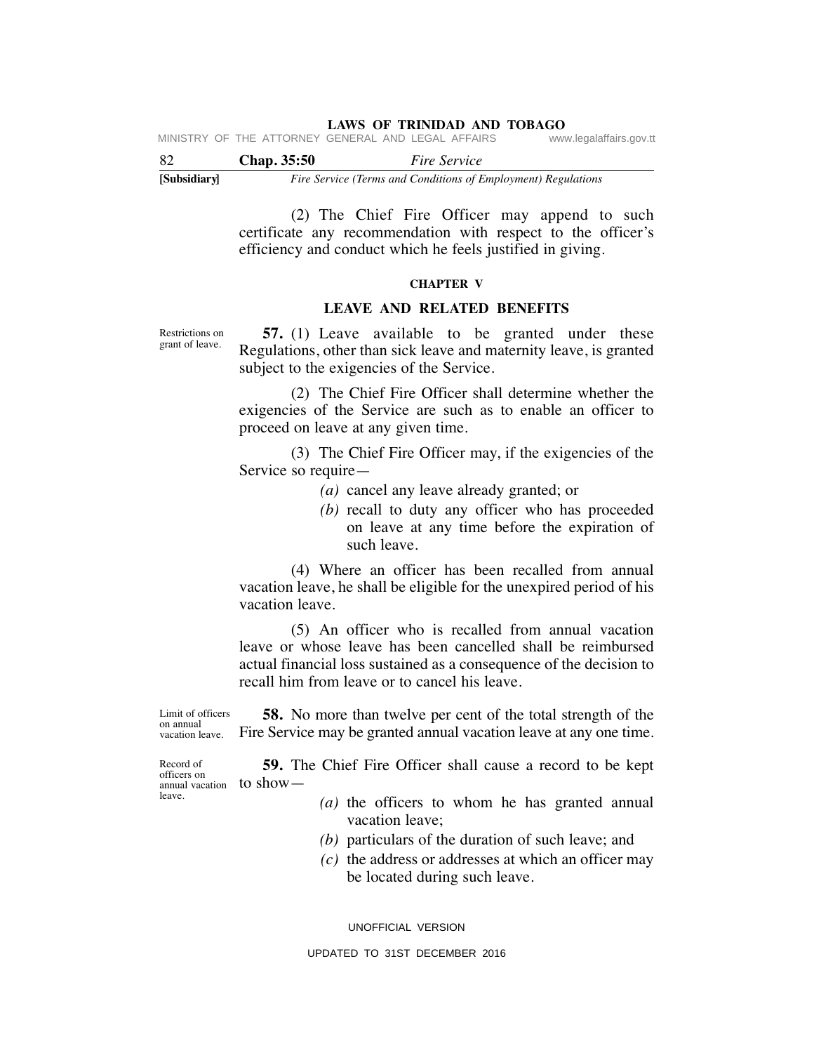**LAWS OF TRINIDAD AND TOBAGO**<br>GENERAL AND LEGAL AFFAIRS www.legalaffairs.gov.tt MINISTRY OF THE ATTORNEY GENERAL AND LEGAL AFFAIRS

| -82          | Chap. 35:50 | <i>Fire Service</i>                                           |
|--------------|-------------|---------------------------------------------------------------|
| [Subsidiary] |             | Fire Service (Terms and Conditions of Employment) Regulations |

 (2) The Chief Fire Officer may append to such certificate any recommendation with respect to the officer's efficiency and conduct which he feels justified in giving.

### **CHAPTER V**

# **LEAVE AND RELATED BENEFITS**

Restrictions on grant of leave.

 **57.** (1) Leave available to be granted under these Regulations, other than sick leave and maternity leave, is granted subject to the exigencies of the Service.

 (2) The Chief Fire Officer shall determine whether the exigencies of the Service are such as to enable an officer to proceed on leave at any given time.

 (3) The Chief Fire Officer may, if the exigencies of the Service so require—

- *(a)* cancel any leave already granted; or
- *(b)* recall to duty any officer who has proceeded on leave at any time before the expiration of such leave.

 (4) Where an officer has been recalled from annual vacation leave, he shall be eligible for the unexpired period of his vacation leave.

 (5) An officer who is recalled from annual vacation leave or whose leave has been cancelled shall be reimbursed actual financial loss sustained as a consequence of the decision to recall him from leave or to cancel his leave.

 **58.** No more than twelve per cent of the total strength of the Fire Service may be granted annual vacation leave at any one time. Limit of officers on annual vacation leave.

 $_{\text{annual vacation}}$  to show — Record of officers on leave.

**59.** The Chief Fire Officer shall cause a record to be kept

- *(a)* the officers to whom he has granted annual vacation leave;
- *(b)* particulars of the duration of such leave; and
- *(c)* the address or addresses at which an officer may be located during such leave.

UNOFFICIAL VERSION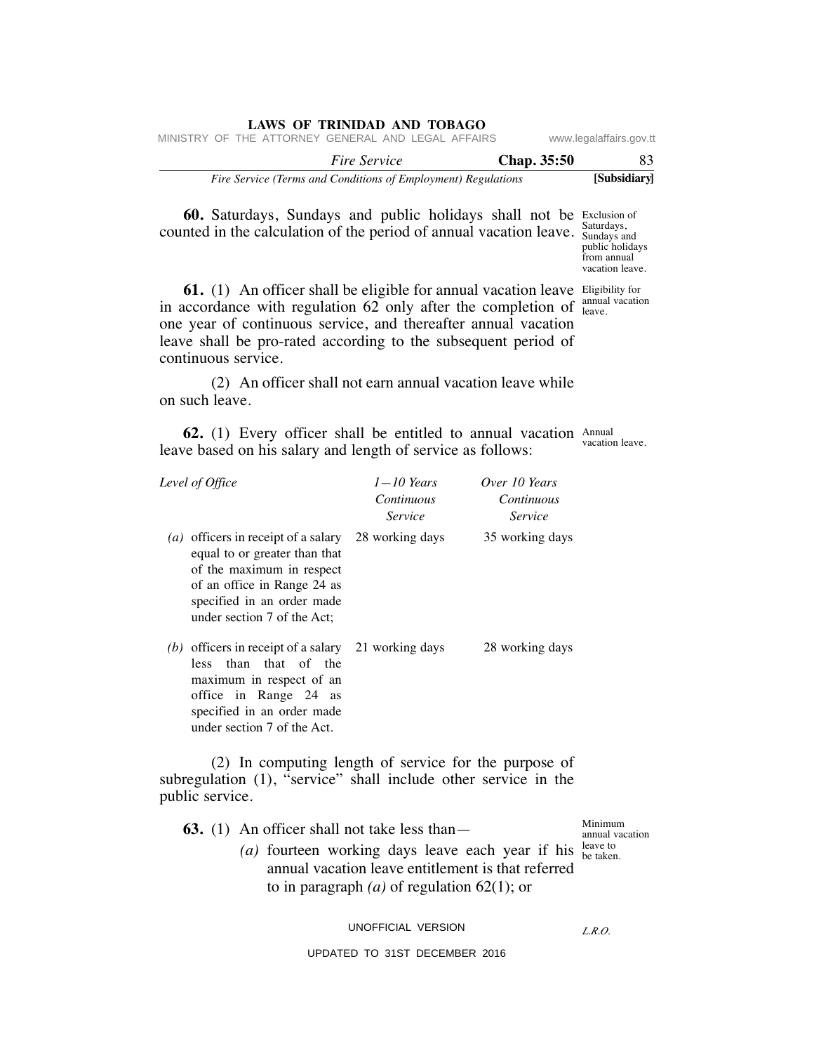|                                                    |  | LAWS OF TRINIDAD AND TOBAGO                                   |  |  |             |                         |  |
|----------------------------------------------------|--|---------------------------------------------------------------|--|--|-------------|-------------------------|--|
| MINISTRY OF THE ATTORNEY GENERAL AND LEGAL AFFAIRS |  |                                                               |  |  |             | www.legalaffairs.gov.tt |  |
|                                                    |  | <i>Fire Service</i>                                           |  |  | Chap. 35:50 | -83                     |  |
|                                                    |  | Fire Service (Terms and Conditions of Employment) Regulations |  |  |             | [Subsidiary]            |  |

**60.** Saturdays, Sundays and public holidays shall not be Exclusion of counted in the calculation of the period of annual vacation leave.  $\frac{\text{Saturdays}}{\text{Sunderss}}$ 

Sundays and public holidays from annual vacation leave.

**61.** (1) An officer shall be eligible for annual vacation leave Eligibility for in accordance with regulation  $62$  only after the completion of  $_{\text{leave}}^{\text{annual vacation}}$ one year of continuous service, and thereafter annual vacation leave shall be pro-rated according to the subsequent period of continuous service. leave.

 (2) An officer shall not earn annual vacation leave while on such leave.

**62.** (1) Every officer shall be entitled to annual vacation Annual leave based on his salary and length of service as follows: vacation leave.

|                   | Level of Office                                                                                                                                                                                | $1 - 10$ Years<br>Continuous<br><i>Service</i> | Over 10 Years<br>Continuous<br><i>Service</i> |  |  |
|-------------------|------------------------------------------------------------------------------------------------------------------------------------------------------------------------------------------------|------------------------------------------------|-----------------------------------------------|--|--|
| $\left( a\right)$ | officers in receipt of a salary<br>equal to or greater than that<br>of the maximum in respect<br>of an office in Range 24 as<br>specified in an order made<br>under section 7 of the Act;      | 28 working days                                | 35 working days                               |  |  |
|                   | (b) officers in receipt of a salary 21 working days<br>less than that of the<br>maximum in respect of an<br>office in Range 24 as<br>specified in an order made<br>under section 7 of the Act. |                                                | 28 working days                               |  |  |

 (2) In computing length of service for the purpose of subregulation (1), "service" shall include other service in the public service.

| <b>63.</b> (1) An officer shall not take less than $-$                                   | Minimum<br>annual vacation |  |  |  |  |  |  |
|------------------------------------------------------------------------------------------|----------------------------|--|--|--|--|--|--|
| (a) fourteen working days leave each year if his $_{\text{be taken}}^{ \text{leave to}}$ |                            |  |  |  |  |  |  |
| annual vacation leave entitlement is that referred                                       |                            |  |  |  |  |  |  |
| to in paragraph ( <i>a</i> ) of regulation 62(1); or                                     |                            |  |  |  |  |  |  |

UNOFFICIAL VERSION

*L.R.O.*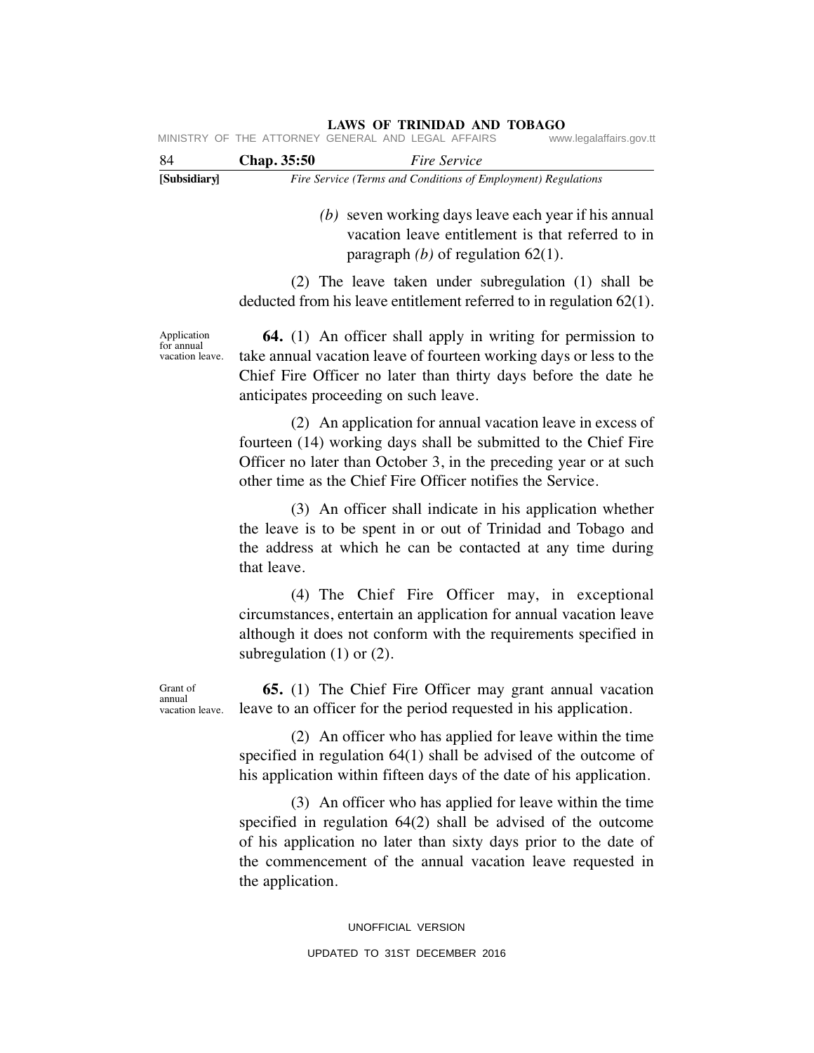| [Subsidiary] |                    |                                                    | Fire Service (Terms and Conditions of Employment) Regulations |  |
|--------------|--------------------|----------------------------------------------------|---------------------------------------------------------------|--|
| -84          | <b>Chap.</b> 35:50 |                                                    | <i>Fire Service</i>                                           |  |
|              |                    | MINISTRY OF THE ATTORNEY GENERAL AND LEGAL AFFAIRS | www.legalaffairs.gov.tt                                       |  |

 *(b)* seven working days leave each year if his annual vacation leave entitlement is that referred to in paragraph *(b)* of regulation 62(1).

 (2) The leave taken under subregulation (1) shall be deducted from his leave entitlement referred to in regulation 62(1).

Application for annual vacation leave.

 **64.** (1) An officer shall apply in writing for permission to take annual vacation leave of fourteen working days or less to the Chief Fire Officer no later than thirty days before the date he anticipates proceeding on such leave.

 (2) An application for annual vacation leave in excess of fourteen (14) working days shall be submitted to the Chief Fire Officer no later than October 3, in the preceding year or at such other time as the Chief Fire Officer notifies the Service.

 (3) An officer shall indicate in his application whether the leave is to be spent in or out of Trinidad and Tobago and the address at which he can be contacted at any time during that leave.

 (4) The Chief Fire Officer may, in exceptional circumstances, entertain an application for annual vacation leave although it does not conform with the requirements specified in subregulation (1) or (2).

 **65.** (1) The Chief Fire Officer may grant annual vacation leave to an officer for the period requested in his application.

 (2) An officer who has applied for leave within the time specified in regulation 64(1) shall be advised of the outcome of his application within fifteen days of the date of his application.

 (3) An officer who has applied for leave within the time specified in regulation 64(2) shall be advised of the outcome of his application no later than sixty days prior to the date of the commencement of the annual vacation leave requested in the application.

> UNOFFICIAL VERSION UPDATED TO 31ST DECEMBER 2016

Grant of annual vacation leave.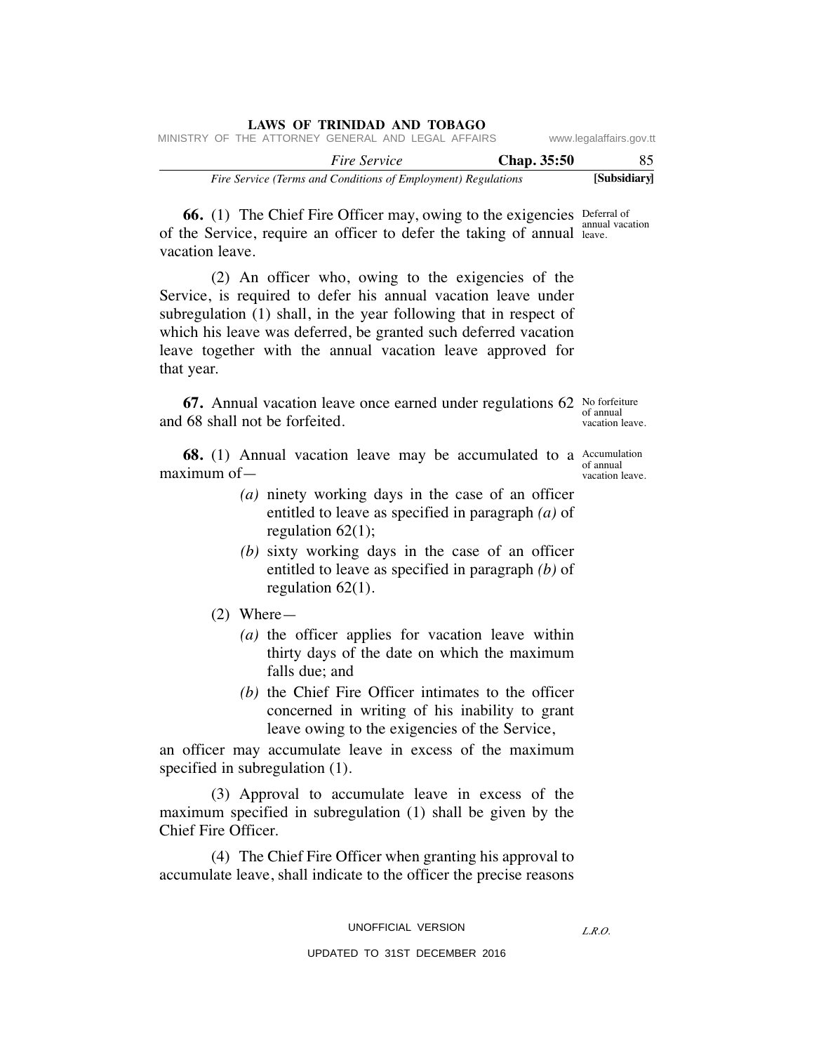|                                                               |  |  |                     | LAWS OF TRINIDAD AND TOBAGO                        |             |                         |
|---------------------------------------------------------------|--|--|---------------------|----------------------------------------------------|-------------|-------------------------|
|                                                               |  |  |                     | MINISTRY OF THE ATTORNEY GENERAL AND LEGAL AFFAIRS |             | www.legalaffairs.gov.tt |
|                                                               |  |  | <i>Fire Service</i> |                                                    | Chap. 35:50 | 85                      |
| Fire Service (Terms and Conditions of Employment) Regulations |  |  |                     |                                                    |             | [Subsidiary]            |

**66.** (1) The Chief Fire Officer may, owing to the exigencies Deferral of annual vacation of the Service, require an officer to defer the taking of annual leave. vacation leave.

 (2) An officer who, owing to the exigencies of the Service, is required to defer his annual vacation leave under subregulation (1) shall, in the year following that in respect of which his leave was deferred, be granted such deferred vacation leave together with the annual vacation leave approved for that year.

**67.** Annual vacation leave once earned under regulations 62 No forfeiture and 68 shall not be forfeited.

of annual vacation leave.

**68.** (1) Annual vacation leave may be accumulated to a  $\frac{\text{Accumulation}}{\text{cf.}$ of annual vacation leave. maximum of—

- *(a)* ninety working days in the case of an officer entitled to leave as specified in paragraph *(a)* of regulation  $62(1)$ ;
- *(b)* sixty working days in the case of an officer entitled to leave as specified in paragraph *(b)* of regulation 62(1).
- (2) Where—
	- *(a)* the officer applies for vacation leave within thirty days of the date on which the maximum falls due; and
	- *(b)* the Chief Fire Officer intimates to the officer concerned in writing of his inability to grant leave owing to the exigencies of the Service,

an officer may accumulate leave in excess of the maximum specified in subregulation (1).

 (3) Approval to accumulate leave in excess of the maximum specified in subregulation (1) shall be given by the Chief Fire Officer.

 (4) The Chief Fire Officer when granting his approval to accumulate leave, shall indicate to the officer the precise reasons

UNOFFICIAL VERSION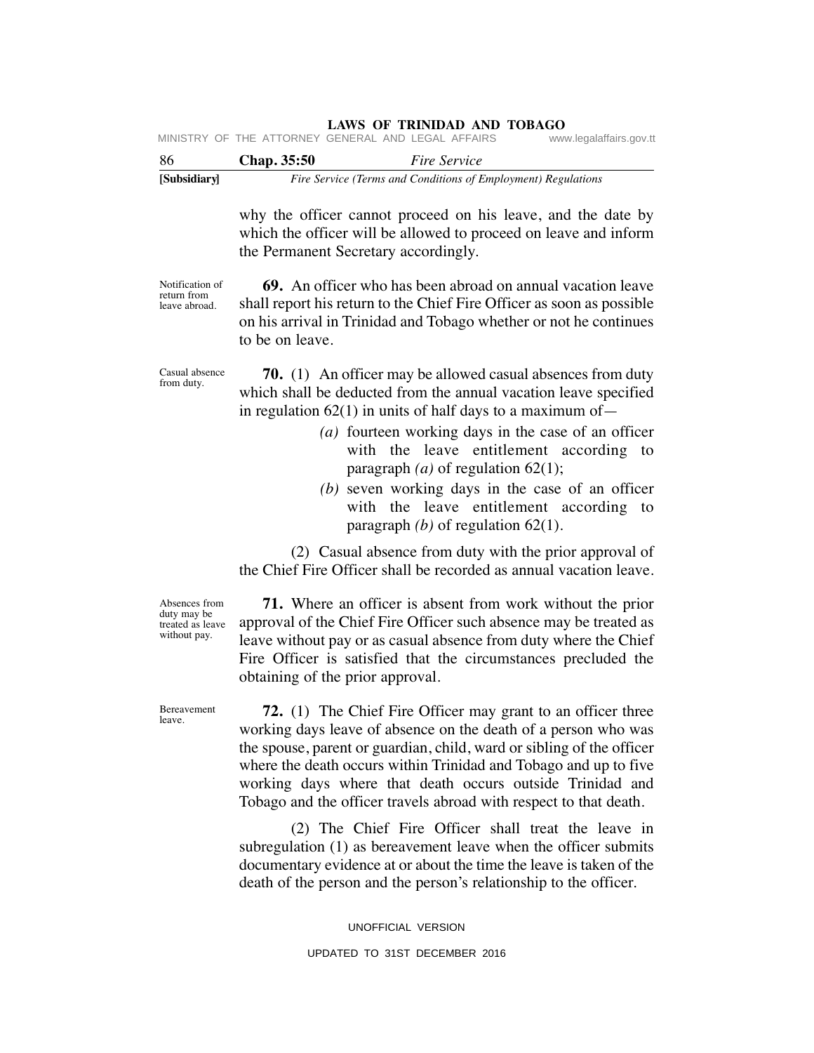| [Subsidiary] |                    | Fire Service (Terms and Conditions of Employment) Regulations                 |
|--------------|--------------------|-------------------------------------------------------------------------------|
| -86          | <b>Chap.</b> 35:50 | <i>Fire Service</i>                                                           |
|              |                    | MINISTRY OF THE ATTORNEY GENERAL AND LEGAL AFFAIRS<br>www.legalaffairs.gov.tt |

why the officer cannot proceed on his leave, and the date by which the officer will be allowed to proceed on leave and inform the Permanent Secretary accordingly.

Notification of return from leave abroad.

 **69.** An officer who has been abroad on annual vacation leave shall report his return to the Chief Fire Officer as soon as possible on his arrival in Trinidad and Tobago whether or not he continues to be on leave.

Casual absence from duty.

 **70.** (1) An officer may be allowed casual absences from duty which shall be deducted from the annual vacation leave specified in regulation  $62(1)$  in units of half days to a maximum of —

- *(a)* fourteen working days in the case of an officer with the leave entitlement according to paragraph  $(a)$  of regulation  $62(1)$ ;
- *(b)* seven working days in the case of an officer with the leave entitlement according to paragraph *(b)* of regulation 62(1).

 (2) Casual absence from duty with the prior approval of the Chief Fire Officer shall be recorded as annual vacation leave.

 **71.** Where an officer is absent from work without the prior approval of the Chief Fire Officer such absence may be treated as leave without pay or as casual absence from duty where the Chief Fire Officer is satisfied that the circumstances precluded the obtaining of the prior approval.

 **72.** (1) The Chief Fire Officer may grant to an officer three working days leave of absence on the death of a person who was the spouse, parent or guardian, child, ward or sibling of the officer where the death occurs within Trinidad and Tobago and up to five working days where that death occurs outside Trinidad and Tobago and the officer travels abroad with respect to that death.

 (2) The Chief Fire Officer shall treat the leave in subregulation (1) as bereavement leave when the officer submits documentary evidence at or about the time the leave is taken of the death of the person and the person's relationship to the officer.

> UNOFFICIAL VERSION UPDATED TO 31ST DECEMBER 2016

Absences from duty may be treated as leave without pay.

Bereavement leave.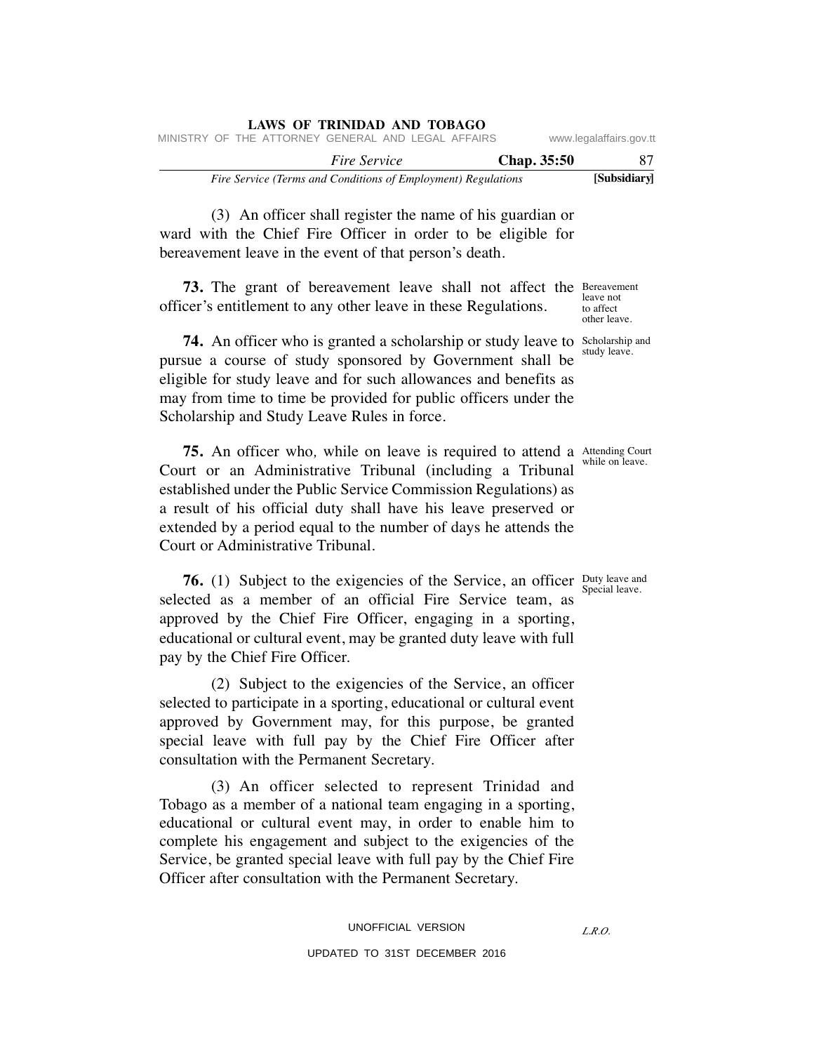|                         |                                                               |  |  |  | LAWS OF INIMIDAD AND TODAGO                        |  |  |  |
|-------------------------|---------------------------------------------------------------|--|--|--|----------------------------------------------------|--|--|--|
| www.legalaffairs.gov.tt |                                                               |  |  |  | MINISTRY OF THE ATTORNEY GENERAL AND LEGAL AFFAIRS |  |  |  |
| 87.                     | <b>Chap.</b> 35:50                                            |  |  |  | <i>Fire Service</i>                                |  |  |  |
| [Subsidiary]            | Fire Service (Terms and Conditions of Employment) Regulations |  |  |  |                                                    |  |  |  |

 (3) An officer shall register the name of his guardian or ward with the Chief Fire Officer in order to be eligible for bereavement leave in the event of that person's death.

**LAWS OF TRINIDAD AND TOBAGO**

**73.** The grant of bereavement leave shall not affect the Bereavement officer's entitlement to any other leave in these Regulations.

**74.** An officer who is granted a scholarship or study leave to Scholarship and pursue a course of study sponsored by Government shall be eligible for study leave and for such allowances and benefits as may from time to time be provided for public officers under the Scholarship and Study Leave Rules in force.

**75.** An officer who, while on leave is required to attend a Attending Court Court or an Administrative Tribunal (including a Tribunal established under the Public Service Commission Regulations) as a result of his official duty shall have his leave preserved or extended by a period equal to the number of days he attends the Court or Administrative Tribunal. while on leave.

**76.** (1) Subject to the exigencies of the Service, an officer Duty leave and selected as a member of an official Fire Service team, as approved by the Chief Fire Officer, engaging in a sporting, educational or cultural event, may be granted duty leave with full pay by the Chief Fire Officer.

 (2) Subject to the exigencies of the Service, an officer selected to participate in a sporting, educational or cultural event approved by Government may, for this purpose, be granted special leave with full pay by the Chief Fire Officer after consultation with the Permanent Secretary.

 (3) An officer selected to represent Trinidad and Tobago as a member of a national team engaging in a sporting, educational or cultural event may, in order to enable him to complete his engagement and subject to the exigencies of the Service, be granted special leave with full pay by the Chief Fire Officer after consultation with the Permanent Secretary.

leave not to affect other leave.

study leave.

Special leave.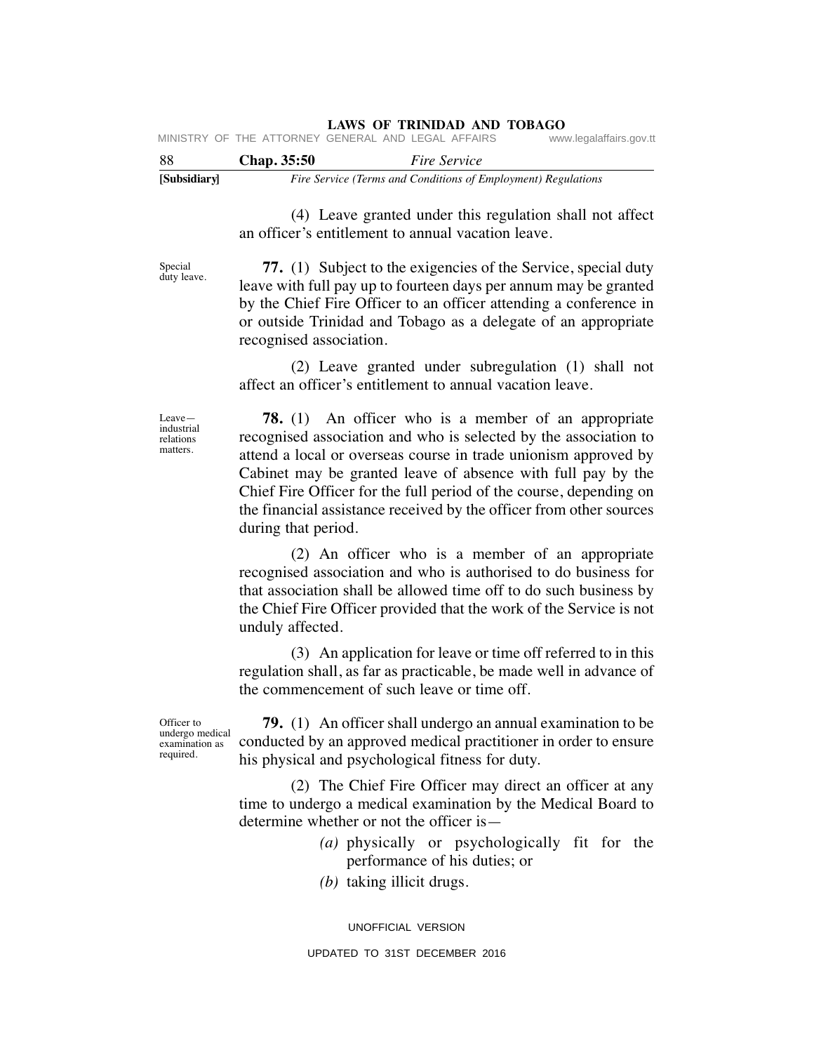| -88 | <b>Chap.</b> 35:50 |  | <i>Fire Service</i>                                |                         |
|-----|--------------------|--|----------------------------------------------------|-------------------------|
|     |                    |  | MINISTRY OF THE ATTORNEY GENERAL AND LEGAL AFFAIRS | www.legalaffairs.gov.tt |

| [Subsidiary] | Fire Service (Terms and Conditions of Employment) Regulations |
|--------------|---------------------------------------------------------------|

 (4) Leave granted under this regulation shall not affect an officer's entitlement to annual vacation leave.

Special duty leave.

 **77.** (1) Subject to the exigencies of the Service, special duty leave with full pay up to fourteen days per annum may be granted by the Chief Fire Officer to an officer attending a conference in or outside Trinidad and Tobago as a delegate of an appropriate recognised association.

 (2) Leave granted under subregulation (1) shall not affect an officer's entitlement to annual vacation leave.

Leave industrial relations matters.

 **78.** (1) An officer who is a member of an appropriate recognised association and who is selected by the association to attend a local or overseas course in trade unionism approved by Cabinet may be granted leave of absence with full pay by the Chief Fire Officer for the full period of the course, depending on the financial assistance received by the officer from other sources during that period.

 (2) An officer who is a member of an appropriate recognised association and who is authorised to do business for that association shall be allowed time off to do such business by the Chief Fire Officer provided that the work of the Service is not unduly affected.

(3) An application for leave or time off referred to in this regulation shall, as far as practicable, be made well in advance of the commencement of such leave or time off.

Officer to undergo medical examination as required.

 **79.** (1) An officer shall undergo an annual examination to be conducted by an approved medical practitioner in order to ensure his physical and psychological fitness for duty.

 (2) The Chief Fire Officer may direct an officer at any time to undergo a medical examination by the Medical Board to determine whether or not the officer is—

- *(a)* physically or psychologically fit for the performance of his duties; or
- *(b)* taking illicit drugs.

UNOFFICIAL VERSION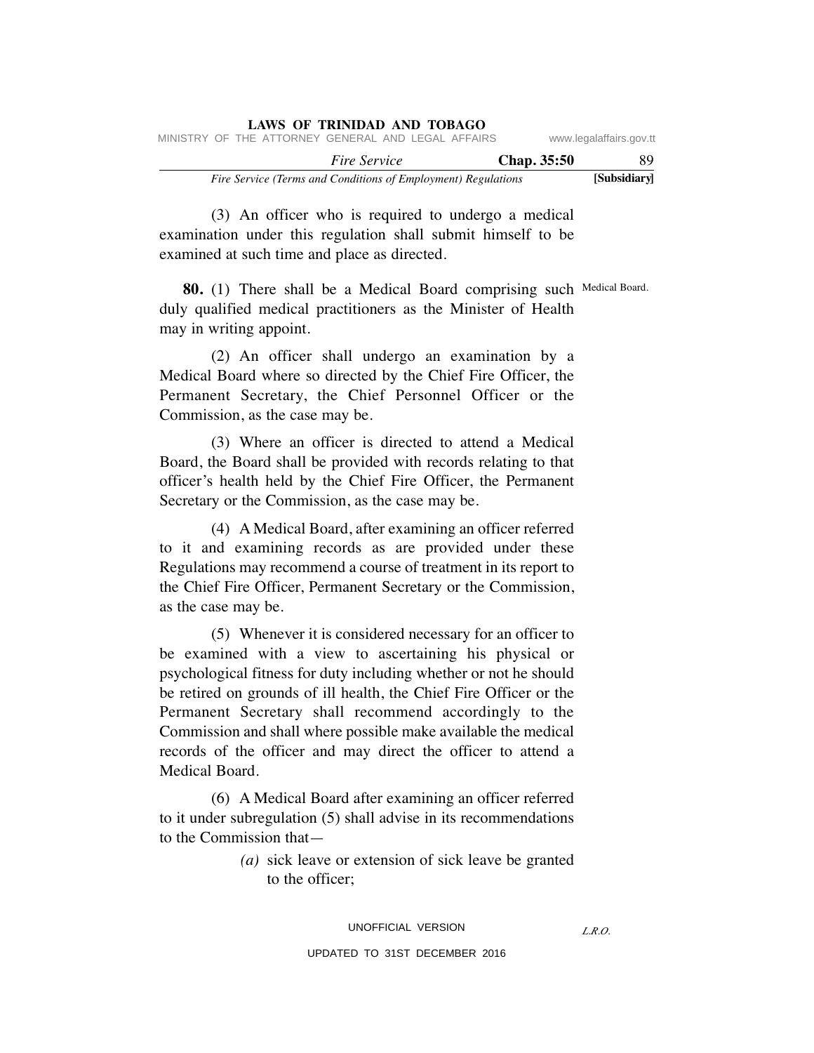|                                                               |  |                                                    |                     | LAWS OF TRINIDAD AND TOBAGO |             |                         |
|---------------------------------------------------------------|--|----------------------------------------------------|---------------------|-----------------------------|-------------|-------------------------|
|                                                               |  | MINISTRY OF THE ATTORNEY GENERAL AND LEGAL AFFAIRS |                     |                             |             | www.legalaffairs.gov.tt |
|                                                               |  |                                                    | <i>Fire Service</i> |                             | Chap. 35:50 | -89                     |
| Fire Service (Terms and Conditions of Employment) Regulations |  |                                                    |                     |                             |             | [Subsidiary]            |

 (3) An officer who is required to undergo a medical examination under this regulation shall submit himself to be examined at such time and place as directed.

**80.** (1) There shall be a Medical Board comprising such Medical Board. duly qualified medical practitioners as the Minister of Health may in writing appoint.

 (2) An officer shall undergo an examination by a Medical Board where so directed by the Chief Fire Officer, the Permanent Secretary, the Chief Personnel Officer or the Commission, as the case may be.

(3) Where an officer is directed to attend a Medical Board, the Board shall be provided with records relating to that officer's health held by the Chief Fire Officer, the Permanent Secretary or the Commission, as the case may be.

 (4) A Medical Board, after examining an officer referred to it and examining records as are provided under these Regulations may recommend a course of treatment in its report to the Chief Fire Officer, Permanent Secretary or the Commission, as the case may be.

 (5) Whenever it is considered necessary for an officer to be examined with a view to ascertaining his physical or psychological fitness for duty including whether or not he should be retired on grounds of ill health, the Chief Fire Officer or the Permanent Secretary shall recommend accordingly to the Commission and shall where possible make available the medical records of the officer and may direct the officer to attend a Medical Board.

 (6) A Medical Board after examining an officer referred to it under subregulation (5) shall advise in its recommendations to the Commission that—

> *(a)* sick leave or extension of sick leave be granted to the officer;

### UNOFFICIAL VERSION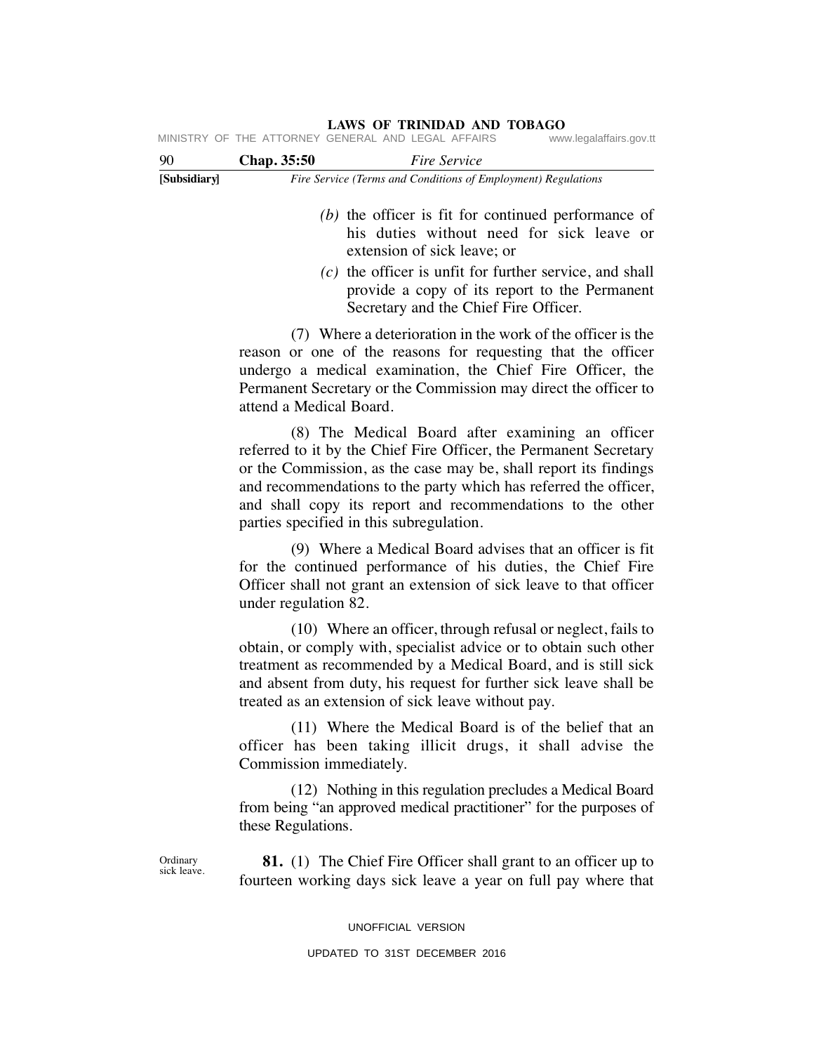# **[Subsidiary]** *Fire Service (Terms and Conditions of Employment) Regulations* 90 **Chap. 35:50** *Fire Service (b)* the officer is fit for continued performance of his duties without need for sick leave or extension of sick leave; or *(c)* the officer is unfit for further service, and shall provide a copy of its report to the Permanent Secretary and the Chief Fire Officer. (7) Where a deterioration in the work of the officer is the reason or one of the reasons for requesting that the officer undergo a medical examination, the Chief Fire Officer, the Permanent Secretary or the Commission may direct the officer to attend a Medical Board. (8) The Medical Board after examining an officer referred to it by the Chief Fire Officer, the Permanent Secretary or the Commission, as the case may be, shall report its findings and recommendations to the party which has referred the officer, and shall copy its report and recommendations to the other parties specified in this subregulation. (9) Where a Medical Board advises that an officer is fit for the continued performance of his duties, the Chief Fire Officer shall not grant an extension of sick leave to that officer under regulation 82. (10) Where an officer, through refusal or neglect, fails to obtain, or comply with, specialist advice or to obtain such other treatment as recommended by a Medical Board, and is still sick and absent from duty, his request for further sick leave shall be treated as an extension of sick leave without pay. (11) Where the Medical Board is of the belief that an officer has been taking illicit drugs, it shall advise the Commission immediately. (12) Nothing in this regulation precludes a Medical Board from being "an approved medical practitioner" for the purposes of these Regulations. **81.** (1) The Chief Fire Officer shall grant to an officer up to fourteen working days sick leave a year on full pay where that **Ordinary** sick leave. MINISTRY OF THE ATTORNEY GENERAL AND LEGAL AFFAIRS

# **LAWS OF TRINIDAD AND TOBAGO**

UNOFFICIAL VERSION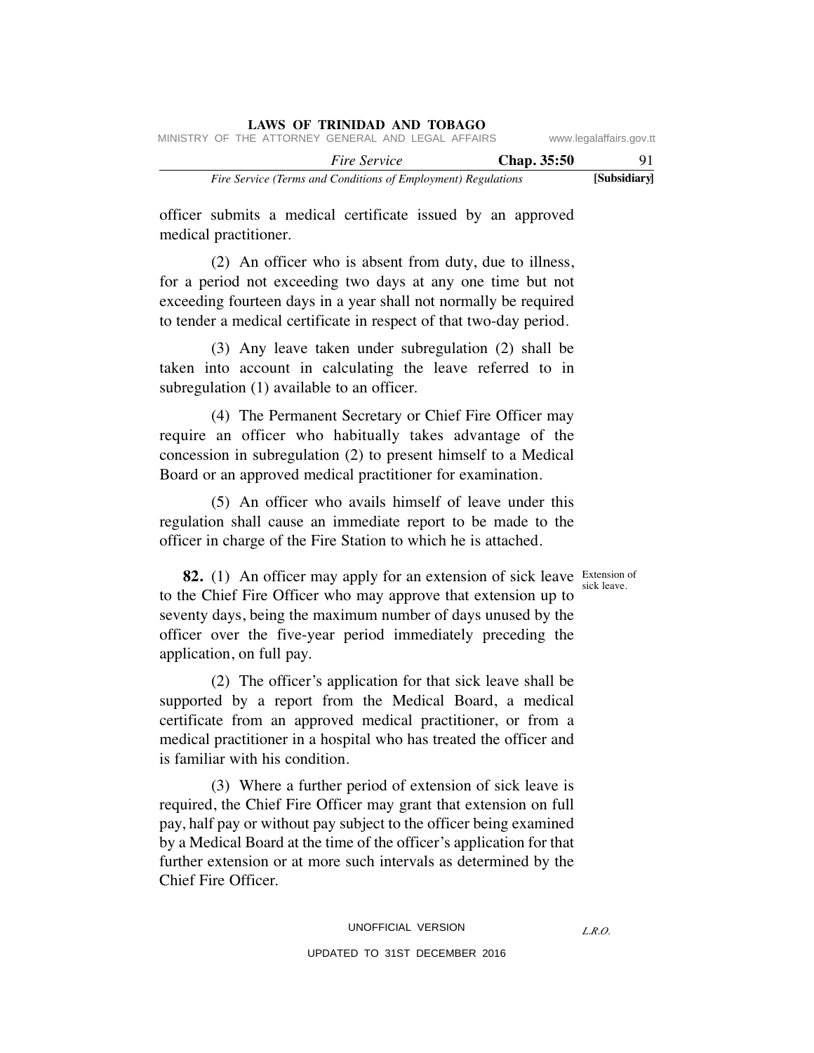|                                                               |  |  | <b>LAWS OF TRINIDAD AND TOBAGO</b>                 |  |             |                         |
|---------------------------------------------------------------|--|--|----------------------------------------------------|--|-------------|-------------------------|
|                                                               |  |  | MINISTRY OF THE ATTORNEY GENERAL AND LEGAL AFFAIRS |  |             | www.legalaffairs.gov.tt |
|                                                               |  |  | <i>Fire Service</i>                                |  | Chap. 35:50 | 91.                     |
| Fire Service (Terms and Conditions of Employment) Regulations |  |  |                                                    |  |             | [Subsidiary]            |

officer submits a medical certificate issued by an approved medical practitioner.

 (2) An officer who is absent from duty, due to illness, for a period not exceeding two days at any one time but not exceeding fourteen days in a year shall not normally be required to tender a medical certificate in respect of that two-day period.

 (3) Any leave taken under subregulation (2) shall be taken into account in calculating the leave referred to in subregulation (1) available to an officer.

 (4) The Permanent Secretary or Chief Fire Officer may require an officer who habitually takes advantage of the concession in subregulation (2) to present himself to a Medical Board or an approved medical practitioner for examination.

 (5) An officer who avails himself of leave under this regulation shall cause an immediate report to be made to the officer in charge of the Fire Station to which he is attached.

sick leave.

**82.** (1) An officer may apply for an extension of sick leave Extension of to the Chief Fire Officer who may approve that extension up to seventy days, being the maximum number of days unused by the officer over the five-year period immediately preceding the application, on full pay.

 (2) The officer's application for that sick leave shall be supported by a report from the Medical Board, a medical certificate from an approved medical practitioner, or from a medical practitioner in a hospital who has treated the officer and is familiar with his condition.

 (3) Where a further period of extension of sick leave is required, the Chief Fire Officer may grant that extension on full pay, half pay or without pay subject to the officer being examined by a Medical Board at the time of the officer's application for that further extension or at more such intervals as determined by the Chief Fire Officer.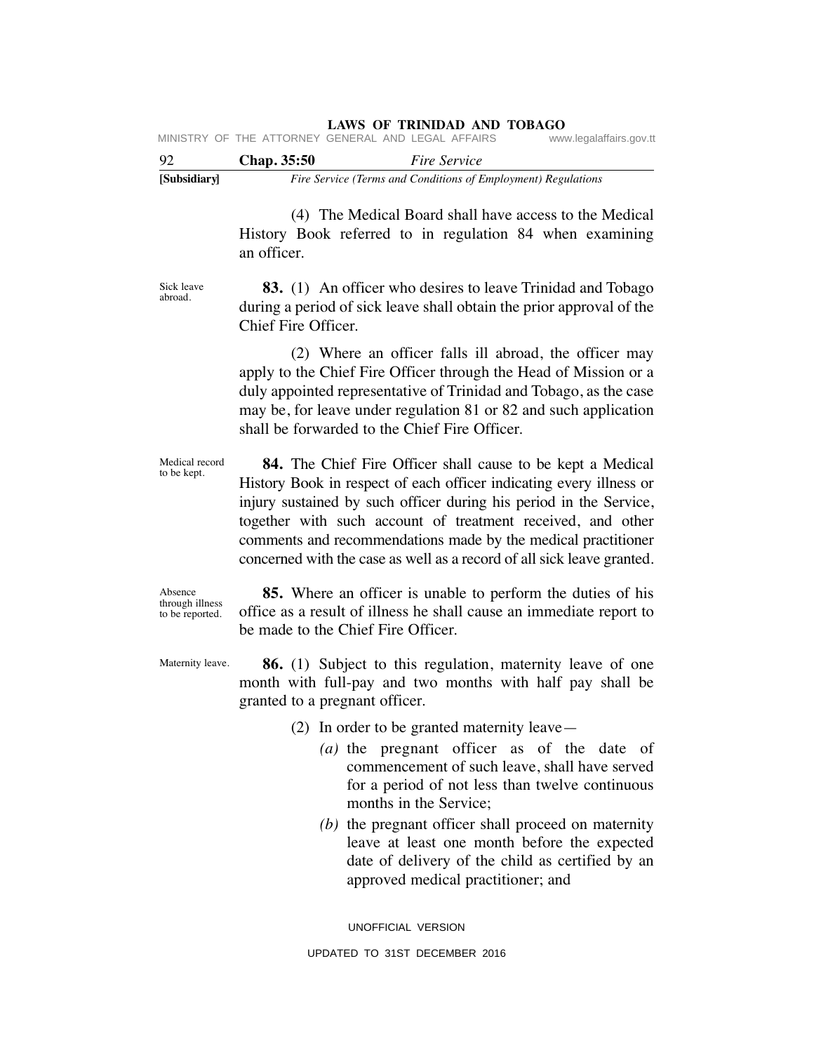|              |                    | MINISTRY OF THE ATTORNEY GENERAL AND LEGAL AFFAIRS            | www.legalaffairs.gov.tt |
|--------------|--------------------|---------------------------------------------------------------|-------------------------|
| 92           | <b>Chap.</b> 35:50 | <i>Fire Service</i>                                           |                         |
| [Subsidiary] |                    | Fire Service (Terms and Conditions of Employment) Regulations |                         |

 (4) The Medical Board shall have access to the Medical History Book referred to in regulation 84 when examining an officer.

Sick leave abroad.

 **83.** (1) An officer who desires to leave Trinidad and Tobago during a period of sick leave shall obtain the prior approval of the Chief Fire Officer.

 (2) Where an officer falls ill abroad, the officer may apply to the Chief Fire Officer through the Head of Mission or a duly appointed representative of Trinidad and Tobago, as the case may be, for leave under regulation 81 or 82 and such application shall be forwarded to the Chief Fire Officer.

Medical record to be kept.

 **84.** The Chief Fire Officer shall cause to be kept a Medical History Book in respect of each officer indicating every illness or injury sustained by such officer during his period in the Service, together with such account of treatment received, and other comments and recommendations made by the medical practitioner concerned with the case as well as a record of all sick leave granted.

Absence through illness to be reported.

 **85.** Where an officer is unable to perform the duties of his office as a result of illness he shall cause an immediate report to be made to the Chief Fire Officer.

Maternity leave.

 **86.** (1) Subject to this regulation, maternity leave of one month with full-pay and two months with half pay shall be granted to a pregnant officer.

- (2) In order to be granted maternity leave—
	- *(a)* the pregnant officer as of the date of commencement of such leave, shall have served for a period of not less than twelve continuous months in the Service;
	- *(b)* the pregnant officer shall proceed on maternity leave at least one month before the expected date of delivery of the child as certified by an approved medical practitioner; and

UNOFFICIAL VERSION UPDATED TO 31ST DECEMBER 2016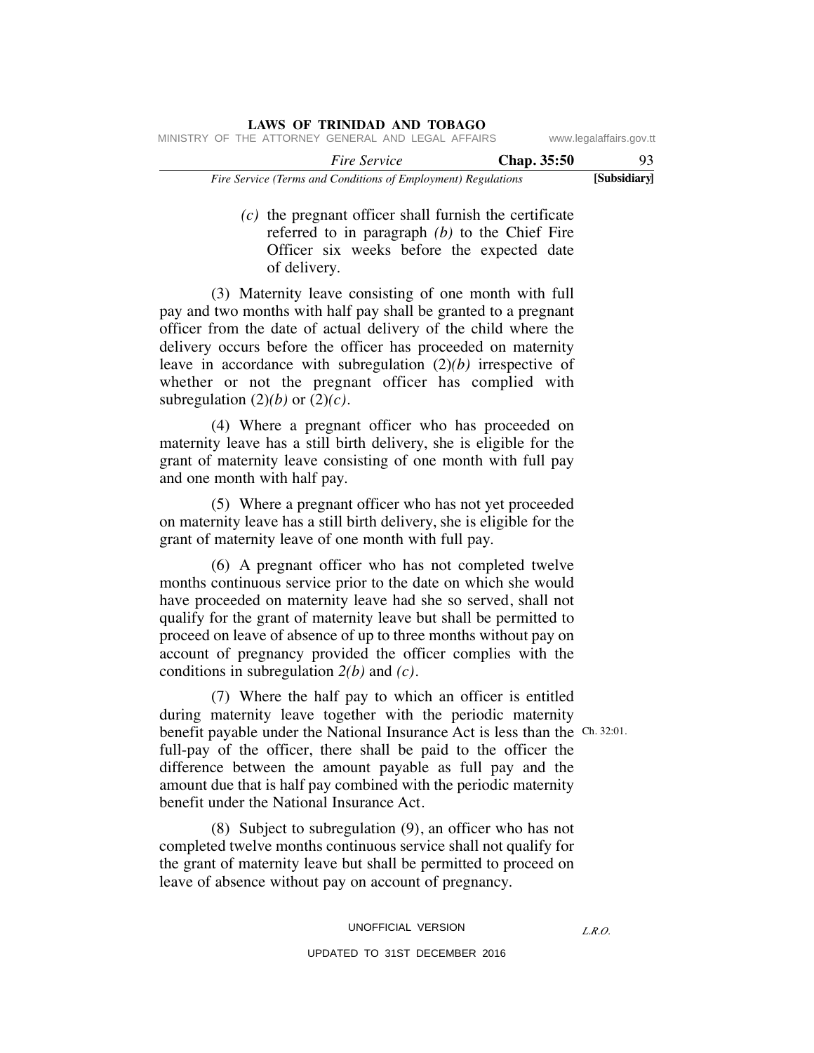|                                                               |  |                                                    | <b>LAWS OF TRINIDAD AND TOBAGO</b> |  |  |                    |                         |
|---------------------------------------------------------------|--|----------------------------------------------------|------------------------------------|--|--|--------------------|-------------------------|
|                                                               |  | MINISTRY OF THE ATTORNEY GENERAL AND LEGAL AFFAIRS |                                    |  |  |                    | www.legalaffairs.gov.tt |
|                                                               |  |                                                    | <i>Fire Service</i>                |  |  | <b>Chap.</b> 35:50 | 93                      |
| Fire Service (Terms and Conditions of Employment) Regulations |  |                                                    |                                    |  |  |                    | [Subsidiary]            |

 *(c)* the pregnant officer shall furnish the certificate referred to in paragraph *(b)* to the Chief Fire Officer six weeks before the expected date of delivery.

 (3) Maternity leave consisting of one month with full pay and two months with half pay shall be granted to a pregnant officer from the date of actual delivery of the child where the delivery occurs before the officer has proceeded on maternity leave in accordance with subregulation (2)*(b)* irrespective of whether or not the pregnant officer has complied with subregulation  $(2)(b)$  or  $(2)(c)$ .

 (4) Where a pregnant officer who has proceeded on maternity leave has a still birth delivery, she is eligible for the grant of maternity leave consisting of one month with full pay and one month with half pay.

 (5) Where a pregnant officer who has not yet proceeded on maternity leave has a still birth delivery, she is eligible for the grant of maternity leave of one month with full pay.

 (6) A pregnant officer who has not completed twelve months continuous service prior to the date on which she would have proceeded on maternity leave had she so served, shall not qualify for the grant of maternity leave but shall be permitted to proceed on leave of absence of up to three months without pay on account of pregnancy provided the officer complies with the conditions in subregulation *2(b)* and *(c)*.

 (7) Where the half pay to which an officer is entitled during maternity leave together with the periodic maternity benefit payable under the National Insurance Act is less than the Ch. 32:01. full-pay of the officer, there shall be paid to the officer the difference between the amount payable as full pay and the amount due that is half pay combined with the periodic maternity benefit under the National Insurance Act.

 (8) Subject to subregulation (9), an officer who has not completed twelve months continuous service shall not qualify for the grant of maternity leave but shall be permitted to proceed on leave of absence without pay on account of pregnancy.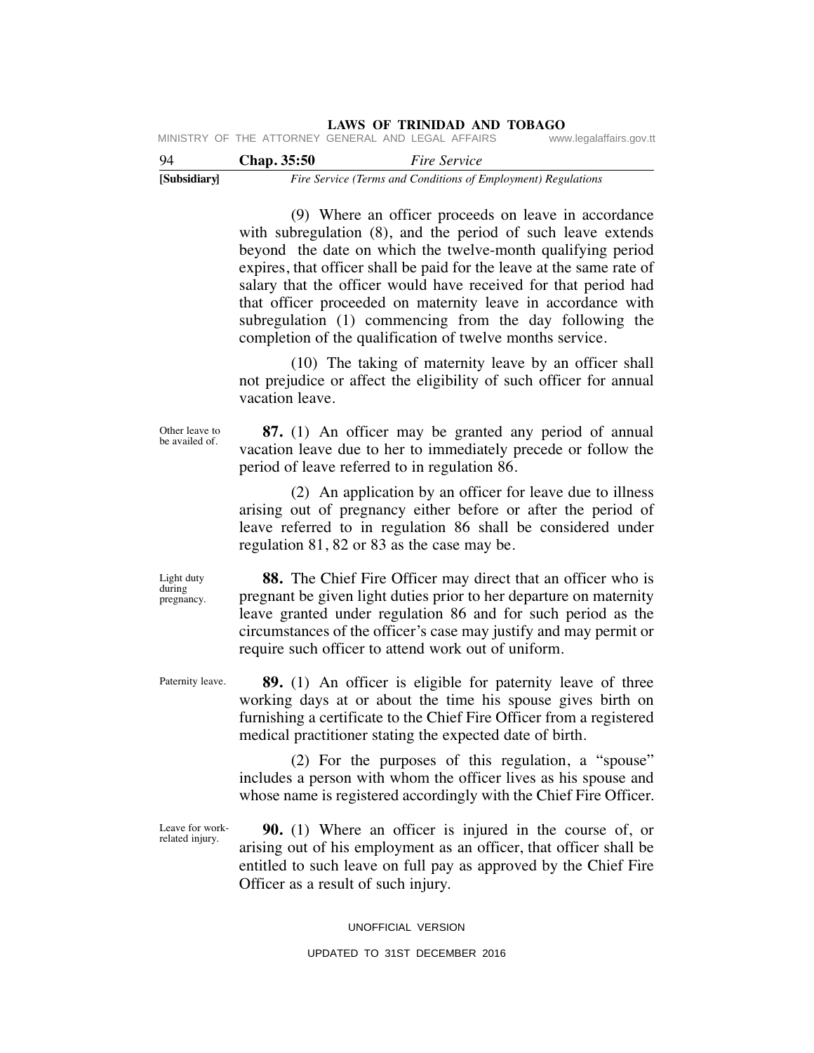**LAWS OF TRINIDAD AND TOBAGO** MINISTRY OF THE ATTORNEY

| [Subsidiary] |                    | Fire Service (Terms and Conditions of Employment) Regulations |                         |
|--------------|--------------------|---------------------------------------------------------------|-------------------------|
| 94           | <b>Chap.</b> 35:50 | <i>Fire Service</i>                                           |                         |
|              |                    | MINISIRI UF INE AIIURNEI GENERAL AND LEGAL AFFAIRS            | www.iegalalialis.gov.tt |

 (9) Where an officer proceeds on leave in accordance with subregulation (8), and the period of such leave extends beyond the date on which the twelve-month qualifying period expires, that officer shall be paid for the leave at the same rate of salary that the officer would have received for that period had that officer proceeded on maternity leave in accordance with subregulation (1) commencing from the day following the completion of the qualification of twelve months service.

 (10) The taking of maternity leave by an officer shall not prejudice or affect the eligibility of such officer for annual vacation leave.

Other leave to be availed of.

 **87.** (1) An officer may be granted any period of annual vacation leave due to her to immediately precede or follow the period of leave referred to in regulation 86.

 (2) An application by an officer for leave due to illness arising out of pregnancy either before or after the period of leave referred to in regulation 86 shall be considered under regulation 81, 82 or 83 as the case may be.

 **88.** The Chief Fire Officer may direct that an officer who is pregnant be given light duties prior to her departure on maternity leave granted under regulation 86 and for such period as the circumstances of the officer's case may justify and may permit or require such officer to attend work out of uniform.

Paternity leave.

Light duty during pregnancy.

> **89.** (1) An officer is eligible for paternity leave of three working days at or about the time his spouse gives birth on furnishing a certificate to the Chief Fire Officer from a registered medical practitioner stating the expected date of birth.

> (2) For the purposes of this regulation, a "spouse" includes a person with whom the officer lives as his spouse and whose name is registered accordingly with the Chief Fire Officer.

Leave for workrelated injury.

 **90.** (1) Where an officer is injured in the course of, or arising out of his employment as an officer, that officer shall be entitled to such leave on full pay as approved by the Chief Fire Officer as a result of such injury.

UNOFFICIAL VERSION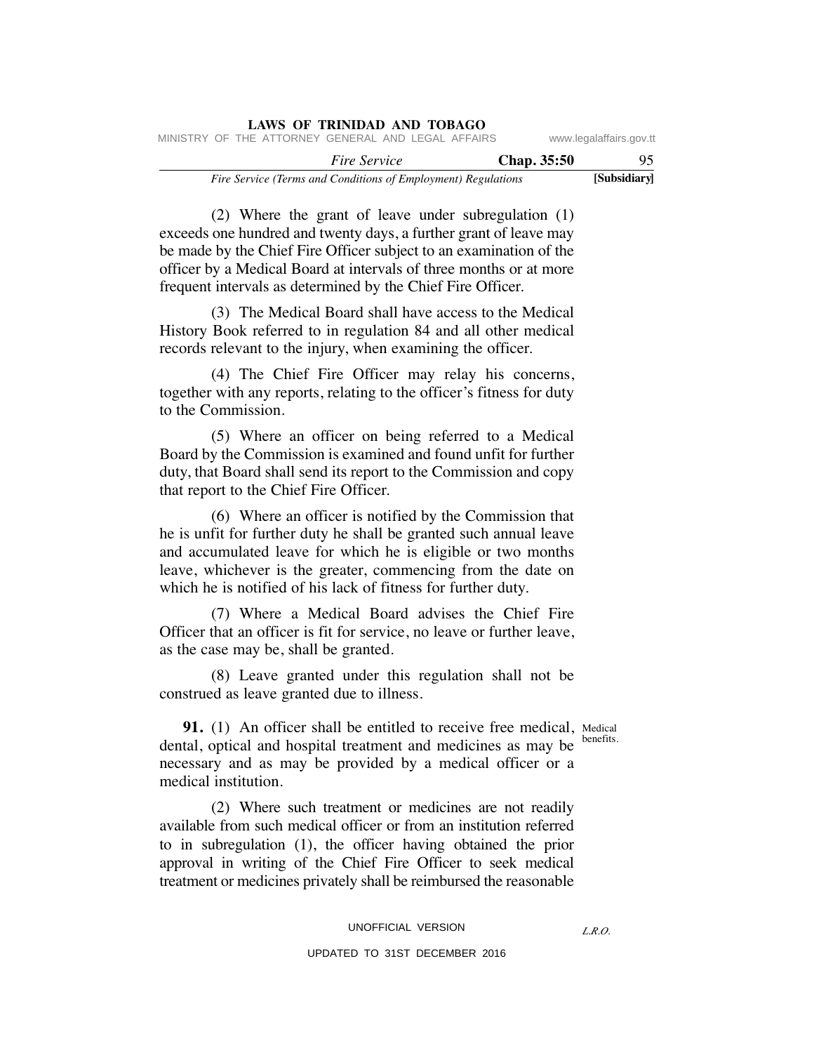|                         |             |  | LAWS OF IKINIDAD AND TODAGO                                   |  |  |  |
|-------------------------|-------------|--|---------------------------------------------------------------|--|--|--|
| www.legalaffairs.gov.tt |             |  | MINISTRY OF THE ATTORNEY GENERAL AND LEGAL AFFAIRS            |  |  |  |
| 95                      | Chap. 35:50 |  | <i>Fire Service</i>                                           |  |  |  |
| [Subsidiary]            |             |  | Fire Service (Terms and Conditions of Employment) Regulations |  |  |  |

 (2) Where the grant of leave under subregulation (1) exceeds one hundred and twenty days, a further grant of leave may be made by the Chief Fire Officer subject to an examination of the officer by a Medical Board at intervals of three months or at more frequent intervals as determined by the Chief Fire Officer.

**LAWS OF TRINIDAD AND TOBAGO**

 (3) The Medical Board shall have access to the Medical History Book referred to in regulation 84 and all other medical records relevant to the injury, when examining the officer.

 (4) The Chief Fire Officer may relay his concerns, together with any reports, relating to the officer's fitness for duty to the Commission.

 (5) Where an officer on being referred to a Medical Board by the Commission is examined and found unfit for further duty, that Board shall send its report to the Commission and copy that report to the Chief Fire Officer.

 (6) Where an officer is notified by the Commission that he is unfit for further duty he shall be granted such annual leave and accumulated leave for which he is eligible or two months leave, whichever is the greater, commencing from the date on which he is notified of his lack of fitness for further duty.

 (7) Where a Medical Board advises the Chief Fire Officer that an officer is fit for service, no leave or further leave, as the case may be, shall be granted.

 (8) Leave granted under this regulation shall not be construed as leave granted due to illness.

**91.** (1) An officer shall be entitled to receive free medical, Medical dental, optical and hospital treatment and medicines as may be benefits. necessary and as may be provided by a medical officer or a medical institution.

 (2) Where such treatment or medicines are not readily available from such medical officer or from an institution referred to in subregulation (1), the officer having obtained the prior approval in writing of the Chief Fire Officer to seek medical treatment or medicines privately shall be reimbursed the reasonable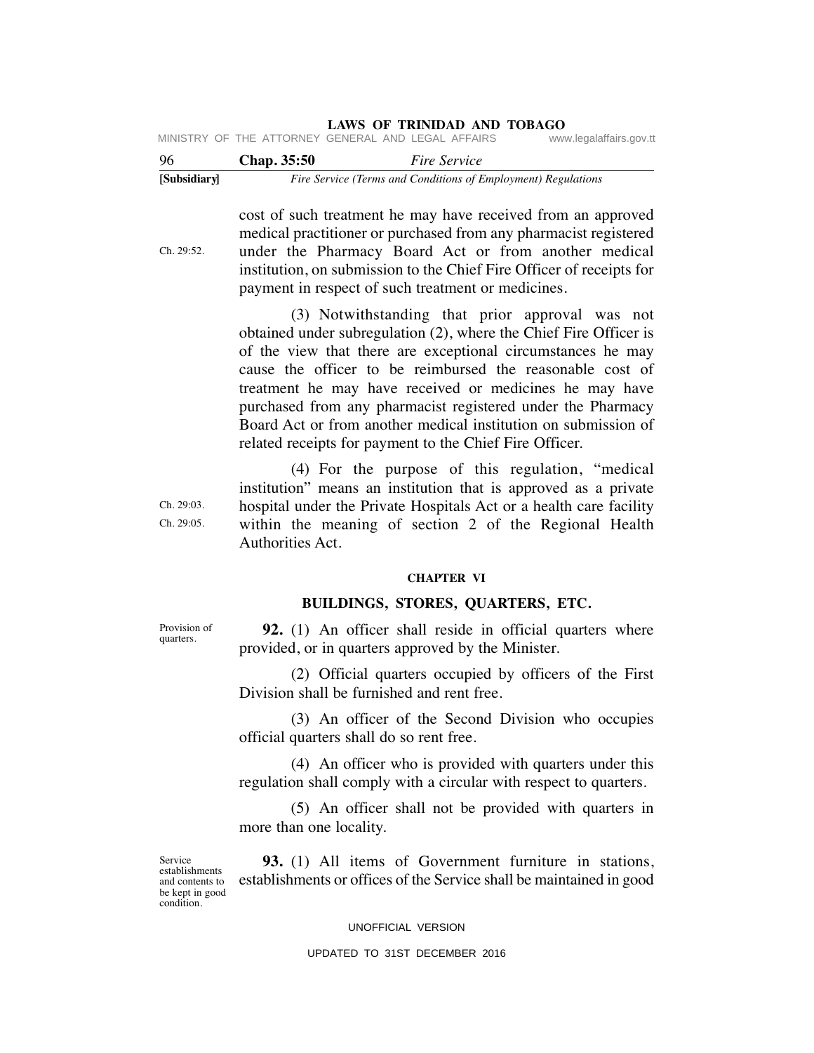| [Subsidiary] |                    | Fire Service (Terms and Conditions of Employment) Regulations |                         |
|--------------|--------------------|---------------------------------------------------------------|-------------------------|
| 96           | <b>Chap.</b> 35:50 | <i>Fire Service</i>                                           |                         |
|              |                    | MINISTRY OF THE ATTORNEY GENERAL AND LEGAL AFFAIRS            | www.legalaffairs.gov.tt |

cost of such treatment he may have received from an approved medical practitioner or purchased from any pharmacist registered under the Pharmacy Board Act or from another medical institution, on submission to the Chief Fire Officer of receipts for payment in respect of such treatment or medicines.

 (3) Notwithstanding that prior approval was not obtained under subregulation (2), where the Chief Fire Officer is of the view that there are exceptional circumstances he may cause the officer to be reimbursed the reasonable cost of treatment he may have received or medicines he may have purchased from any pharmacist registered under the Pharmacy Board Act or from another medical institution on submission of related receipts for payment to the Chief Fire Officer.

 (4) For the purpose of this regulation, "medical institution" means an institution that is approved as a private hospital under the Private Hospitals Act or a health care facility within the meaning of section 2 of the Regional Health Authorities Act.

### **CHAPTER VI**

# **BUILDINGS, STORES, QUARTERS, ETC.**

**92.** (1) An officer shall reside in official quarters where provided, or in quarters approved by the Minister.

 (2) Official quarters occupied by officers of the First Division shall be furnished and rent free.

 (3) An officer of the Second Division who occupies official quarters shall do so rent free.

 (4) An officer who is provided with quarters under this regulation shall comply with a circular with respect to quarters.

 (5) An officer shall not be provided with quarters in more than one locality.

Service establishments and contents to be kept in good condition.

 **93.** (1) All items of Government furniture in stations, establishments or offices of the Service shall be maintained in good

### UNOFFICIAL VERSION

## UPDATED TO 31ST DECEMBER 2016

Provision of quarters.

Ch. 29:03. Ch. 29:05.

Ch. 29:52.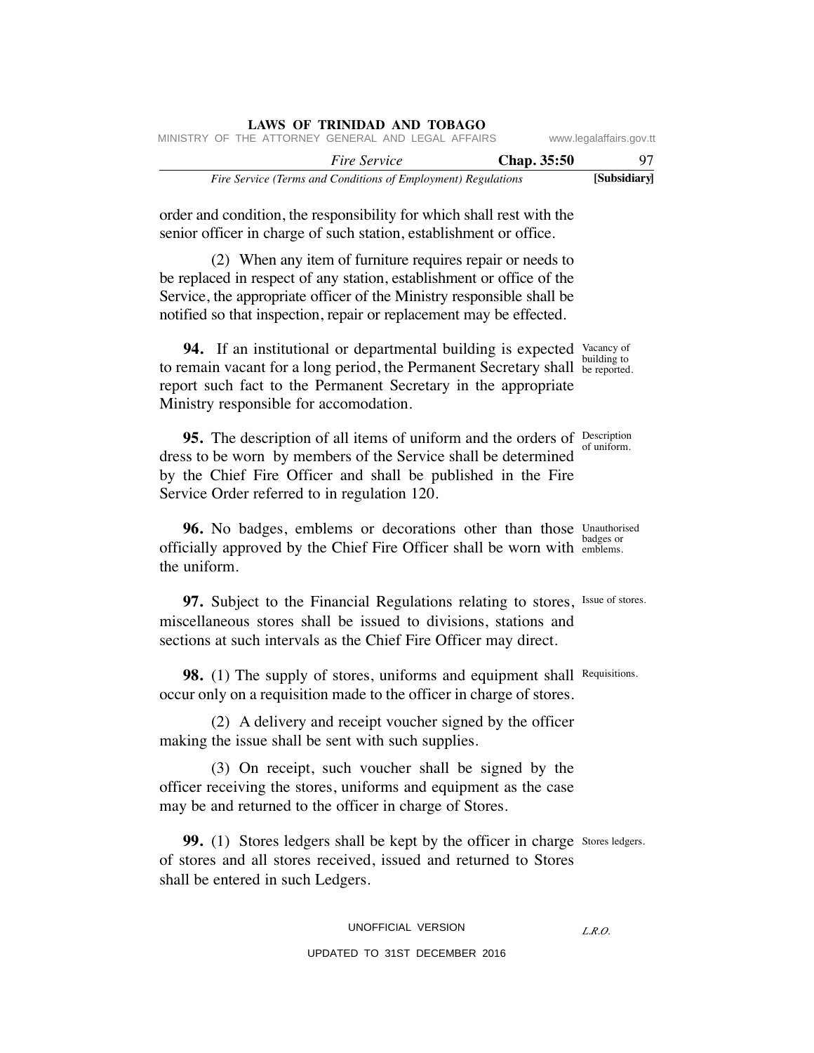| <b>LAWS OF TRINIDAD AND TOBAGO</b><br>MINISTRY OF THE ATTORNEY GENERAL AND LEGAL AFFAIRS                                                                                                                                                                                            | www.legalaffairs.gov.tt |
|-------------------------------------------------------------------------------------------------------------------------------------------------------------------------------------------------------------------------------------------------------------------------------------|-------------------------|
| <b>Fire Service</b><br>Chap. 35:50                                                                                                                                                                                                                                                  | 97                      |
| Fire Service (Terms and Conditions of Employment) Regulations                                                                                                                                                                                                                       | [Subsidiary]            |
| order and condition, the responsibility for which shall rest with the<br>senior officer in charge of such station, establishment or office.                                                                                                                                         |                         |
| (2) When any item of furniture requires repair or needs to<br>be replaced in respect of any station, establishment or office of the<br>Service, the appropriate officer of the Ministry responsible shall be<br>notified so that inspection, repair or replacement may be effected. |                         |
| <b>94.</b> If an institutional or departmental building is expected Vacancy of<br>to remain vacant for a long period, the Permanent Secretary shall be reported.<br>report such fact to the Permanent Secretary in the appropriate<br>Ministry responsible for accomodation.        | building to             |
| 95. The description of all items of uniform and the orders of Description<br>dress to be worn by members of the Service shall be determined<br>by the Chief Fire Officer and shall be published in the Fire<br>Service Order referred to in regulation 120.                         | of uniform.             |
| 96. No badges, emblems or decorations other than those Unauthorised<br>officially approved by the Chief Fire Officer shall be worn with emblems.<br>the uniform.                                                                                                                    | badges or               |
| 97. Subject to the Financial Regulations relating to stores, Issue of stores.<br>miscellaneous stores shall be issued to divisions, stations and<br>sections at such intervals as the Chief Fire Officer may direct.                                                                |                         |
| <b>98.</b> (1) The supply of stores, uniforms and equipment shall<br>occur only on a requisition made to the officer in charge of stores.                                                                                                                                           | Requisitions.           |
| (2) A delivery and receipt voucher signed by the officer<br>making the issue shall be sent with such supplies.                                                                                                                                                                      |                         |
| (3) On receipt, such voucher shall be signed by the<br>officer receiving the stores, uniforms and equipment as the case<br>may be and returned to the officer in charge of Stores.                                                                                                  |                         |
| 99. (1) Stores ledgers shall be kept by the officer in charge Stores ledgers.<br>of stores and all stores received, issued and returned to Stores<br>shall be entered in such Ledgers.                                                                                              |                         |
| UNOFFICIAL VERSION                                                                                                                                                                                                                                                                  | L.R.O.                  |
| UPDATED TO 31ST DECEMBER 2016                                                                                                                                                                                                                                                       |                         |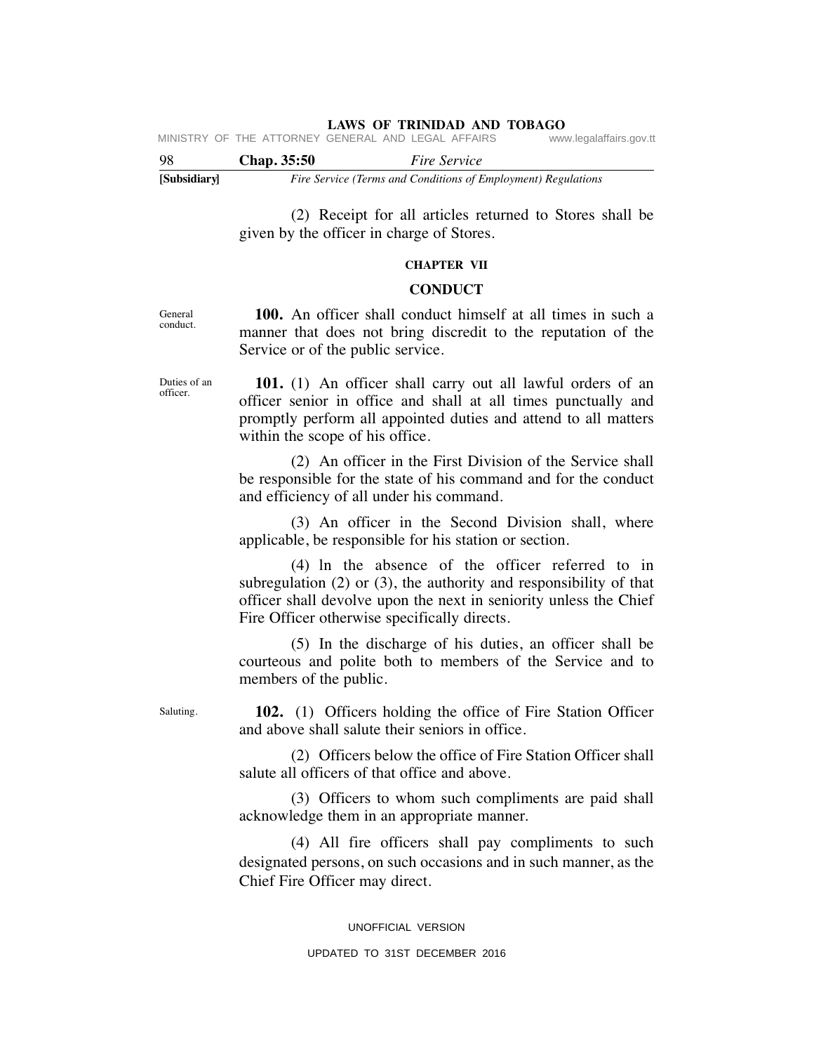**LAWS OF TRINIDAD AND TOBAGO**<br>GENERAL AND LEGAL AFFAIRS www.legalaffairs.gov.tt MINISTRY OF THE ATTORNEY GENERAL AND LEGAL AFFAIRS

| -98          | <b>Chap.</b> 35:50 | <i>Fire Service</i>                                           |
|--------------|--------------------|---------------------------------------------------------------|
| [Subsidiary] |                    | Fire Service (Terms and Conditions of Employment) Regulations |

 (2) Receipt for all articles returned to Stores shall be given by the officer in charge of Stores.

# **CHAPTER VII**

## **CONDUCT**

General conduct.

 **100.** An officer shall conduct himself at all times in such a manner that does not bring discredit to the reputation of the Service or of the public service.

 **101.** (1) An officer shall carry out all lawful orders of an officer senior in office and shall at all times punctually and promptly perform all appointed duties and attend to all matters within the scope of his office.

 (2) An officer in the First Division of the Service shall be responsible for the state of his command and for the conduct and efficiency of all under his command.

 (3) An officer in the Second Division shall, where applicable, be responsible for his station or section.

 (4) ln the absence of the officer referred to in subregulation (2) or (3), the authority and responsibility of that officer shall devolve upon the next in seniority unless the Chief Fire Officer otherwise specifically directs.

 (5) In the discharge of his duties, an officer shall be courteous and polite both to members of the Service and to members of the public.

Saluting.

 **102.** (1) Officers holding the office of Fire Station Officer and above shall salute their seniors in office.

 (2) Officers below the office of Fire Station Officer shall salute all officers of that office and above.

 (3) Officers to whom such compliments are paid shall acknowledge them in an appropriate manner.

 (4) All fire officers shall pay compliments to such designated persons, on such occasions and in such manner, as the Chief Fire Officer may direct.

> UNOFFICIAL VERSION UPDATED TO 31ST DECEMBER 2016

Duties of an officer.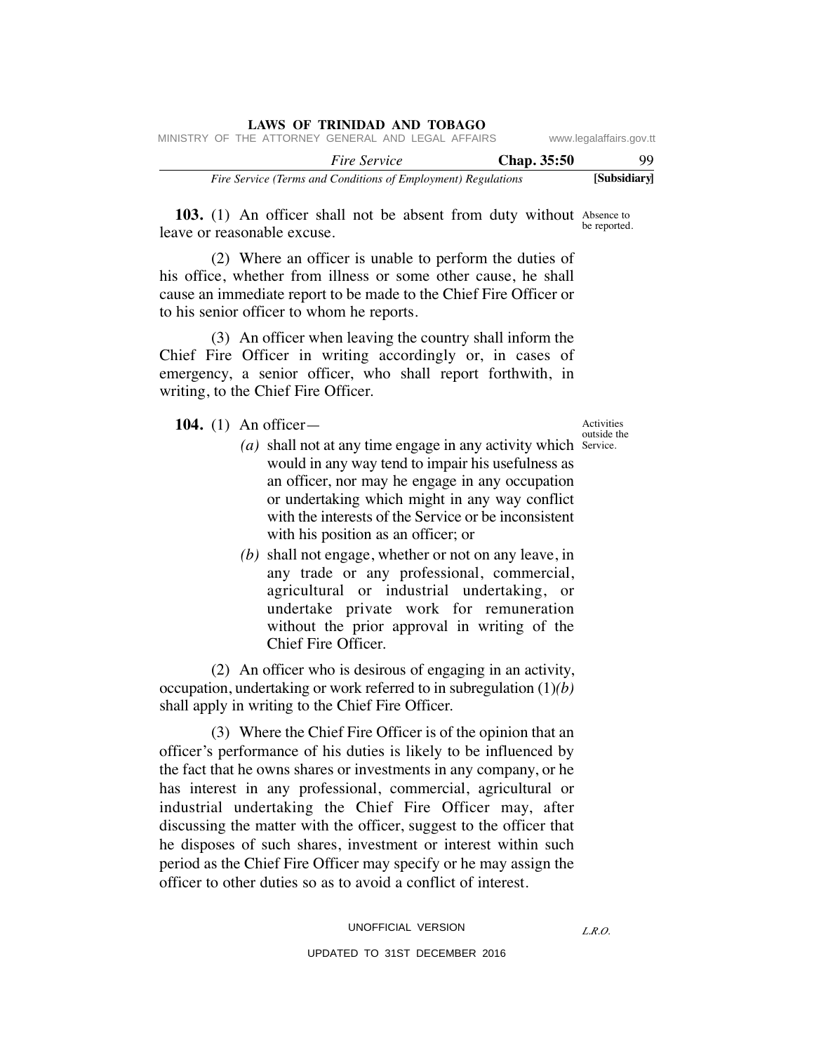| www.legalaffairs.gov.tt |             | MINISTRY OF THE ATTORNEY GENERAL AND LEGAL AFFAIRS            | LAWS OF IKINIDAD AND TOBAGO |  |  |
|-------------------------|-------------|---------------------------------------------------------------|-----------------------------|--|--|
| 99                      | Chap. 35:50 |                                                               | <i>Fire Service</i>         |  |  |
| [Subsidiary]            |             | Fire Service (Terms and Conditions of Employment) Regulations |                             |  |  |

103. (1) An officer shall not be absent from duty without Absence to leave or reasonable excuse. be reported.

 (2) Where an officer is unable to perform the duties of his office, whether from illness or some other cause, he shall cause an immediate report to be made to the Chief Fire Officer or to his senior officer to whom he reports.

**LAWS OF TRINIDAD AND TOBAGO**

 (3) An officer when leaving the country shall inform the Chief Fire Officer in writing accordingly or, in cases of emergency, a senior officer, who shall report forthwith, in writing, to the Chief Fire Officer.

**104.** (1) An officer—

- (a) shall not at any time engage in any activity which Service. would in any way tend to impair his usefulness as an officer, nor may he engage in any occupation or undertaking which might in any way conflict with the interests of the Service or be inconsistent with his position as an officer; or
	- *(b)* shall not engage, whether or not on any leave, in any trade or any professional, commercial, agricultural or industrial undertaking, or undertake private work for remuneration without the prior approval in writing of the Chief Fire Officer.

 (2) An officer who is desirous of engaging in an activity, occupation, undertaking or work referred to in subregulation (1)*(b)* shall apply in writing to the Chief Fire Officer.

 (3) Where the Chief Fire Officer is of the opinion that an officer's performance of his duties is likely to be influenced by the fact that he owns shares or investments in any company, or he has interest in any professional, commercial, agricultural or industrial undertaking the Chief Fire Officer may, after discussing the matter with the officer, suggest to the officer that he disposes of such shares, investment or interest within such period as the Chief Fire Officer may specify or he may assign the officer to other duties so as to avoid a conflict of interest.

Activities outside the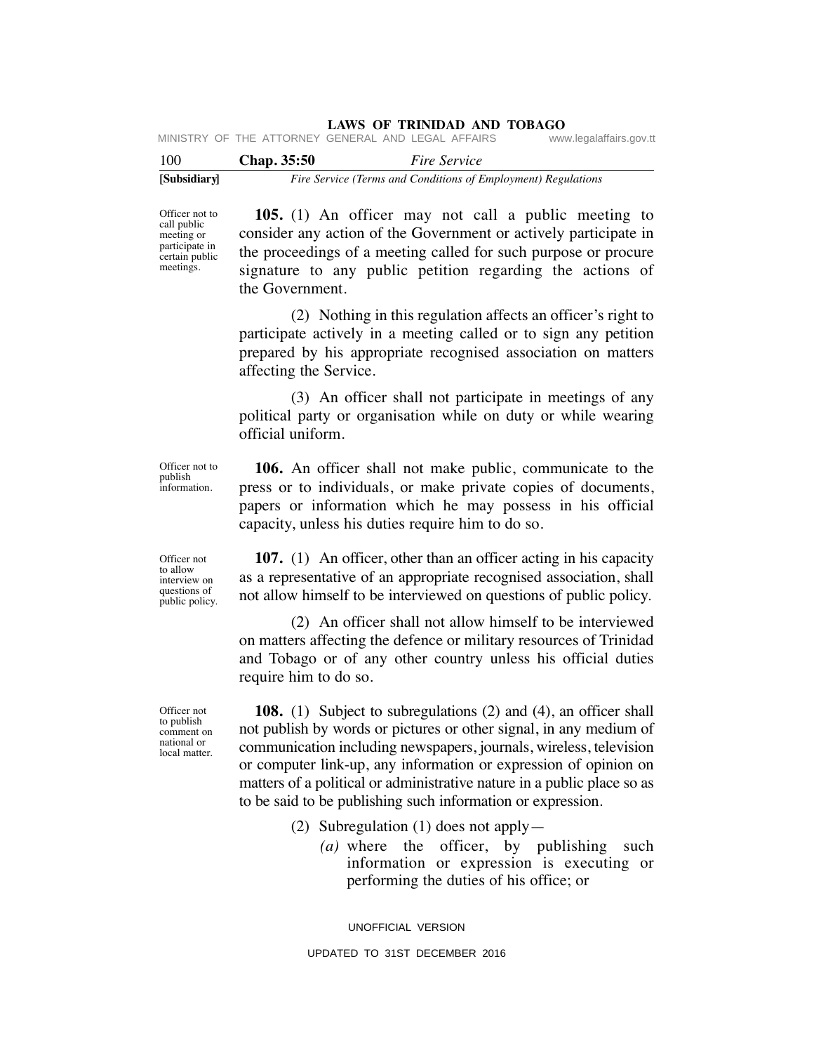|  | MINISTRY OF THE ATTORNEY GENERAL AND LEGAL AFFAIRS |  |  | www.legalaffairs.gov.tt |
|--|----------------------------------------------------|--|--|-------------------------|
|  |                                                    |  |  |                         |

| 100          | Chap. 35:50 | <i>Fire Service</i>                                           |
|--------------|-------------|---------------------------------------------------------------|
| [Subsidiary] |             | Fire Service (Terms and Conditions of Employment) Regulations |

Officer not to call public meeting or participate in certain public meetings.

 **105.** (1) An officer may not call a public meeting to consider any action of the Government or actively participate in the proceedings of a meeting called for such purpose or procure signature to any public petition regarding the actions of the Government.

 (2) Nothing in this regulation affects an officer's right to participate actively in a meeting called or to sign any petition prepared by his appropriate recognised association on matters affecting the Service.

 (3) An officer shall not participate in meetings of any political party or organisation while on duty or while wearing official uniform.

 **106.** An officer shall not make public, communicate to the press or to individuals, or make private copies of documents, papers or information which he may possess in his official capacity, unless his duties require him to do so.

 **107.** (1) An officer, other than an officer acting in his capacity as a representative of an appropriate recognised association, shall not allow himself to be interviewed on questions of public policy.

 (2) An officer shall not allow himself to be interviewed on matters affecting the defence or military resources of Trinidad and Tobago or of any other country unless his official duties require him to do so.

 **108.** (1) Subject to subregulations (2) and (4), an officer shall not publish by words or pictures or other signal, in any medium of communication including newspapers, journals, wireless, television or computer link-up, any information or expression of opinion on matters of a political or administrative nature in a public place so as to be said to be publishing such information or expression.

- (2) Subregulation (1) does not apply—
	- *(a)* where the officer, by publishing such information or expression is executing or performing the duties of his office; or

UNOFFICIAL VERSION

Officer not to allow

interview on questions of public policy.

Officer not to publish information.

Officer not to publish comment on national or local matter.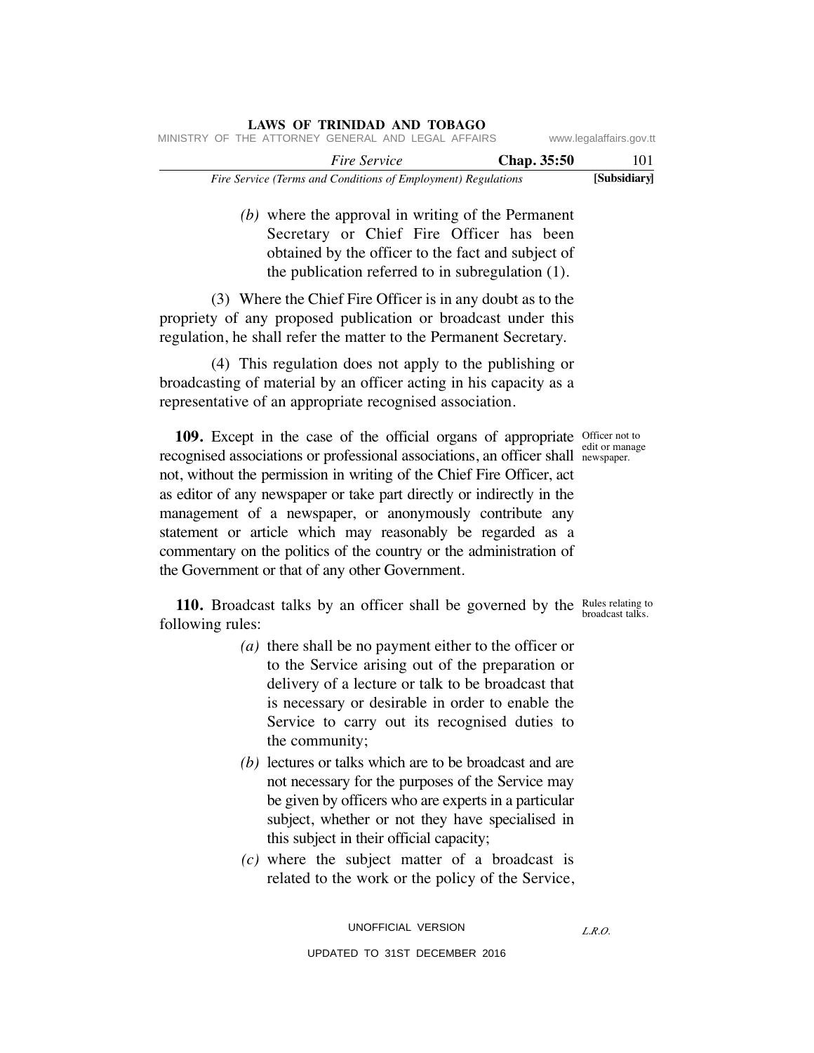| Fire Service (Terms and Conditions of Employment) Regulations | [Subsidiary]            |
|---------------------------------------------------------------|-------------------------|
| <b>Chap.</b> 35:50<br><i>Fire Service</i>                     | 101                     |
| MINISTRY OF THE ATTORNEY GENERAL AND LEGAL AFFAIRS            | www.legalaffairs.gov.tt |

 *(b)* where the approval in writing of the Permanent Secretary or Chief Fire Officer has been obtained by the officer to the fact and subject of the publication referred to in subregulation (1).

 (3) Where the Chief Fire Officer is in any doubt as to the propriety of any proposed publication or broadcast under this regulation, he shall refer the matter to the Permanent Secretary.

**LAWS OF TRINIDAD AND TOBAGO**

 (4) This regulation does not apply to the publishing or broadcasting of material by an officer acting in his capacity as a representative of an appropriate recognised association.

**109.** Except in the case of the official organs of appropriate officer not to recognised associations or professional associations, an officer shall newspaper. not, without the permission in writing of the Chief Fire Officer, act as editor of any newspaper or take part directly or indirectly in the management of a newspaper, or anonymously contribute any statement or article which may reasonably be regarded as a commentary on the politics of the country or the administration of the Government or that of any other Government.

**110.** Broadcast talks by an officer shall be governed by the Rules relating to following rules:

- *(a)* there shall be no payment either to the officer or to the Service arising out of the preparation or delivery of a lecture or talk to be broadcast that is necessary or desirable in order to enable the Service to carry out its recognised duties to the community;
- *(b)* lectures or talks which are to be broadcast and are not necessary for the purposes of the Service may be given by officers who are experts in a particular subject, whether or not they have specialised in this subject in their official capacity;
- *(c)* where the subject matter of a broadcast is related to the work or the policy of the Service,

edit or manage

broadcast talks.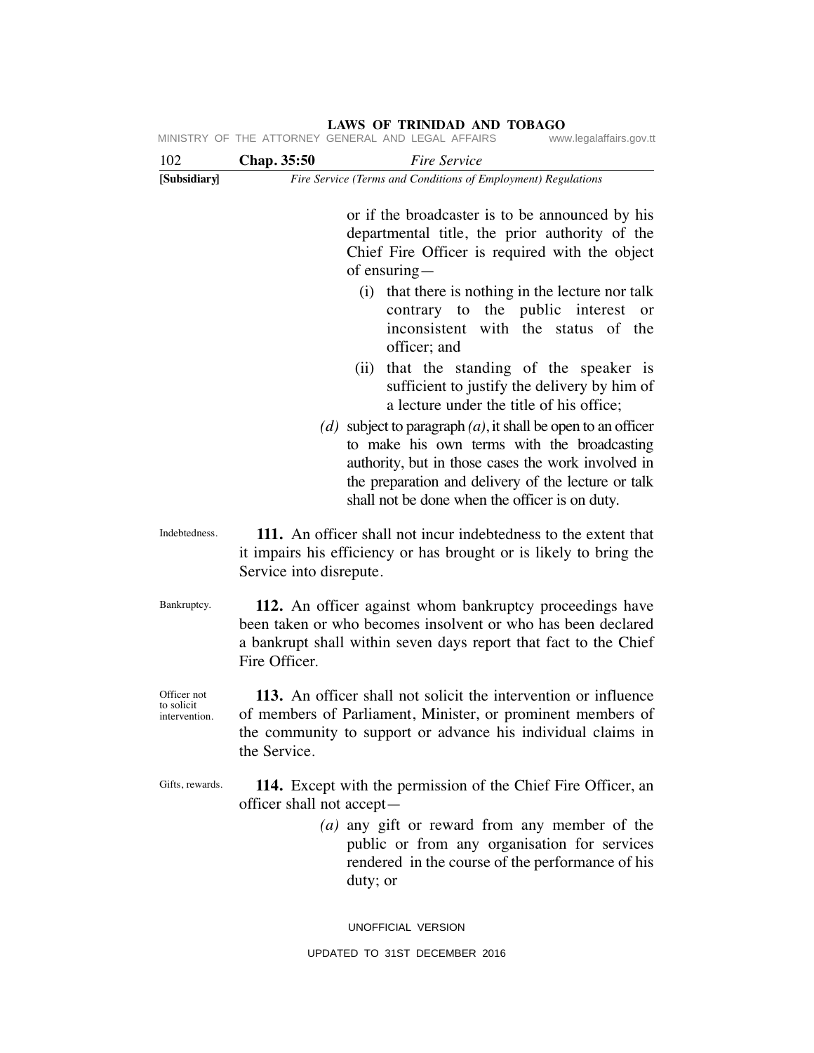| 102                                        | Chap. 35:50               | <i>Fire Service</i>                                                                                                                                                                                                                                                                                                                                                                                                      |
|--------------------------------------------|---------------------------|--------------------------------------------------------------------------------------------------------------------------------------------------------------------------------------------------------------------------------------------------------------------------------------------------------------------------------------------------------------------------------------------------------------------------|
| [Subsidiary]                               |                           | Fire Service (Terms and Conditions of Employment) Regulations                                                                                                                                                                                                                                                                                                                                                            |
|                                            |                           | or if the broadcaster is to be announced by his<br>departmental title, the prior authority of the<br>Chief Fire Officer is required with the object<br>of ensuring $-$<br>(i) that there is nothing in the lecture nor talk                                                                                                                                                                                              |
|                                            |                           | contrary to the public interest or<br>inconsistent with the status of the<br>officer; and                                                                                                                                                                                                                                                                                                                                |
|                                            |                           | that the standing of the speaker is<br>(ii)<br>sufficient to justify the delivery by him of<br>a lecture under the title of his office;<br>(d) subject to paragraph $(a)$ , it shall be open to an officer<br>to make his own terms with the broadcasting<br>authority, but in those cases the work involved in<br>the preparation and delivery of the lecture or talk<br>shall not be done when the officer is on duty. |
| Indebtedness.                              | Service into disrepute.   | 111. An officer shall not incur indebtedness to the extent that<br>it impairs his efficiency or has brought or is likely to bring the                                                                                                                                                                                                                                                                                    |
| Bankruptcy.                                | Fire Officer.             | 112. An officer against whom bankruptcy proceedings have<br>been taken or who becomes insolvent or who has been declared<br>a bankrupt shall within seven days report that fact to the Chief                                                                                                                                                                                                                             |
| Officer not<br>to solicit<br>intervention. | the Service.              | 113. An officer shall not solicit the intervention or influence<br>of members of Parliament, Minister, or prominent members of<br>the community to support or advance his individual claims in                                                                                                                                                                                                                           |
| Gifts, rewards.                            | officer shall not accept— | 114. Except with the permission of the Chief Fire Officer, an                                                                                                                                                                                                                                                                                                                                                            |
|                                            |                           | (a) any gift or reward from any member of the<br>public or from any organisation for services<br>rendered in the course of the performance of his<br>duty; or                                                                                                                                                                                                                                                            |
|                                            |                           |                                                                                                                                                                                                                                                                                                                                                                                                                          |

UNOFFICIAL VERSION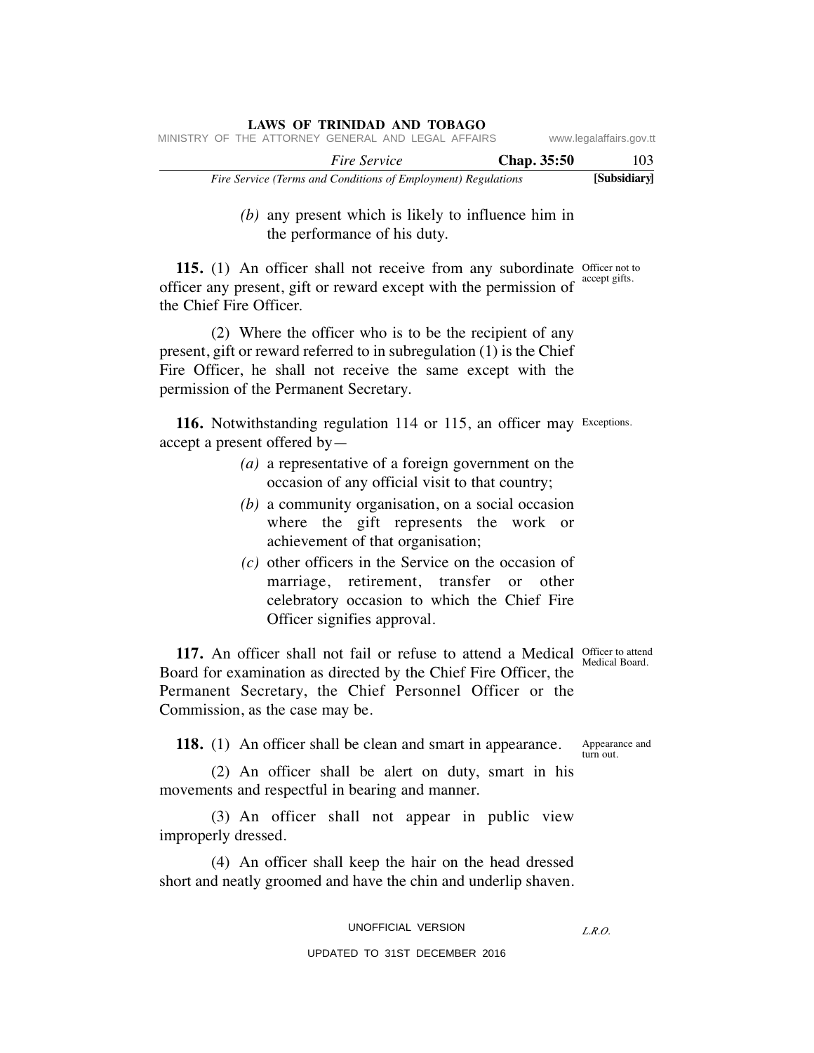|  |  |                     | LAWS OF TRINIDAD AND TOBAGO                                   |             |                         |
|--|--|---------------------|---------------------------------------------------------------|-------------|-------------------------|
|  |  |                     | MINISTRY OF THE ATTORNEY GENERAL AND LEGAL AFFAIRS            |             | www.legalaffairs.gov.tt |
|  |  | <i>Fire Service</i> |                                                               | Chap. 35:50 | 103                     |
|  |  |                     | Fire Service (Terms and Conditions of Employment) Regulations |             | [Subsidiary]            |

# *(b)* any present which is likely to influence him in the performance of his duty.

**115.** (1) An officer shall not receive from any subordinate Officer not to officer any present, gift or reward except with the permission of accept gifts. the Chief Fire Officer.

 (2) Where the officer who is to be the recipient of any present, gift or reward referred to in subregulation (1) is the Chief Fire Officer, he shall not receive the same except with the permission of the Permanent Secretary.

116. Notwithstanding regulation 114 or 115, an officer may Exceptions. accept a present offered by—

- *(a)* a representative of a foreign government on the occasion of any official visit to that country;
- *(b)* a community organisation, on a social occasion where the gift represents the work or achievement of that organisation;
- *(c)* other officers in the Service on the occasion of marriage, retirement, transfer or other celebratory occasion to which the Chief Fire Officer signifies approval.

**117.** An officer shall not fail or refuse to attend a Medical Officer to attend Board for examination as directed by the Chief Fire Officer, the Permanent Secretary, the Chief Personnel Officer or the Commission, as the case may be.

Medical Board.

**118.** (1) An officer shall be clean and smart in appearance.

Appearance and turn out.

 (2) An officer shall be alert on duty, smart in his movements and respectful in bearing and manner.

 (3) An officer shall not appear in public view improperly dressed.

 (4) An officer shall keep the hair on the head dressed short and neatly groomed and have the chin and underlip shaven.

UNOFFICIAL VERSION

# UPDATED TO 31ST DECEMBER 2016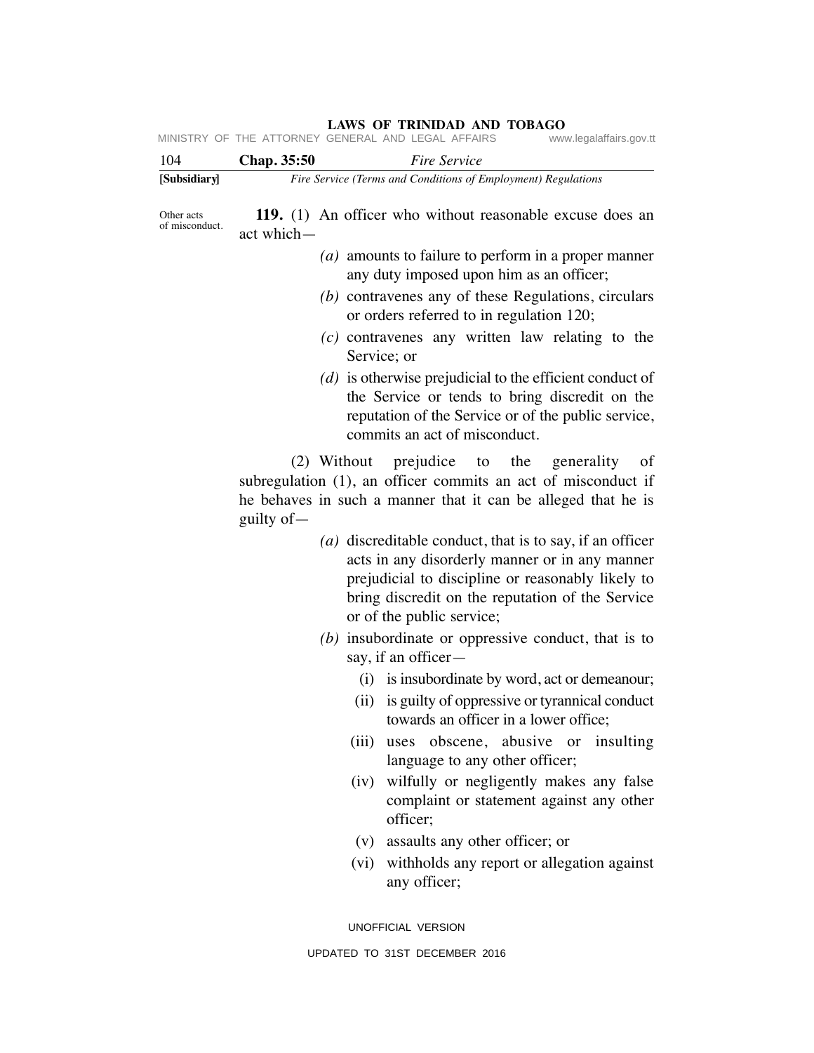**LAWS OF TRINIDAD AND TOBAGO**<br>GENERAL AND LEGAL AFFAIRS www.legalaffairs.gov.tt MINISTRY OF THE ATTORNEY GENERAL AND LEGAL AFFAIRS

|            | Fire Service (Terms and Conditions of Employment) Regulations                                        |
|------------|------------------------------------------------------------------------------------------------------|
|            |                                                                                                      |
| act which- | 119. (1) An officer who without reasonable excuse does an                                            |
|            | ( $a$ ) amounts to failure to perform in a proper manner<br>any duty imposed upon him as an officer; |
|            | (b) contravenes any of these Regulations, circulars<br>or orders referred to in regulation 120;      |
|            |                                                                                                      |

- *(c)* contravenes any written law relating to the Service; or
- *(d)* is otherwise prejudicial to the efficient conduct of the Service or tends to bring discredit on the reputation of the Service or of the public service, commits an act of misconduct.

 (2) Without prejudice to the generality of subregulation (1), an officer commits an act of misconduct if he behaves in such a manner that it can be alleged that he is guilty of—

- *(a)* discreditable conduct, that is to say, if an officer acts in any disorderly manner or in any manner prejudicial to discipline or reasonably likely to bring discredit on the reputation of the Service or of the public service;
- *(b)* insubordinate or oppressive conduct, that is to say, if an officer—
	- (i) is insubordinate by word, act or demeanour;
	- (ii) is guilty of oppressive or tyrannical conduct towards an officer in a lower office;
	- (iii) uses obscene, abusive or insulting language to any other officer;
	- (iv) wilfully or negligently makes any false complaint or statement against any other officer;
	- (v) assaults any other officer; or
	- (vi) withholds any report or allegation against any officer;

UNOFFICIAL VERSION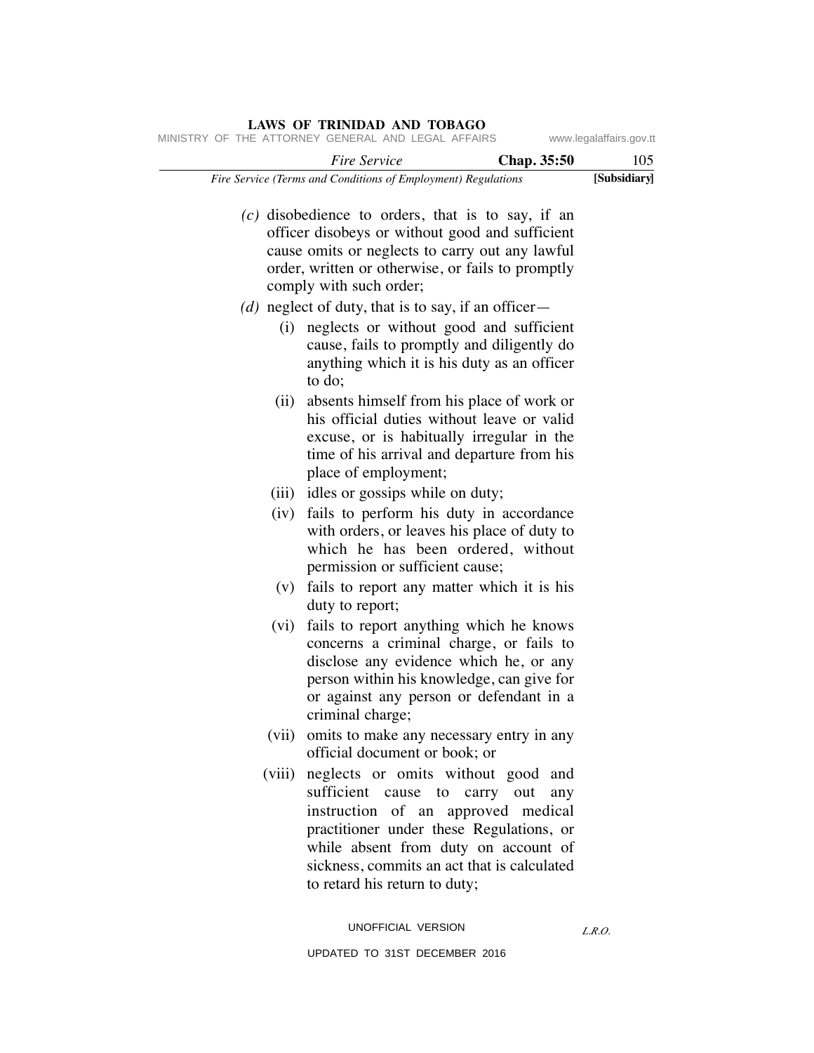| 105          | Fire Service<br>Chap. 35:50                                                                                                                                                                                                                                                          |
|--------------|--------------------------------------------------------------------------------------------------------------------------------------------------------------------------------------------------------------------------------------------------------------------------------------|
| [Subsidiary] | Fire Service (Terms and Conditions of Employment) Regulations                                                                                                                                                                                                                        |
|              | $(c)$ disobedience to orders, that is to say, if an<br>officer disobeys or without good and sufficient<br>cause omits or neglects to carry out any lawful<br>order, written or otherwise, or fails to promptly<br>comply with such order;                                            |
|              | (d) neglect of duty, that is to say, if an officer $-$                                                                                                                                                                                                                               |
|              | neglects or without good and sufficient<br>cause, fails to promptly and diligently do<br>anything which it is his duty as an officer<br>to do;                                                                                                                                       |
|              | absents himself from his place of work or<br>his official duties without leave or valid<br>excuse, or is habitually irregular in the<br>time of his arrival and departure from his<br>place of employment;                                                                           |
|              | (iii) idles or gossips while on duty;                                                                                                                                                                                                                                                |
|              | (iv) fails to perform his duty in accordance<br>with orders, or leaves his place of duty to<br>which he has been ordered, without<br>permission or sufficient cause;                                                                                                                 |
|              | fails to report any matter which it is his<br>duty to report;                                                                                                                                                                                                                        |
|              | (vi) fails to report anything which he knows<br>concerns a criminal charge, or fails to<br>disclose any evidence which he, or any<br>person within his knowledge, can give for<br>or against any person or defendant in a<br>criminal charge;                                        |
|              | (vii) omits to make any necessary entry in any<br>official document or book; or                                                                                                                                                                                                      |
|              | neglects or omits without good and<br>sufficient cause to carry out<br>any<br>instruction of an approved medical<br>practitioner under these Regulations, or<br>while absent from duty on account of<br>sickness, commits an act that is calculated<br>to retard his return to duty; |

UPDATED TO 31ST DECEMBER 2016

UNOFFICIAL VERSION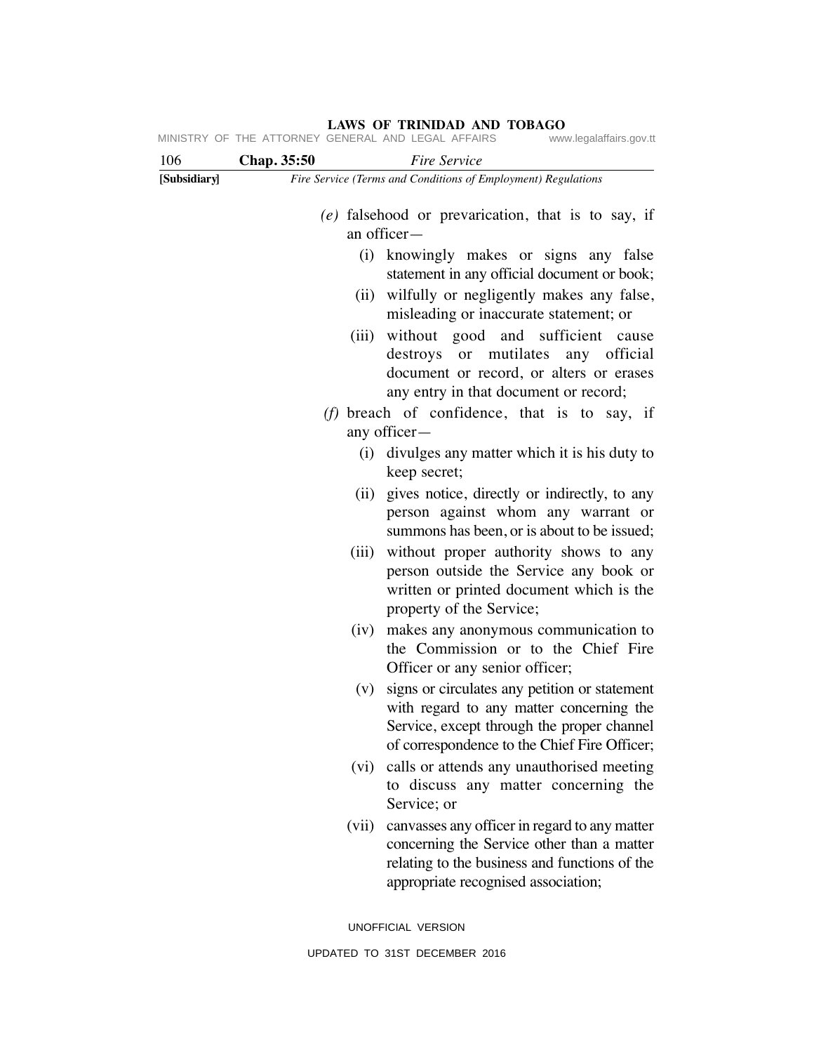| 106          | Chap. 35:50 |       | Fire Service                                                                                                                                                                            |
|--------------|-------------|-------|-----------------------------------------------------------------------------------------------------------------------------------------------------------------------------------------|
| [Subsidiary] |             |       | Fire Service (Terms and Conditions of Employment) Regulations                                                                                                                           |
|              |             |       | $(e)$ falsehood or prevarication, that is to say, if<br>an officer-                                                                                                                     |
|              |             | (i)   | knowingly makes or signs any false<br>statement in any official document or book;                                                                                                       |
|              |             |       | (ii) wilfully or negligently makes any false,<br>misleading or inaccurate statement; or                                                                                                 |
|              |             | (iii) | without good and sufficient cause<br>destroys or mutilates<br>any official<br>document or record, or alters or erases<br>any entry in that document or record;                          |
|              |             |       | (f) breach of confidence, that is to say, if<br>any officer—                                                                                                                            |
|              |             |       | (i) divulges any matter which it is his duty to<br>keep secret;                                                                                                                         |
|              |             |       | (ii) gives notice, directly or indirectly, to any<br>person against whom any warrant or<br>summons has been, or is about to be issued;                                                  |
|              |             | (iii) | without proper authority shows to any<br>person outside the Service any book or<br>written or printed document which is the<br>property of the Service;                                 |
|              |             | (iv)  | makes any anonymous communication to<br>the Commission or to the Chief Fire<br>Officer or any senior officer;                                                                           |
|              |             | (V)   | signs or circulates any petition or statement<br>with regard to any matter concerning the<br>Service, except through the proper channel<br>of correspondence to the Chief Fire Officer; |
|              |             | (vi)  | calls or attends any unauthorised meeting<br>to discuss any matter concerning the<br>Service; or                                                                                        |
|              |             | (vii) | canvasses any officer in regard to any matter<br>concerning the Service other than a matter<br>relating to the business and functions of the<br>appropriate recognised association;     |
|              |             |       | UNOFFICIAL VERSION                                                                                                                                                                      |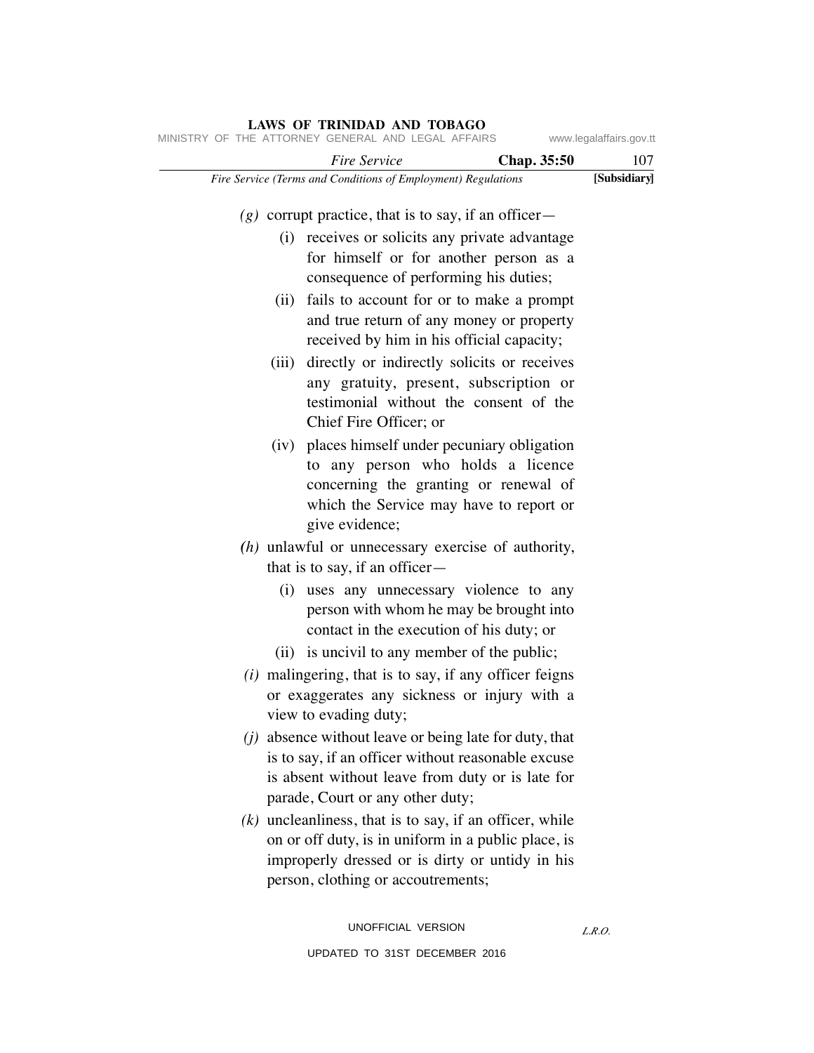|       | MINISTRY OF THE ATTORNEY GENERAL AND LEGAL AFFAIRS            |             | www.legalaffairs.gov.tt |
|-------|---------------------------------------------------------------|-------------|-------------------------|
|       | Fire Service                                                  | Chap. 35:50 | 107                     |
|       | Fire Service (Terms and Conditions of Employment) Regulations |             | [Subsidiary]            |
|       |                                                               |             |                         |
|       | $(g)$ corrupt practice, that is to say, if an officer –       |             |                         |
|       | (i) receives or solicits any private advantage                |             |                         |
|       | for himself or for another person as a                        |             |                         |
|       | consequence of performing his duties;                         |             |                         |
|       | (ii) fails to account for or to make a prompt                 |             |                         |
|       | and true return of any money or property                      |             |                         |
|       | received by him in his official capacity;                     |             |                         |
| (iii) | directly or indirectly solicits or receives                   |             |                         |
|       | any gratuity, present, subscription or                        |             |                         |
|       | testimonial without the consent of the                        |             |                         |
|       | Chief Fire Officer; or                                        |             |                         |
|       | (iv) places himself under pecuniary obligation                |             |                         |
|       | to any person who holds a licence                             |             |                         |
|       | concerning the granting or renewal of                         |             |                         |
|       | which the Service may have to report or                       |             |                         |
|       | give evidence;                                                |             |                         |
|       | $(h)$ unlawful or unnecessary exercise of authority,          |             |                         |
|       | that is to say, if an officer $-$                             |             |                         |
|       | (i) uses any unnecessary violence to any                      |             |                         |
|       | person with whom he may be brought into                       |             |                         |
|       | contact in the execution of his duty; or                      |             |                         |
|       | (ii) is uncivil to any member of the public;                  |             |                         |
|       | $(i)$ malingering, that is to say, if any officer feigns      |             |                         |
|       | or exaggerates any sickness or injury with a                  |             |                         |
|       | view to evading duty;                                         |             |                         |
|       | $(j)$ absence without leave or being late for duty, that      |             |                         |
|       | is to say, if an officer without reasonable excuse            |             |                         |
|       | is absent without leave from duty or is late for              |             |                         |
|       | parade, Court or any other duty;                              |             |                         |
|       | $(k)$ uncleanliness, that is to say, if an officer, while     |             |                         |
|       | on or off duty, is in uniform in a public place, is           |             |                         |
|       | improperly dressed or is dirty or untidy in his               |             |                         |
|       | person, clothing or accoutrements;                            |             |                         |
|       |                                                               |             |                         |
|       |                                                               |             |                         |

UNOFFICIAL VERSION UPDATED TO 31ST DECEMBER 2016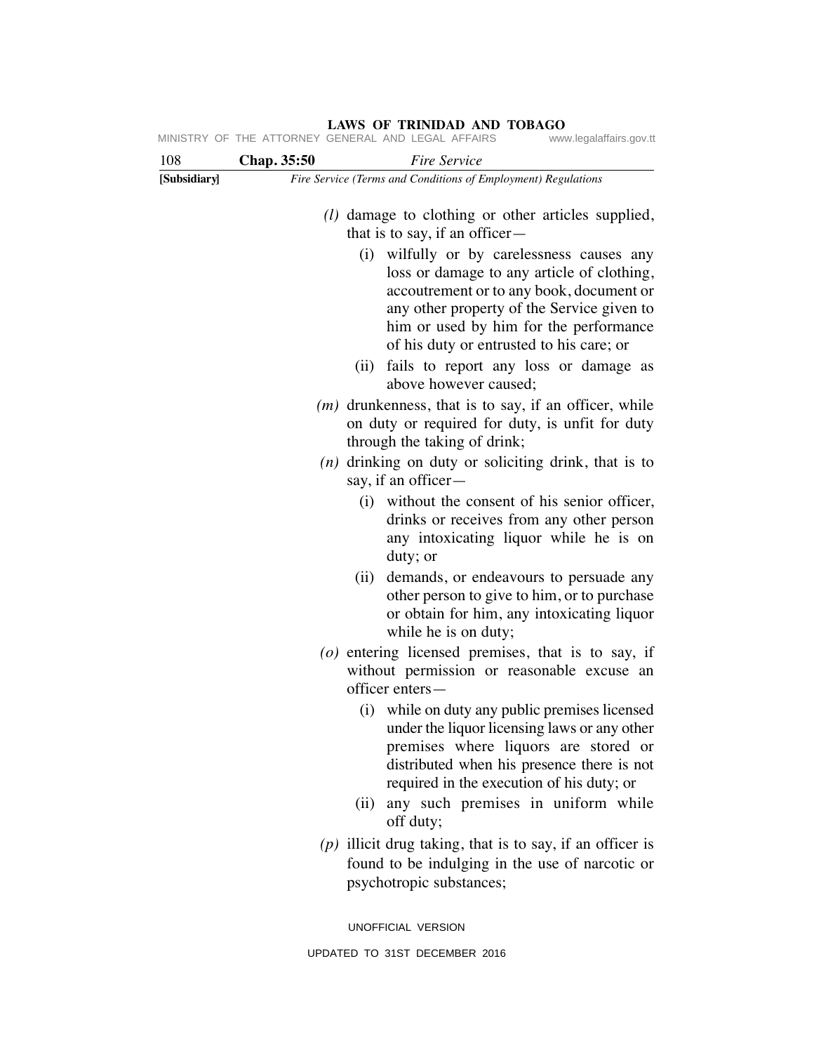| 108          | Chap. 35:50                                                                                   | Fire Service                                                                                                                                                                                                                                                                |  |  |
|--------------|-----------------------------------------------------------------------------------------------|-----------------------------------------------------------------------------------------------------------------------------------------------------------------------------------------------------------------------------------------------------------------------------|--|--|
| [Subsidiary] | Fire Service (Terms and Conditions of Employment) Regulations                                 |                                                                                                                                                                                                                                                                             |  |  |
|              | ( <i>l</i> ) damage to clothing or other articles supplied,<br>that is to say, if an officer— |                                                                                                                                                                                                                                                                             |  |  |
|              |                                                                                               | wilfully or by carelessness causes any<br>(i)<br>loss or damage to any article of clothing,<br>accoutrement or to any book, document or<br>any other property of the Service given to<br>him or used by him for the performance<br>of his duty or entrusted to his care; or |  |  |
|              |                                                                                               | fails to report any loss or damage as<br>(ii)<br>above however caused;                                                                                                                                                                                                      |  |  |
|              |                                                                                               | $(m)$ drunkenness, that is to say, if an officer, while<br>on duty or required for duty, is unfit for duty<br>through the taking of drink;                                                                                                                                  |  |  |
|              |                                                                                               | $(n)$ drinking on duty or soliciting drink, that is to<br>say, if an officer-                                                                                                                                                                                               |  |  |
|              |                                                                                               | (i) without the consent of his senior officer,<br>drinks or receives from any other person<br>any intoxicating liquor while he is on<br>duty; or                                                                                                                            |  |  |
|              |                                                                                               | demands, or endeavours to persuade any<br>(ii)<br>other person to give to him, or to purchase<br>or obtain for him, any intoxicating liquor<br>while he is on duty;                                                                                                         |  |  |
|              |                                                                                               | $(o)$ entering licensed premises, that is to say, if<br>without permission or reasonable excuse an<br>officer enters-                                                                                                                                                       |  |  |
|              |                                                                                               | (i) while on duty any public premises licensed<br>under the liquor licensing laws or any other<br>premises where liquors are stored or<br>distributed when his presence there is not<br>required in the execution of his duty; or                                           |  |  |
|              |                                                                                               | any such premises in uniform while<br>(ii)<br>off duty;                                                                                                                                                                                                                     |  |  |
|              |                                                                                               | $(p)$ illicit drug taking, that is to say, if an officer is<br>found to be indulging in the use of narcotic or<br>psychotropic substances;                                                                                                                                  |  |  |
|              |                                                                                               | UNOFFICIAL VERSION                                                                                                                                                                                                                                                          |  |  |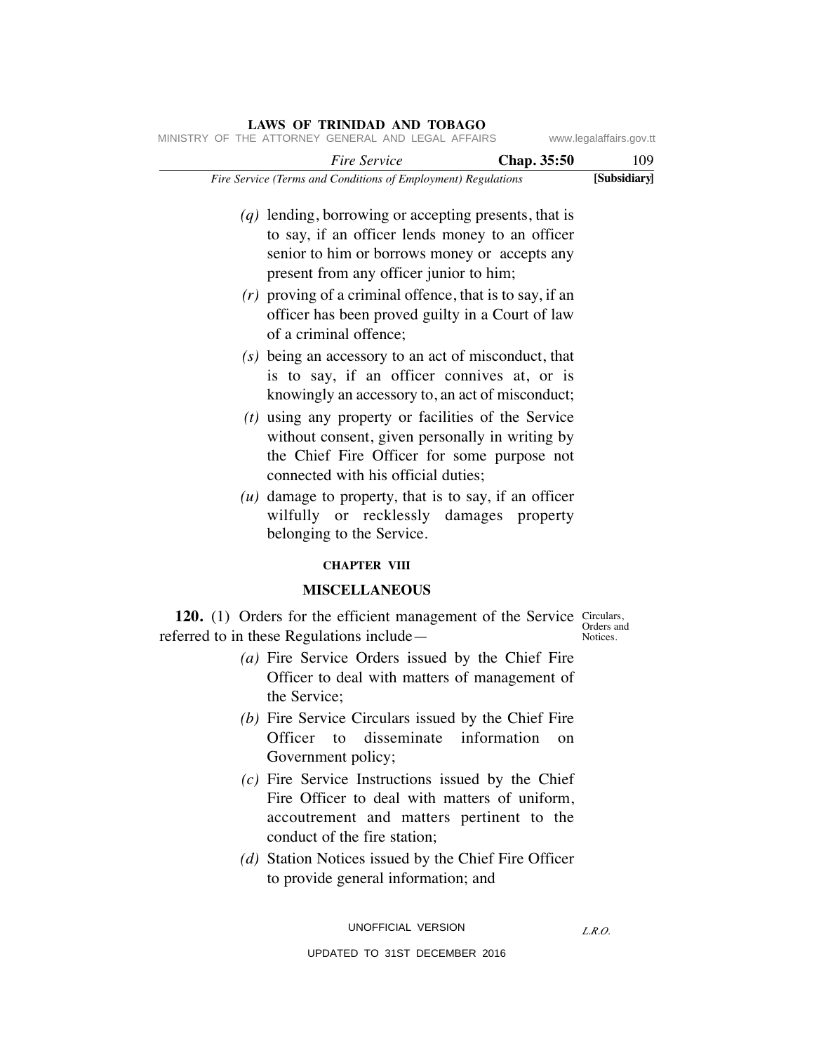| www.legalaffairs.gov.tt | <b>LAWS OF TRINIDAD AND TOBAGO</b><br>MINISTRY OF THE ATTORNEY GENERAL AND LEGAL AFFAIRS                                                                                                                                                                                                                                                           |
|-------------------------|----------------------------------------------------------------------------------------------------------------------------------------------------------------------------------------------------------------------------------------------------------------------------------------------------------------------------------------------------|
| 109                     | Fire Service<br>Chap. 35:50                                                                                                                                                                                                                                                                                                                        |
| [Subsidiary]            | Fire Service (Terms and Conditions of Employment) Regulations                                                                                                                                                                                                                                                                                      |
|                         | $(q)$ lending, borrowing or accepting presents, that is<br>to say, if an officer lends money to an officer<br>senior to him or borrows money or accepts any<br>present from any officer junior to him;<br>$(r)$ proving of a criminal offence, that is to say, if an<br>officer has been proved guilty in a Court of law<br>of a criminal offence; |
|                         | (s) being an accessory to an act of misconduct, that<br>is to say, if an officer connives at, or is<br>knowingly an accessory to, an act of misconduct;                                                                                                                                                                                            |
|                         | $(t)$ using any property or facilities of the Service<br>without consent, given personally in writing by<br>the Chief Fire Officer for some purpose not<br>connected with his official duties;                                                                                                                                                     |
|                         | $(u)$ damage to property, that is to say, if an officer<br>wilfully or recklessly damages property<br>belonging to the Service.                                                                                                                                                                                                                    |
|                         | <b>CHAPTER VIII</b>                                                                                                                                                                                                                                                                                                                                |
|                         | <b>MISCELLANEOUS</b>                                                                                                                                                                                                                                                                                                                               |
| Orders and<br>Notices.  | 120. (1) Orders for the efficient management of the Service Circulars,<br>referred to in these Regulations include—<br>(a) Fire Service Orders issued by the Chief Fire<br>Officer to deal with matters of management of<br>the Service;                                                                                                           |
|                         | (b) Fire Service Circulars issued by the Chief Fire<br>Officer to disseminate information<br>on<br>Government policy;                                                                                                                                                                                                                              |
|                         | $(c)$ Fire Service Instructions issued by the Chief<br>Fire Officer to deal with matters of uniform,<br>accoutrement and matters pertinent to the<br>conduct of the fire station;                                                                                                                                                                  |
|                         | (d) Station Notices issued by the Chief Fire Officer                                                                                                                                                                                                                                                                                               |

UNOFFICIAL VERSION UPDATED TO 31ST DECEMBER 2016

to provide general information; and

*L.R.O.*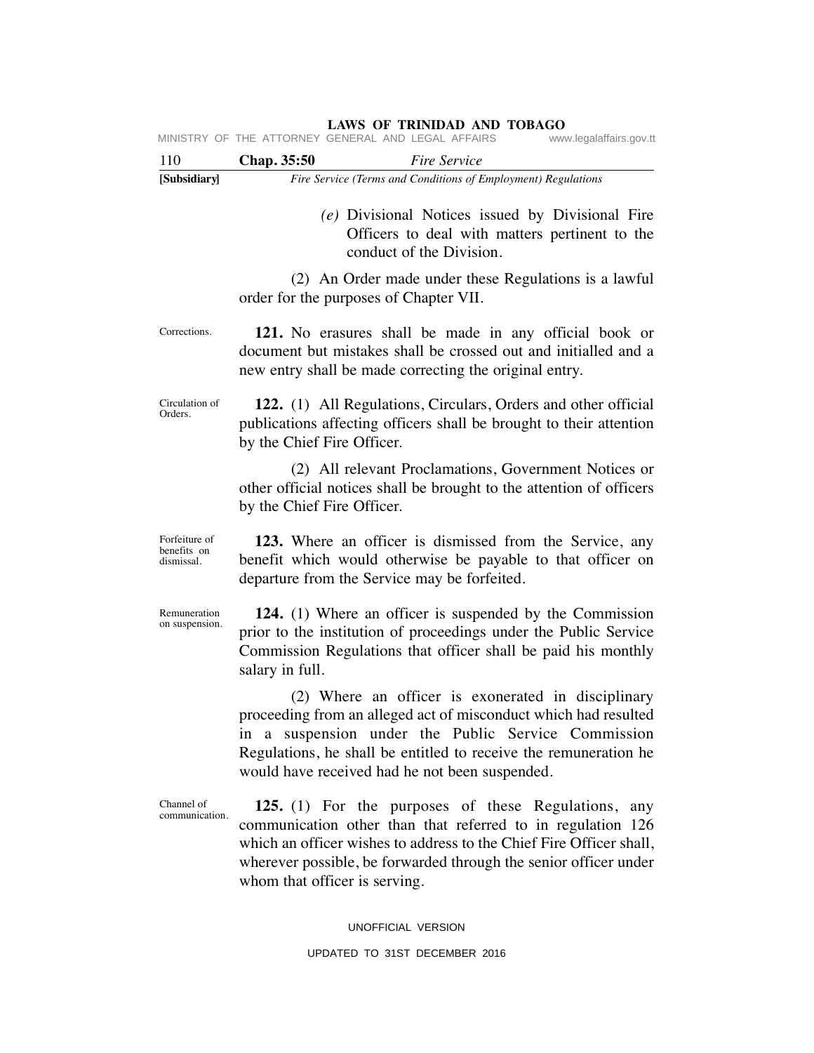| 110                                        |                               | <i>Fire Service</i>                                                                                                                                                                                                                                                                                |
|--------------------------------------------|-------------------------------|----------------------------------------------------------------------------------------------------------------------------------------------------------------------------------------------------------------------------------------------------------------------------------------------------|
| [Subsidiary]                               | Chap. 35:50                   | Fire Service (Terms and Conditions of Employment) Regulations                                                                                                                                                                                                                                      |
|                                            |                               | (e) Divisional Notices issued by Divisional Fire<br>Officers to deal with matters pertinent to the<br>conduct of the Division.                                                                                                                                                                     |
|                                            |                               | (2) An Order made under these Regulations is a lawful<br>order for the purposes of Chapter VII.                                                                                                                                                                                                    |
| Corrections.                               |                               | 121. No erasures shall be made in any official book or<br>document but mistakes shall be crossed out and initialled and a<br>new entry shall be made correcting the original entry.                                                                                                                |
| Circulation of<br>Orders.                  | by the Chief Fire Officer.    | 122. (1) All Regulations, Circulars, Orders and other official<br>publications affecting officers shall be brought to their attention                                                                                                                                                              |
|                                            | by the Chief Fire Officer.    | (2) All relevant Proclamations, Government Notices or<br>other official notices shall be brought to the attention of officers                                                                                                                                                                      |
| Forfeiture of<br>benefits on<br>dismissal. |                               | 123. Where an officer is dismissed from the Service, any<br>benefit which would otherwise be payable to that officer on<br>departure from the Service may be forfeited.                                                                                                                            |
| Remuneration<br>on suspension.             | salary in full.               | 124. (1) Where an officer is suspended by the Commission<br>prior to the institution of proceedings under the Public Service<br>Commission Regulations that officer shall be paid his monthly                                                                                                      |
|                                            |                               | (2) Where an officer is exonerated in disciplinary<br>proceeding from an alleged act of misconduct which had resulted<br>in a suspension under the Public Service Commission<br>Regulations, he shall be entitled to receive the remuneration he<br>would have received had he not been suspended. |
| Channel of<br>communication.               | whom that officer is serving. | 125. (1) For the purposes of these Regulations, any<br>communication other than that referred to in regulation 126<br>which an officer wishes to address to the Chief Fire Officer shall,<br>wherever possible, be forwarded through the senior officer under                                      |

UNOFFICIAL VERSION

## UPDATED TO 31ST DECEMBER 2016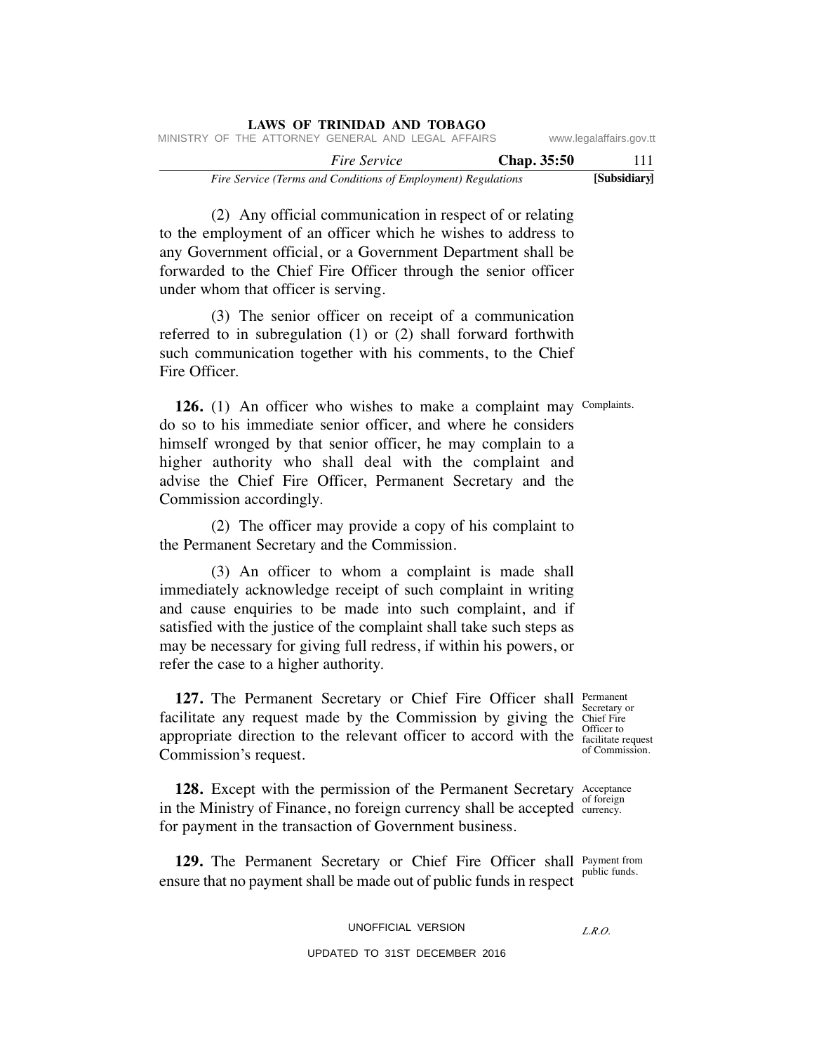|                                                    |                                                               |  |  |  |  |                     |  | <b>LAWS OF TRINIDAD AND TOBAGO</b> |  |  |              |  |                         |  |
|----------------------------------------------------|---------------------------------------------------------------|--|--|--|--|---------------------|--|------------------------------------|--|--|--------------|--|-------------------------|--|
| MINISTRY OF THE ATTORNEY GENERAL AND LEGAL AFFAIRS |                                                               |  |  |  |  |                     |  |                                    |  |  |              |  | www.legalaffairs.gov.tt |  |
|                                                    |                                                               |  |  |  |  | <i>Fire Service</i> |  |                                    |  |  | Chap. 35:50  |  | 111                     |  |
|                                                    | Fire Service (Terms and Conditions of Employment) Regulations |  |  |  |  |                     |  |                                    |  |  | [Subsidiary] |  |                         |  |

 (2) Any official communication in respect of or relating to the employment of an officer which he wishes to address to any Government official, or a Government Department shall be forwarded to the Chief Fire Officer through the senior officer under whom that officer is serving.

 (3) The senior officer on receipt of a communication referred to in subregulation (1) or (2) shall forward forthwith such communication together with his comments, to the Chief Fire Officer.

**126.** (1) An officer who wishes to make a complaint may Complaints. do so to his immediate senior officer, and where he considers himself wronged by that senior officer, he may complain to a higher authority who shall deal with the complaint and advise the Chief Fire Officer, Permanent Secretary and the Commission accordingly.

 (2) The officer may provide a copy of his complaint to the Permanent Secretary and the Commission.

 (3) An officer to whom a complaint is made shall immediately acknowledge receipt of such complaint in writing and cause enquiries to be made into such complaint, and if satisfied with the justice of the complaint shall take such steps as may be necessary for giving full redress, if within his powers, or refer the case to a higher authority.

**127.** The Permanent Secretary or Chief Fire Officer shall Permanent facilitate any request made by the Commission by giving the Chief Fire appropriate direction to the relevant officer to accord with the facilitate in Commission's request.

Secretary or facilitate request of Commission.

**128.** Except with the permission of the Permanent Secretary Acceptance in the Ministry of Finance, no foreign currency shall be accepted  $\frac{1}{\text{currency}}$  of foreign for payment in the transaction of Government business. currency.

**129.** The Permanent Secretary or Chief Fire Officer shall Payment from ensure that no payment shall be made out of public funds in respect public funds.

## UNOFFICIAL VERSION

## *L.R.O.*

UPDATED TO 31ST DECEMBER 2016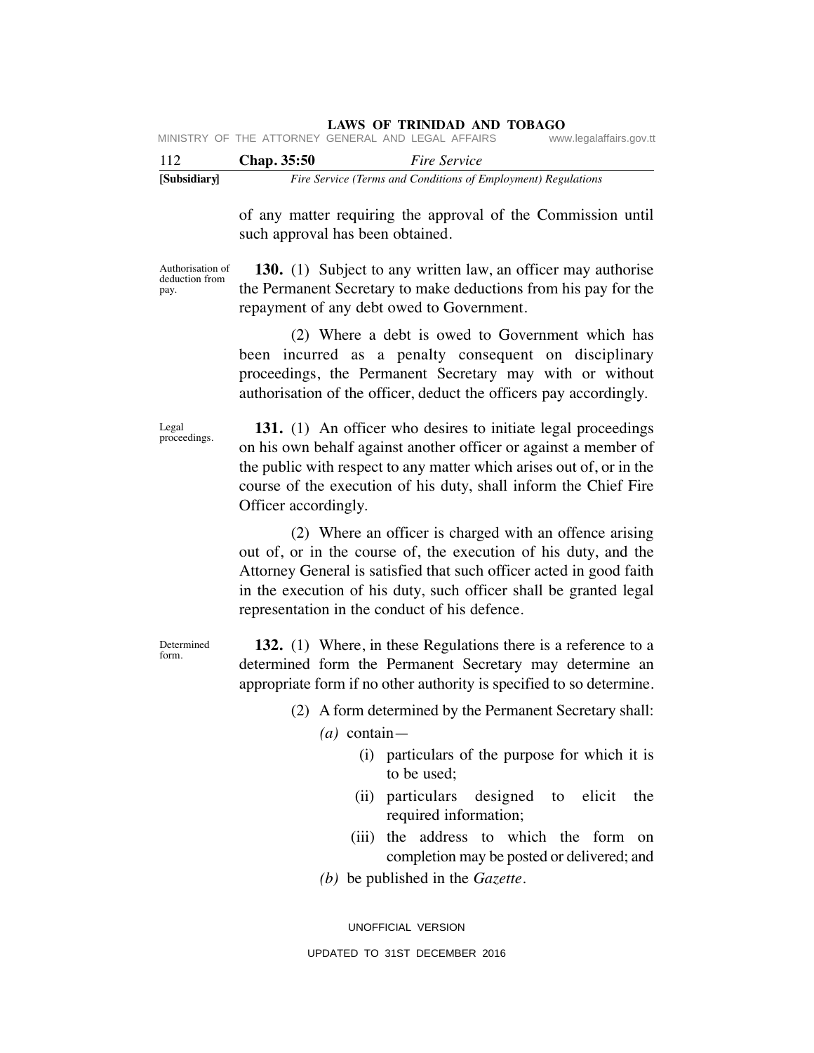## **LAWS OF TRINIDAD AND TOBAGO**

|  | MINISTRY OF THE ATTORNEY GENERAL AND LEGAL AFFAIRS |  |  | www.legalaffairs.gov.tt |
|--|----------------------------------------------------|--|--|-------------------------|
|  |                                                    |  |  |                         |

| 112          | <b>Chap.</b> 35:50 | <i>Fire Service</i>                                           |
|--------------|--------------------|---------------------------------------------------------------|
| [Subsidiary] |                    | Fire Service (Terms and Conditions of Employment) Regulations |

of any matter requiring the approval of the Commission until such approval has been obtained.

Authorisation of deduction from pay.

 **130.** (1) Subject to any written law, an officer may authorise the Permanent Secretary to make deductions from his pay for the repayment of any debt owed to Government.

 (2) Where a debt is owed to Government which has been incurred as a penalty consequent on disciplinary proceedings, the Permanent Secretary may with or without authorisation of the officer, deduct the officers pay accordingly.

Legal proceedings.

**131.** (1) An officer who desires to initiate legal proceedings on his own behalf against another officer or against a member of the public with respect to any matter which arises out of, or in the course of the execution of his duty, shall inform the Chief Fire Officer accordingly.

 (2) Where an officer is charged with an offence arising out of, or in the course of, the execution of his duty, and the Attorney General is satisfied that such officer acted in good faith in the execution of his duty, such officer shall be granted legal representation in the conduct of his defence.

**Determined** form.

 **132.** (1) Where, in these Regulations there is a reference to a determined form the Permanent Secretary may determine an appropriate form if no other authority is specified to so determine.

- (2) A form determined by the Permanent Secretary shall:
	- *(a)* contain—
		- (i) particulars of the purpose for which it is to be used;
		- (ii) particulars designed to elicit the required information;
		- (iii) the address to which the form on completion may be posted or delivered; and
	- *(b)* be published in the *Gazette*.

UNOFFICIAL VERSION